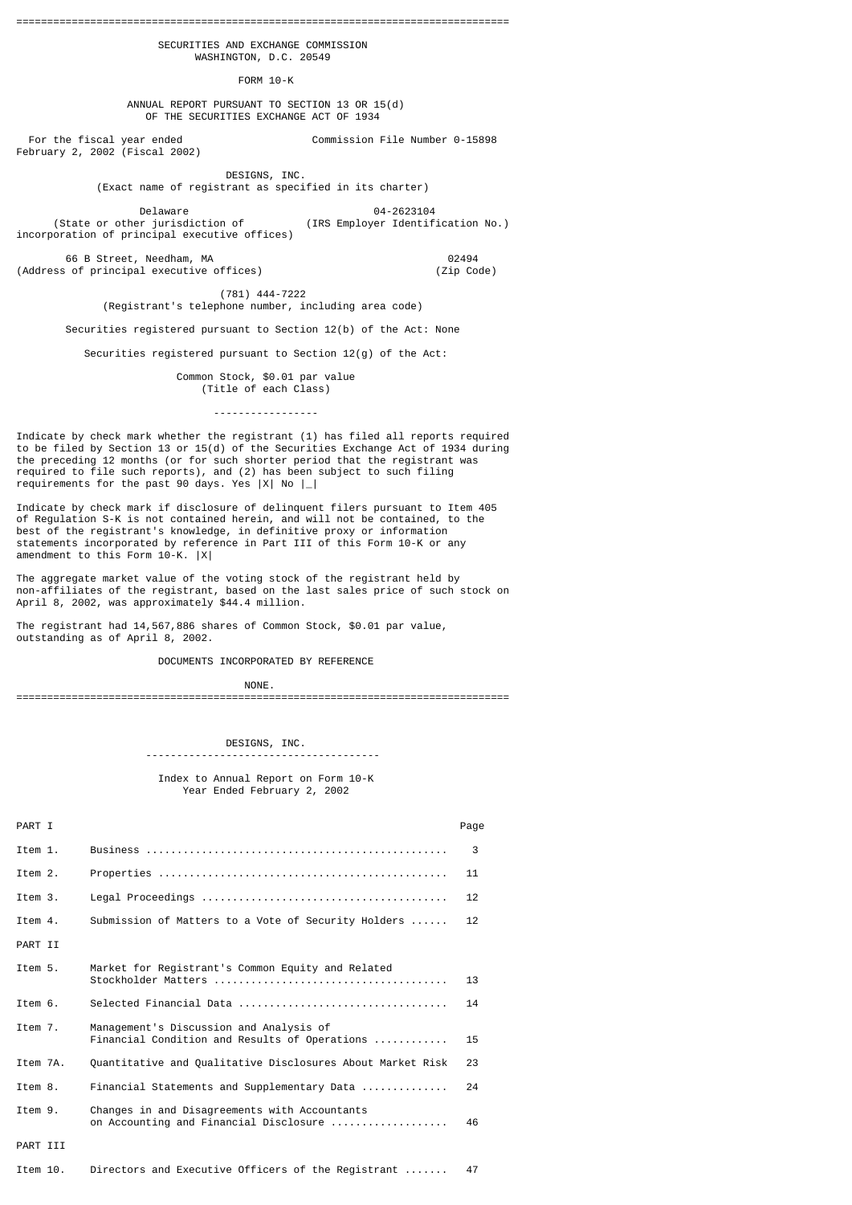================================================================================ SECURITIES AND EXCHANGE COMMISSION

WASHINGTON, D.C. 20549

FORM 10-K

 ANNUAL REPORT PURSUANT TO SECTION 13 OR 15(d) OF THE SECURITIES EXCHANGE ACT OF 1934

 For the fiscal year ended Commission File Number 0-15898 February 2, 2002 (Fiscal 2002)

> DESIGNS, INC. (Exact name of registrant as specified in its charter)

Delaware 04-2623104

 (State or other jurisdiction of (IRS Employer Identification No.) incorporation of principal executive offices)

 66 B Street, Needham, MA 02494 (Address of principal executive offices) (Zip Code)

 (781) 444-7222 (Registrant's telephone number, including area code)

Securities registered pursuant to Section 12(b) of the Act: None

Securities registered pursuant to Section 12(g) of the Act:

 Common Stock, \$0.01 par value (Title of each Class) -----------------

Indicate by check mark whether the registrant (1) has filed all reports required to be filed by Section 13 or 15(d) of the Securities Exchange Act of 1934 during the preceding 12 months (or for such shorter period that the registrant was required to file such reports), and (2) has been subject to such filing requirements for the past 90 days. Yes |X| No |\_|

Indicate by check mark if disclosure of delinquent filers pursuant to Item 405 of Regulation S-K is not contained herein, and will not be contained, to the best of the registrant's knowledge, in definitive proxy or information statements incorporated by reference in Part III of this Form 10-K or any amendment to this Form 10-K. |X|

The aggregate market value of the voting stock of the registrant held by non-affiliates of the registrant, based on the last sales price of such stock on April 8, 2002, was approximately \$44.4 million.

The registrant had 14,567,886 shares of Common Stock, \$0.01 par value, outstanding as of April 8, 2002.

--------------------------------------

DOCUMENTS INCORPORATED BY REFERENCE

NONE.

================================================================================

## DESIGNS, INC.

 Index to Annual Report on Form 10-K Year Ended February 2, 2002

| PART I   |                                                                                          | Page |
|----------|------------------------------------------------------------------------------------------|------|
| Item 1.  |                                                                                          | 3    |
| Item 2.  |                                                                                          | 11   |
| Item 3.  |                                                                                          | 12   |
| Item 4.  | Submission of Matters to a Vote of Security Holders                                      | 12   |
| PART II  |                                                                                          |      |
| Item 5.  | Market for Registrant's Common Equity and Related                                        | 13   |
| Item 6.  |                                                                                          | 14   |
| Item 7.  | Management's Discussion and Analysis of<br>Financial Condition and Results of Operations | 15   |
| Item 7A. | Quantitative and Qualitative Disclosures About Market Risk                               | 23   |
| Item 8.  | Financial Statements and Supplementary Data                                              | 24   |
| Item 9.  | Changes in and Disagreements with Accountants<br>on Accounting and Financial Disclosure  | 46   |
| PART III |                                                                                          |      |
| Item 10. | Directors and Executive Officers of the Registrant                                       | 47   |
|          |                                                                                          |      |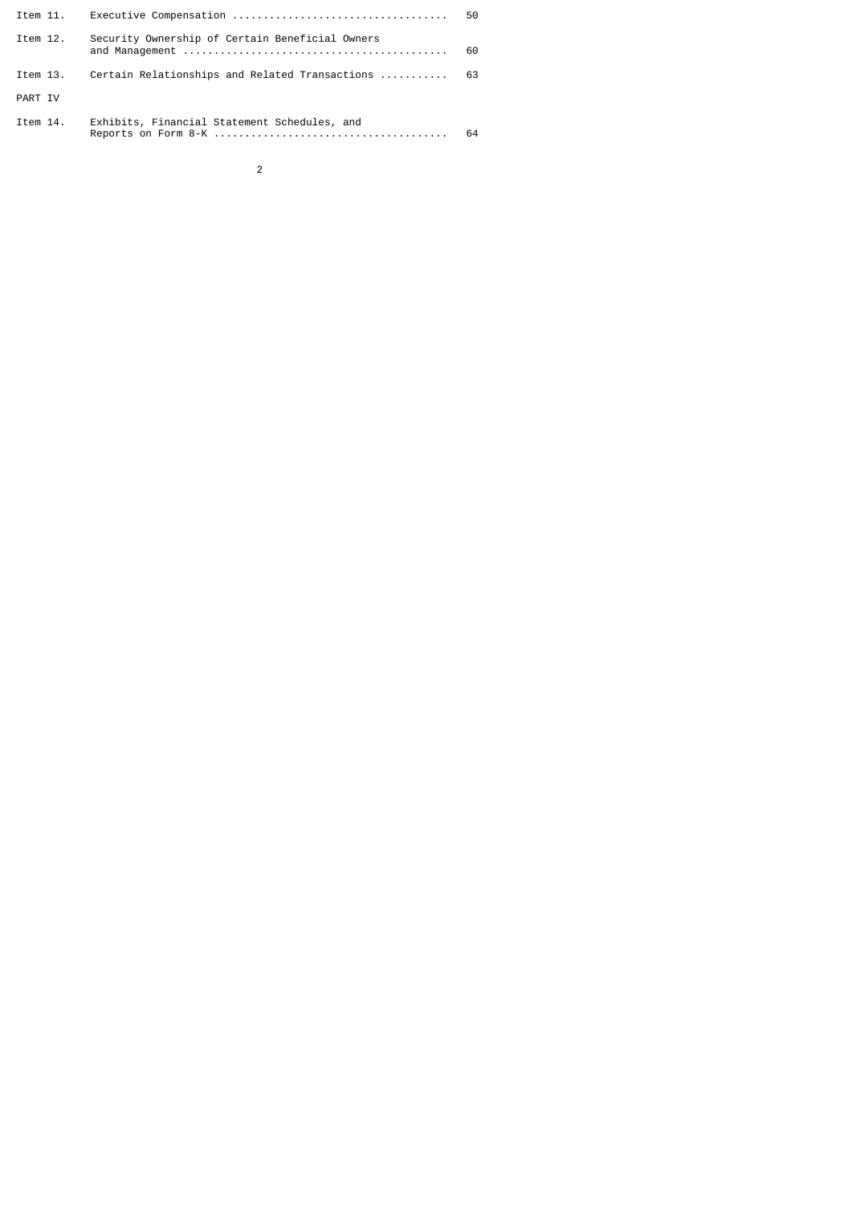| Item 11. |                                                 | 50   |
|----------|-------------------------------------------------|------|
| Item 12. | Security Ownership of Certain Beneficial Owners | 60   |
| Item 13. | Certain Relationships and Related Transactions  | - 63 |
| PART IV  |                                                 |      |
| Item 14. | Exhibits, Financial Statement Schedules, and    | 64   |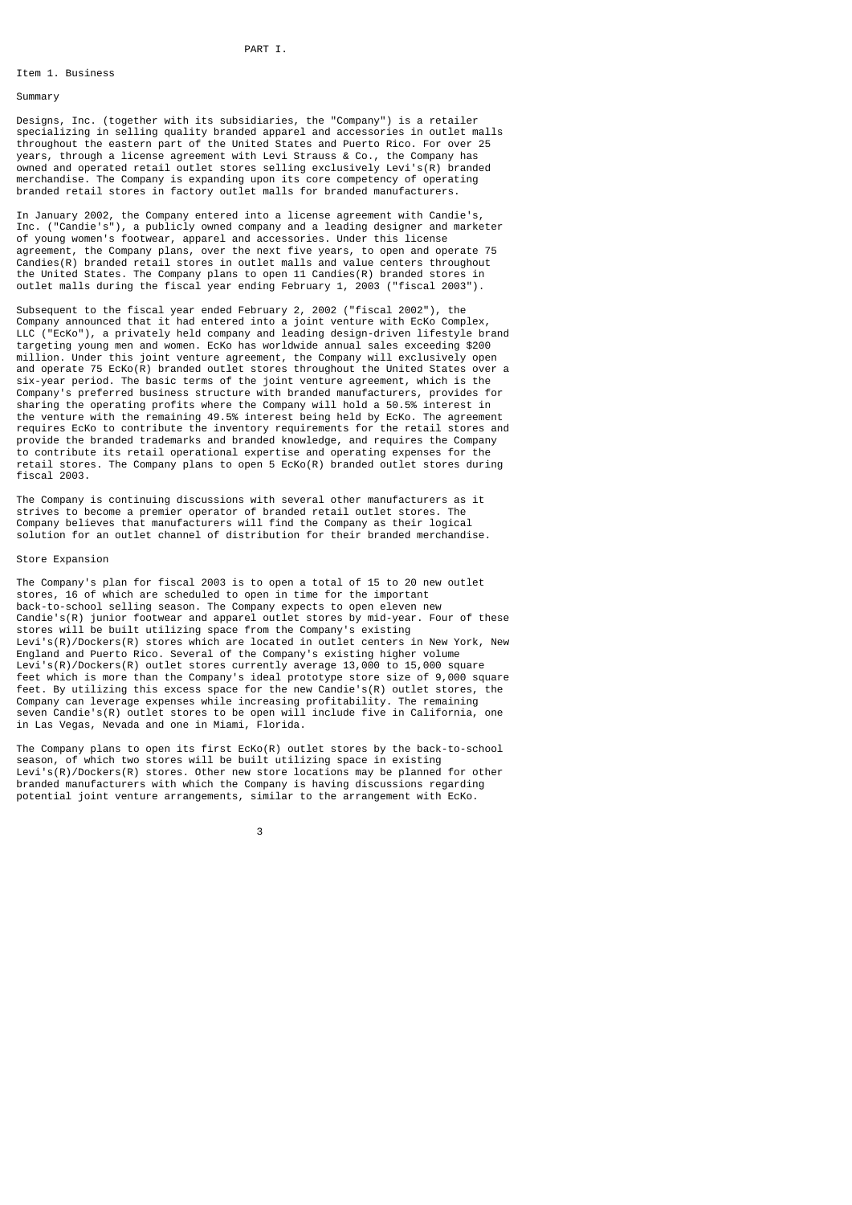## Item 1. Business

#### Summary

Designs, Inc. (together with its subsidiaries, the "Company") is a retailer specializing in selling quality branded apparel and accessories in outlet malls throughout the eastern part of the United States and Puerto Rico. For over 25 years, through a license agreement with Levi Strauss & Co., the Company has owned and operated retail outlet stores selling exclusively Levi's(R) branded merchandise. The Company is expanding upon its core competency of operating branded retail stores in factory outlet malls for branded manufacturers.

In January 2002, the Company entered into a license agreement with Candie's, Inc. ("Candie's"), a publicly owned company and a leading designer and marketer of young women's footwear, apparel and accessories. Under this license agreement, the Company plans, over the next five years, to open and operate 75 Candies(R) branded retail stores in outlet malls and value centers throughout the United States. The Company plans to open 11 Candies(R) branded stores in outlet malls during the fiscal year ending February 1, 2003 ("fiscal 2003").

Subsequent to the fiscal year ended February 2, 2002 ("fiscal 2002"), the Company announced that it had entered into a joint venture with EcKo Complex, LLC ("EcKo"), a privately held company and leading design-driven lifestyle brand targeting young men and women. EcKo has worldwide annual sales exceeding \$200 million. Under this joint venture agreement, the Company will exclusively open and operate 75 EcKo(R) branded outlet stores throughout the United States over a six-year period. The basic terms of the joint venture agreement, which is the Company's preferred business structure with branded manufacturers, provides for sharing the operating profits where the Company will hold a 50.5% interest in the venture with the remaining 49.5% interest being held by EcKo. The agreement requires EcKo to contribute the inventory requirements for the retail stores and provide the branded trademarks and branded knowledge, and requires the Company to contribute its retail operational expertise and operating expenses for the retail stores. The Company plans to open 5 EcKo(R) branded outlet stores during fiscal 2003.

The Company is continuing discussions with several other manufacturers as it strives to become a premier operator of branded retail outlet stores. The Company believes that manufacturers will find the Company as their logical solution for an outlet channel of distribution for their branded merchandise.

## Store Expansion

The Company's plan for fiscal 2003 is to open a total of 15 to 20 new outlet stores, 16 of which are scheduled to open in time for the important back-to-school selling season. The Company expects to open eleven new Candie's(R) junior footwear and apparel outlet stores by mid-year. Four of these stores will be built utilizing space from the Company's existing Levi's(R)/Dockers(R) stores which are located in outlet centers in New York, New England and Puerto Rico. Several of the Company's existing higher volume Levi's(R)/Dockers(R) outlet stores currently average 13,000 to 15,000 square feet which is more than the Company's ideal prototype store size of 9,000 square feet. By utilizing this excess space for the new Candie's(R) outlet stores, the Company can leverage expenses while increasing profitability. The remaining seven Candie's(R) outlet stores to be open will include five in California, one in Las Vegas, Nevada and one in Miami, Florida.

The Company plans to open its first EcKo(R) outlet stores by the back-to-school season, of which two stores will be built utilizing space in existing Levi's(R)/Dockers(R) stores. Other new store locations may be planned for other branded manufacturers with which the Company is having discussions regarding potential joint venture arrangements, similar to the arrangement with EcKo.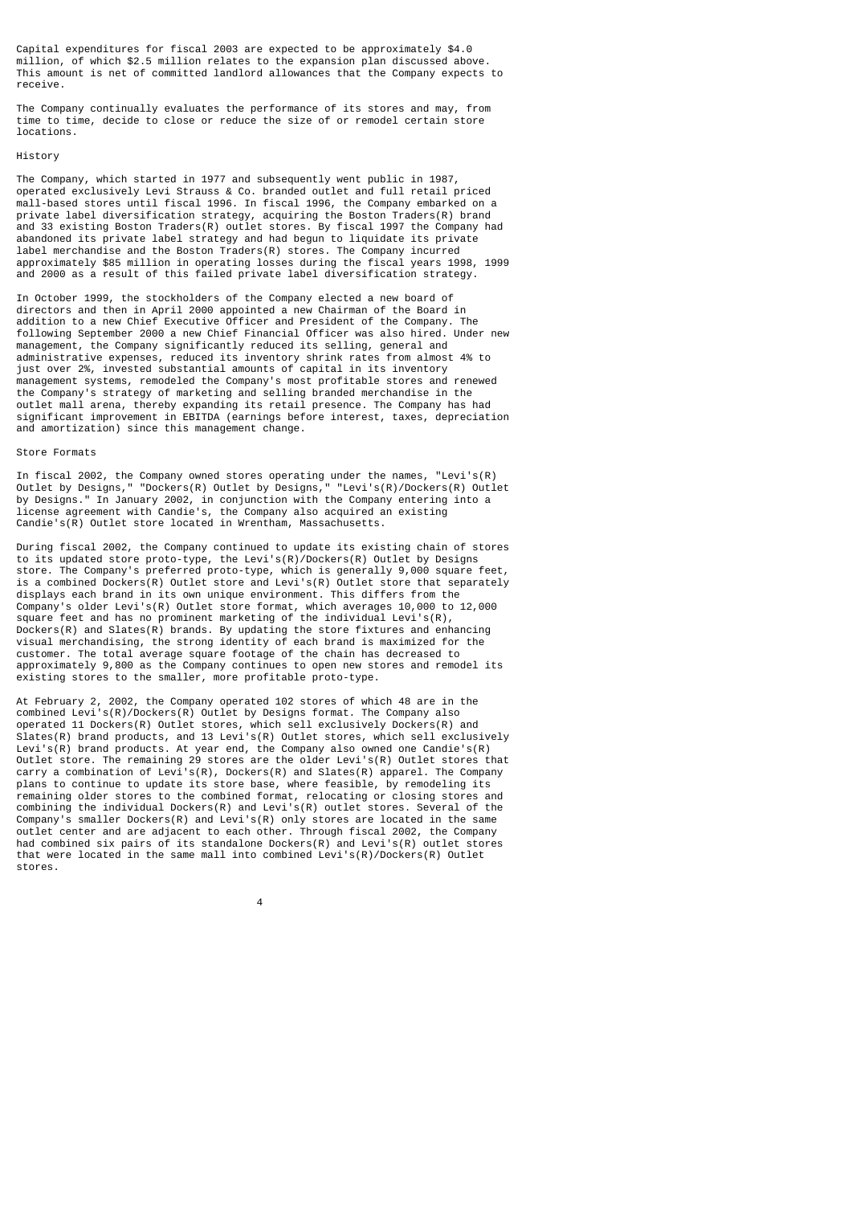Capital expenditures for fiscal 2003 are expected to be approximately \$4.0 million, of which \$2.5 million relates to the expansion plan discussed above. This amount is net of committed landlord allowances that the Company expects to receive.

The Company continually evaluates the performance of its stores and may, from time to time, decide to close or reduce the size of or remodel certain store locations.

#### History

The Company, which started in 1977 and subsequently went public in 1987, operated exclusively Levi Strauss & Co. branded outlet and full retail priced mall-based stores until fiscal 1996. In fiscal 1996, the Company embarked on a private label diversification strategy, acquiring the Boston Traders(R) brand and 33 existing Boston Traders(R) outlet stores. By fiscal 1997 the Company had abandoned its private label strategy and had begun to liquidate its private label merchandise and the Boston Traders(R) stores. The Company incurred approximately \$85 million in operating losses during the fiscal years 1998, 1999 and 2000 as a result of this failed private label diversification strategy.

In October 1999, the stockholders of the Company elected a new board of directors and then in April 2000 appointed a new Chairman of the Board in addition to a new Chief Executive Officer and President of the Company. The following September 2000 a new Chief Financial Officer was also hired. Under new management, the Company significantly reduced its selling, general and administrative expenses, reduced its inventory shrink rates from almost 4% to just over 2%, invested substantial amounts of capital in its inventory management systems, remodeled the Company's most profitable stores and renewed the Company's strategy of marketing and selling branded merchandise in the outlet mall arena, thereby expanding its retail presence. The Company has had significant improvement in EBITDA (earnings before interest, taxes, depreciation and amortization) since this management change.

#### Store Formats

In fiscal 2002, the Company owned stores operating under the names, "Levi's(R) Outlet by Designs," "Dockers(R) Outlet by Designs," "Levi's(R)/Dockers(R) Outlet by Designs." In January 2002, in conjunction with the Company entering into a license agreement with Candie's, the Company also acquired an existing Candie's(R) Outlet store located in Wrentham, Massachusetts.

During fiscal 2002, the Company continued to update its existing chain of stores to its updated store proto-type, the Levi's(R)/Dockers(R) Outlet by Designs store. The Company's preferred proto-type, which is generally 9,000 square feet, is a combined Dockers(R) Outlet store and Levi's(R) Outlet store that separately displays each brand in its own unique environment. This differs from the Company's older Levi's(R) Outlet store format, which averages 10,000 to 12,000 square feet and has no prominent marketing of the individual Levi's(R), Dockers(R) and Slates(R) brands. By updating the store fixtures and enhancing visual merchandising, the strong identity of each brand is maximized for the customer. The total average square footage of the chain has decreased to approximately 9,800 as the Company continues to open new stores and remodel its existing stores to the smaller, more profitable proto-type.

At February 2, 2002, the Company operated 102 stores of which 48 are in the combined Levi's(R)/Dockers(R) Outlet by Designs format. The Company also operated 11 Dockers(R) Outlet stores, which sell exclusively Dockers(R) and Slates(R) brand products, and 13 Levi's(R) Outlet stores, which sell exclusively Levi's(R) brand products. At year end, the Company also owned one Candie's(R) Outlet store. The remaining 29 stores are the older Levi's(R) Outlet stores that carry a combination of Levi's(R), Dockers(R) and Slates(R) apparel. The Company plans to continue to update its store base, where feasible, by remodeling its remaining older stores to the combined format, relocating or closing stores and combining the individual Dockers(R) and Levi's(R) outlet stores. Several of the Company's smaller Dockers(R) and Levi's(R) only stores are located in the same outlet center and are adjacent to each other. Through fiscal 2002, the Company had combined six pairs of its standalone Dockers(R) and Levi's(R) outlet stores that were located in the same mall into combined Levi's(R)/Dockers(R) Outlet stores.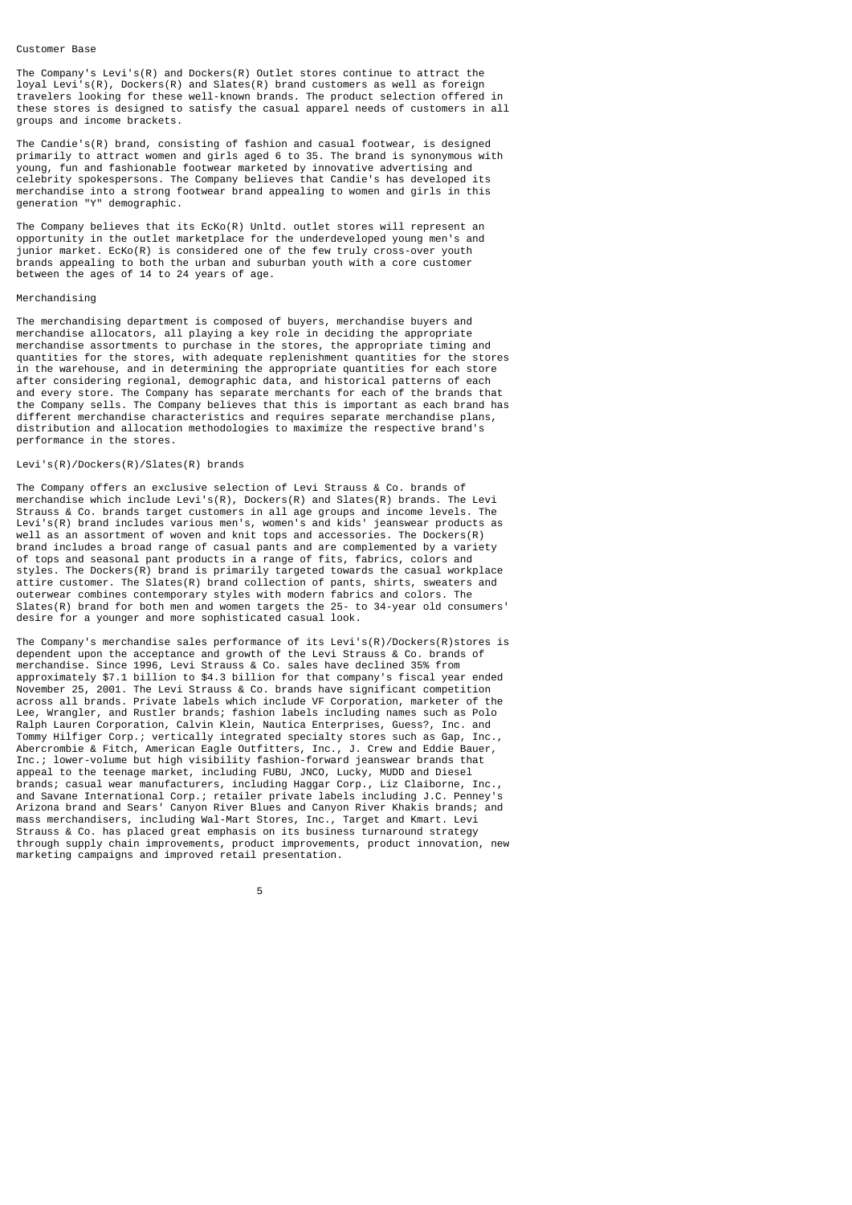#### Customer Base

The Company's Levi's(R) and Dockers(R) Outlet stores continue to attract the loyal Levi's(R), Dockers(R) and Slates(R) brand customers as well as foreign travelers looking for these well-known brands. The product selection offered in these stores is designed to satisfy the casual apparel needs of customers in all groups and income brackets.

The Candie's(R) brand, consisting of fashion and casual footwear, is designed primarily to attract women and girls aged 6 to 35. The brand is synonymous with young, fun and fashionable footwear marketed by innovative advertising and celebrity spokespersons. The Company believes that Candie's has developed its merchandise into a strong footwear brand appealing to women and girls in this generation "Y" demographic.

The Company believes that its EcKo(R) Unltd. outlet stores will represent an opportunity in the outlet marketplace for the underdeveloped young men's and junior market. EcKo(R) is considered one of the few truly cross-over youth brands appealing to both the urban and suburban youth with a core customer between the ages of 14 to 24 years of age.

## Merchandising

The merchandising department is composed of buyers, merchandise buyers and merchandise allocators, all playing a key role in deciding the appropriate merchandise assortments to purchase in the stores, the appropriate timing and quantities for the stores, with adequate replenishment quantities for the stores in the warehouse, and in determining the appropriate quantities for each store after considering regional, demographic data, and historical patterns of each and every store. The Company has separate merchants for each of the brands that the Company sells. The Company believes that this is important as each brand has different merchandise characteristics and requires separate merchandise plans, distribution and allocation methodologies to maximize the respective brand's performance in the stores.

# Levi's(R)/Dockers(R)/Slates(R) brands

The Company offers an exclusive selection of Levi Strauss & Co. brands of merchandise which include Levi's(R), Dockers(R) and Slates(R) brands. The Levi Strauss & Co. brands target customers in all age groups and income levels. The Levi's(R) brand includes various men's, women's and kids' jeanswear products as well as an assortment of woven and knit tops and accessories. The Dockers(R) brand includes a broad range of casual pants and are complemented by a variety of tops and seasonal pant products in a range of fits, fabrics, colors and styles. The Dockers(R) brand is primarily targeted towards the casual workplace attire customer. The Slates(R) brand collection of pants, shirts, sweaters and outerwear combines contemporary styles with modern fabrics and colors. The Slates $(R)$  brand for both men and women targets the 25- to 34-year old consumers' desire for a younger and more sophisticated casual look.

The Company's merchandise sales performance of its Levi's(R)/Dockers(R)stores is dependent upon the acceptance and growth of the Levi Strauss & Co. brands of merchandise. Since 1996, Levi Strauss & Co. sales have declined 35% from approximately \$7.1 billion to \$4.3 billion for that company's fiscal year ended November 25, 2001. The Levi Strauss & Co. brands have significant competition across all brands. Private labels which include VF Corporation, marketer of the Lee, Wrangler, and Rustler brands; fashion labels including names such as Polo Ralph Lauren Corporation, Calvin Klein, Nautica Enterprises, Guess?, Inc. and Tommy Hilfiger Corp.; vertically integrated specialty stores such as Gap, Inc., Abercrombie & Fitch, American Eagle Outfitters, Inc., J. Crew and Eddie Bauer, Inc.; lower-volume but high visibility fashion-forward jeanswear brands that appeal to the teenage market, including FUBU, JNCO, Lucky, MUDD and Diesel brands; casual wear manufacturers, including Haggar Corp., Liz Claiborne, Inc., and Savane International Corp.; retailer private labels including J.C. Penney's Arizona brand and Sears' Canyon River Blues and Canyon River Khakis brands; and mass merchandisers, including Wal-Mart Stores, Inc., Target and Kmart. Levi Strauss & Co. has placed great emphasis on its business turnaround strategy through supply chain improvements, product improvements, product innovation, new marketing campaigns and improved retail presentation.

 $5<sub>5</sub>$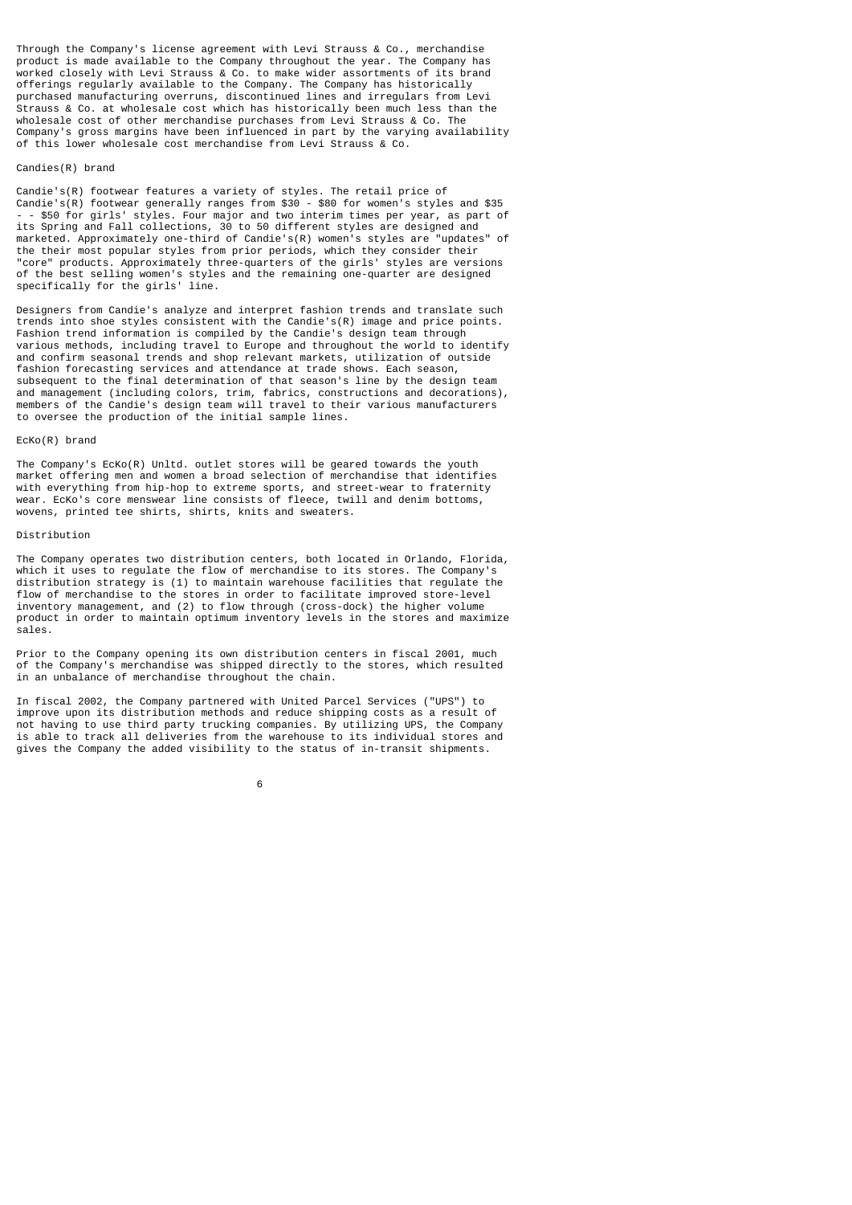Through the Company's license agreement with Levi Strauss & Co., merchandise product is made available to the Company throughout the year. The Company has worked closely with Levi Strauss & Co. to make wider assortments of its brand offerings regularly available to the Company. The Company has historically purchased manufacturing overruns, discontinued lines and irregulars from Levi Strauss & Co. at wholesale cost which has historically been much less than the wholesale cost of other merchandise purchases from Levi Strauss & Co. The Company's gross margins have been influenced in part by the varying availability of this lower wholesale cost merchandise from Levi Strauss & Co.

## Candies(R) brand

Candie's(R) footwear features a variety of styles. The retail price of Candie's(R) footwear generally ranges from \$30 - \$80 for women's styles and \$35 - - \$50 for girls' styles. Four major and two interim times per year, as part of its Spring and Fall collections, 30 to 50 different styles are designed and marketed. Approximately one-third of Candie's(R) women's styles are "updates" of the their most popular styles from prior periods, which they consider their "core" products. Approximately three-quarters of the girls' styles are versions of the best selling women's styles and the remaining one-quarter are designed specifically for the girls' line.

Designers from Candie's analyze and interpret fashion trends and translate such trends into shoe styles consistent with the Candie's(R) image and price points. Fashion trend information is compiled by the Candie's design team through various methods, including travel to Europe and throughout the world to identify and confirm seasonal trends and shop relevant markets, utilization of outside fashion forecasting services and attendance at trade shows. Each season, subsequent to the final determination of that season's line by the design team and management (including colors, trim, fabrics, constructions and decorations), members of the Candie's design team will travel to their various manufacturers to oversee the production of the initial sample lines.

#### EcKo(R) brand

The Company's EcKo(R) Unltd. outlet stores will be geared towards the youth market offering men and women a broad selection of merchandise that identifies with everything from hip-hop to extreme sports, and street-wear to fraternity wear. EcKo's core menswear line consists of fleece, twill and denim bottoms, wovens, printed tee shirts, shirts, knits and sweaters.

#### Distribution

The Company operates two distribution centers, both located in Orlando, Florida, which it uses to regulate the flow of merchandise to its stores. The Company's distribution strategy is (1) to maintain warehouse facilities that regulate the flow of merchandise to the stores in order to facilitate improved store-level inventory management, and (2) to flow through (cross-dock) the higher volume product in order to maintain optimum inventory levels in the stores and maximize sales.

Prior to the Company opening its own distribution centers in fiscal 2001, much of the Company's merchandise was shipped directly to the stores, which resulted in an unbalance of merchandise throughout the chain.

In fiscal 2002, the Company partnered with United Parcel Services ("UPS") to improve upon its distribution methods and reduce shipping costs as a result of not having to use third party trucking companies. By utilizing UPS, the Company is able to track all deliveries from the warehouse to its individual stores and gives the Company the added visibility to the status of in-transit shipments.

 $\sim$  6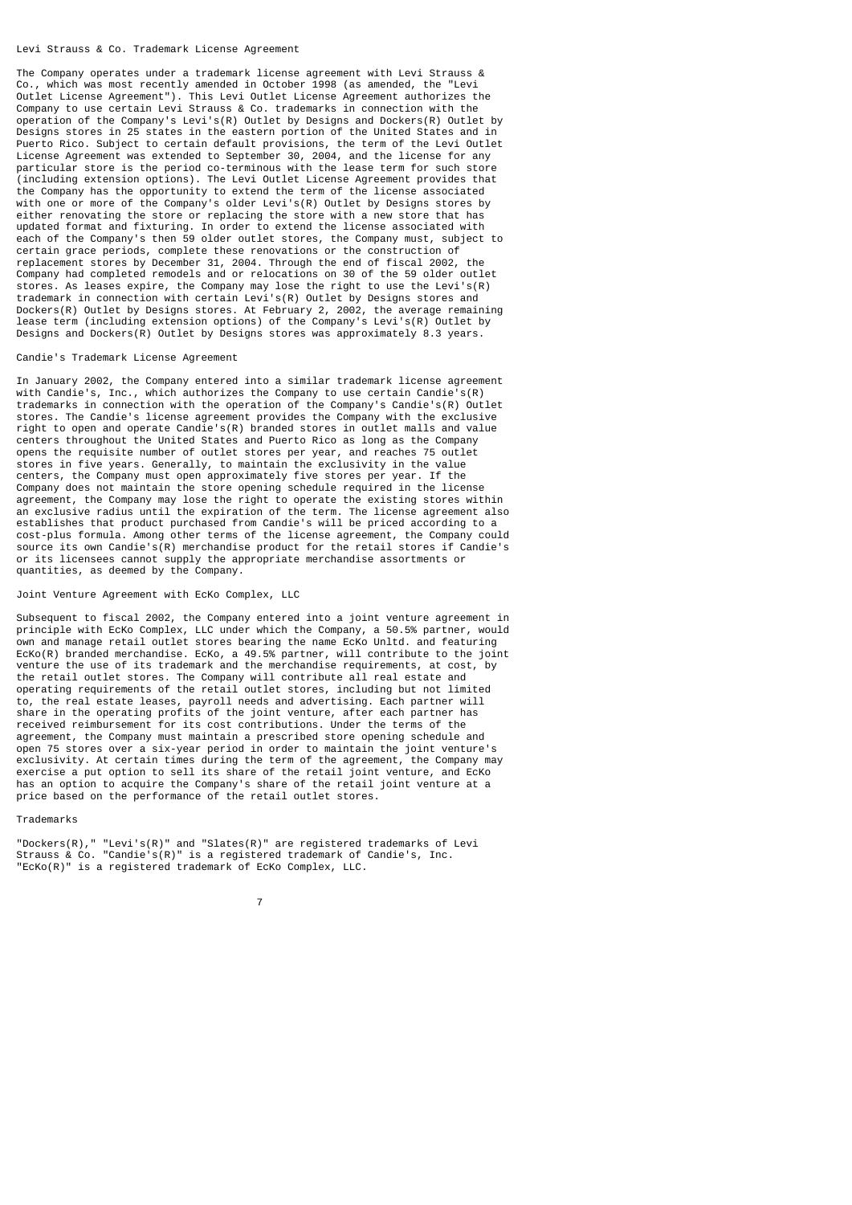#### Levi Strauss & Co. Trademark License Agreement

The Company operates under a trademark license agreement with Levi Strauss & Co., which was most recently amended in October 1998 (as amended, the "Levi Outlet License Agreement"). This Levi Outlet License Agreement authorizes the Company to use certain Levi Strauss & Co. trademarks in connection with the operation of the Company's Levi's(R) Outlet by Designs and Dockers(R) Outlet by Designs stores in 25 states in the eastern portion of the United States and in Puerto Rico. Subject to certain default provisions, the term of the Levi Outlet License Agreement was extended to September 30, 2004, and the license for any particular store is the period co-terminous with the lease term for such store (including extension options). The Levi Outlet License Agreement provides that the Company has the opportunity to extend the term of the license associated with one or more of the Company's older Levi's(R) Outlet by Designs stores by either renovating the store or replacing the store with a new store that has updated format and fixturing. In order to extend the license associated with each of the Company's then 59 older outlet stores, the Company must, subject to certain grace periods, complete these renovations or the construction of replacement stores by December 31, 2004. Through the end of fiscal 2002, the Company had completed remodels and or relocations on 30 of the 59 older outlet stores. As leases expire, the Company may lose the right to use the Levi's(R) trademark in connection with certain Levi's(R) Outlet by Designs stores and Dockers(R) Outlet by Designs stores. At February 2, 2002, the average remaining lease term (including extension options) of the Company's Levi's(R) Outlet by Designs and Dockers( $\overline{R}$ ) Outlet by Designs stores was approximately 8.3 years.

## Candie's Trademark License Agreement

In January 2002, the Company entered into a similar trademark license agreement with Candie's, Inc., which authorizes the Company to use certain Candie's(R) trademarks in connection with the operation of the Company's Candie's(R) Outlet stores. The Candie's license agreement provides the Company with the exclusive right to open and operate Candie's $(R)$  branded stores in outlet malls and value centers throughout the United States and Puerto Rico as long as the Company opens the requisite number of outlet stores per year, and reaches 75 outlet stores in five years. Generally, to maintain the exclusivity in the value centers, the Company must open approximately five stores per year. If the Company does not maintain the store opening schedule required in the license agreement, the Company may lose the right to operate the existing stores within an exclusive radius until the expiration of the term. The license agreement also establishes that product purchased from Candie's will be priced according to a cost-plus formula. Among other terms of the license agreement, the Company could source its own Candie's(R) merchandise product for the retail stores if Candie's or its licensees cannot supply the appropriate merchandise assortments or quantities, as deemed by the Company.

#### Joint Venture Agreement with EcKo Complex, LLC

Subsequent to fiscal 2002, the Company entered into a joint venture agreement in principle with EcKo Complex, LLC under which the Company, a 50.5% partner, would own and manage retail outlet stores bearing the name EcKo Unltd. and featuring EcKo(R) branded merchandise. EcKo, a 49.5% partner, will contribute to the joint venture the use of its trademark and the merchandise requirements, at cost, by the retail outlet stores. The Company will contribute all real estate and operating requirements of the retail outlet stores, including but not limited to, the real estate leases, payroll needs and advertising. Each partner will share in the operating profits of the joint venture, after each partner has received reimbursement for its cost contributions. Under the terms of the agreement, the Company must maintain a prescribed store opening schedule and open 75 stores over a six-year period in order to maintain the joint venture's exclusivity. At certain times during the term of the agreement, the Company may exercise a put option to sell its share of the retail joint venture, and EcKo has an option to acquire the Company's share of the retail joint venture at a price based on the performance of the retail outlet stores.

#### Trademarks

"Dockers(R)," "Levi's(R)" and "Slates(R)" are registered trademarks of Levi Strauss & Co. "Candie's(R)" is a registered trademark of Candie's, Inc. "EcKo(R)" is a registered trademark of EcKo Complex, LLC.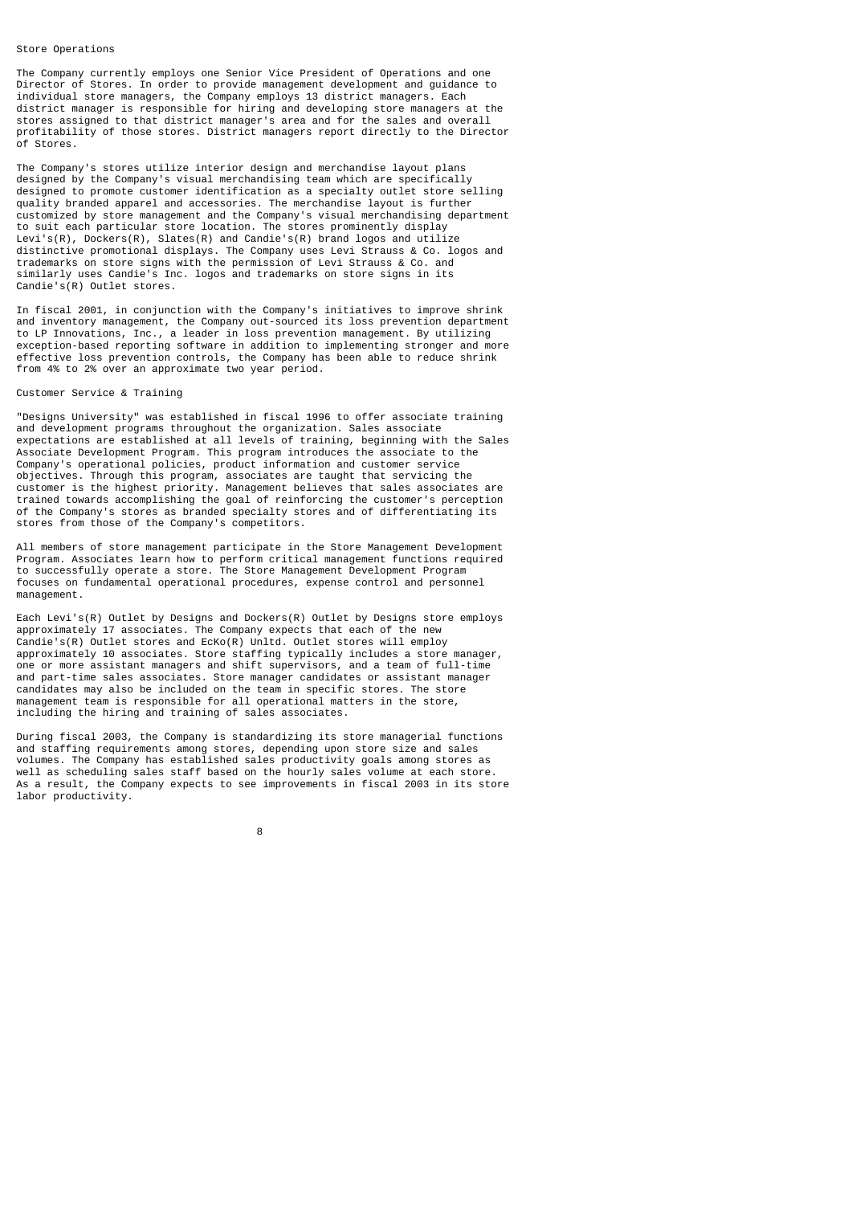#### Store Operations

The Company currently employs one Senior Vice President of Operations and one Director of Stores. In order to provide management development and guidance to individual store managers, the Company employs 13 district managers. Each district manager is responsible for hiring and developing store managers at the stores assigned to that district manager's area and for the sales and overall profitability of those stores. District managers report directly to the Director of Stores.

The Company's stores utilize interior design and merchandise layout plans designed by the Company's visual merchandising team which are specifically designed to promote customer identification as a specialty outlet store selling quality branded apparel and accessories. The merchandise layout is further customized by store management and the Company's visual merchandising department to suit each particular store location. The stores prominently display Levi's(R), Dockers(R), Slates(R) and Candie's(R) brand logos and utilize distinctive promotional displays. The Company uses Levi Strauss & Co. logos and trademarks on store signs with the permission of Levi Strauss & Co. and similarly uses Candie's Inc. logos and trademarks on store signs in its Candie's(R) Outlet stores.

In fiscal 2001, in conjunction with the Company's initiatives to improve shrink and inventory management, the Company out-sourced its loss prevention department to LP Innovations, Inc., a leader in loss prevention management. By utilizing exception-based reporting software in addition to implementing stronger and more effective loss prevention controls, the Company has been able to reduce shrink from 4% to 2% over an approximate two year period.

#### Customer Service & Training

e a construction de la construction de la construction de la construction de la construction de la constructio<br>En 1980, en 1980, en 1980, en 1980, en 1980, en 1980, en 1980, en 1980, en 1980, en 1980, en 1980, en 1980, en

"Designs University" was established in fiscal 1996 to offer associate training and development programs throughout the organization. Sales associate expectations are established at all levels of training, beginning with the Sales Associate Development Program. This program introduces the associate to the Company's operational policies, product information and customer service objectives. Through this program, associates are taught that servicing the customer is the highest priority. Management believes that sales associates are trained towards accomplishing the goal of reinforcing the customer's perception of the Company's stores as branded specialty stores and of differentiating its stores from those of the Company's competitors.

All members of store management participate in the Store Management Development Program. Associates learn how to perform critical management functions required to successfully operate a store. The Store Management Development Program focuses on fundamental operational procedures, expense control and personnel management.

Each Levi's(R) Outlet by Designs and Dockers(R) Outlet by Designs store employs approximately 17 associates. The Company expects that each of the new Candie's(R) Outlet stores and EcKo(R) Unltd. Outlet stores will employ approximately 10 associates. Store staffing typically includes a store manager, one or more assistant managers and shift supervisors, and a team of full-time and part-time sales associates. Store manager candidates or assistant manager candidates may also be included on the team in specific stores. The store management team is responsible for all operational matters in the store, including the hiring and training of sales associates.

During fiscal 2003, the Company is standardizing its store managerial functions and staffing requirements among stores, depending upon store size and sales volumes. The Company has established sales productivity goals among stores as well as scheduling sales staff based on the hourly sales volume at each store. As a result, the Company expects to see improvements in fiscal 2003 in its store labor productivity.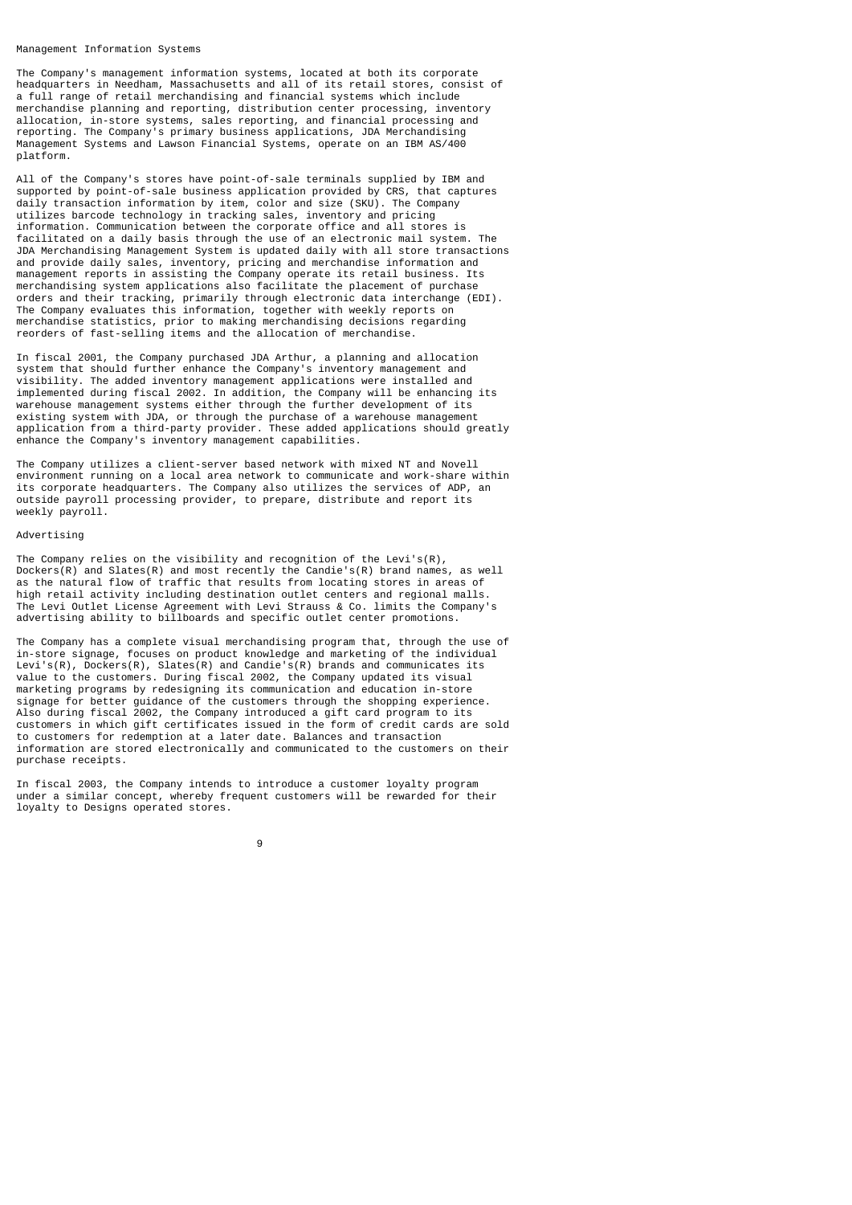#### Management Information Systems

The Company's management information systems, located at both its corporate headquarters in Needham, Massachusetts and all of its retail stores, consist of a full range of retail merchandising and financial systems which include merchandise planning and reporting, distribution center processing, inventory allocation, in-store systems, sales reporting, and financial processing and reporting. The Company's primary business applications, JDA Merchandising Management Systems and Lawson Financial Systems, operate on an IBM AS/400 platform.

All of the Company's stores have point-of-sale terminals supplied by IBM and supported by point-of-sale business application provided by CRS, that captures daily transaction information by item, color and size (SKU). The Company utilizes barcode technology in tracking sales, inventory and pricing information. Communication between the corporate office and all stores is facilitated on a daily basis through the use of an electronic mail system. The JDA Merchandising Management System is updated daily with all store transactions and provide daily sales, inventory, pricing and merchandise information and management reports in assisting the Company operate its retail business. Its merchandising system applications also facilitate the placement of purchase orders and their tracking, primarily through electronic data interchange (EDI). The Company evaluates this information, together with weekly reports on merchandise statistics, prior to making merchandising decisions regarding reorders of fast-selling items and the allocation of merchandise.

In fiscal 2001, the Company purchased JDA Arthur, a planning and allocation system that should further enhance the Company's inventory management and visibility. The added inventory management applications were installed and implemented during fiscal 2002. In addition, the Company will be enhancing its warehouse management systems either through the further development of its existing system with JDA, or through the purchase of a warehouse management application from a third-party provider. These added applications should greatly enhance the Company's inventory management capabilities.

The Company utilizes a client-server based network with mixed NT and Novell environment running on a local area network to communicate and work-share within its corporate headquarters. The Company also utilizes the services of ADP, an outside payroll processing provider, to prepare, distribute and report its weekly payroll.

## Advertising

The Company relies on the visibility and recognition of the Levi's(R), Dockers(R) and Slates(R) and most recently the Candie's(R) brand names, as well as the natural flow of traffic that results from locating stores in areas of high retail activity including destination outlet centers and regional malls. The Levi Outlet License Agreement with Levi Strauss & Co. limits the Company's advertising ability to billboards and specific outlet center promotions.

The Company has a complete visual merchandising program that, through the use of in-store signage, focuses on product knowledge and marketing of the individual Levi's(R), Dockers(R), Slates(R) and Candie's(R) brands and communicates its value to the customers. During fiscal 2002, the Company updated its visual marketing programs by redesigning its communication and education in-store signage for better guidance of the customers through the shopping experience. Also during fiscal 2002, the Company introduced a gift card program to its customers in which gift certificates issued in the form of credit cards are sold to customers for redemption at a later date. Balances and transaction information are stored electronically and communicated to the customers on their purchase receipts.

In fiscal 2003, the Company intends to introduce a customer loyalty program under a similar concept, whereby frequent customers will be rewarded for their loyalty to Designs operated stores.

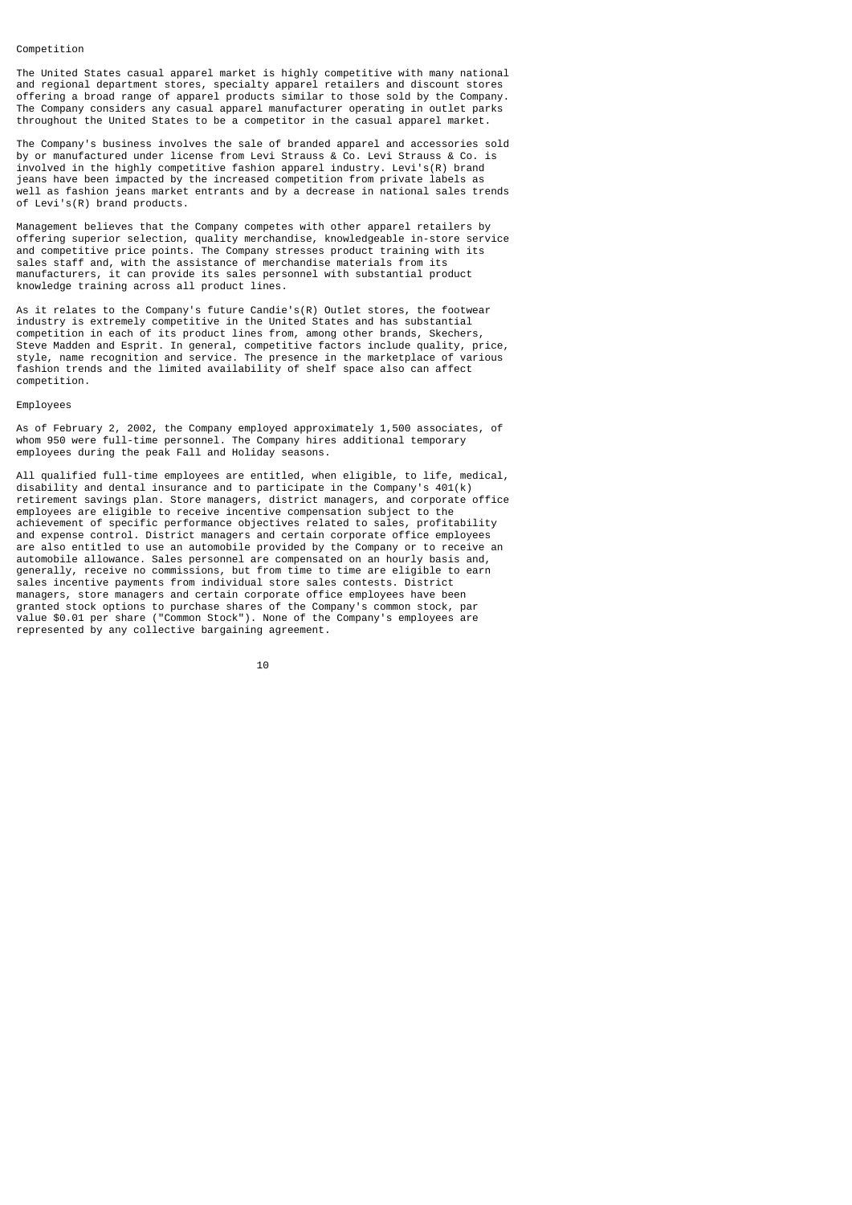#### Competition

The United States casual apparel market is highly competitive with many national and regional department stores, specialty apparel retailers and discount stores offering a broad range of apparel products similar to those sold by the Company. The Company considers any casual apparel manufacturer operating in outlet parks throughout the United States to be a competitor in the casual apparel market.

The Company's business involves the sale of branded apparel and accessories sold by or manufactured under license from Levi Strauss & Co. Levi Strauss & Co. is involved in the highly competitive fashion apparel industry. Levi's(R) brand jeans have been impacted by the increased competition from private labels as well as fashion jeans market entrants and by a decrease in national sales trends of Levi's(R) brand products.

Management believes that the Company competes with other apparel retailers by offering superior selection, quality merchandise, knowledgeable in-store service and competitive price points. The Company stresses product training with its sales staff and, with the assistance of merchandise materials from its manufacturers, it can provide its sales personnel with substantial product knowledge training across all product lines.

As it relates to the Company's future Candie's(R) Outlet stores, the footwear industry is extremely competitive in the United States and has substantial competition in each of its product lines from, among other brands, Skechers, Steve Madden and Esprit. In general, competitive factors include quality, price, style, name recognition and service. The presence in the marketplace of various fashion trends and the limited availability of shelf space also can affect competition.

## Employees

As of February 2, 2002, the Company employed approximately 1,500 associates, of whom 950 were full-time personnel. The Company hires additional temporary employees during the peak Fall and Holiday seasons.

All qualified full-time employees are entitled, when eligible, to life, medical, disability and dental insurance and to participate in the Company's 401(k) retirement savings plan. Store managers, district managers, and corporate office employees are eligible to receive incentive compensation subject to the achievement of specific performance objectives related to sales, profitability and expense control. District managers and certain corporate office employees are also entitled to use an automobile provided by the Company or to receive an automobile allowance. Sales personnel are compensated on an hourly basis and, generally, receive no commissions, but from time to time are eligible to earn sales incentive payments from individual store sales contests. District managers, store managers and certain corporate office employees have been granted stock options to purchase shares of the Company's common stock, par value \$0.01 per share ("Common Stock"). None of the Company's employees are represented by any collective bargaining agreement.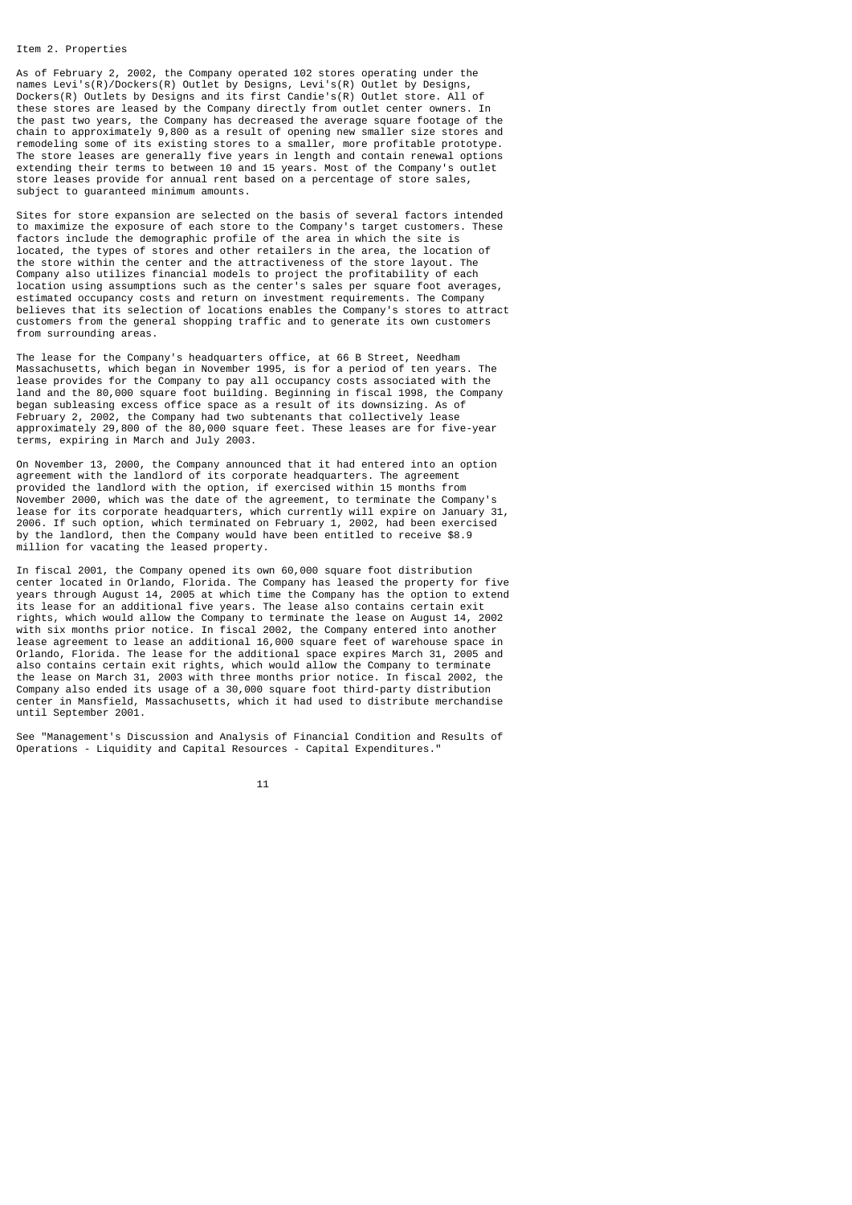#### Item 2. Properties

As of February 2, 2002, the Company operated 102 stores operating under the names Levi's(R)/Dockers(R) Outlet by Designs, Levi's(R) Outlet by Designs, Dockers(R) Outlets by Designs and its first Candie's(R) Outlet store. All of these stores are leased by the Company directly from outlet center owners. In the past two years, the Company has decreased the average square footage of the chain to approximately 9,800 as a result of opening new smaller size stores and remodeling some of its existing stores to a smaller, more profitable prototype. The store leases are generally five years in length and contain renewal options extending their terms to between 10 and 15 years. Most of the Company's outlet store leases provide for annual rent based on a percentage of store sales, subject to guaranteed minimum amounts.

Sites for store expansion are selected on the basis of several factors intended to maximize the exposure of each store to the Company's target customers. These factors include the demographic profile of the area in which the site is located, the types of stores and other retailers in the area, the location of the store within the center and the attractiveness of the store layout. The Company also utilizes financial models to project the profitability of each location using assumptions such as the center's sales per square foot averages, estimated occupancy costs and return on investment requirements. The Company believes that its selection of locations enables the Company's stores to attract customers from the general shopping traffic and to generate its own customers from surrounding areas.

The lease for the Company's headquarters office, at 66 B Street, Needham Massachusetts, which began in November 1995, is for a period of ten years. The lease provides for the Company to pay all occupancy costs associated with the land and the 80,000 square foot building. Beginning in fiscal 1998, the Company began subleasing excess office space as a result of its downsizing. As of February 2, 2002, the Company had two subtenants that collectively lease approximately 29,800 of the 80,000 square feet. These leases are for five-year terms, expiring in March and July 2003.

On November 13, 2000, the Company announced that it had entered into an option agreement with the landlord of its corporate headquarters. The agreement provided the landlord with the option, if exercised within 15 months from November 2000, which was the date of the agreement, to terminate the Company's lease for its corporate headquarters, which currently will expire on January 31, 2006. If such option, which terminated on February 1, 2002, had been exercised by the landlord, then the Company would have been entitled to receive \$8.9 million for vacating the leased property.

In fiscal 2001, the Company opened its own 60,000 square foot distribution center located in Orlando, Florida. The Company has leased the property for five years through August 14, 2005 at which time the Company has the option to extend its lease for an additional five years. The lease also contains certain exit rights, which would allow the Company to terminate the lease on August 14, 2002 with six months prior notice. In fiscal 2002, the Company entered into another lease agreement to lease an additional 16,000 square feet of warehouse space in Orlando, Florida. The lease for the additional space expires March 31, 2005 and also contains certain exit rights, which would allow the Company to terminate the lease on March 31, 2003 with three months prior notice. In fiscal 2002, the Company also ended its usage of a 30,000 square foot third-party distribution center in Mansfield, Massachusetts, which it had used to distribute merchandise until September 2001.

See "Management's Discussion and Analysis of Financial Condition and Results of Operations - Liquidity and Capital Resources - Capital Expenditures."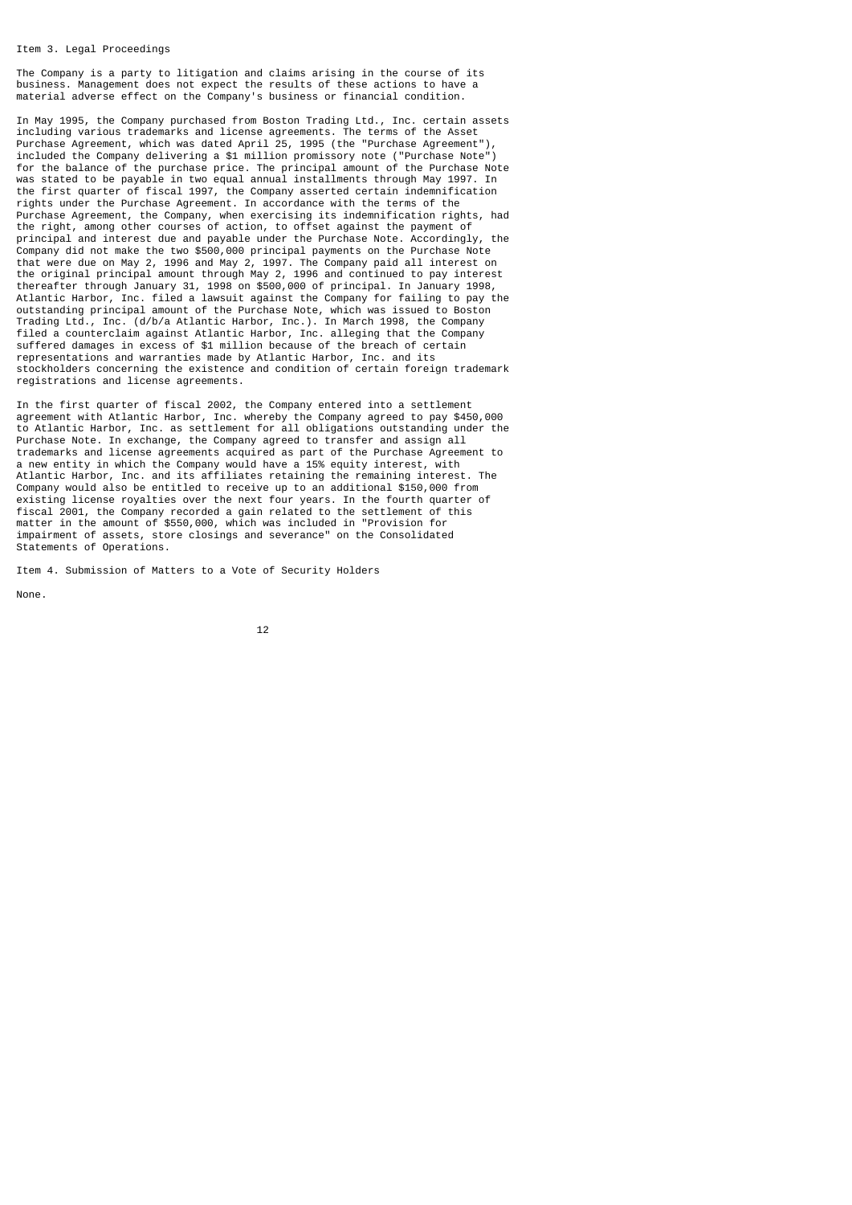#### Item 3. Legal Proceedings

The Company is a party to litigation and claims arising in the course of its business. Management does not expect the results of these actions to have a material adverse effect on the Company's business or financial condition.

In May 1995, the Company purchased from Boston Trading Ltd., Inc. certain assets including various trademarks and license agreements. The terms of the Asset Purchase Agreement, which was dated April 25, 1995 (the "Purchase Agreement"), included the Company delivering a \$1 million promissory note ("Purchase Note") for the balance of the purchase price. The principal amount of the Purchase Note was stated to be payable in two equal annual installments through May 1997. In the first quarter of fiscal 1997, the Company asserted certain indemnification rights under the Purchase Agreement. In accordance with the terms of the Purchase Agreement, the Company, when exercising its indemnification rights, had the right, among other courses of action, to offset against the payment of principal and interest due and payable under the Purchase Note. Accordingly, the Company did not make the two \$500,000 principal payments on the Purchase Note that were due on May 2, 1996 and May 2, 1997. The Company paid all interest on the original principal amount through May 2, 1996 and continued to pay interest thereafter through January 31, 1998 on \$500,000 of principal. In January 1998, Atlantic Harbor, Inc. filed a lawsuit against the Company for failing to pay the outstanding principal amount of the Purchase Note, which was issued to Boston Trading Ltd., Inc. (d/b/a Atlantic Harbor, Inc.). In March 1998, the Company filed a counterclaim against Atlantic Harbor, Inc. alleging that the Company suffered damages in excess of \$1 million because of the breach of certain representations and warranties made by Atlantic Harbor, Inc. and its stockholders concerning the existence and condition of certain foreign trademark registrations and license agreements.

In the first quarter of fiscal 2002, the Company entered into a settlement agreement with Atlantic Harbor, Inc. whereby the Company agreed to pay \$450,000 to Atlantic Harbor, Inc. as settlement for all obligations outstanding under the Purchase Note. In exchange, the Company agreed to transfer and assign all trademarks and license agreements acquired as part of the Purchase Agreement to a new entity in which the Company would have a 15% equity interest, with Atlantic Harbor, Inc. and its affiliates retaining the remaining interest. The Company would also be entitled to receive up to an additional \$150,000 from existing license royalties over the next four years. In the fourth quarter of fiscal 2001, the Company recorded a gain related to the settlement of this matter in the amount of \$550,000, which was included in "Provision for impairment of assets, store closings and severance" on the Consolidated Statements of Operations.

Item 4. Submission of Matters to a Vote of Security Holders

None.

$$
\begin{array}{c} 12 \end{array}
$$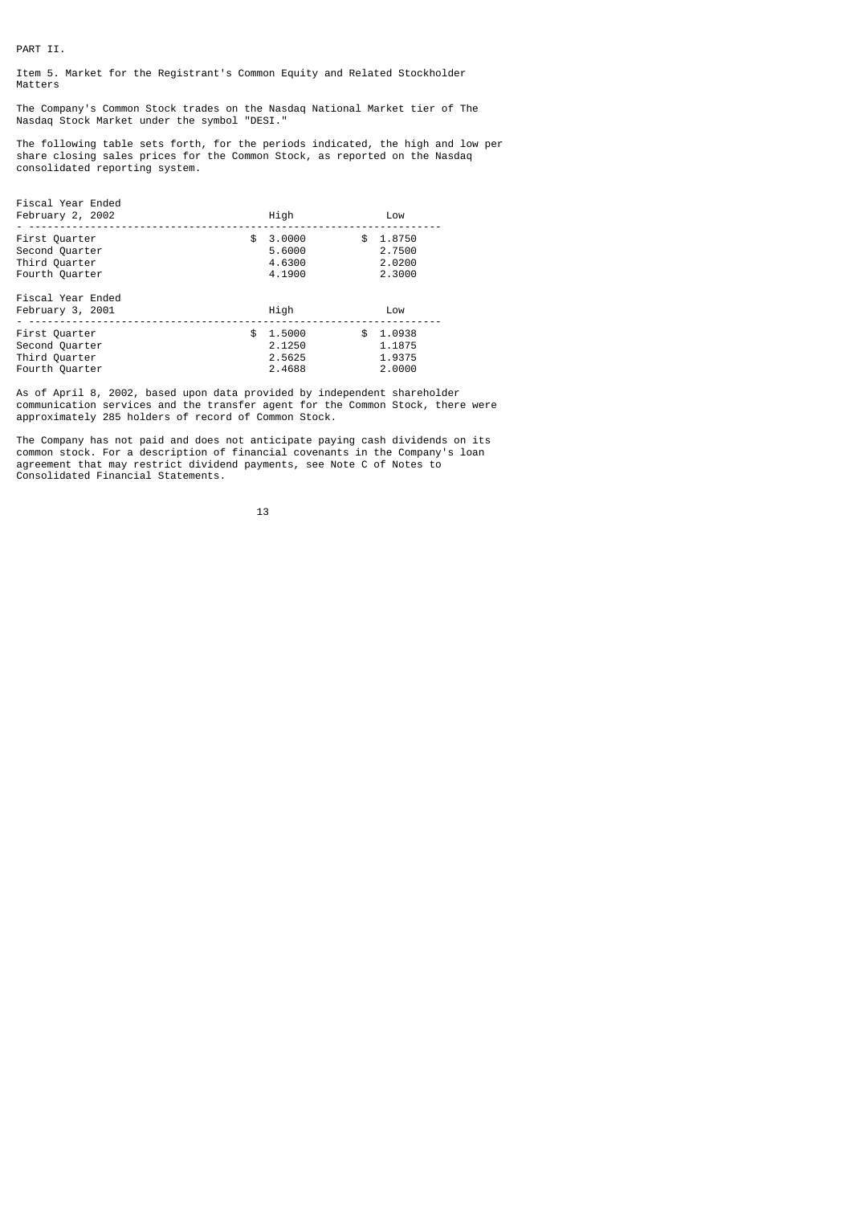PART II.

Item 5. Market for the Registrant's Common Equity and Related Stockholder Matters

The Company's Common Stock trades on the Nasdaq National Market tier of The Nasdaq Stock Market under the symbol "DESI."

The following table sets forth, for the periods indicated, the high and low per share closing sales prices for the Common Stock, as reported on the Nasdaq consolidated reporting system.

| Fiscal Year Ended<br>February 2, 2002                              | High                                       | Low                                        |
|--------------------------------------------------------------------|--------------------------------------------|--------------------------------------------|
| First Quarter<br>Second Quarter<br>Third Quarter<br>Fourth Quarter | \$<br>3.0000<br>5.6000<br>4.6300<br>4.1900 | \$<br>1.8750<br>2.7500<br>2.0200<br>2.3000 |
| Fiscal Year Ended<br>February 3, 2001                              | High                                       | Low                                        |
| First Quarter<br>Second Quarter<br>Third Quarter<br>Fourth Quarter | \$<br>1.5000<br>2.1250<br>2.5625<br>2.4688 | \$<br>1.0938<br>1.1875<br>1.9375<br>2.0000 |

As of April 8, 2002, based upon data provided by independent shareholder communication services and the transfer agent for the Common Stock, there were approximately 285 holders of record of Common Stock.

The Company has not paid and does not anticipate paying cash dividends on its common stock. For a description of financial covenants in the Company's loan agreement that may restrict dividend payments, see Note C of Notes to Consolidated Financial Statements.

13 and 13 and 13 and 13 and 13 and 13 and 13 and 13 and 13 and 13 and 13 and 13 and 13 and 13 and 13 and 13 an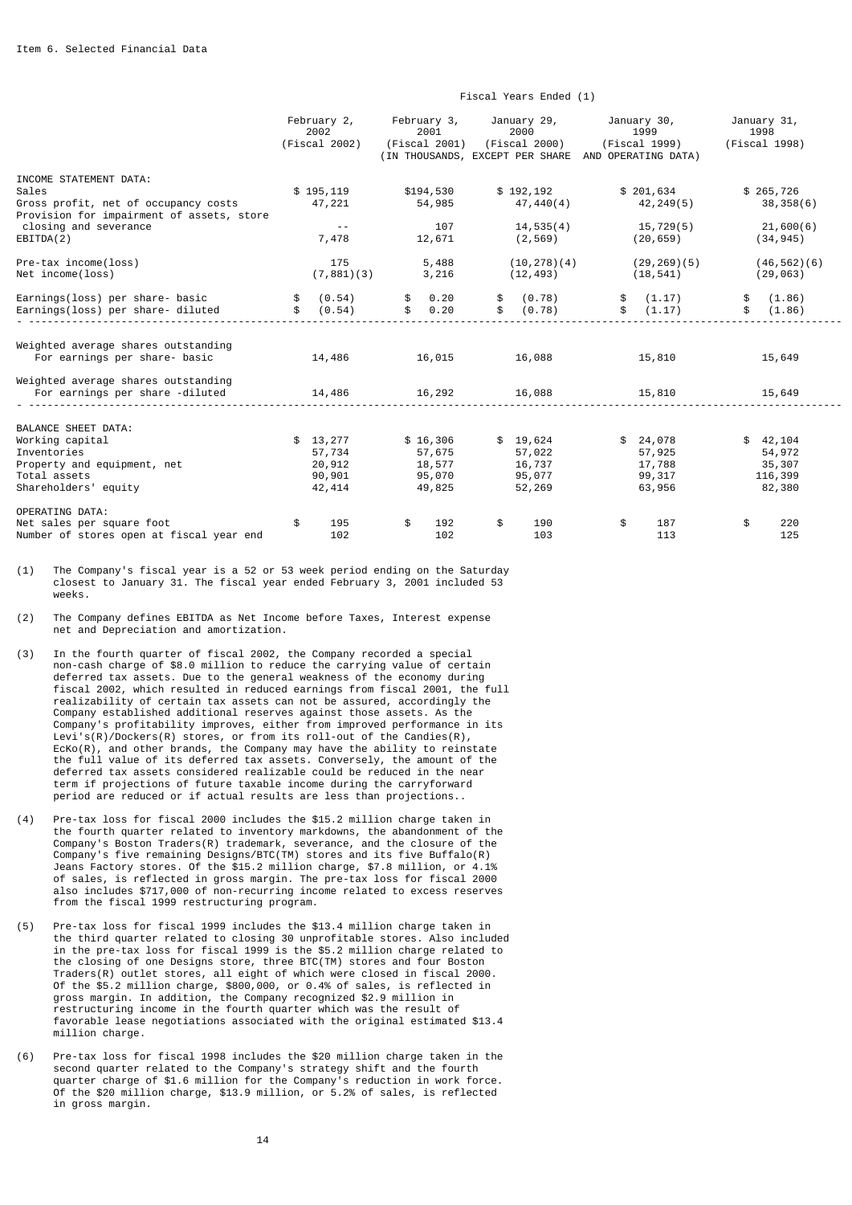|                                                                                                                              | February 2,<br>2002<br>(Fiscal 2002)             | February 3,<br>2001<br>(Fiscal 2001)             |           | January 29,<br>2000<br>(Fiscal 2000) (Fiscal 1999)<br>(IN THOUSANDS, EXCEPT PER SHARE AND OPERATING DATA) | January 30,<br>1999                              |          | January 31,<br>1998<br>(Fiscal 1998)              |
|------------------------------------------------------------------------------------------------------------------------------|--------------------------------------------------|--------------------------------------------------|-----------|-----------------------------------------------------------------------------------------------------------|--------------------------------------------------|----------|---------------------------------------------------|
| INCOME STATEMENT DATA:<br>Sales<br>Gross profit, net of occupancy costs<br>Provision for impairment of assets, store         | \$195,119<br>47,221                              | \$194,530<br>54,985                              |           | \$192,192<br>47,440(4)                                                                                    | \$201,634<br>42,249(5)                           |          | \$265,726<br>38,358(6)                            |
| closing and severance<br>EBITDA(2)                                                                                           | $\sim$ $-$<br>7,478                              | 107<br>12,671                                    |           | 14,535(4)<br>(2,569)                                                                                      | 15,729(5)<br>(20,659)                            |          | 21,600(6)<br>(34, 945)                            |
| Pre-tax income(loss)<br>Net income(loss)                                                                                     | 175<br>(7,881)(3)                                | 5,488<br>3,216                                   |           | (10, 278)(4)<br>(12, 493)                                                                                 | (29, 269)(5)<br>(18, 541)                        |          | (46, 562)(6)<br>(29, 063)                         |
| Earnings(loss) per share- basic<br>Earnings(loss) per share- diluted                                                         | (0.54)<br>(0.54)                                 | \$ 0.20<br>\$ 0.20                               | \$.<br>\$ | (0.78)<br>(0.78)                                                                                          | \$ (1.17)<br>\$ (1.17)                           | \$<br>\$ | (1.86)<br>(1.86)                                  |
| Weighted average shares outstanding<br>For earnings per share- basic                                                         | 14,486                                           | 16,015                                           |           | 16,088                                                                                                    | 15,810                                           |          | 15,649                                            |
| Weighted average shares outstanding<br>For earnings per share -diluted                                                       | 14,486                                           | 16,292                                           |           | 16,088                                                                                                    | 15,810                                           |          | 15,649                                            |
| BALANCE SHEET DATA:<br>Working capital<br>Inventories<br>Property and equipment, net<br>Total assets<br>Shareholders' equity | \$13,277<br>57,734<br>20,912<br>90,901<br>42,414 | \$16,306<br>57,675<br>18,577<br>95,070<br>49,825 |           | \$19,624<br>57,022<br>16,737<br>95,077<br>52,269                                                          | \$24,078<br>57,925<br>17,788<br>99,317<br>63,956 |          | \$42,104<br>54,972<br>35,307<br>116,399<br>82,380 |
| OPERATING DATA:<br>Net sales per square foot<br>Number of stores open at fiscal year end                                     | 195<br>102                                       | \$<br>192<br>102                                 | \$        | 190<br>103                                                                                                | \$<br>187<br>113                                 | \$       | 220<br>125                                        |

Fiscal Years Ended (1)

(1) The Company's fiscal year is a 52 or 53 week period ending on the Saturday closest to January 31. The fiscal year ended February 3, 2001 included 53 weeks.

(2) The Company defines EBITDA as Net Income before Taxes, Interest expense net and Depreciation and amortization.

- (3) In the fourth quarter of fiscal 2002, the Company recorded a special non-cash charge of \$8.0 million to reduce the carrying value of certain deferred tax assets. Due to the general weakness of the economy during fiscal 2002, which resulted in reduced earnings from fiscal 2001, the full realizability of certain tax assets can not be assured, accordingly the Company established additional reserves against those assets. As the Company's profitability improves, either from improved performance in its Levi's(R)/Dockers(R) stores, or from its roll-out of the Candies(R), EcKo(R), and other brands, the Company may have the ability to reinstate the full value of its deferred tax assets. Conversely, the amount of the deferred tax assets considered realizable could be reduced in the near term if projections of future taxable income during the carryforward period are reduced or if actual results are less than projections..
- (4) Pre-tax loss for fiscal 2000 includes the \$15.2 million charge taken in the fourth quarter related to inventory markdowns, the abandonment of the Company's Boston Traders(R) trademark, severance, and the closure of the Company's five remaining Designs/BTC(TM) stores and its five Buffalo(R) Jeans Factory stores. Of the \$15.2 million charge, \$7.8 million, or 4.1% of sales, is reflected in gross margin. The pre-tax loss for fiscal 2000 also includes \$717,000 of non-recurring income related to excess reserves from the fiscal 1999 restructuring program.
- (5) Pre-tax loss for fiscal 1999 includes the \$13.4 million charge taken in the third quarter related to closing 30 unprofitable stores. Also included in the pre-tax loss for fiscal 1999 is the \$5.2 million charge related to the closing of one Designs store, three BTC(TM) stores and four Boston Traders(R) outlet stores, all eight of which were closed in fiscal 2000. Of the \$5.2 million charge, \$800,000, or 0.4% of sales, is reflected in gross margin. In addition, the Company recognized \$2.9 million in restructuring income in the fourth quarter which was the result of favorable lease negotiations associated with the original estimated \$13.4 million charge.
- (6) Pre-tax loss for fiscal 1998 includes the \$20 million charge taken in the second quarter related to the Company's strategy shift and the fourth quarter charge of \$1.6 million for the Company's reduction in work force. Of the \$20 million charge, \$13.9 million, or 5.2% of sales, is reflected in gross margin.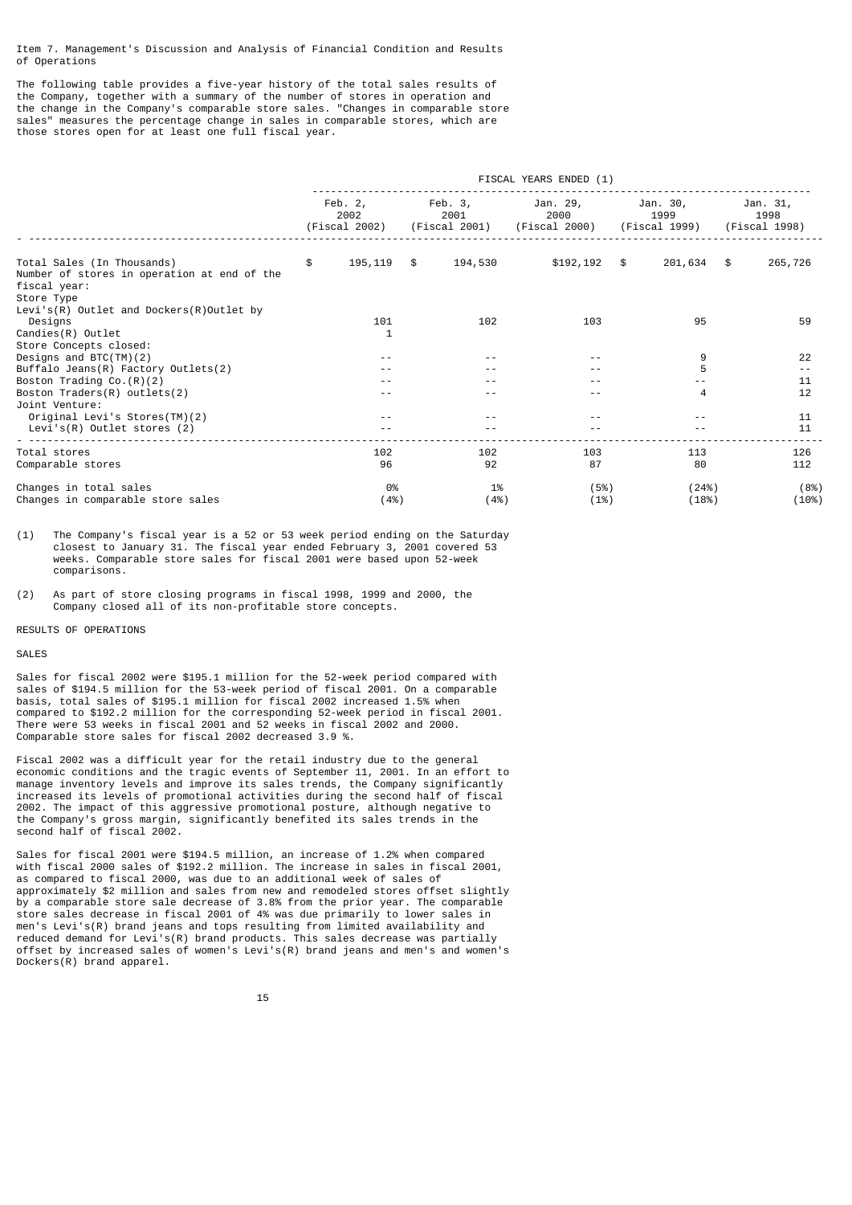Item 7. Management's Discussion and Analysis of Financial Condition and Results of Operations

The following table provides a five-year history of the total sales results of the Company, together with a summary of the number of stores in operation and the change in the Company's comparable store sales. "Changes in comparable store sales" measures the percentage change in sales in comparable stores, which are those stores open for at least one full fiscal year.

|                                                                                                                                                     | FISCAL YEARS ENDED (1) |                                    |  |                                  |                                   |  |                                   |  |                                   |
|-----------------------------------------------------------------------------------------------------------------------------------------------------|------------------------|------------------------------------|--|----------------------------------|-----------------------------------|--|-----------------------------------|--|-----------------------------------|
|                                                                                                                                                     |                        | Feb. $2,$<br>2002<br>(Fiscal 2002) |  | Feb. 3,<br>2001<br>(Fiscal 2001) | Jan. 29,<br>2000<br>(Fiscal 2000) |  | Jan. 30,<br>1999<br>(Fiscal 1999) |  | Jan. 31,<br>1998<br>(Fiscal 1998) |
| Total Sales (In Thousands)<br>Number of stores in operation at end of the<br>fiscal year:<br>Store Type<br>Levi's(R) Outlet and Dockers(R)Outlet by | \$.                    | 195,119 \$                         |  | 194,530                          | $$192, 192$ \$                    |  | 201,634 \$                        |  | 265,726                           |
| Designs<br>$Candies(R)$ Outlet                                                                                                                      |                        | 101<br>1                           |  | 102                              | 103                               |  | 95                                |  | 59                                |
| Store Concepts closed:<br>Designs and $BTC(TM)(2)$                                                                                                  |                        | $ -$                               |  |                                  |                                   |  | 9                                 |  | 22                                |
| Buffalo Jeans(R) Factory Outlets(2)                                                                                                                 |                        | - -                                |  |                                  | $ -$                              |  | 5                                 |  | $\frac{1}{2}$                     |
| Boston Trading Co. $(R)(2)$                                                                                                                         |                        |                                    |  |                                  |                                   |  |                                   |  | 11                                |
| Boston $Traders(R)$ outlets(2)<br>Joint Venture:                                                                                                    |                        | - -                                |  |                                  | - -                               |  | 4                                 |  | 12                                |
| Original Levi's Stores(TM)(2)<br>Levi's(R) Outlet stores (2)                                                                                        |                        | $ -$<br>$ -$                       |  |                                  | $ -$                              |  |                                   |  | 11<br>11                          |
| Total stores<br>Comparable stores                                                                                                                   |                        | 102<br>96                          |  | 102<br>92                        | 103<br>87                         |  | 113<br>80                         |  | 126<br>112                        |
| Changes in total sales<br>Changes in comparable store sales                                                                                         |                        | 0%<br>(4%)                         |  | 1%<br>(4%)                       | (5%)<br>(1%)                      |  | (24%)<br>(18%)                    |  | (8%)<br>(10%)                     |

(1) The Company's fiscal year is a 52 or 53 week period ending on the Saturday closest to January 31. The fiscal year ended February 3, 2001 covered 53 weeks. Comparable store sales for fiscal 2001 were based upon 52-week comparisons.

(2) As part of store closing programs in fiscal 1998, 1999 and 2000, the Company closed all of its non-profitable store concepts.

RESULTS OF OPERATIONS

## SALES

Sales for fiscal 2002 were \$195.1 million for the 52-week period compared with sales of \$194.5 million for the 53-week period of fiscal 2001. On a comparable basis, total sales of \$195.1 million for fiscal 2002 increased 1.5% when compared to \$192.2 million for the corresponding 52-week period in fiscal 2001. There were 53 weeks in fiscal 2001 and 52 weeks in fiscal 2002 and 2000. Comparable store sales for fiscal 2002 decreased 3.9 %.

Fiscal 2002 was a difficult year for the retail industry due to the general economic conditions and the tragic events of September 11, 2001. In an effort to manage inventory levels and improve its sales trends, the Company significantly increased its levels of promotional activities during the second half of fiscal 2002. The impact of this aggressive promotional posture, although negative to the Company's gross margin, significantly benefited its sales trends in the second half of fiscal 2002.

Sales for fiscal 2001 were \$194.5 million, an increase of 1.2% when compared with fiscal 2000 sales of \$192.2 million. The increase in sales in fiscal 2001, as compared to fiscal 2000, was due to an additional week of sales of approximately \$2 million and sales from new and remodeled stores offset slightly by a comparable store sale decrease of 3.8% from the prior year. The comparable store sales decrease in fiscal 2001 of 4% was due primarily to lower sales in men's Levi's(R) brand jeans and tops resulting from limited availability and reduced demand for Levi's(R) brand products. This sales decrease was partially offset by increased sales of women's Levi's(R) brand jeans and men's and women's Dockers(R) brand apparel.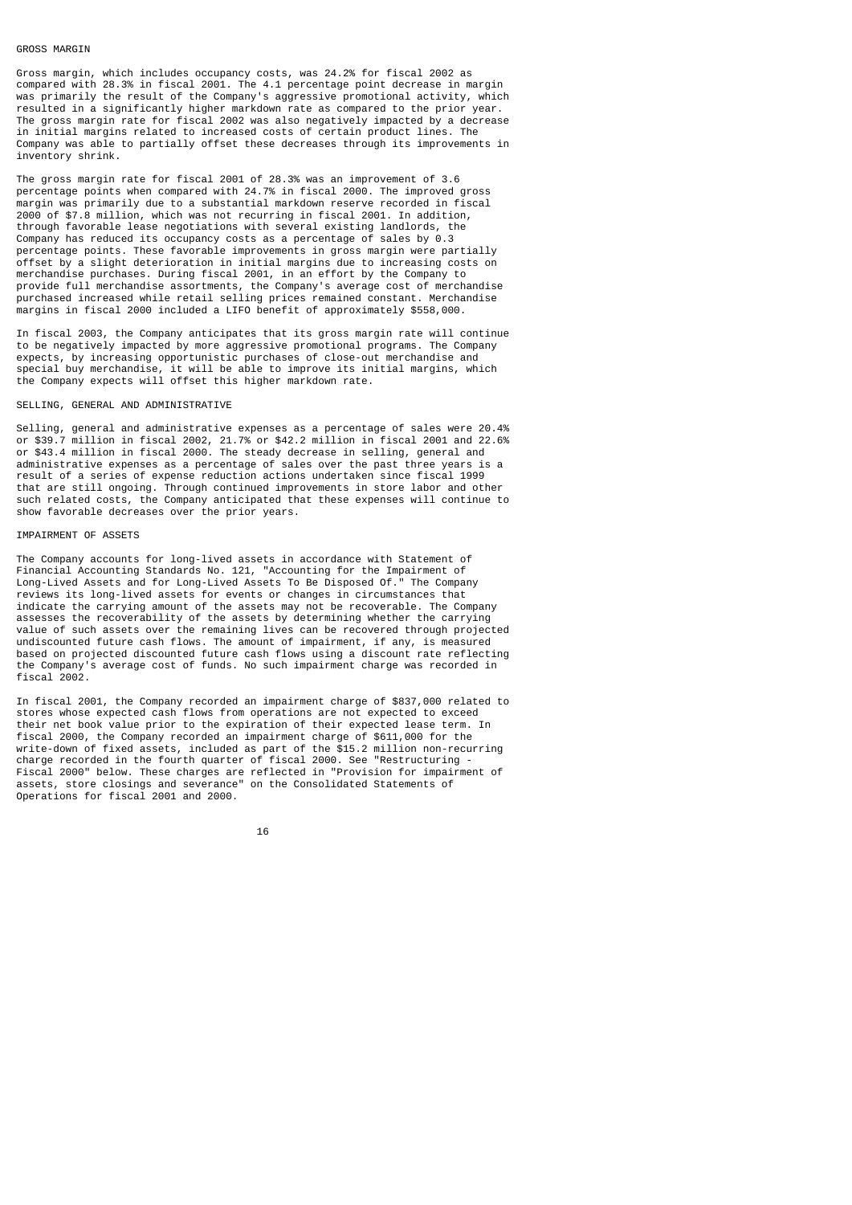## GROSS MARGIN

Gross margin, which includes occupancy costs, was 24.2% for fiscal 2002 as compared with 28.3% in fiscal 2001. The 4.1 percentage point decrease in margin was primarily the result of the Company's aggressive promotional activity, which resulted in a significantly higher markdown rate as compared to the prior The gross margin rate for fiscal 2002 was also negatively impacted by a decrease in initial margins related to increased costs of certain product lines. The Company was able to partially offset these decreases through its improvements in inventory shrink.

The gross margin rate for fiscal 2001 of 28.3% was an improvement of 3.6 percentage points when compared with 24.7% in fiscal 2000. The improved gross margin was primarily due to a substantial markdown reserve recorded in fiscal 2000 of \$7.8 million, which was not recurring in fiscal 2001. In addition, through favorable lease negotiations with several existing landlords, the Company has reduced its occupancy costs as a percentage of sales by 0.3 percentage points. These favorable improvements in gross margin were partially offset by a slight deterioration in initial margins due to increasing costs on merchandise purchases. During fiscal 2001, in an effort by the Company to provide full merchandise assortments, the Company's average cost of merchandise purchased increased while retail selling prices remained constant. Merchandise margins in fiscal 2000 included a LIFO benefit of approximately \$558,000.

In fiscal 2003, the Company anticipates that its gross margin rate will continue to be negatively impacted by more aggressive promotional programs. The Company expects, by increasing opportunistic purchases of close-out merchandise and special buy merchandise, it will be able to improve its initial margins, which the Company expects will offset this higher markdown rate.

## SELLING, GENERAL AND ADMINISTRATIVE

Selling, general and administrative expenses as a percentage of sales were 20.4% or \$39.7 million in fiscal 2002, 21.7% or \$42.2 million in fiscal 2001 and 22.6% or \$43.4 million in fiscal 2000. The steady decrease in selling, general and administrative expenses as a percentage of sales over the past three years is a result of a series of expense reduction actions undertaken since fiscal 1999 that are still ongoing. Through continued improvements in store labor and other such related costs, the Company anticipated that these expenses will continue to show favorable decreases over the prior years.

## IMPAIRMENT OF ASSETS

The Company accounts for long-lived assets in accordance with Statement of Financial Accounting Standards No. 121, "Accounting for the Impairment of Long-Lived Assets and for Long-Lived Assets To Be Disposed Of." The Company reviews its long-lived assets for events or changes in circumstances that indicate the carrying amount of the assets may not be recoverable. The Company assesses the recoverability of the assets by determining whether the carrying value of such assets over the remaining lives can be recovered through projected undiscounted future cash flows. The amount of impairment, if any, is measured based on projected discounted future cash flows using a discount rate reflecting the Company's average cost of funds. No such impairment charge was recorded in fiscal 2002.

In fiscal 2001, the Company recorded an impairment charge of \$837,000 related to stores whose expected cash flows from operations are not expected to exceed their net book value prior to the expiration of their expected lease term. In fiscal 2000, the Company recorded an impairment charge of \$611,000 for the write-down of fixed assets, included as part of the \$15.2 million non-recurring charge recorded in the fourth quarter of fiscal 2000. See "Restructuring - Fiscal 2000" below. These charges are reflected in "Provision for impairment of assets, store closings and severance" on the Consolidated Statements of Operations for fiscal 2001 and 2000.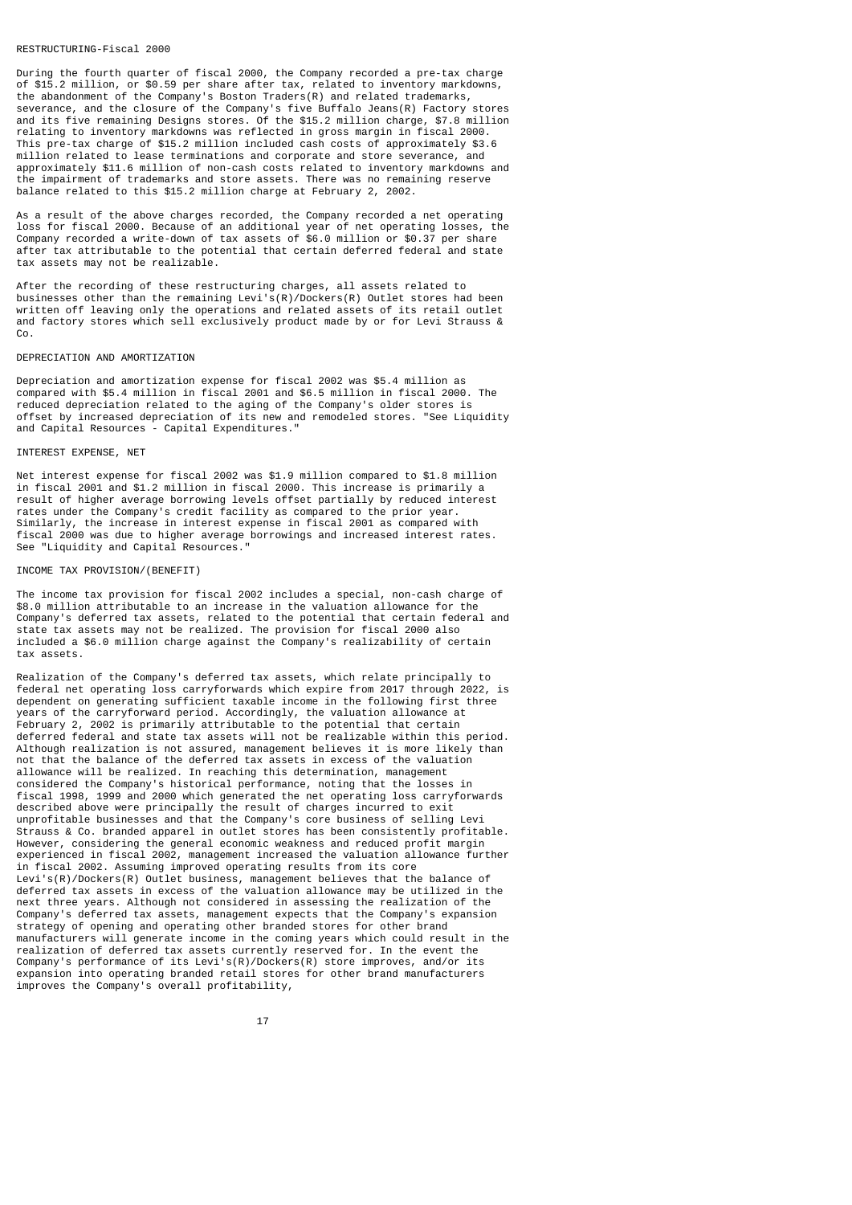## RESTRUCTURING-Fiscal 2000

During the fourth quarter of fiscal 2000, the Company recorded a pre-tax charge of \$15.2 million, or \$0.59 per share after tax, related to inventory markdowns, the abandonment of the Company's Boston Traders(R) and related trademarks, severance, and the closure of the Company's five Buffalo Jeans(R) Factory stores and its five remaining Designs stores. Of the \$15.2 million charge, \$7.8 million relating to inventory markdowns was reflected in gross margin in fiscal 2000. This pre-tax charge of \$15.2 million included cash costs of approximately \$3.6 million related to lease terminations and corporate and store severance, and approximately \$11.6 million of non-cash costs related to inventory markdowns and the impairment of trademarks and store assets. There was no remaining reserve balance related to this \$15.2 million charge at February 2, 2002.

As a result of the above charges recorded, the Company recorded a net operating loss for fiscal 2000. Because of an additional year of net operating losses, the Company recorded a write-down of tax assets of \$6.0 million or \$0.37 per share after tax attributable to the potential that certain deferred federal and state tax assets may not be realizable.

After the recording of these restructuring charges, all assets related to businesses other than the remaining Levi's(R)/Dockers(R) Outlet stores had been written off leaving only the operations and related assets of its retail outlet and factory stores which sell exclusively product made by or for Levi Strauss & Co.

#### DEPRECIATION AND AMORTIZATION

Depreciation and amortization expense for fiscal 2002 was \$5.4 million as compared with \$5.4 million in fiscal 2001 and \$6.5 million in fiscal 2000. The reduced depreciation related to the aging of the Company's older stores is offset by increased depreciation of its new and remodeled stores. "See Liquidity and Capital Resources - Capital Expenditures."

#### INTEREST EXPENSE, NET

Net interest expense for fiscal 2002 was \$1.9 million compared to \$1.8 million in fiscal 2001 and \$1.2 million in fiscal 2000. This increase is primarily a result of higher average borrowing levels offset partially by reduced interest rates under the Company's credit facility as compared to the prior year. Similarly, the increase in interest expense in fiscal 2001 as compared with fiscal 2000 was due to higher average borrowings and increased interest rates. See "Liquidity and Capital Resources."

## INCOME TAX PROVISION/(BENEFIT)

The income tax provision for fiscal 2002 includes a special, non-cash charge of \$8.0 million attributable to an increase in the valuation allowance for the Company's deferred tax assets, related to the potential that certain federal and state tax assets may not be realized. The provision for fiscal 2000 also included a \$6.0 million charge against the Company's realizability of certain tax assets.

Realization of the Company's deferred tax assets, which relate principally to federal net operating loss carryforwards which expire from 2017 through 2022, is dependent on generating sufficient taxable income in the following first three years of the carryforward period. Accordingly, the valuation allowance at February 2, 2002 is primarily attributable to the potential that certain deferred federal and state tax assets will not be realizable within this period. Although realization is not assured, management believes it is more likely than not that the balance of the deferred tax assets in excess of the valuation allowance will be realized. In reaching this determination, management considered the Company's historical performance, noting that the losses in fiscal 1998, 1999 and 2000 which generated the net operating loss carryforwards described above were principally the result of charges incurred to exit unprofitable businesses and that the Company's core business of selling Levi Strauss & Co. branded apparel in outlet stores has been consistently profitable. However, considering the general economic weakness and reduced profit margin experienced in fiscal 2002, management increased the valuation allowance further in fiscal 2002. Assuming improved operating results from its core Levi's(R)/Dockers(R) Outlet business, management believes that the balance of deferred tax assets in excess of the valuation allowance may be utilized in the next three years. Although not considered in assessing the realization of the Company's deferred tax assets, management expects that the Company's expansion strategy of opening and operating other branded stores for other brand manufacturers will generate income in the coming years which could result in the realization of deferred tax assets currently reserved for. In the event the Company's performance of its Levi's(R)/Dockers(R) store improves, and/or its expansion into operating branded retail stores for other brand manufacturers improves the Company's overall profitability,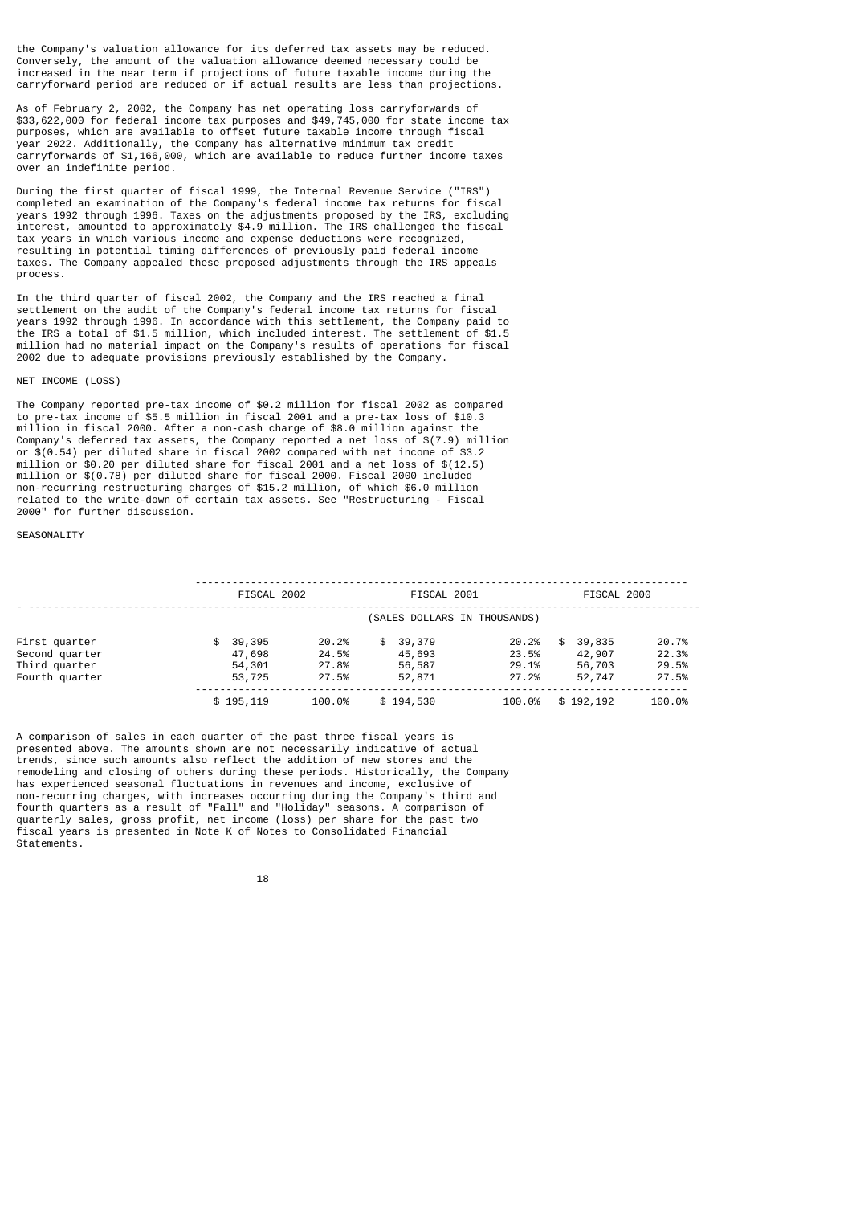the Company's valuation allowance for its deferred tax assets may be reduced. Conversely, the amount of the valuation allowance deemed necessary could be increased in the near term if projections of future taxable income during the carryforward period are reduced or if actual results are less than projections.

As of February 2, 2002, the Company has net operating loss carryforwards of \$33,622,000 for federal income tax purposes and \$49,745,000 for state income tax purposes, which are available to offset future taxable income through fiscal year 2022. Additionally, the Company has alternative minimum tax credit carryforwards of \$1,166,000, which are available to reduce further income taxes over an indefinite period.

During the first quarter of fiscal 1999, the Internal Revenue Service ("IRS") completed an examination of the Company's federal income tax returns for fiscal years 1992 through 1996. Taxes on the adjustments proposed by the IRS, excluding interest, amounted to approximately \$4.9 million. The IRS challenged the fiscal tax years in which various income and expense deductions were recognized, resulting in potential timing differences of previously paid federal income taxes. The Company appealed these proposed adjustments through the IRS appeals process.

In the third quarter of fiscal 2002, the Company and the IRS reached a final settlement on the audit of the Company's federal income tax returns for fiscal years 1992 through 1996. In accordance with this settlement, the Company paid to the IRS a total of \$1.5 million, which included interest. The settlement of \$1.5 million had no material impact on the Company's results of operations for fiscal 2002 due to adequate provisions previously established by the Company.

#### NET INCOME (LOSS)

The Company reported pre-tax income of \$0.2 million for fiscal 2002 as compared to pre-tax income of \$5.5 million in fiscal 2001 and a pre-tax loss of \$10.3 million in fiscal 2000. After a non-cash charge of \$8.0 million against the Company's deferred tax assets, the Company reported a net loss of \$(7.9) million or \$(0.54) per diluted share in fiscal 2002 compared with net income of \$3.2 million or \$0.20 per diluted share for fiscal 2001 and a net loss of \$(12.5) million or \$(0.78) per diluted share for fiscal 2000. Fiscal 2000 included non-recurring restructuring charges of \$15.2 million, of which \$6.0 million related to the write-down of certain tax assets. See "Restructuring - Fiscal 2000" for further discussion.

#### SEASONALITY

|                | FISCAL 2002 |        | FISCAL 2001                  |        | FISCAL 2000  |        |
|----------------|-------------|--------|------------------------------|--------|--------------|--------|
|                |             |        | (SALES DOLLARS IN THOUSANDS) |        |              |        |
| First quarter  | \$39,395    | 20.2%  | \$39,379                     | 20.2%  | 39,835<br>\$ | 20.7%  |
| Second quarter | 47,698      | 24.5%  | 45,693                       | 23.5%  | 42,907       | 22.3%  |
| Third quarter  | 54,301      | 27.8%  | 56,587                       | 29.1%  | 56,703       | 29.5%  |
| Fourth quarter | 53,725      | 27.5%  | 52,871                       | 27.2%  | 52,747       | 27.5%  |
|                | \$195,119   | 100.0% | \$194,530                    | 100.0% | \$192,192    | 100.0% |

A comparison of sales in each quarter of the past three fiscal years is presented above. The amounts shown are not necessarily indicative of actual trends, since such amounts also reflect the addition of new stores and the remodeling and closing of others during these periods. Historically, the Company has experienced seasonal fluctuations in revenues and income, exclusive of non-recurring charges, with increases occurring during the Company's third and fourth quarters as a result of "Fall" and "Holiday" seasons. A comparison of quarterly sales, gross profit, net income (loss) per share for the past two fiscal years is presented in Note K of Notes to Consolidated Financial Statements.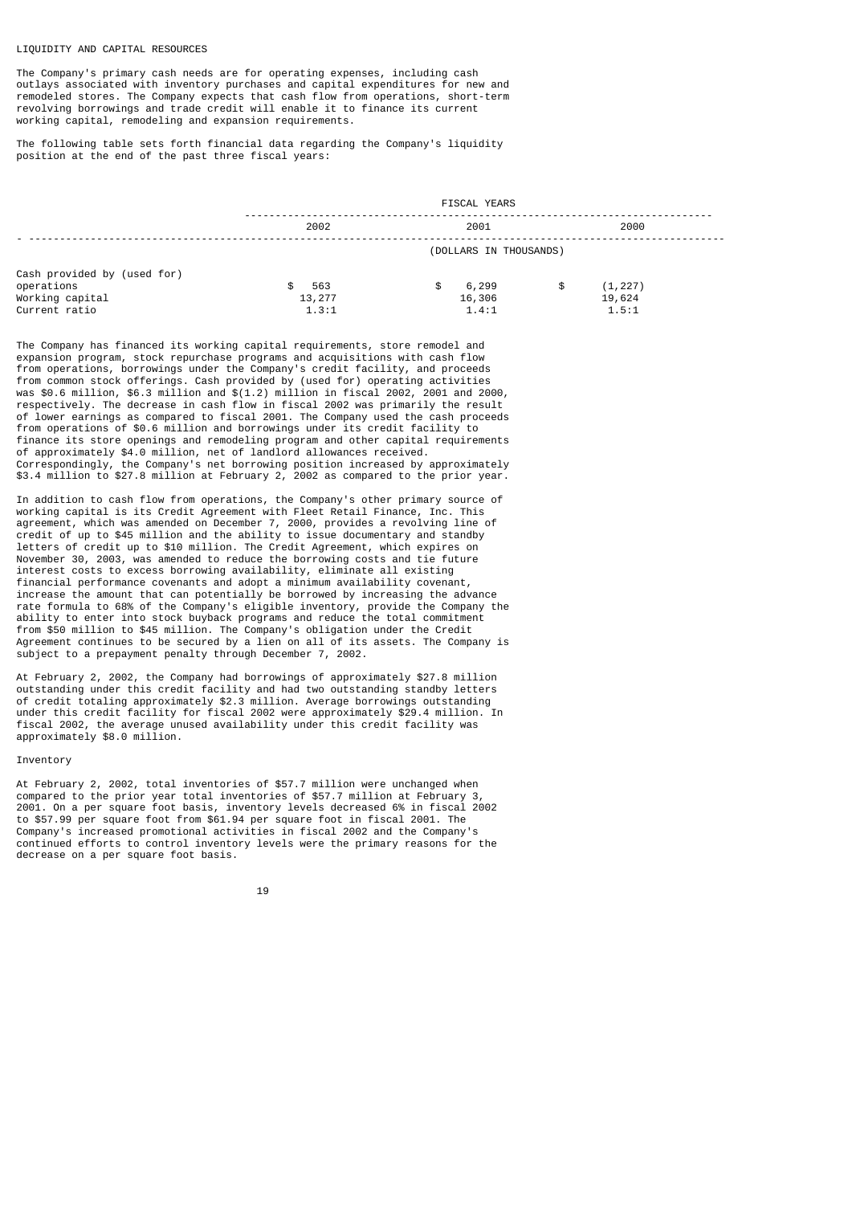## LIQUIDITY AND CAPITAL RESOURCES

The Company's primary cash needs are for operating expenses, including cash outlays associated with inventory purchases and capital expenditures for new and remodeled stores. The Company expects that cash flow from operations, short-term revolving borrowings and trade credit will enable it to finance its current working capital, remodeling and expansion requirements.

The following table sets forth financial data regarding the Company's liquidity position at the end of the past three fiscal years:

|                             | <b>FISCAL YEARS</b> |                        |                |  |  |  |  |
|-----------------------------|---------------------|------------------------|----------------|--|--|--|--|
|                             | 2002                | 2001                   | 2000           |  |  |  |  |
|                             |                     | (DOLLARS IN THOUSANDS) |                |  |  |  |  |
| Cash provided by (used for) |                     |                        |                |  |  |  |  |
| operations                  | 563<br>\$.          | 6,299<br>\$            | (1, 227)<br>\$ |  |  |  |  |
| Working capital             | 13,277              | 16,306                 | 19,624         |  |  |  |  |
| Current ratio               | 1.3:1               | 1.4:1                  | 1.5:1          |  |  |  |  |

The Company has financed its working capital requirements, store remodel and expansion program, stock repurchase programs and acquisitions with cash flow from operations, borrowings under the Company's credit facility, and proceeds from common stock offerings. Cash provided by (used for) operating activities was \$0.6 million, \$6.3 million and \$(1.2) million in fiscal 2002, 2001 and 2000, respectively. The decrease in cash flow in fiscal 2002 was primarily the result of lower earnings as compared to fiscal 2001. The Company used the cash proceeds from operations of \$0.6 million and borrowings under its credit facility to finance its store openings and remodeling program and other capital requirements of approximately \$4.0 million, net of landlord allowances received. Correspondingly, the Company's net borrowing position increased by approximately \$3.4 million to \$27.8 million at February 2, 2002 as compared to the prior year.

In addition to cash flow from operations, the Company's other primary source of working capital is its Credit Agreement with Fleet Retail Finance, Inc. This agreement, which was amended on December 7, 2000, provides a revolving line of credit of up to \$45 million and the ability to issue documentary and standby letters of credit up to \$10 million. The Credit Agreement, which expires on November 30, 2003, was amended to reduce the borrowing costs and tie future interest costs to excess borrowing availability, eliminate all existing financial performance covenants and adopt a minimum availability covenant, increase the amount that can potentially be borrowed by increasing the advance rate formula to 68% of the Company's eligible inventory, provide the Company the ability to enter into stock buyback programs and reduce the total commitment from \$50 million to \$45 million. The Company's obligation under the Credit Agreement continues to be secured by a lien on all of its assets. The Company is subject to a prepayment penalty through December 7, 2002.

At February 2, 2002, the Company had borrowings of approximately \$27.8 million outstanding under this credit facility and had two outstanding standby letters of credit totaling approximately \$2.3 million. Average borrowings outstanding under this credit facility for fiscal 2002 were approximately \$29.4 million. In fiscal 2002, the average unused availability under this credit facility was approximately \$8.0 million.

## Inventory

At February 2, 2002, total inventories of \$57.7 million were unchanged when compared to the prior year total inventories of \$57.7 million at February 3, 2001. On a per square foot basis, inventory levels decreased 6% in fiscal 2002 to \$57.99 per square foot from \$61.94 per square foot in fiscal 2001. The Company's increased promotional activities in fiscal 2002 and the Company's continued efforts to control inventory levels were the primary reasons for the decrease on a per square foot basis.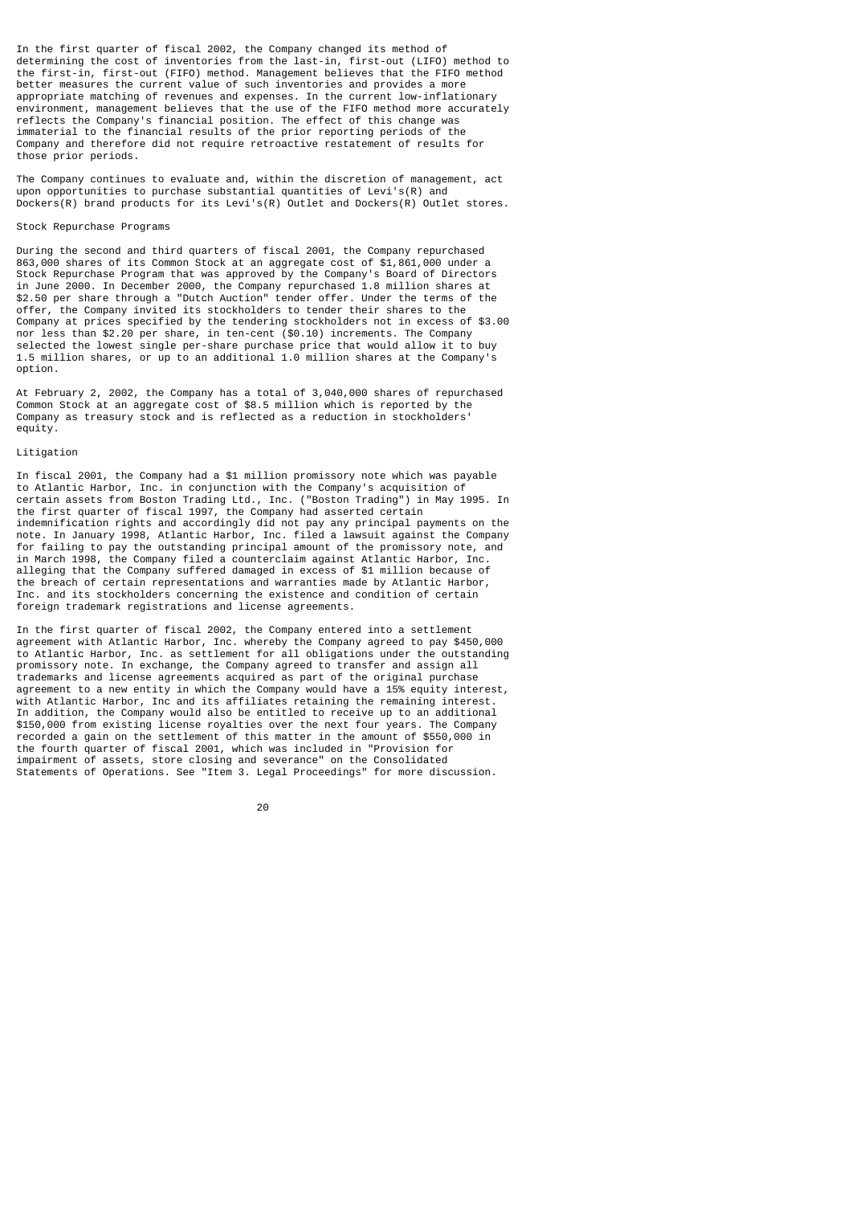In the first quarter of fiscal 2002, the Company changed its method of determining the cost of inventories from the last-in, first-out (LIFO) method to the first-in, first-out (FIFO) method. Management believes that the FIFO method better measures the current value of such inventories and provides a more appropriate matching of revenues and expenses. In the current low-inflationary environment, management believes that the use of the FIFO method more accurately reflects the Company's financial position. The effect of this change was immaterial to the financial results of the prior reporting periods of the Company and therefore did not require retroactive restatement of results for those prior periods.

The Company continues to evaluate and, within the discretion of management, act upon opportunities to purchase substantial quantities of Levi's(R) and Dockers(R) brand products for its Levi's(R) Outlet and Dockers(R) Outlet stores.

## Stock Repurchase Programs

During the second and third quarters of fiscal 2001, the Company repurchased 863,000 shares of its Common Stock at an aggregate cost of \$1,861,000 under a Stock Repurchase Program that was approved by the Company's Board of Directors in June 2000. In December 2000, the Company repurchased 1.8 million shares at \$2.50 per share through a "Dutch Auction" tender offer. Under the terms of the offer, the Company invited its stockholders to tender their shares to the Company at prices specified by the tendering stockholders not in excess of \$3.00 nor less than \$2.20 per share, in ten-cent (\$0.10) increments. The Company selected the lowest single per-share purchase price that would allow it to buy 1.5 million shares, or up to an additional 1.0 million shares at the Company's option.

At February 2, 2002, the Company has a total of 3,040,000 shares of repurchased Common Stock at an aggregate cost of \$8.5 million which is reported by the Company as treasury stock and is reflected as a reduction in stockholders' equity.

## Litigation

In fiscal 2001, the Company had a \$1 million promissory note which was payable to Atlantic Harbor, Inc. in conjunction with the Company's acquisition of certain assets from Boston Trading Ltd., Inc. ("Boston Trading") in May 1995. In the first quarter of fiscal 1997, the Company had asserted certain indemnification rights and accordingly did not pay any principal payments on the note. In January 1998, Atlantic Harbor, Inc. filed a lawsuit against the Company for failing to pay the outstanding principal amount of the promissory note, and in March 1998, the Company filed a counterclaim against Atlantic Harbor, Inc. alleging that the Company suffered damaged in excess of \$1 million because of the breach of certain representations and warranties made by Atlantic Harbor, Inc. and its stockholders concerning the existence and condition of certain foreign trademark registrations and license agreements.

In the first quarter of fiscal 2002, the Company entered into a settlement agreement with Atlantic Harbor, Inc. whereby the Company agreed to pay \$450,000 to Atlantic Harbor, Inc. as settlement for all obligations under the outstanding promissory note. In exchange, the Company agreed to transfer and assign all trademarks and license agreements acquired as part of the original purchase agreement to a new entity in which the Company would have a 15% equity interest, with Atlantic Harbor, Inc and its affiliates retaining the remaining interest. In addition, the Company would also be entitled to receive up to an additional \$150,000 from existing license royalties over the next four years. The Company recorded a gain on the settlement of this matter in the amount of \$550,000 in the fourth quarter of fiscal 2001, which was included in "Provision for impairment of assets, store closing and severance" on the Consolidated Statements of Operations. See "Item 3. Legal Proceedings" for more discussion.

е процесс в политика в село в 1920 године в 1920 године в 1920 године в 1920 године в 1920 године в 1920 годин<br>В 1920 године в 1920 године в 1920 године в 1920 године в 1920 године в 1920 године в 1920 године в 1920 годин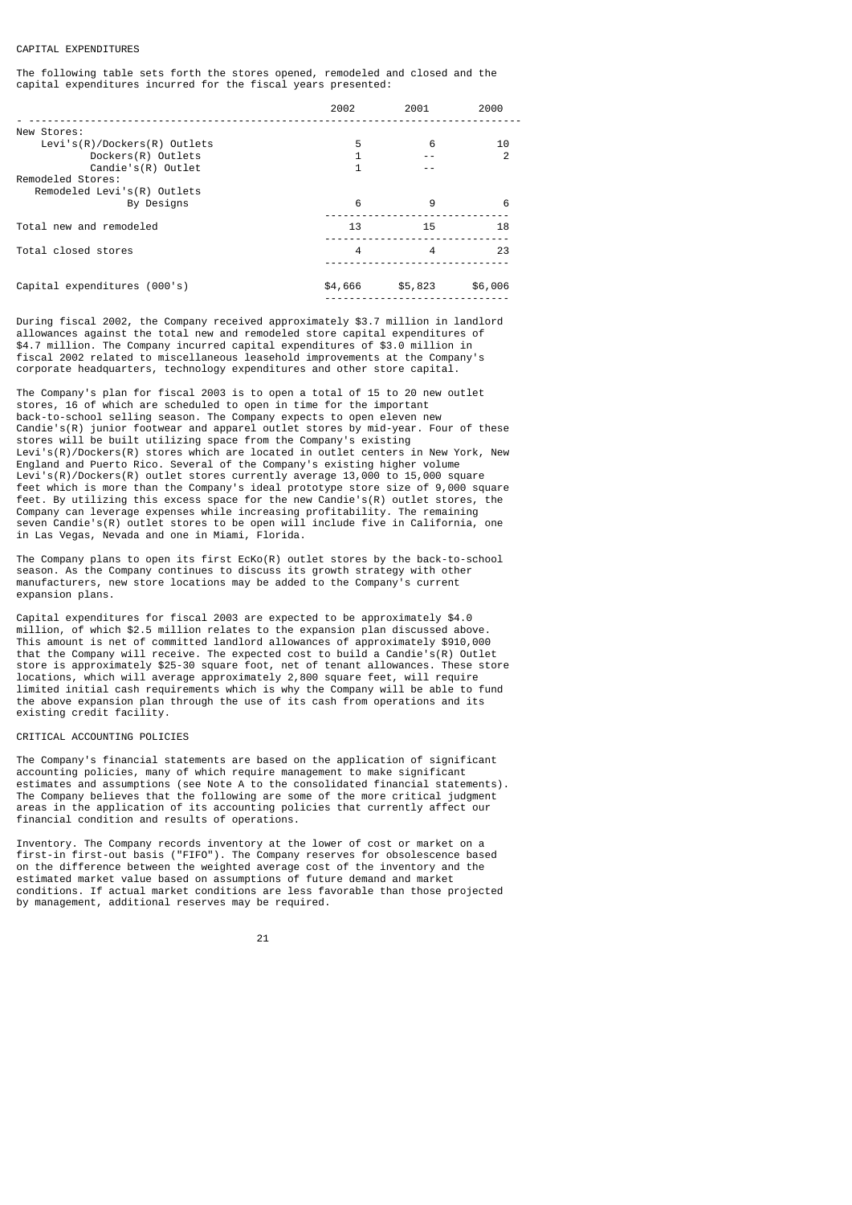## CAPITAL EXPENDITURES

The following table sets forth the stores opened, remodeled and closed and the capital expenditures incurred for the fiscal years presented:

|                                | 2002    | 2001             | 2000          |
|--------------------------------|---------|------------------|---------------|
| New Stores:                    |         |                  |               |
| $Levi's(R)/Dockers(R)$ Outlets | 5       | 6                | 10            |
| Dockers(R) Outlets             |         |                  | $\mathcal{P}$ |
| $Candie's(R)$ Outlet           | 1       |                  |               |
| Remodeled Stores:              |         |                  |               |
| Remodeled Levi's(R) Outlets    |         |                  |               |
| By Designs                     | 6       | 9                | 6             |
| Total new and remodeled        | 13      | 15               | 18            |
| Total closed stores            | 4       | $\boldsymbol{4}$ | 23            |
| Capital expenditures (000's)   | \$4,666 | \$5,823          | \$6,006       |

During fiscal 2002, the Company received approximately \$3.7 million in landlord allowances against the total new and remodeled store capital expenditures of \$4.7 million. The Company incurred capital expenditures of \$3.0 million in fiscal 2002 related to miscellaneous leasehold improvements at the Company's corporate headquarters, technology expenditures and other store capital.

The Company's plan for fiscal 2003 is to open a total of 15 to 20 new outlet stores, 16 of which are scheduled to open in time for the important back-to-school selling season. The Company expects to open eleven new Candie's(R) junior footwear and apparel outlet stores by mid-year. Four of these stores will be built utilizing space from the Company's existing Levi's(R)/Dockers(R) stores which are located in outlet centers in New York, New England and Puerto Rico. Several of the Company's existing higher volume Levi's(R)/Dockers(R) outlet stores currently average 13,000 to 15,000 square feet which is more than the Company's ideal prototype store size of 9,000 square feet. By utilizing this excess space for the new Candie's(R) outlet stores, the Company can leverage expenses while increasing profitability. The remaining seven Candie's(R) outlet stores to be open will include five in California, one in Las Vegas, Nevada and one in Miami, Florida.

The Company plans to open its first EcKo(R) outlet stores by the back-to-school season. As the Company continues to discuss its growth strategy with other manufacturers, new store locations may be added to the Company's current expansion plans.

Capital expenditures for fiscal 2003 are expected to be approximately \$4.0 million, of which \$2.5 million relates to the expansion plan discussed above. This amount is net of committed landlord allowances of approximately \$910,000 that the Company will receive. The expected cost to build a Candie's(R) Outlet store is approximately \$25-30 square foot, net of tenant allowances. These store locations, which will average approximately 2,800 square feet, will require limited initial cash requirements which is why the Company will be able to fund the above expansion plan through the use of its cash from operations and its existing credit facility.

#### CRITICAL ACCOUNTING POLICIES

The Company's financial statements are based on the application of significant accounting policies, many of which require management to make significant estimates and assumptions (see Note A to the consolidated financial statements). The Company believes that the following are some of the more critical judgment areas in the application of its accounting policies that currently affect our financial condition and results of operations.

Inventory. The Company records inventory at the lower of cost or market on a first-in first-out basis ("FIFO"). The Company reserves for obsolescence based on the difference between the weighted average cost of the inventory and the estimated market value based on assumptions of future demand and market conditions. If actual market conditions are less favorable than those projected by management, additional reserves may be required.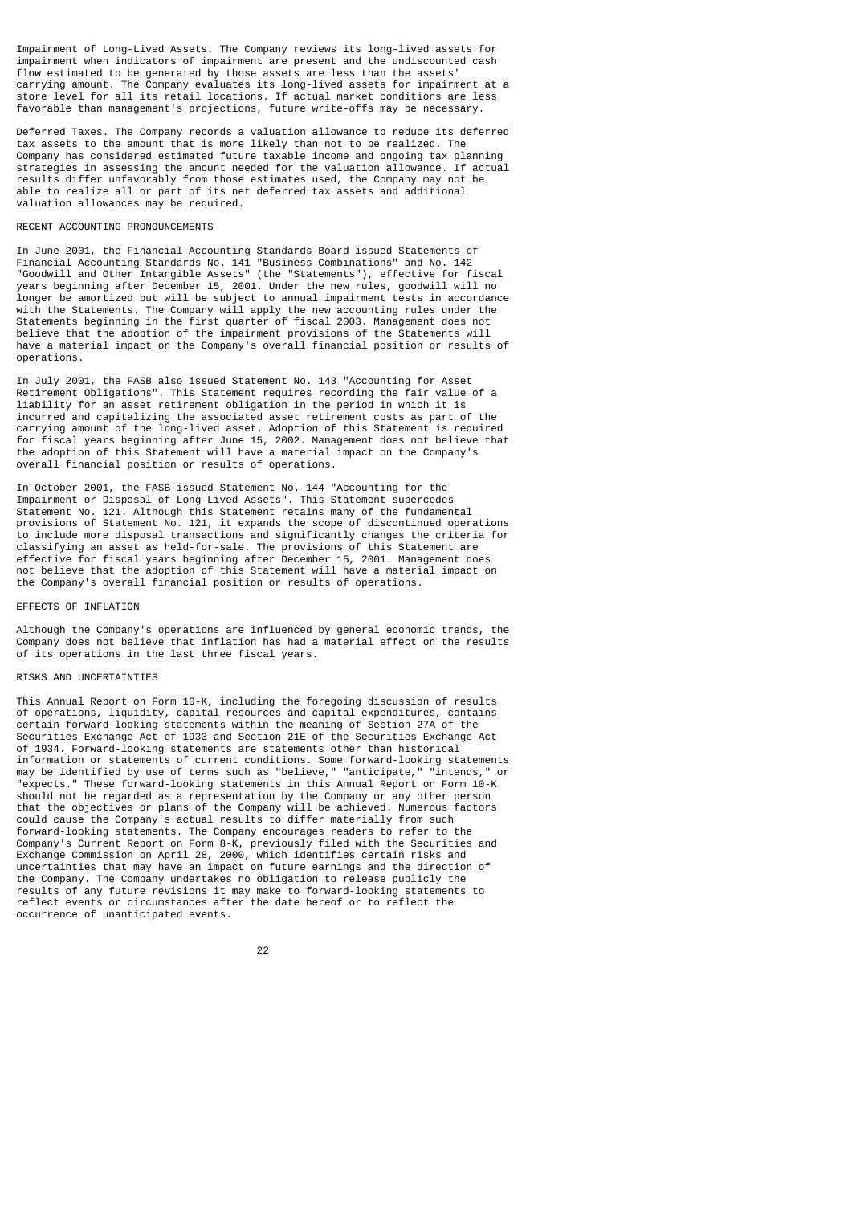Impairment of Long-Lived Assets. The Company reviews its long-lived assets for impairment when indicators of impairment are present and the undiscounted cash flow estimated to be generated by those assets are less than the assets' carrying amount. The Company evaluates its long-lived assets for impairment at a store level for all its retail locations. If actual market conditions are less favorable than management's projections, future write-offs may be necessary.

Deferred Taxes. The Company records a valuation allowance to reduce its deferred tax assets to the amount that is more likely than not to be realized. The Company has considered estimated future taxable income and ongoing tax planning strategies in assessing the amount needed for the valuation allowance. If actual results differ unfavorably from those estimates used, the Company may not be able to realize all or part of its net deferred tax assets and additional valuation allowances may be required.

## RECENT ACCOUNTING PRONOUNCEMENTS

In June 2001, the Financial Accounting Standards Board issued Statements of Financial Accounting Standards No. 141 "Business Combinations" and No. 142 "Goodwill and Other Intangible Assets" (the "Statements"), effective for fiscal years beginning after December 15, 2001. Under the new rules, goodwill will no longer be amortized but will be subject to annual impairment tests in accordance with the Statements. The Company will apply the new accounting rules under the Statements beginning in the first quarter of fiscal 2003. Management does not believe that the adoption of the impairment provisions of the Statements will have a material impact on the Company's overall financial position or results of operations.

In July 2001, the FASB also issued Statement No. 143 "Accounting for Asset Retirement Obligations". This Statement requires recording the fair value of a liability for an asset retirement obligation in the period in which it is incurred and capitalizing the associated asset retirement costs as part of the carrying amount of the long-lived asset. Adoption of this Statement is required for fiscal years beginning after June 15, 2002. Management does not believe that the adoption of this Statement will have a material impact on the Company's overall financial position or results of operations.

In October 2001, the FASB issued Statement No. 144 "Accounting for the Impairment or Disposal of Long-Lived Assets". This Statement supercedes Statement No. 121. Although this Statement retains many of the fundamental provisions of Statement No. 121, it expands the scope of discontinued operations to include more disposal transactions and significantly changes the criteria for classifying an asset as held-for-sale. The provisions of this Statement are effective for fiscal years beginning after December 15, 2001. Management does not believe that the adoption of this Statement will have a material impact on the Company's overall financial position or results of operations.

## EFFECTS OF INFLATION

Although the Company's operations are influenced by general economic trends, the Company does not believe that inflation has had a material effect on the results of its operations in the last three fiscal years.

#### RISKS AND UNCERTAINTIES

This Annual Report on Form 10-K, including the foregoing discussion of results of operations, liquidity, capital resources and capital expenditures, contains certain forward-looking statements within the meaning of Section 27A of the Securities Exchange Act of 1933 and Section 21E of the Securities Exchange Act of 1934. Forward-looking statements are statements other than historical information or statements of current conditions. Some forward-looking statements may be identified by use of terms such as "believe," "anticipate," "intends," or "expects." These forward-looking statements in this Annual Report on Form 10-K should not be regarded as a representation by the Company or any other person that the objectives or plans of the Company will be achieved. Numerous factors could cause the Company's actual results to differ materially from such forward-looking statements. The Company encourages readers to refer to the Company's Current Report on Form 8-K, previously filed with the Securities and Exchange Commission on April 28, 2000, which identifies certain risks and uncertainties that may have an impact on future earnings and the direction of the Company. The Company undertakes no obligation to release publicly the results of any future revisions it may make to forward-looking statements to reflect events or circumstances after the date hereof or to reflect the occurrence of unanticipated events.

<u>22</u>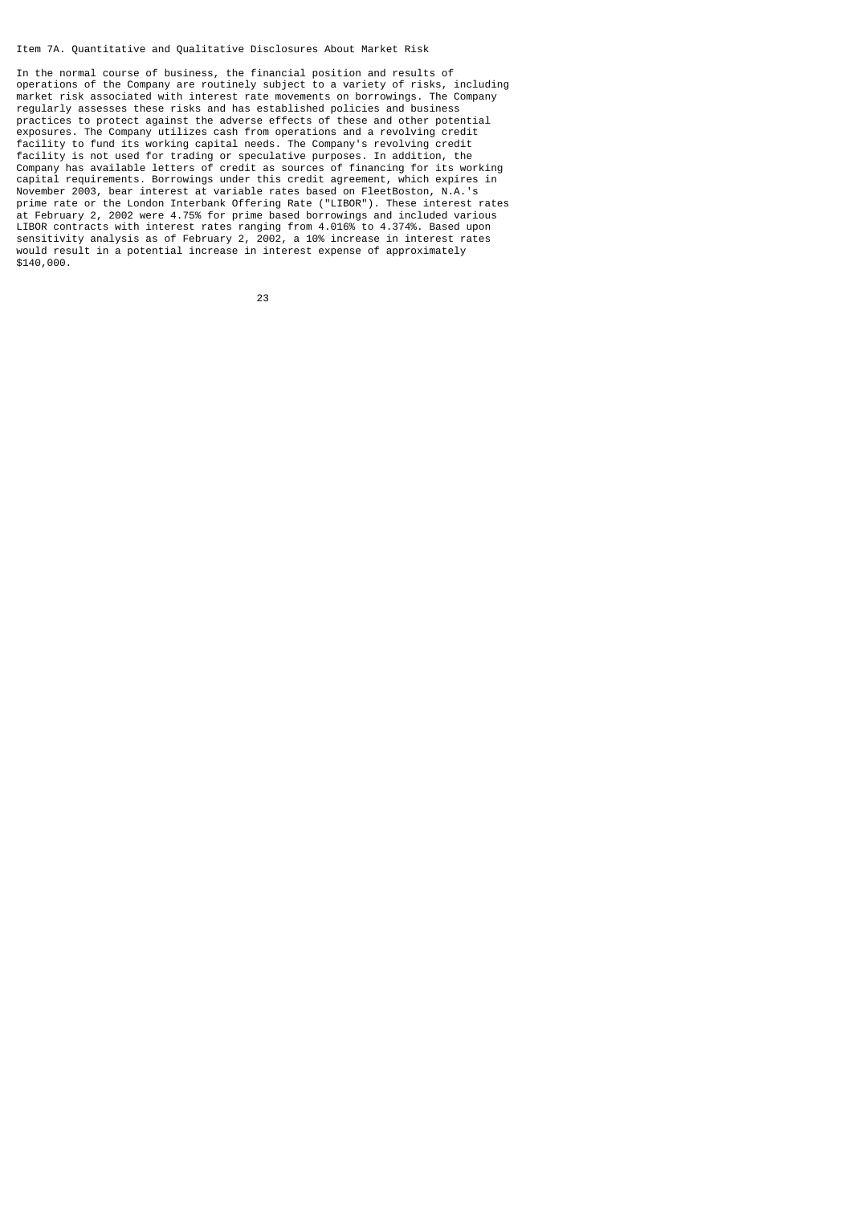Item 7A. Quantitative and Qualitative Disclosures About Market Risk

In the normal course of business, the financial position and results of operations of the Company are routinely subject to a variety of risks, including market risk associated with interest rate movements on borrowings. The Company regularly assesses these risks and has established policies and business practices to protect against the adverse effects of these and other potential exposures. The Company utilizes cash from operations and a revolving credit facility to fund its working capital needs. The Company's revolving credit facility is not used for trading or speculative purposes. In addition, the Company has available letters of credit as sources of financing for its working capital requirements. Borrowings under this credit agreement, which expires in November 2003, bear interest at variable rates based on FleetBoston, N.A.'s prime rate or the London Interbank Offering Rate ("LIBOR"). These interest rates at February 2, 2002 were 4.75% for prime based borrowings and included various LIBOR contracts with interest rates ranging from 4.016% to 4.374%. Based upon sensitivity analysis as of February 2, 2002, a 10% increase in interest rates would result in a potential increase in interest expense of approximately \$140,000.

<u>23 and 23</u>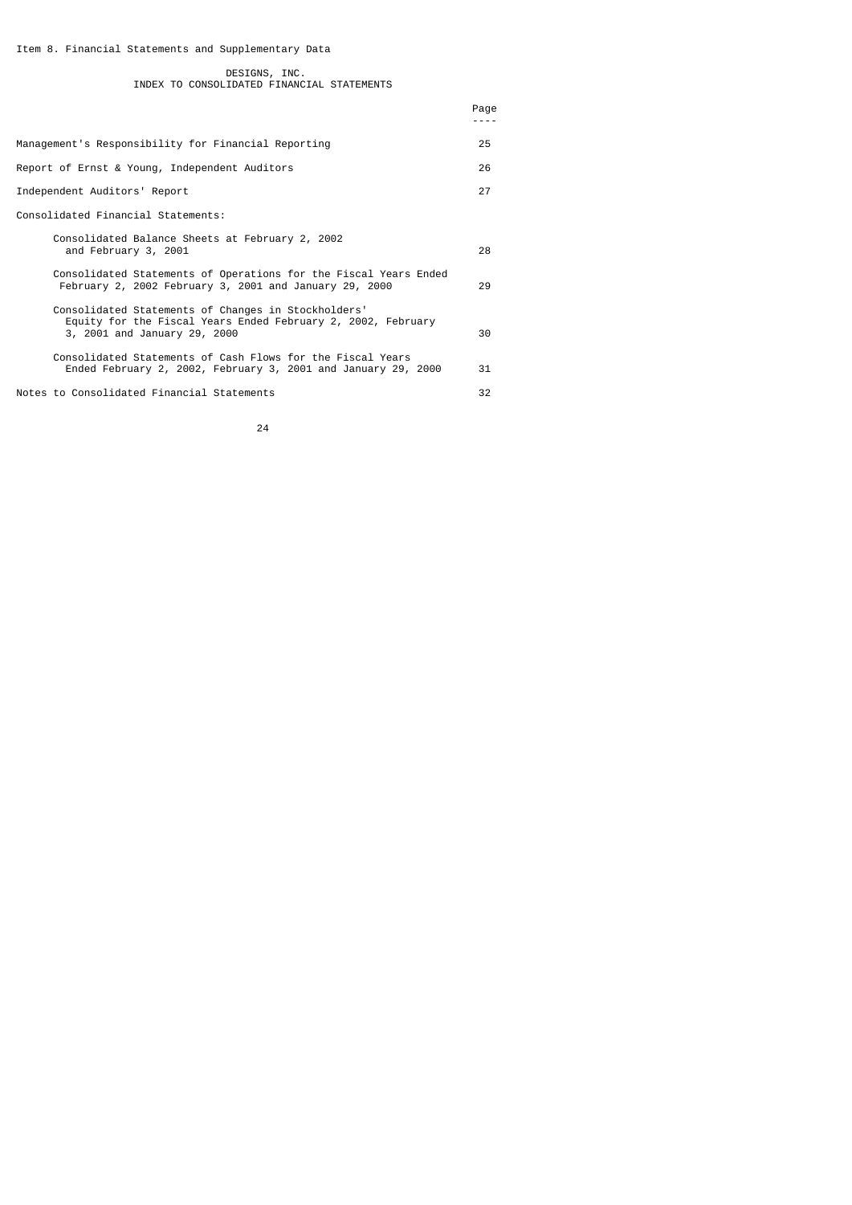Item 8. Financial Statements and Supplementary Data

|  | DESIGNS, INC.                              |  |
|--|--------------------------------------------|--|
|  | INDEX TO CONSOLIDATED FINANCIAL STATEMENTS |  |

|                                                                                                                                                     | Page<br>. |
|-----------------------------------------------------------------------------------------------------------------------------------------------------|-----------|
| Management's Responsibility for Financial Reporting                                                                                                 | 25        |
| Report of Ernst & Young, Independent Auditors                                                                                                       | 26        |
| Independent Auditors' Report                                                                                                                        | 27        |
| Consolidated Financial Statements:                                                                                                                  |           |
| Consolidated Balance Sheets at February 2, 2002<br>and February 3, 2001                                                                             | 28        |
| Consolidated Statements of Operations for the Fiscal Years Ended<br>February 2, 2002 February 3, 2001 and January 29, 2000                          | 29        |
| Consolidated Statements of Changes in Stockholders'<br>Equity for the Fiscal Years Ended February 2, 2002, February<br>3, 2001 and January 29, 2000 | 30        |
| Consolidated Statements of Cash Flows for the Fiscal Years<br>Ended February 2, 2002, February 3, 2001 and January 29, 2000                         | 31        |
| Notes to Consolidated Financial Statements                                                                                                          | 32        |

<u>24</u>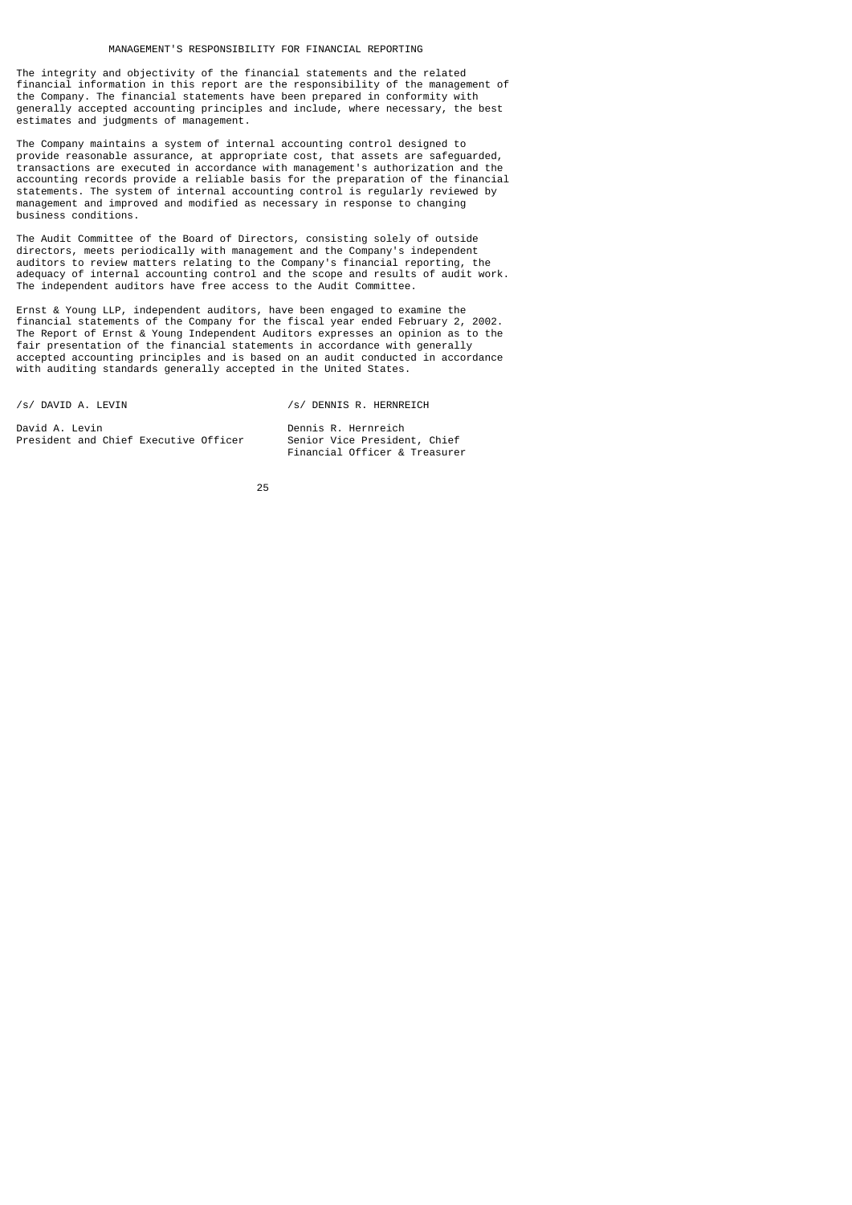The integrity and objectivity of the financial statements and the related financial information in this report are the responsibility of the management of the Company. The financial statements have been prepared in conformity with generally accepted accounting principles and include, where necessary, the best estimates and judgments of management.

The Company maintains a system of internal accounting control designed to provide reasonable assurance, at appropriate cost, that assets are safeguarded, transactions are executed in accordance with management's authorization and the accounting records provide a reliable basis for the preparation of the financial statements. The system of internal accounting control is regularly reviewed by management and improved and modified as necessary in response to changing business conditions.

The Audit Committee of the Board of Directors, consisting solely of outside directors, meets periodically with management and the Company's independent auditors to review matters relating to the Company's financial reporting, the adequacy of internal accounting control and the scope and results of audit work. The independent auditors have free access to the Audit Committee.

Ernst & Young LLP, independent auditors, have been engaged to examine the financial statements of the Company for the fiscal year ended February 2, 2002. The Report of Ernst & Young Independent Auditors expresses an opinion as to the fair presentation of the financial statements in accordance with generally accepted accounting principles and is based on an audit conducted in accordance with auditing standards generally accepted in the United States.

/s/ DAVID A. LEVIN /s/ DENNIS R. HERNREICH

David A. Levin<br>President and Chief Executive Officer Benior Vice President, Chief President and Chief Executive Officer

Financial Officer & Treasurer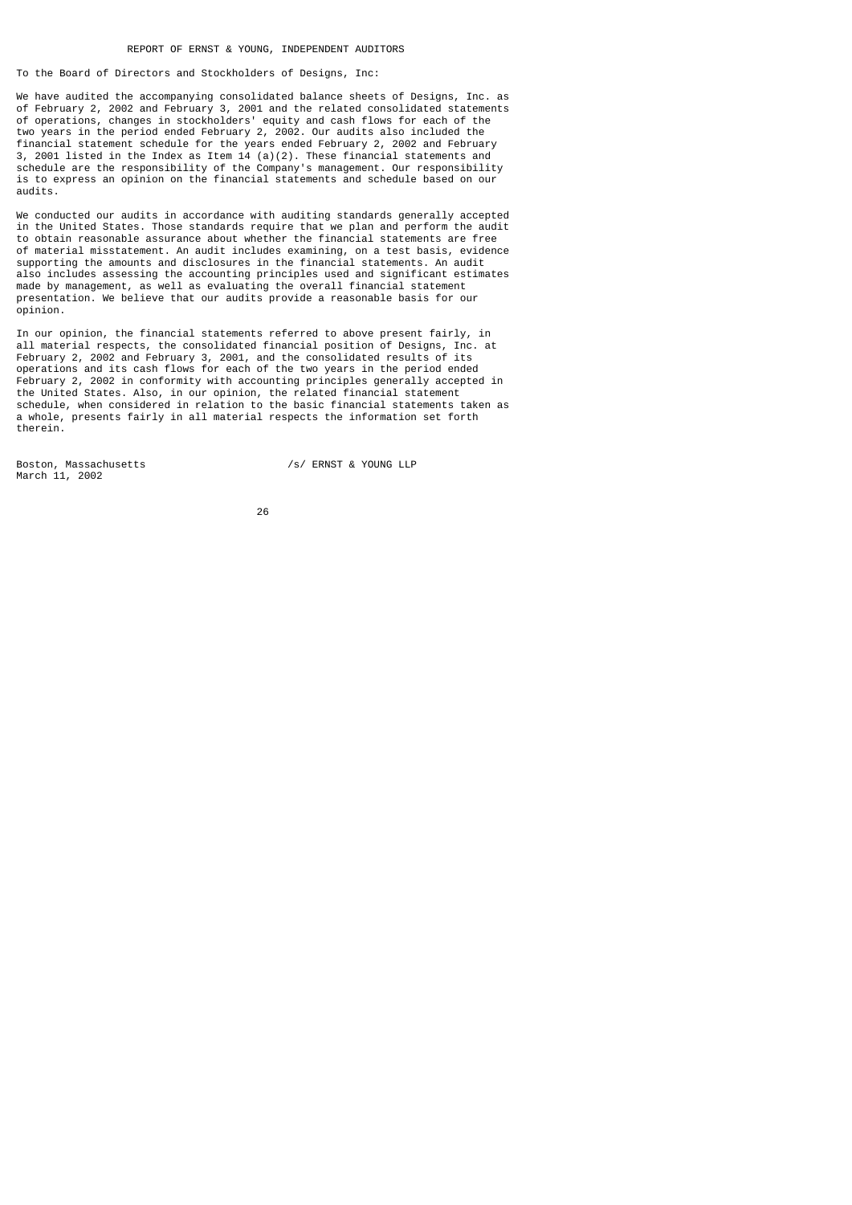## REPORT OF ERNST & YOUNG, INDEPENDENT AUDITORS

To the Board of Directors and Stockholders of Designs, Inc:

We have audited the accompanying consolidated balance sheets of Designs, Inc. as of February 2, 2002 and February 3, 2001 and the related consolidated statements of operations, changes in stockholders' equity and cash flows for each of the two years in the period ended February 2, 2002. Our audits also included the financial statement schedule for the years ended February 2, 2002 and February 3, 2001 listed in the Index as Item  $14$  (a)(2). These financial statements and schedule are the responsibility of the Company's management. Our responsibility is to express an opinion on the financial statements and schedule based on our audits.

We conducted our audits in accordance with auditing standards generally accepted in the United States. Those standards require that we plan and perform the audit to obtain reasonable assurance about whether the financial statements are free of material misstatement. An audit includes examining, on a test basis, evidence supporting the amounts and disclosures in the financial statements. An audit also includes assessing the accounting principles used and significant estimates made by management, as well as evaluating the overall financial statement presentation. We believe that our audits provide a reasonable basis for our opinion.

In our opinion, the financial statements referred to above present fairly, in all material respects, the consolidated financial position of Designs, Inc. at February 2, 2002 and February 3, 2001, and the consolidated results of its operations and its cash flows for each of the two years in the period ended February 2, 2002 in conformity with accounting principles generally accepted in the United States. Also, in our opinion, the related financial statement schedule, when considered in relation to the basic financial statements taken as a whole, presents fairly in all material respects the information set forth therein.

Boston, Massachusetts /s/ ERNST & YOUNG LLP March 11, 2002

<u>26 and 26</u>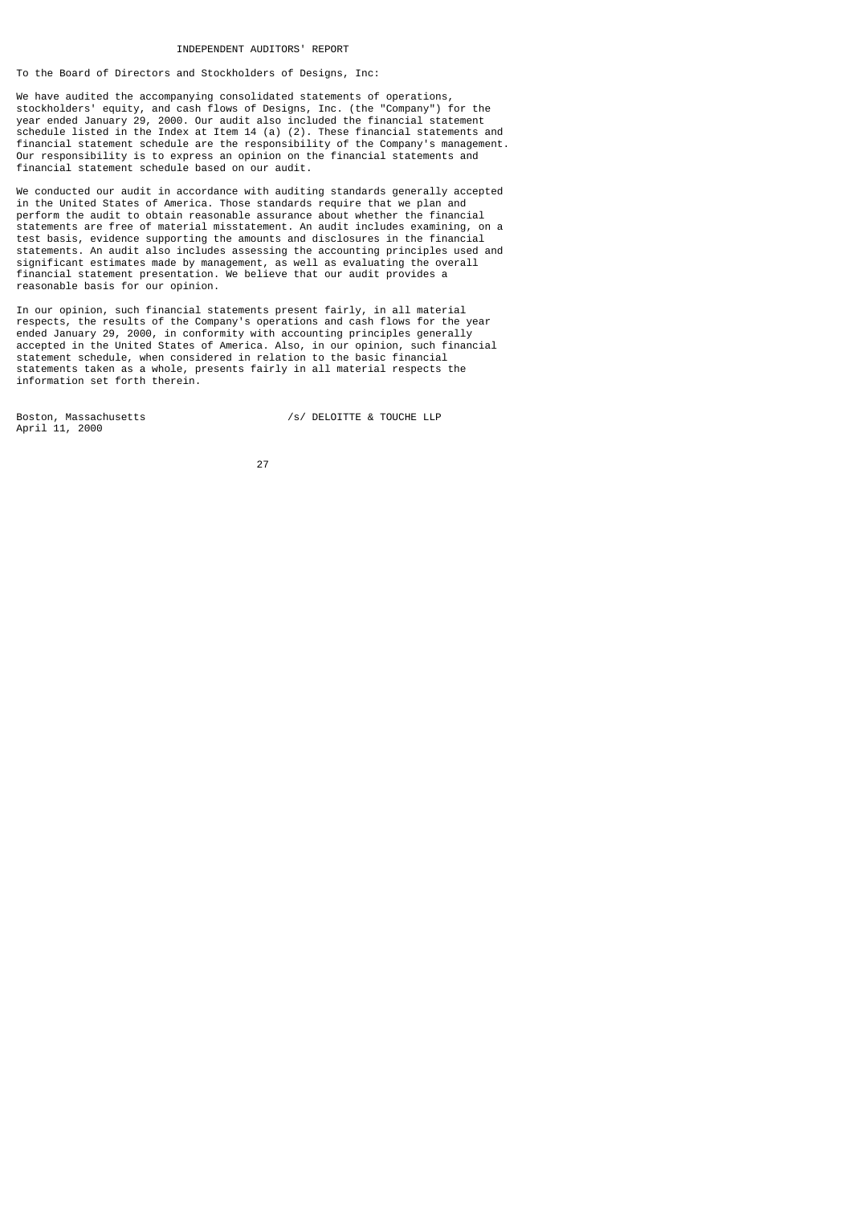INDEPENDENT AUDITORS' REPORT

To the Board of Directors and Stockholders of Designs, Inc:

We have audited the accompanying consolidated statements of operations, stockholders' equity, and cash flows of Designs, Inc. (the "Company") for the year ended January 29, 2000. Our audit also included the financial statement schedule listed in the Index at Item 14 (a) (2). These financial statements and financial statement schedule are the responsibility of the Company's management. Our responsibility is to express an opinion on the financial statements and financial statement schedule based on our audit.

We conducted our audit in accordance with auditing standards generally accepted in the United States of America. Those standards require that we plan and perform the audit to obtain reasonable assurance about whether the financial statements are free of material misstatement. An audit includes examining, on a test basis, evidence supporting the amounts and disclosures in the financial statements. An audit also includes assessing the accounting principles used and significant estimates made by management, as well as evaluating the overall financial statement presentation. We believe that our audit provides a reasonable basis for our opinion.

In our opinion, such financial statements present fairly, in all material respects, the results of the Company's operations and cash flows for the year ended January 29, 2000, in conformity with accounting principles generally accepted in the United States of America. Also, in our opinion, such financial statement schedule, when considered in relation to the basic financial statements taken as a whole, presents fairly in all material respects the information set forth therein.

April 11, 2000

Boston, Massachusetts /s/ DELOITTE & TOUCHE LLP

<u>27 and 27 and 27 and 27 and 27 and 27 and 27 and 27 and 27 and 27 and 27 and 27 and 27 and 27 and 27 and 27 and 27 and 27 and 27 and 27 and 27 and 27 and 27 and 27 and 27 and 27 and 27 and 27 and 27 and 27 and 27 and 27 a</u>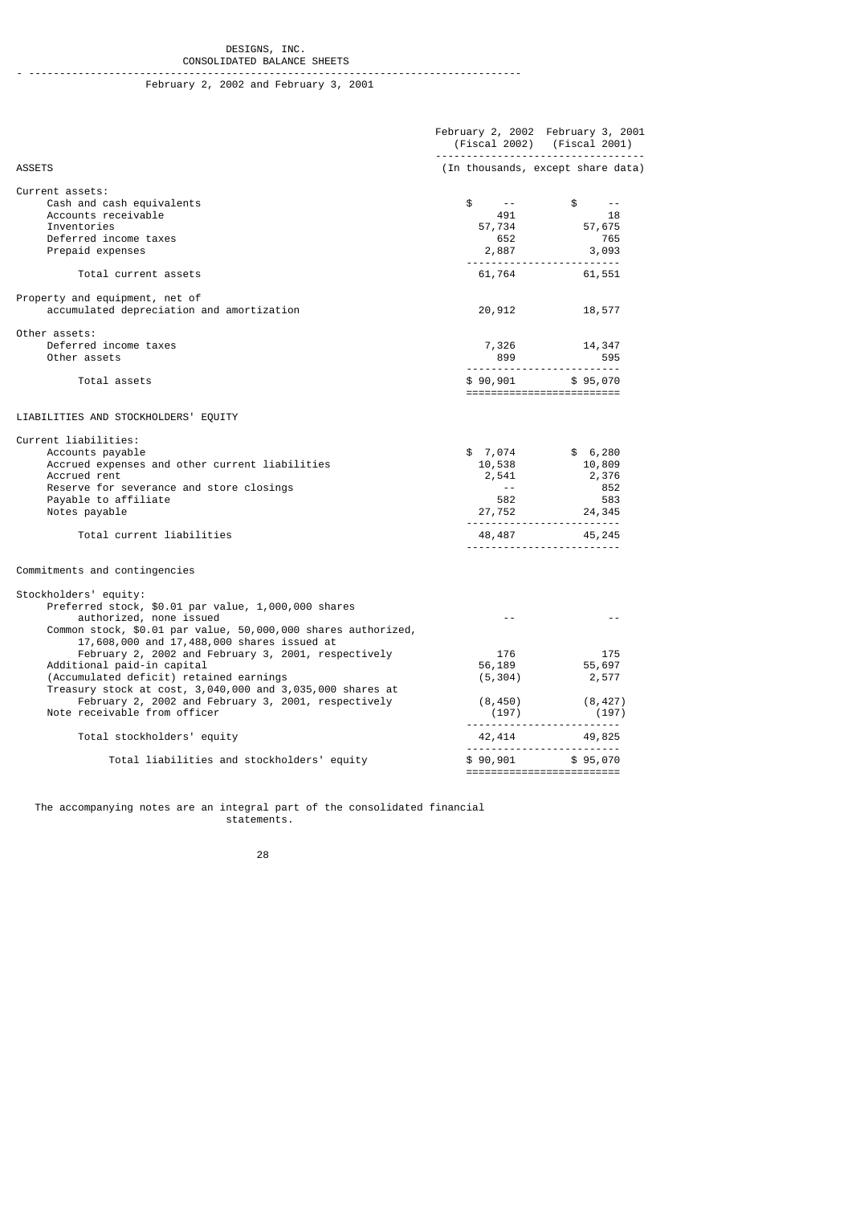#### DESIGNS, INC. CONSOLIDATED BALANCE SHEETS

## - -------------------------------------------------------------------------------- February 2, 2002 and February 3, 2001

|                                                                                                                                        |               | February 2, 2002 February 3, 2001<br>(Fiscal 2002) (Fiscal 2001)                                                                                                                                                                                                              |
|----------------------------------------------------------------------------------------------------------------------------------------|---------------|-------------------------------------------------------------------------------------------------------------------------------------------------------------------------------------------------------------------------------------------------------------------------------|
| <b>ASSETS</b>                                                                                                                          |               | (In thousands, except share data)                                                                                                                                                                                                                                             |
| Current assets:<br>Cash and cash equivalents<br>Accounts receivable                                                                    |               | $\begin{array}{ccccc} \text{\$} & & \text{\$} & & \text{\$} & & \text{\$} \\ \text{\$} & & \text{\$} & & \text{\$} & \text{\$} \\ \text{\$} & \text{\$}7,734 & & & \text{\$}7,675 \\ \text{\$} & \text{\$}52 & & & \text{\$}652 \\ \text{\$}2,887 & & & 3,093 \\ \end{array}$ |
| Inventories                                                                                                                            |               |                                                                                                                                                                                                                                                                               |
| Deferred income taxes                                                                                                                  |               |                                                                                                                                                                                                                                                                               |
| Prepaid expenses                                                                                                                       |               |                                                                                                                                                                                                                                                                               |
| Total current assets                                                                                                                   |               | 61,764 61,551                                                                                                                                                                                                                                                                 |
| Property and equipment, net of                                                                                                         |               |                                                                                                                                                                                                                                                                               |
| accumulated depreciation and amortization                                                                                              | 20,912        | 18,577                                                                                                                                                                                                                                                                        |
| Other assets:                                                                                                                          |               |                                                                                                                                                                                                                                                                               |
| Deferred income taxes                                                                                                                  |               | 7,326 14,347<br>899 595                                                                                                                                                                                                                                                       |
| Other assets                                                                                                                           |               |                                                                                                                                                                                                                                                                               |
| Total assets                                                                                                                           |               | \$90,901 \$95,070<br>==========================                                                                                                                                                                                                                               |
| LIABILITIES AND STOCKHOLDERS' EQUITY                                                                                                   |               |                                                                                                                                                                                                                                                                               |
| Current liabilities:                                                                                                                   |               |                                                                                                                                                                                                                                                                               |
| Accounts payable                                                                                                                       |               | $$7,074$ $$6,280$                                                                                                                                                                                                                                                             |
| Accrued expenses and other current liabilities                                                                                         |               |                                                                                                                                                                                                                                                                               |
| Accrued rent                                                                                                                           |               | $10,538$<br>$2,541$<br>$852$                                                                                                                                                                                                                                                  |
| Reserve for severance and store closings                                                                                               |               |                                                                                                                                                                                                                                                                               |
| Payable to affiliate<br>Notes payable                                                                                                  |               | $582$<br>27, 752<br>24, 345                                                                                                                                                                                                                                                   |
|                                                                                                                                        |               |                                                                                                                                                                                                                                                                               |
| Total current liabilities                                                                                                              |               | 48, 487 45, 245                                                                                                                                                                                                                                                               |
| Commitments and contingencies                                                                                                          |               |                                                                                                                                                                                                                                                                               |
| Stockholders' equity:<br>Preferred stock, \$0.01 par value, 1,000,000 shares                                                           |               |                                                                                                                                                                                                                                                                               |
| authorized, none issued<br>Common stock, \$0.01 par value, 50,000,000 shares authorized,<br>17,608,000 and 17,488,000 shares issued at | $\sim$ $\sim$ | $ -$                                                                                                                                                                                                                                                                          |
| February 2, 2002 and February 3, 2001, respectively                                                                                    |               |                                                                                                                                                                                                                                                                               |
| Additional paid-in capital                                                                                                             |               | $\begin{array}{ccc} & 176 & & 175 \\ 56,189 & & 55,697 \\ (5,304) & & 2,577 \end{array}$                                                                                                                                                                                      |
| (Accumulated deficit) retained earnings                                                                                                |               |                                                                                                                                                                                                                                                                               |
| Treasury stock at cost, 3,040,000 and 3,035,000 shares at<br>February 2, 2002 and February 3, 2001, respectively                       |               |                                                                                                                                                                                                                                                                               |
| Note receivable from officer                                                                                                           |               | $(8,450)$ $(8,427)$<br>(197) (197) (197)                                                                                                                                                                                                                                      |
| Total stockholders' equity                                                                                                             |               | $42,414$ $49,825$                                                                                                                                                                                                                                                             |
| Total liabilities and stockholders' equity                                                                                             |               | \$90,901 \$95,070                                                                                                                                                                                                                                                             |
|                                                                                                                                        |               | ==========================                                                                                                                                                                                                                                                    |

 The accompanying notes are an integral part of the consolidated financial statements.

<u>28 and 28 and 28 and 28 and 28 and 28 and 28 and 28 and 28 and 28 and 28 and 28 and 28 and 28 and 28 and 28 and 28 and 28 and 28 and 28 and 28 and 28 and 28 and 28 and 28 and 28 and 28 and 28 and 28 and 28 and 28 and 28 a</u>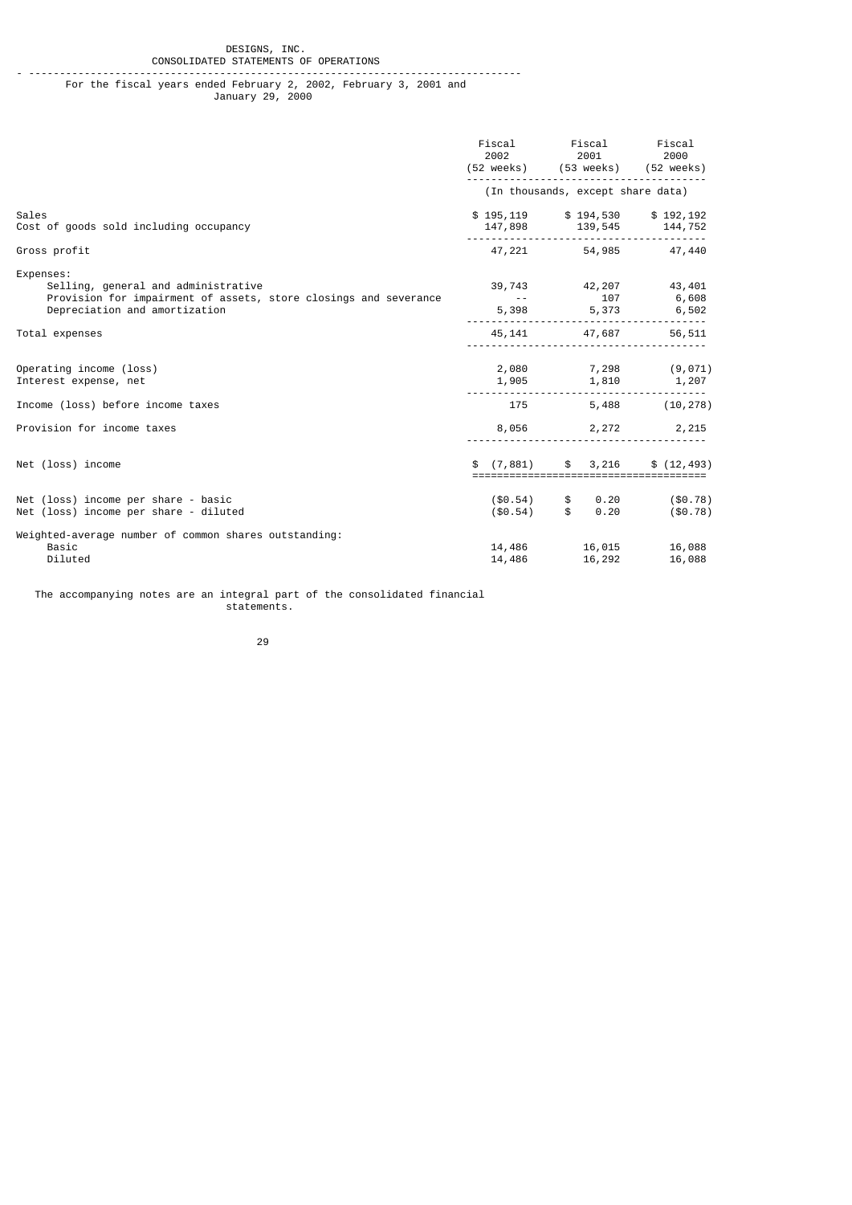#### DESIGNS, INC. CONSOLIDATED STATEMENTS OF OPERATIONS

- -------------------------------------------------------------------------------- For the fiscal years ended February 2, 2002, February 3, 2001 and January 29, 2000

|                                                                                                                                                       | Fiscal<br>2002                    | Fiscal<br>2001<br>(52 weeks) (53 weeks) (52 weeks)              | Fiscal<br>2000                 |
|-------------------------------------------------------------------------------------------------------------------------------------------------------|-----------------------------------|-----------------------------------------------------------------|--------------------------------|
|                                                                                                                                                       |                                   | (In thousands, except share data)                               |                                |
| Sales<br>Cost of goods sold including occupancy                                                                                                       |                                   | \$195,119 \$194,530 \$192,192<br>147,898 139,545 144,752        |                                |
| Gross profit                                                                                                                                          |                                   | 47,221 54,985 47,440                                            |                                |
| Expenses:<br>Selling, general and administrative<br>Provision for impairment of assets, store closings and severance<br>Depreciation and amortization | <b>Contract Contract</b><br>5,398 | 39,743 42,207<br>107                                            | 43,401<br>6,608<br>5,373 6,502 |
| Total expenses                                                                                                                                        |                                   | 45, 141 47, 687                                                 | 56,511                         |
| Operating income (loss)<br>Interest expense, net                                                                                                      | 1,905                             | $2,080$ $7,298$ $(9,071)$                                       | 1,810 1,207                    |
| Income (loss) before income taxes                                                                                                                     |                                   | 175 — 175                                                       | 5,488 (10,278)                 |
| Provision for income taxes                                                                                                                            |                                   | 8,056 2,272 2,215                                               |                                |
| Net (loss) income                                                                                                                                     | (7, 881)<br>\$                    | $\mathsf{s}$<br>3,216<br>====================================== | \$(12, 493)                    |
| Net (loss) income per share - basic<br>Net (loss) income per share - diluted                                                                          | $(\$0.54)$<br>$(\$0.54)$ \$       | 0.20<br>$\mathfrak s$<br>0.20                                   | $(\$0.78)$<br>$(\$0.78)$       |
| Weighted-average number of common shares outstanding:<br>Basic<br>Diluted                                                                             | 14,486                            | 14,486 16,015<br>16,292                                         | 16,088<br>16,088               |

 The accompanying notes are an integral part of the consolidated financial statements.

<u>29 and 29 and 29 and 29 and 29 and 29 and 29 and 29 and 29 and 29 and 29 and 29 and 29 and 29 and 29 and 2012</u>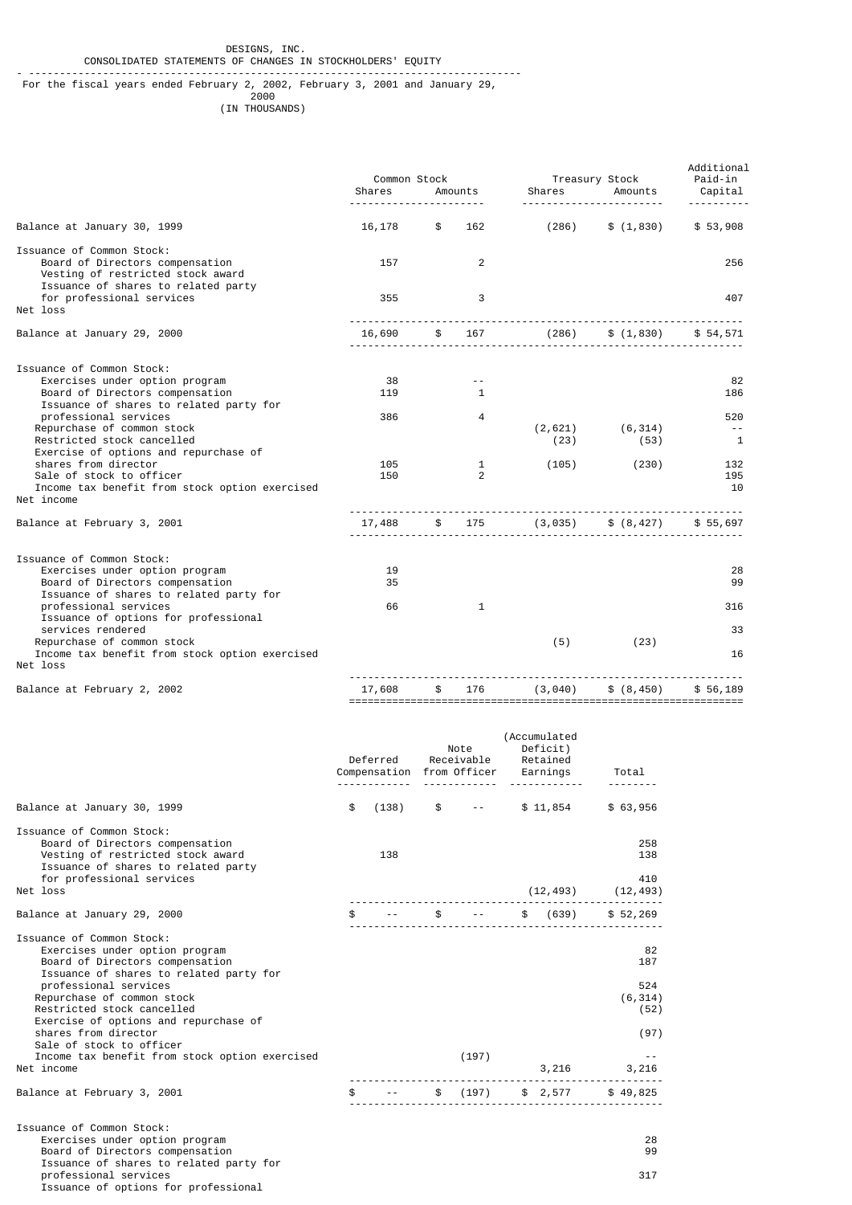- -------------------------------------------------------------------------------- For the fiscal years ended February 2, 2002, February 3, 2001 and January 29,

проставление в село в 1960 године в 2000 године в 2000 године в 1960 године в 2000 године в 1970 године в 1970<br>При полезни производительности при полезни при полезни при полезни при полезни при полезни при полезни при пол (IN THOUSANDS)

|                                                                                                                                          | Shares | Common Stock<br>Amounts |              |                                  | Treasury Stock<br>Shares Amounts | Additional<br>Paid-in<br>Capital |
|------------------------------------------------------------------------------------------------------------------------------------------|--------|-------------------------|--------------|----------------------------------|----------------------------------|----------------------------------|
|                                                                                                                                          |        |                         |              |                                  |                                  | <u>.</u>                         |
| Balance at January 30, 1999                                                                                                              | 16,178 | \$                      | 162          | (286)                            | \$(1, 830)                       | \$53,908                         |
| Issuance of Common Stock:<br>Board of Directors compensation<br>Vesting of restricted stock award<br>Issuance of shares to related party | 157    |                         | 2            |                                  |                                  | 256                              |
| for professional services<br>Net loss                                                                                                    | 355    |                         | 3            |                                  |                                  | 407                              |
| Balance at January 29, 2000                                                                                                              | 16,690 |                         | \$ 167       |                                  | $(286)$ \$ $(1, 830)$ \$ 54,571  |                                  |
| Issuance of Common Stock:                                                                                                                |        |                         |              |                                  |                                  |                                  |
| Exercises under option program                                                                                                           | 38     |                         |              |                                  |                                  | 82                               |
| Board of Directors compensation<br>Issuance of shares to related party for                                                               | 119    |                         | $\mathbf{1}$ |                                  |                                  | 186                              |
| professional services                                                                                                                    | 386    |                         | 4            |                                  |                                  | 520                              |
| Repurchase of common stock<br>Restricted stock cancelled                                                                                 |        |                         |              | (2,621)<br>(23)                  | (6, 314)<br>(53)                 | $\sim$ $-$<br>$\mathbf{1}$       |
| Exercise of options and repurchase of                                                                                                    |        |                         |              |                                  |                                  |                                  |
| shares from director                                                                                                                     | 105    |                         | $\mathbf{1}$ | (105)                            | (230)                            | 132                              |
| Sale of stock to officer<br>Income tax benefit from stock option exercised                                                               | 150    |                         | 2            |                                  |                                  | 195<br>10                        |
| Net income                                                                                                                               |        |                         |              |                                  |                                  |                                  |
| Balance at February 3, 2001                                                                                                              | 17,488 | $\frac{1}{2}$           |              | 175 (3,035) \$ (8,427) \$ 55,697 |                                  |                                  |
| Issuance of Common Stock:                                                                                                                |        |                         |              |                                  |                                  |                                  |
| Exercises under option program                                                                                                           | 19     |                         |              |                                  |                                  | 28                               |
| Board of Directors compensation                                                                                                          | 35     |                         |              |                                  |                                  | 99                               |
| Issuance of shares to related party for                                                                                                  |        |                         |              |                                  |                                  |                                  |
| professional services                                                                                                                    | 66     |                         | $\mathbf{1}$ |                                  |                                  | 316                              |
| Issuance of options for professional                                                                                                     |        |                         |              |                                  |                                  |                                  |
| services rendered                                                                                                                        |        |                         |              |                                  |                                  | 33                               |
| Repurchase of common stock                                                                                                               |        |                         |              | (5)                              | (23)                             |                                  |
| Income tax benefit from stock option exercised<br>Net loss                                                                               |        |                         |              |                                  |                                  | 16                               |
| Balance at February 2, 2002                                                                                                              | 17,608 | \$                      | 176          | (3,040)                          | \$ (8, 450)                      | \$ 56,189                        |
|                                                                                                                                          |        |                         |              |                                  |                                  |                                  |

|                                                                                                                                                                                                                                                                                                                                                                                             |     | Deferred<br>Compensation from Officer |               | Note<br>Receivable     | (Accumulated<br>Deficit)<br>Retained<br>Earnings | Total                                                 |
|---------------------------------------------------------------------------------------------------------------------------------------------------------------------------------------------------------------------------------------------------------------------------------------------------------------------------------------------------------------------------------------------|-----|---------------------------------------|---------------|------------------------|--------------------------------------------------|-------------------------------------------------------|
| Balance at January 30, 1999                                                                                                                                                                                                                                                                                                                                                                 | \$  | (138)                                 | $\mathfrak s$ | <b>Allen Contracts</b> | \$11,854                                         | \$63,956                                              |
| Issuance of Common Stock:<br>Board of Directors compensation<br>Vesting of restricted stock award<br>Issuance of shares to related party<br>for professional services                                                                                                                                                                                                                       |     | 138                                   |               |                        |                                                  | 258<br>138<br>410                                     |
| Net loss                                                                                                                                                                                                                                                                                                                                                                                    |     |                                       |               |                        |                                                  | $(12, 493)$ $(12, 493)$                               |
| Balance at January 29, 2000                                                                                                                                                                                                                                                                                                                                                                 |     |                                       | \$            | $\sim$ $\sim$          | \$ (639)                                         | \$52,269                                              |
| Issuance of Common Stock:<br>Exercises under option program<br>Board of Directors compensation<br>Issuance of shares to related party for<br>professional services<br>Repurchase of common stock<br>Restricted stock cancelled<br>Exercise of options and repurchase of<br>shares from director<br>Sale of stock to officer<br>Income tax benefit from stock option exercised<br>Net income |     |                                       |               | (197)                  | 3,216                                            | 82<br>187<br>524<br>(6, 314)<br>(52)<br>(97)<br>3,216 |
| Balance at February 3, 2001                                                                                                                                                                                                                                                                                                                                                                 | \$. |                                       | $\frac{1}{2}$ | (197)                  | \$2,577                                          | \$49,825                                              |
| Issuance of Common Stock:<br>Exercises under option program<br>Board of Directors compensation<br>Issuance of shares to related party for                                                                                                                                                                                                                                                   |     |                                       |               |                        |                                                  | 28<br>99                                              |

Issuance of options for professional

professional services 317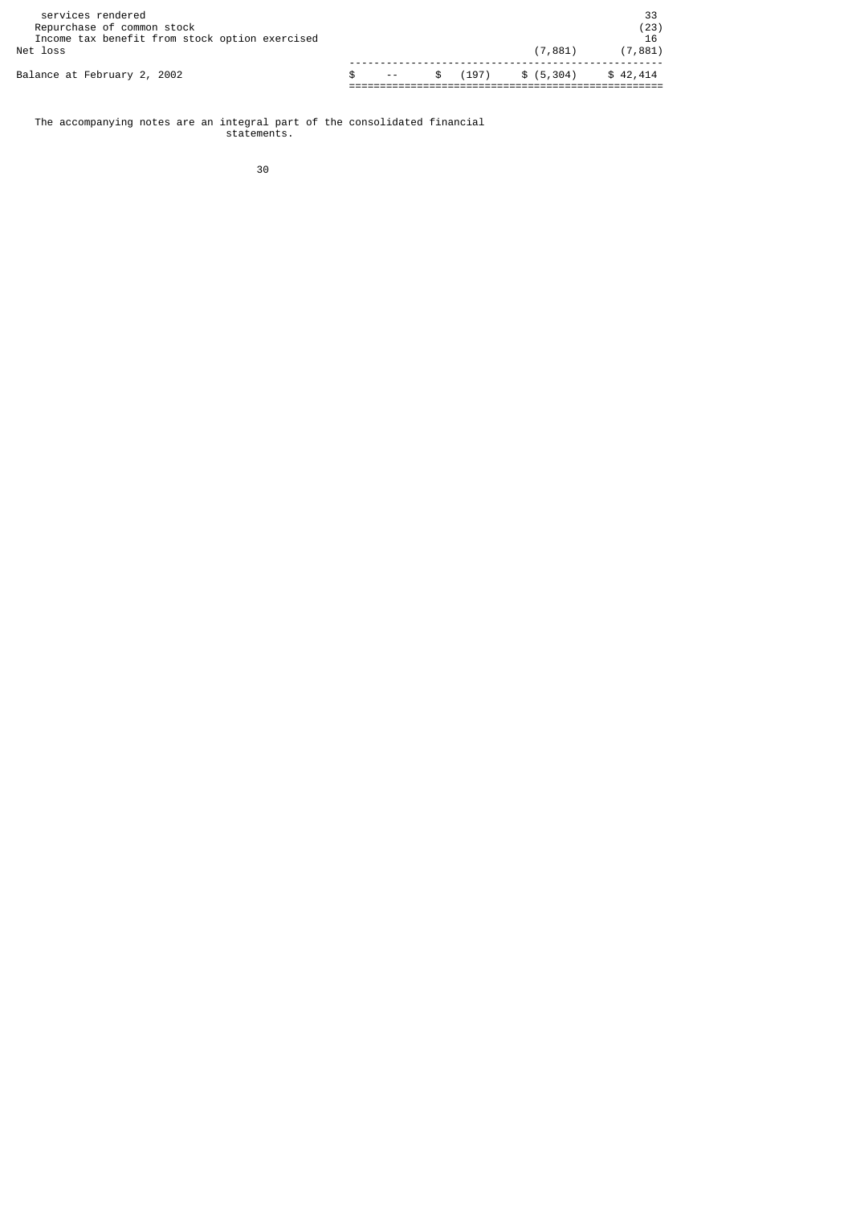| services rendered<br>Repurchase of common stock<br>Income tax benefit from stock option exercised<br>Net loss |                    |  | (7.881)             | 33<br>(23)<br>16<br>(7, 881) |
|---------------------------------------------------------------------------------------------------------------|--------------------|--|---------------------|------------------------------|
| Balance at February 2, 2002                                                                                   | the company of the |  | $$(197)$ $$(5,304)$ | \$42,414                     |

 The accompanying notes are an integral part of the consolidated financial statements.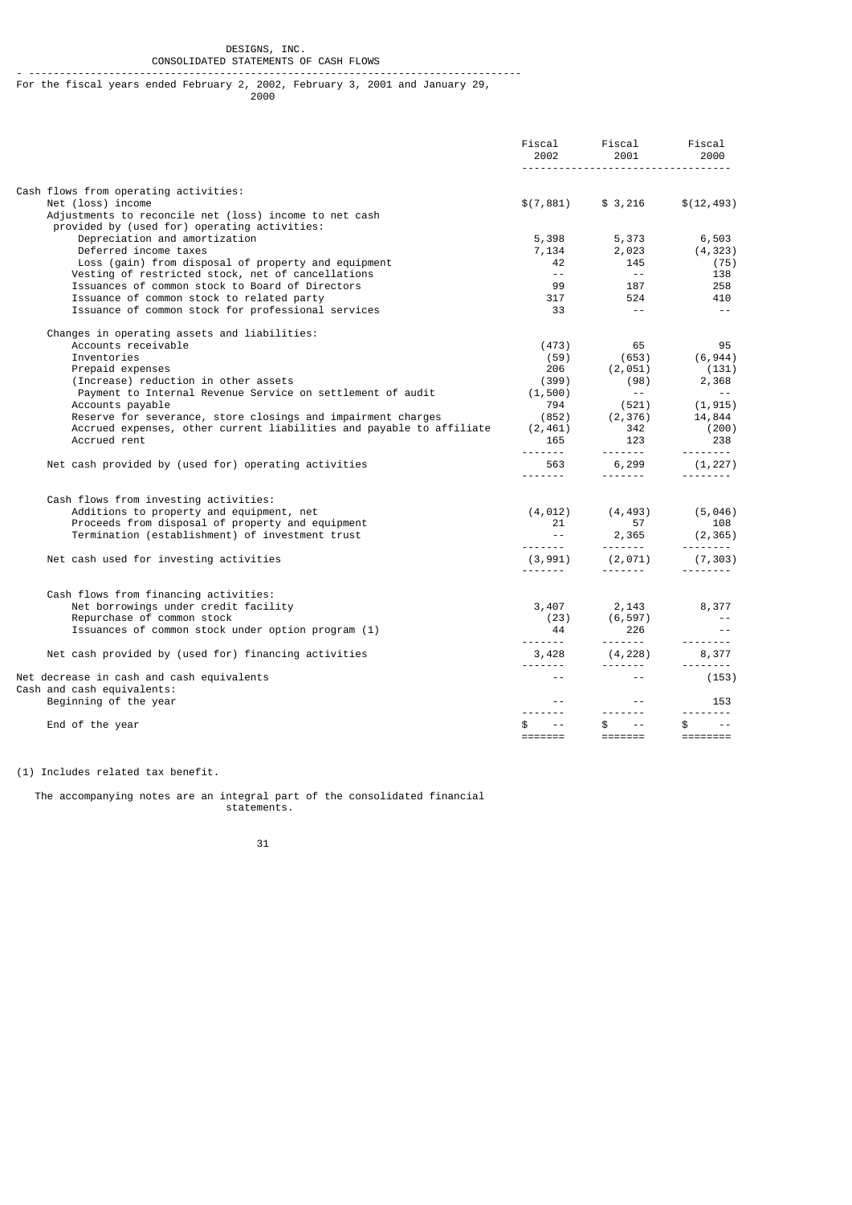#### DESIGNS, INC. CONSOLIDATED STATEMENTS OF CASH FLOWS

#### - -------------------------------------------------------------------------------- For the fiscal years ended February 2, 2002, February 3, 2001 and January 29,

проставление в село в 1960 године в 2000 године в 2000 године в 1960 године в 2000 године в 1970 године в 1970<br>При полезни производительности при полезни при полезни при полезни при полезни при полезни при полезни при пол

|                                                                                                                             | Fiscal<br>2002                                     | Fiscal<br>2001                                                                                                                                                                                                                                                                                                                                                                                                                                                                                       | Fiscal<br>2000                                                                                                                                                                                                                                                                                                                                                                                                                                                                                          |
|-----------------------------------------------------------------------------------------------------------------------------|----------------------------------------------------|------------------------------------------------------------------------------------------------------------------------------------------------------------------------------------------------------------------------------------------------------------------------------------------------------------------------------------------------------------------------------------------------------------------------------------------------------------------------------------------------------|---------------------------------------------------------------------------------------------------------------------------------------------------------------------------------------------------------------------------------------------------------------------------------------------------------------------------------------------------------------------------------------------------------------------------------------------------------------------------------------------------------|
| Cash flows from operating activities:                                                                                       |                                                    |                                                                                                                                                                                                                                                                                                                                                                                                                                                                                                      |                                                                                                                                                                                                                                                                                                                                                                                                                                                                                                         |
| Net (loss) income<br>Adjustments to reconcile net (loss) income to net cash<br>provided by (used for) operating activities: | \$(7,881)                                          | \$ 3,216                                                                                                                                                                                                                                                                                                                                                                                                                                                                                             | \$(12, 493)                                                                                                                                                                                                                                                                                                                                                                                                                                                                                             |
| Depreciation and amortization                                                                                               | 5,398                                              | 5,373                                                                                                                                                                                                                                                                                                                                                                                                                                                                                                | 6,503                                                                                                                                                                                                                                                                                                                                                                                                                                                                                                   |
| Deferred income taxes<br>Loss (gain) from disposal of property and equipment                                                | 7,134<br>42                                        | 2,023<br>145                                                                                                                                                                                                                                                                                                                                                                                                                                                                                         | (4, 323)<br>(75)                                                                                                                                                                                                                                                                                                                                                                                                                                                                                        |
| Vesting of restricted stock, net of cancellations<br>Issuances of common stock to Board of Directors                        | $\sim$ $\sim$ .<br>99                              | $\sim$ $ \sim$<br>187                                                                                                                                                                                                                                                                                                                                                                                                                                                                                | 138<br>258                                                                                                                                                                                                                                                                                                                                                                                                                                                                                              |
| Issuance of common stock to related party                                                                                   | 317                                                | 524                                                                                                                                                                                                                                                                                                                                                                                                                                                                                                  | 410                                                                                                                                                                                                                                                                                                                                                                                                                                                                                                     |
| Issuance of common stock for professional services                                                                          | 33                                                 | $\sim$ $\sim$                                                                                                                                                                                                                                                                                                                                                                                                                                                                                        | $\sim$ $-$                                                                                                                                                                                                                                                                                                                                                                                                                                                                                              |
| Changes in operating assets and liabilities:                                                                                |                                                    |                                                                                                                                                                                                                                                                                                                                                                                                                                                                                                      |                                                                                                                                                                                                                                                                                                                                                                                                                                                                                                         |
| Accounts receivable<br>Inventories                                                                                          | (473)<br>(59)                                      | 65<br>(653)                                                                                                                                                                                                                                                                                                                                                                                                                                                                                          | 95<br>(6, 944)                                                                                                                                                                                                                                                                                                                                                                                                                                                                                          |
| Prepaid expenses                                                                                                            | 206                                                | (2, 051)                                                                                                                                                                                                                                                                                                                                                                                                                                                                                             | (131)                                                                                                                                                                                                                                                                                                                                                                                                                                                                                                   |
| (Increase) reduction in other assets                                                                                        | (399)                                              | (98)                                                                                                                                                                                                                                                                                                                                                                                                                                                                                                 | 2,368                                                                                                                                                                                                                                                                                                                                                                                                                                                                                                   |
| Payment to Internal Revenue Service on settlement of audit                                                                  | (1, 500)                                           | $\sim$ $ -$                                                                                                                                                                                                                                                                                                                                                                                                                                                                                          | $\sim$ $\sim$                                                                                                                                                                                                                                                                                                                                                                                                                                                                                           |
| Accounts payable                                                                                                            | 794                                                | (521)                                                                                                                                                                                                                                                                                                                                                                                                                                                                                                | (1, 915)                                                                                                                                                                                                                                                                                                                                                                                                                                                                                                |
| Reserve for severance, store closings and impairment charges                                                                | (852)                                              | (2, 376)                                                                                                                                                                                                                                                                                                                                                                                                                                                                                             | 14,844                                                                                                                                                                                                                                                                                                                                                                                                                                                                                                  |
| Accrued expenses, other current liabilities and payable to affiliate<br>Accrued rent                                        | (2, 461)<br>165<br><u>.</u>                        | 342<br>123<br>$\begin{array}{cccccccccc} \multicolumn{2}{c}{} & \multicolumn{2}{c}{} & \multicolumn{2}{c}{} & \multicolumn{2}{c}{} & \multicolumn{2}{c}{} & \multicolumn{2}{c}{} & \multicolumn{2}{c}{} & \multicolumn{2}{c}{} & \multicolumn{2}{c}{} & \multicolumn{2}{c}{} & \multicolumn{2}{c}{} & \multicolumn{2}{c}{} & \multicolumn{2}{c}{} & \multicolumn{2}{c}{} & \multicolumn{2}{c}{} & \multicolumn{2}{c}{} & \multicolumn{2}{c}{} & \multicolumn{2}{c}{} & \multicolumn{2}{c}{} & \mult$ | (200)<br>238<br>1.1.1.1.1.1.1                                                                                                                                                                                                                                                                                                                                                                                                                                                                           |
| Net cash provided by (used for) operating activities                                                                        | 563<br><u>.</u> .                                  | 6,299<br>$- - - - - - - -$                                                                                                                                                                                                                                                                                                                                                                                                                                                                           | (1, 227)<br>.                                                                                                                                                                                                                                                                                                                                                                                                                                                                                           |
| Cash flows from investing activities:                                                                                       |                                                    |                                                                                                                                                                                                                                                                                                                                                                                                                                                                                                      |                                                                                                                                                                                                                                                                                                                                                                                                                                                                                                         |
| Additions to property and equipment, net                                                                                    | (4, 012)                                           | (4, 493)                                                                                                                                                                                                                                                                                                                                                                                                                                                                                             | (5,046)                                                                                                                                                                                                                                                                                                                                                                                                                                                                                                 |
| Proceeds from disposal of property and equipment                                                                            | 21                                                 | 57                                                                                                                                                                                                                                                                                                                                                                                                                                                                                                   | 108                                                                                                                                                                                                                                                                                                                                                                                                                                                                                                     |
| Termination (establishment) of investment trust                                                                             | $\sim 10^{-1}$<br>.                                | 2,365<br><u> - - - - - - -</u>                                                                                                                                                                                                                                                                                                                                                                                                                                                                       | (2, 365)<br>.                                                                                                                                                                                                                                                                                                                                                                                                                                                                                           |
| Net cash used for investing activities                                                                                      | (3, 991)<br>.                                      | (2, 071)<br><u> - - - - - - -</u>                                                                                                                                                                                                                                                                                                                                                                                                                                                                    | (7, 303)<br><u>.</u>                                                                                                                                                                                                                                                                                                                                                                                                                                                                                    |
| Cash flows from financing activities:                                                                                       |                                                    |                                                                                                                                                                                                                                                                                                                                                                                                                                                                                                      |                                                                                                                                                                                                                                                                                                                                                                                                                                                                                                         |
| Net borrowings under credit facility                                                                                        | 3,407                                              | 2,143                                                                                                                                                                                                                                                                                                                                                                                                                                                                                                | 8,377                                                                                                                                                                                                                                                                                                                                                                                                                                                                                                   |
| Repurchase of common stock                                                                                                  | (23)                                               | (6, 597)                                                                                                                                                                                                                                                                                                                                                                                                                                                                                             | $\sim$ $-$                                                                                                                                                                                                                                                                                                                                                                                                                                                                                              |
| Issuances of common stock under option program (1)                                                                          | 44<br><u>.</u>                                     | 226<br><u> 2222222</u>                                                                                                                                                                                                                                                                                                                                                                                                                                                                               | $\sim$ $\sim$<br>$\begin{array}{cccccccccccccc} \multicolumn{2}{c}{} & \multicolumn{2}{c}{} & \multicolumn{2}{c}{} & \multicolumn{2}{c}{} & \multicolumn{2}{c}{} & \multicolumn{2}{c}{} & \multicolumn{2}{c}{} & \multicolumn{2}{c}{} & \multicolumn{2}{c}{} & \multicolumn{2}{c}{} & \multicolumn{2}{c}{} & \multicolumn{2}{c}{} & \multicolumn{2}{c}{} & \multicolumn{2}{c}{} & \multicolumn{2}{c}{} & \multicolumn{2}{c}{} & \multicolumn{2}{c}{} & \multicolumn{2}{c}{} & \multicolumn{2}{c}{} & \$ |
| Net cash provided by (used for) financing activities                                                                        | 3,428<br><u>.</u> .                                | (4, 228)<br><u>.</u>                                                                                                                                                                                                                                                                                                                                                                                                                                                                                 | 8,377<br><u>.</u>                                                                                                                                                                                                                                                                                                                                                                                                                                                                                       |
| Net decrease in cash and cash equivalents                                                                                   | $\sim$ $\sim$                                      | $\sim$ $\sim$                                                                                                                                                                                                                                                                                                                                                                                                                                                                                        | (153)                                                                                                                                                                                                                                                                                                                                                                                                                                                                                                   |
| Cash and cash equivalents:<br>Beginning of the year                                                                         |                                                    | $ -$                                                                                                                                                                                                                                                                                                                                                                                                                                                                                                 | 153                                                                                                                                                                                                                                                                                                                                                                                                                                                                                                     |
|                                                                                                                             |                                                    | -------                                                                                                                                                                                                                                                                                                                                                                                                                                                                                              |                                                                                                                                                                                                                                                                                                                                                                                                                                                                                                         |
| End of the year                                                                                                             | \$<br>$\sim$ $\sim$<br>$=$ $=$ $=$ $=$ $=$ $=$ $=$ | \$<br>$\sim$ $\sim$<br>$=$ $=$ $=$ $=$ $=$ $=$ $=$                                                                                                                                                                                                                                                                                                                                                                                                                                                   | $\sim$ $\sim$<br>\$                                                                                                                                                                                                                                                                                                                                                                                                                                                                                     |

(1) Includes related tax benefit.

 The accompanying notes are an integral part of the consolidated financial statements.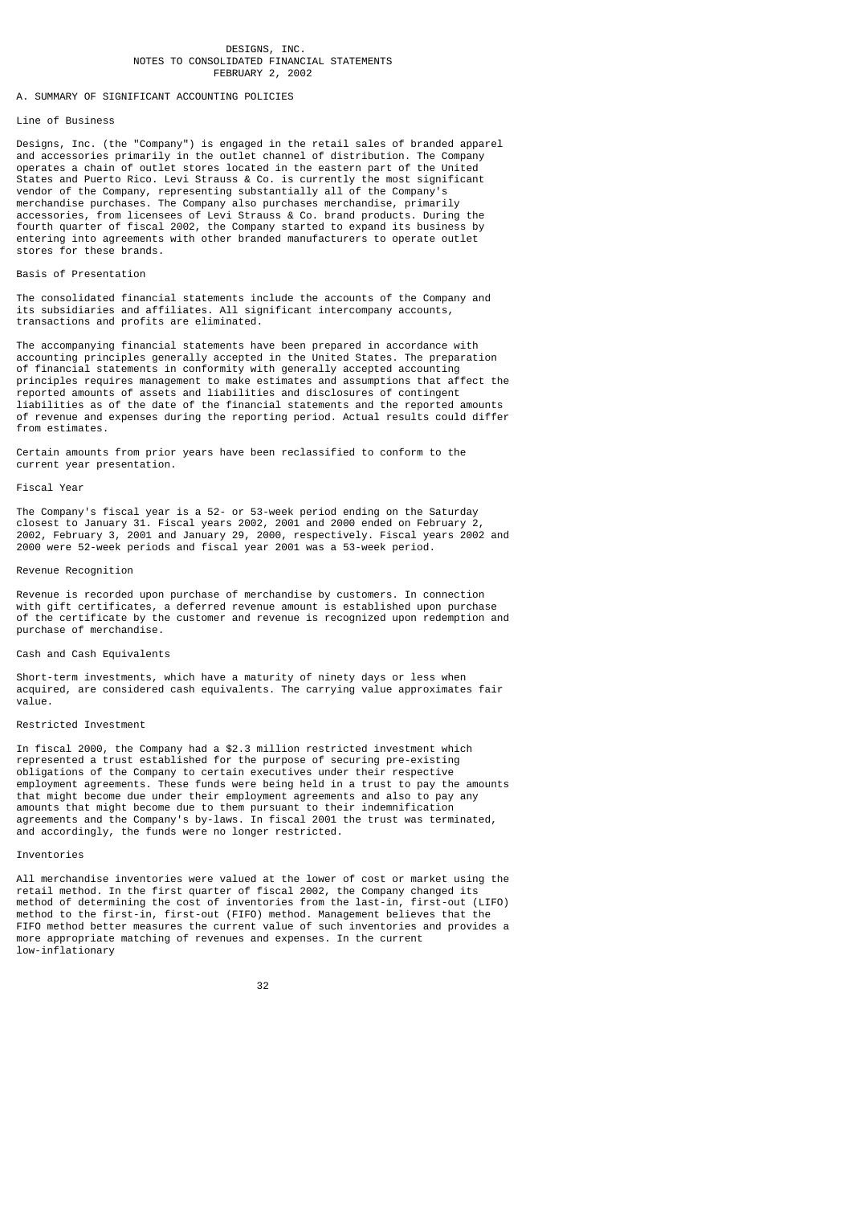#### DESIGNS, INC. NOTES TO CONSOLIDATED FINANCIAL STATEMENTS FEBRUARY 2, 2002

## A. SUMMARY OF SIGNIFICANT ACCOUNTING POLICIES

## Line of Business

Designs, Inc. (the "Company") is engaged in the retail sales of branded apparel and accessories primarily in the outlet channel of distribution. The Company operates a chain of outlet stores located in the eastern part of the United States and Puerto Rico. Levi Strauss & Co. is currently the most significant vendor of the Company, representing substantially all of the Company's merchandise purchases. The Company also purchases merchandise, primarily accessories, from licensees of Levi Strauss & Co. brand products. During the fourth quarter of fiscal 2002, the Company started to expand its business by entering into agreements with other branded manufacturers to operate outlet stores for these brands.

## Basis of Presentation

The consolidated financial statements include the accounts of the Company and its subsidiaries and affiliates. All significant intercompany accounts, transactions and profits are eliminated.

The accompanying financial statements have been prepared in accordance with accounting principles generally accepted in the United States. The preparation of financial statements in conformity with generally accepted accounting principles requires management to make estimates and assumptions that affect the reported amounts of assets and liabilities and disclosures of contingent liabilities as of the date of the financial statements and the reported amounts of revenue and expenses during the reporting period. Actual results could differ from estimates.

Certain amounts from prior years have been reclassified to conform to the current year presentation.

#### Fiscal Year

The Company's fiscal year is a 52- or 53-week period ending on the Saturday closest to January 31. Fiscal years 2002, 2001 and 2000 ended on February 2, 2002, February 3, 2001 and January 29, 2000, respectively. Fiscal years 2002 and 2000 were 52-week periods and fiscal year 2001 was a 53-week period.

## Revenue Recognition

Revenue is recorded upon purchase of merchandise by customers. In connection with gift certificates, a deferred revenue amount is established upon purchase of the certificate by the customer and revenue is recognized upon redemption and purchase of merchandise.

## Cash and Cash Equivalents

Short-term investments, which have a maturity of ninety days or less when acquired, are considered cash equivalents. The carrying value approximates fair value.

#### Restricted Investment

In fiscal 2000, the Company had a \$2.3 million restricted investment which represented a trust established for the purpose of securing pre-existing obligations of the Company to certain executives under their respective employment agreements. These funds were being held in a trust to pay the amounts that might become due under their employment agreements and also to pay any amounts that might become due to them pursuant to their indemnification agreements and the Company's by-laws. In fiscal 2001 the trust was terminated, and accordingly, the funds were no longer restricted.

#### Inventories

All merchandise inventories were valued at the lower of cost or market using the retail method. In the first quarter of fiscal 2002, the Company changed its method of determining the cost of inventories from the last-in, first-out (LIFO) method to the first-in, first-out (FIFO) method. Management believes that the FIFO method better measures the current value of such inventories and provides a more appropriate matching of revenues and expenses. In the current low-inflationary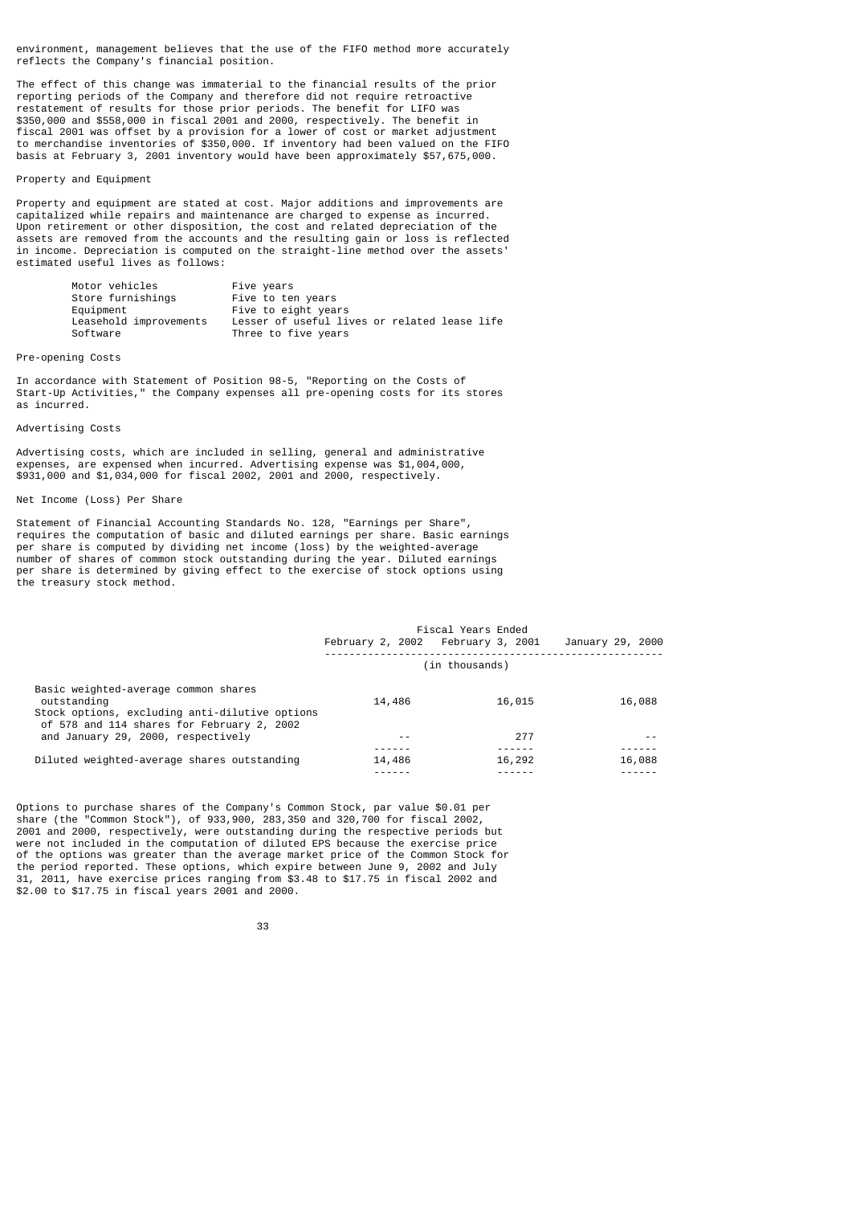environment, management believes that the use of the FIFO method more accurately reflects the Company's financial position.

The effect of this change was immaterial to the financial results of the prior reporting periods of the Company and therefore did not require retroactive restatement of results for those prior periods. The benefit for LIFO was \$350,000 and \$558,000 in fiscal 2001 and 2000, respectively. The benefit in fiscal 2001 was offset by a provision for a lower of cost or market adjustment to merchandise inventories of \$350,000. If inventory had been valued on the FIFO basis at February 3, 2001 inventory would have been approximately \$57,675,000.

## Property and Equipment

Property and equipment are stated at cost. Major additions and improvements are capitalized while repairs and maintenance are charged to expense as incurred. Upon retirement or other disposition, the cost and related depreciation of the assets are removed from the accounts and the resulting gain or loss is reflected in income. Depreciation is computed on the straight-line method over the assets' estimated useful lives as follows:

| Motor vehicles         | Five years                                   |
|------------------------|----------------------------------------------|
| Store furnishings      | Five to ten years                            |
| Equipment              | Five to eight years                          |
| Leasehold improvements | Lesser of useful lives or related lease life |
| Software               | Three to five years                          |

## Pre-opening Costs

In accordance with Statement of Position 98-5, "Reporting on the Costs of Start-Up Activities," the Company expenses all pre-opening costs for its stores as incurred.

## Advertising Costs

Advertising costs, which are included in selling, general and administrative expenses, are expensed when incurred. Advertising expense was \$1,004,000, \$931,000 and \$1,034,000 for fiscal 2002, 2001 and 2000, respectively.

## Net Income (Loss) Per Share

Statement of Financial Accounting Standards No. 128, "Earnings per Share", requires the computation of basic and diluted earnings per share. Basic earnings per share is computed by dividing net income (loss) by the weighted-average number of shares of common stock outstanding during the year. Diluted earnings per share is determined by giving effect to the exercise of stock options using the treasury stock method.

|                                                                                                       |                | Fiscal Years Ended<br>February 2, 2002 February 3, 2001 | January 29, 2000 |  |
|-------------------------------------------------------------------------------------------------------|----------------|---------------------------------------------------------|------------------|--|
|                                                                                                       | (in thousands) |                                                         |                  |  |
| Basic weighted-average common shares<br>outstanding<br>Stock options, excluding anti-dilutive options | 14,486         | 16,015                                                  | 16,088           |  |
| of 578 and 114 shares for February 2, 2002<br>and January 29, 2000, respectively                      | - -            | 277                                                     |                  |  |
| Diluted weighted-average shares outstanding                                                           | 14,486         | 16,292                                                  | 16,088           |  |

Options to purchase shares of the Company's Common Stock, par value \$0.01 per share (the "Common Stock"), of 933,900, 283,350 and 320,700 for fiscal 2002, 2001 and 2000, respectively, were outstanding during the respective periods but were not included in the computation of diluted EPS because the exercise price of the options was greater than the average market price of the Common Stock for the period reported. These options, which expire between June 9, 2002 and July 31, 2011, have exercise prices ranging from \$3.48 to \$17.75 in fiscal 2002 and \$2.00 to \$17.75 in fiscal years 2001 and 2000.

<sup>33</sup> and 2012 and 2013 and 2013 and 2014 and 2014 and 2014 and 2014 and 2014 and 2014 and 2014 and 2014 and 2014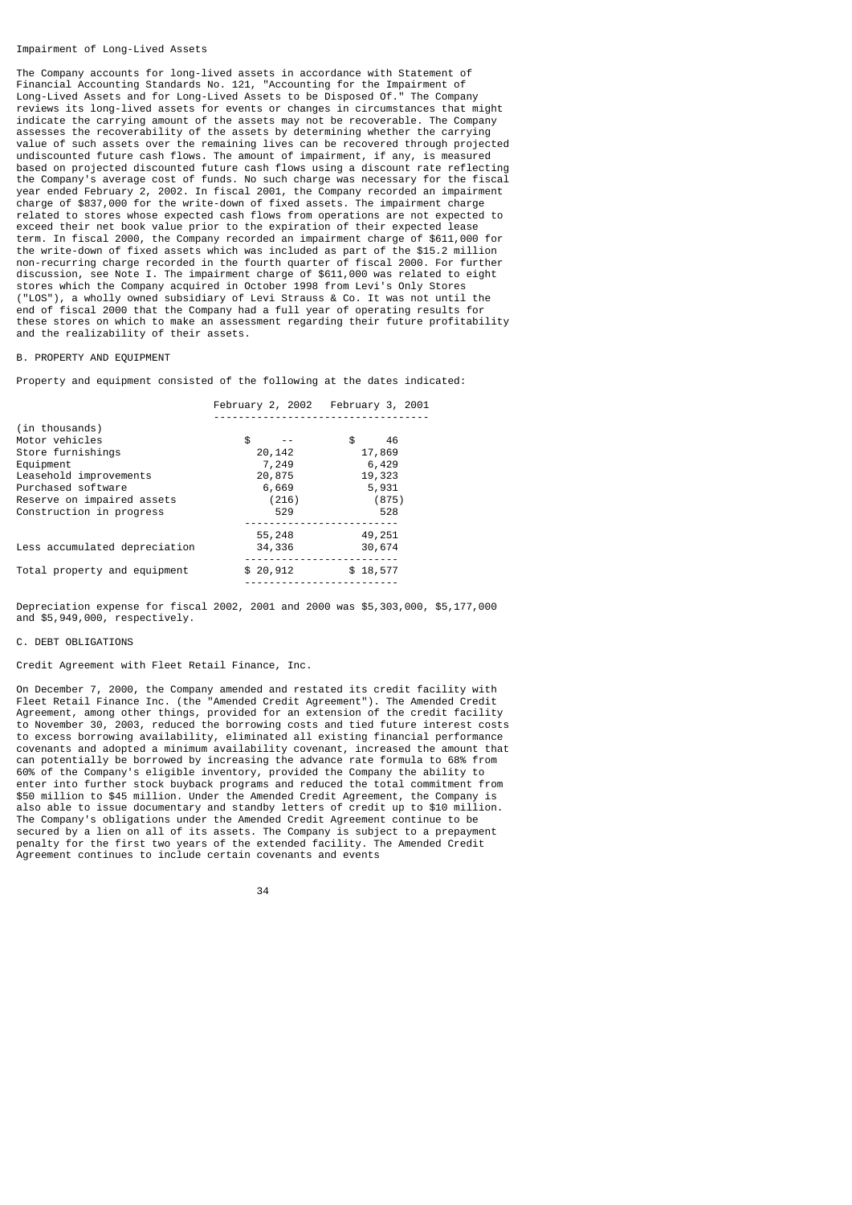#### Impairment of Long-Lived Assets

The Company accounts for long-lived assets in accordance with Statement of Financial Accounting Standards No. 121, "Accounting for the Impairment of Long-Lived Assets and for Long-Lived Assets to be Disposed Of." The Company reviews its long-lived assets for events or changes in circumstances that might indicate the carrying amount of the assets may not be recoverable. The Company assesses the recoverability of the assets by determining whether the carrying value of such assets over the remaining lives can be recovered through projected undiscounted future cash flows. The amount of impairment, if any, is measured based on projected discounted future cash flows using a discount rate reflecting the Company's average cost of funds. No such charge was necessary for the fiscal year ended February 2, 2002. In fiscal 2001, the Company recorded an impairment charge of \$837,000 for the write-down of fixed assets. The impairment charge related to stores whose expected cash flows from operations are not expected to exceed their net book value prior to the expiration of their expected lease term. In fiscal 2000, the Company recorded an impairment charge of \$611,000 for the write-down of fixed assets which was included as part of the \$15.2 million non-recurring charge recorded in the fourth quarter of fiscal 2000. For further discussion, see Note I. The impairment charge of \$611,000 was related to eight stores which the Company acquired in October 1998 from Levi's Only Stores ("LOS"), a wholly owned subsidiary of Levi Strauss & Co. It was not until the end of fiscal 2000 that the Company had a full year of operating results for these stores on which to make an assessment regarding their future profitability and the realizability of their assets.

## B. PROPERTY AND EQUIPMENT

Property and equipment consisted of the following at the dates indicated:

|                               |           | February 2, 2002 February 3, 2001 |
|-------------------------------|-----------|-----------------------------------|
|                               |           |                                   |
| (in thousands)                |           |                                   |
| Motor vehicles                | \$        | \$<br>46                          |
| Store furnishings             | 20,142    | 17,869                            |
| Equipment                     | 7,249     | 6,429                             |
| Leasehold improvements        | 20,875    | 19,323                            |
| Purchased software            | 6,669     | 5,931                             |
| Reserve on impaired assets    | (216)     | (875)                             |
| Construction in progress      | 529       | 528                               |
|                               |           |                                   |
|                               | 55,248    | 49,251                            |
| Less accumulated depreciation | 34,336    | 30,674                            |
|                               |           |                                   |
| Total property and equipment  | \$ 20,912 | \$18,577                          |
|                               |           |                                   |

Depreciation expense for fiscal 2002, 2001 and 2000 was \$5,303,000, \$5,177,000 and \$5,949,000, respectively.

#### C. DEBT OBLIGATIONS

## Credit Agreement with Fleet Retail Finance, Inc.

On December 7, 2000, the Company amended and restated its credit facility with Fleet Retail Finance Inc. (the "Amended Credit Agreement"). The Amended Credit Agreement, among other things, provided for an extension of the credit facility to November 30, 2003, reduced the borrowing costs and tied future interest costs to excess borrowing availability, eliminated all existing financial performance covenants and adopted a minimum availability covenant, increased the amount that can potentially be borrowed by increasing the advance rate formula to 68% from 60% of the Company's eligible inventory, provided the Company the ability to enter into further stock buyback programs and reduced the total commitment from \$50 million to \$45 million. Under the Amended Credit Agreement, the Company is also able to issue documentary and standby letters of credit up to \$10 million. The Company's obligations under the Amended Credit Agreement continue to be secured by a lien on all of its assets. The Company is subject to a prepayment penalty for the first two years of the extended facility. The Amended Credit Agreement continues to include certain covenants and events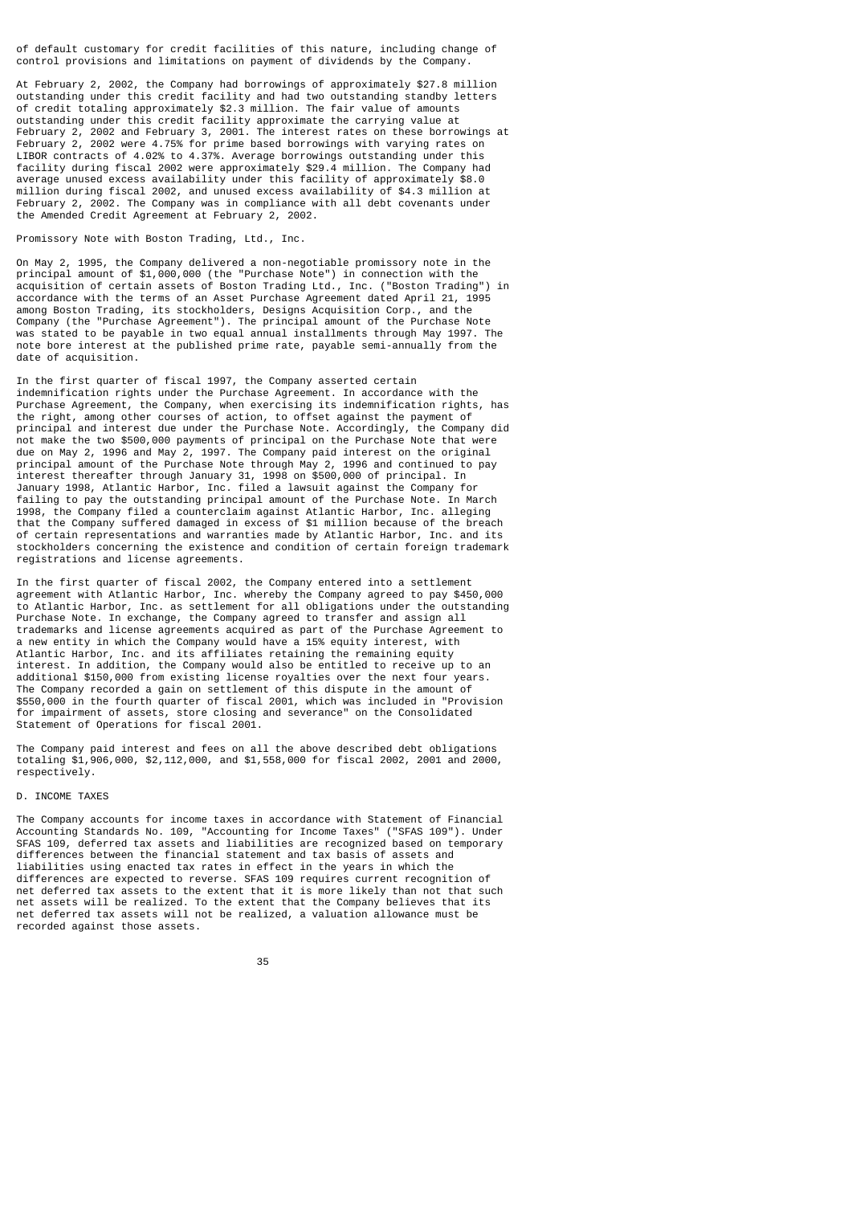of default customary for credit facilities of this nature, including change of control provisions and limitations on payment of dividends by the Company.

At February 2, 2002, the Company had borrowings of approximately \$27.8 million outstanding under this credit facility and had two outstanding standby letters of credit totaling approximately \$2.3 million. The fair value of amounts outstanding under this credit facility approximate the carrying value at February 2, 2002 and February 3, 2001. The interest rates on these borrowings at February 2, 2002 were 4.75% for prime based borrowings with varying rates on LIBOR contracts of 4.02% to 4.37%. Average borrowings outstanding under this facility during fiscal 2002 were approximately \$29.4 million. The Company had average unused excess availability under this facility of approximately \$8.0 million during fiscal 2002, and unused excess availability of \$4.3 million at February 2, 2002. The Company was in compliance with all debt covenants under the Amended Credit Agreement at February 2, 2002.

Promissory Note with Boston Trading, Ltd., Inc.

On May 2, 1995, the Company delivered a non-negotiable promissory note in the principal amount of \$1,000,000 (the "Purchase Note") in connection with the acquisition of certain assets of Boston Trading Ltd., Inc. ("Boston Trading") in accordance with the terms of an Asset Purchase Agreement dated April 21, 1995 among Boston Trading, its stockholders, Designs Acquisition Corp., and the Company (the "Purchase Agreement"). The principal amount of the Purchase Note was stated to be payable in two equal annual installments through May 1997. The note bore interest at the published prime rate, payable semi-annually from the date of acquisition.

In the first quarter of fiscal 1997, the Company asserted certain indemnification rights under the Purchase Agreement. In accordance with the Purchase Agreement, the Company, when exercising its indemnification rights, has the right, among other courses of action, to offset against the payment of principal and interest due under the Purchase Note. Accordingly, the Company did not make the two \$500,000 payments of principal on the Purchase Note that were due on May 2, 1996 and May 2, 1997. The Company paid interest on the original principal amount of the Purchase Note through May 2, 1996 and continued to pay interest thereafter through January 31, 1998 on \$500,000 of principal. In January 1998, Atlantic Harbor, Inc. filed a lawsuit against the Company for failing to pay the outstanding principal amount of the Purchase Note. In March 1998, the Company filed a counterclaim against Atlantic Harbor, Inc. alleging that the Company suffered damaged in excess of \$1 million because of the breach of certain representations and warranties made by Atlantic Harbor, Inc. and its stockholders concerning the existence and condition of certain foreign trademark registrations and license agreements.

In the first quarter of fiscal 2002, the Company entered into a settlement agreement with Atlantic Harbor, Inc. whereby the Company agreed to pay \$450,000 to Atlantic Harbor, Inc. as settlement for all obligations under the outstanding Purchase Note. In exchange, the Company agreed to transfer and assign all trademarks and license agreements acquired as part of the Purchase Agreement to a new entity in which the Company would have a 15% equity interest, with Atlantic Harbor, Inc. and its affiliates retaining the remaining equity interest. In addition, the Company would also be entitled to receive up to an additional \$150,000 from existing license royalties over the next four years. The Company recorded a gain on settlement of this dispute in the amount of \$550,000 in the fourth quarter of fiscal 2001, which was included in "Provision for impairment of assets, store closing and severance" on the Consolidated Statement of Operations for fiscal 2001.

The Company paid interest and fees on all the above described debt obligations totaling \$1,906,000, \$2,112,000, and \$1,558,000 for fiscal 2002, 2001 and 2000, respectively.

## D. INCOME TAXES

The Company accounts for income taxes in accordance with Statement of Financial Accounting Standards No. 109, "Accounting for Income Taxes" ("SFAS 109"). Under SFAS 109, deferred tax assets and liabilities are recognized based on temporary differences between the financial statement and tax basis of assets and liabilities using enacted tax rates in effect in the years in which the differences are expected to reverse. SFAS 109 requires current recognition of net deferred tax assets to the extent that it is more likely than not that such net assets will be realized. To the extent that the Company believes that its net deferred tax assets will not be realized, a valuation allowance must be recorded against those assets.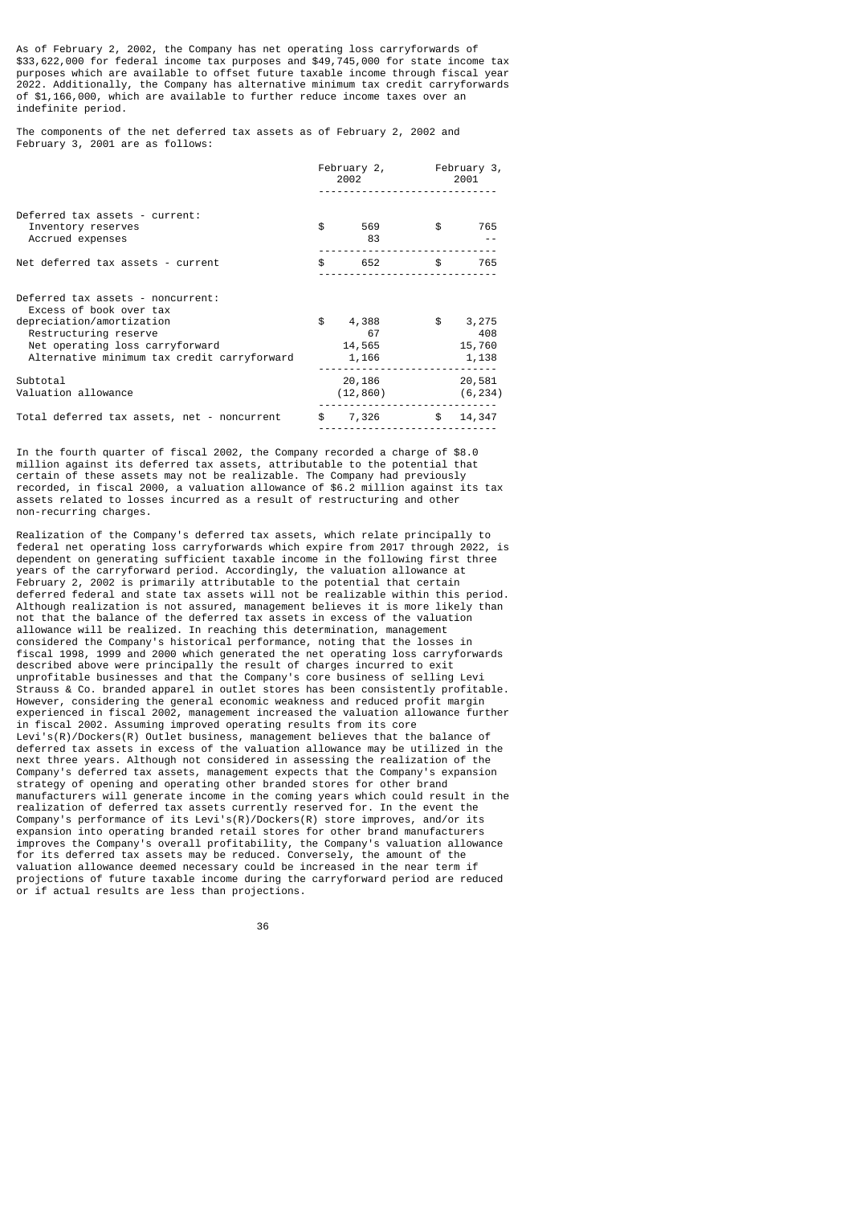As of February 2, 2002, the Company has net operating loss carryforwards of \$33,622,000 for federal income tax purposes and \$49,745,000 for state income tax purposes which are available to offset future taxable income through fiscal year 2022. Additionally, the Company has alternative minimum tax credit carryforwards of \$1,166,000, which are available to further reduce income taxes over an indefinite period.

The components of the net deferred tax assets as of February 2, 2002 and February 3, 2001 are as follows:

|                                                                                                                                                                                                      | 2002         |                                           | February 2, February 3,<br>2001 |                                 |
|------------------------------------------------------------------------------------------------------------------------------------------------------------------------------------------------------|--------------|-------------------------------------------|---------------------------------|---------------------------------|
| Deferred tax assets - current:<br>Inventory reserves<br>Accrued expenses                                                                                                                             | \$           | 569<br>83                                 | \$                              | 765                             |
| Net deferred tax assets - current                                                                                                                                                                    | $\mathsf{s}$ | 652                                       | $\mathfrak{S}$                  | 765                             |
| Deferred tax assets - noncurrent:<br>Excess of book over tax<br>depreciation/amortization<br>Restructuring reserve<br>Net operating loss carryforward<br>Alternative minimum tax credit carryforward | \$           | 4,388<br>67<br>14,565<br>1,166            | $\frac{1}{2}$                   | 3,275<br>408<br>15,760<br>1,138 |
| Subtotal<br>Valuation allowance                                                                                                                                                                      |              | 20,186<br>(12, 860)                       |                                 | 20,581<br>(6, 234)              |
| Total deferred tax assets, net - noncurrent                                                                                                                                                          |              | \$7,326<br>------------------------------ |                                 | \$14,347                        |

In the fourth quarter of fiscal 2002, the Company recorded a charge of \$8.0 million against its deferred tax assets, attributable to the potential that certain of these assets may not be realizable. The Company had previously recorded, in fiscal 2000, a valuation allowance of \$6.2 million against its tax assets related to losses incurred as a result of restructuring and other non-recurring charges.

Realization of the Company's deferred tax assets, which relate principally to federal net operating loss carryforwards which expire from 2017 through 2022, is dependent on generating sufficient taxable income in the following first three years of the carryforward period. Accordingly, the valuation allowance at February 2, 2002 is primarily attributable to the potential that certain deferred federal and state tax assets will not be realizable within this period. Although realization is not assured, management believes it is more likely than not that the balance of the deferred tax assets in excess of the valuation allowance will be realized. In reaching this determination, management considered the Company's historical performance, noting that the losses in fiscal 1998, 1999 and 2000 which generated the net operating loss carryforwards described above were principally the result of charges incurred to exit unprofitable businesses and that the Company's core business of selling Levi Strauss & Co. branded apparel in outlet stores has been consistently profitable. However, considering the general economic weakness and reduced profit margin experienced in fiscal 2002, management increased the valuation allowance further in fiscal 2002. Assuming improved operating results from its core Levi's(R)/Dockers(R) Outlet business, management believes that the balance of deferred tax assets in excess of the valuation allowance may be utilized in the next three years. Although not considered in assessing the realization of the Company's deferred tax assets, management expects that the Company's expansion strategy of opening and operating other branded stores for other brand manufacturers will generate income in the coming years which could result in the realization of deferred tax assets currently reserved for. In the event the Company's performance of its Levi's(R)/Dockers(R) store improves, and/or its expansion into operating branded retail stores for other brand manufacturers improves the Company's overall profitability, the Company's valuation allowance for its deferred tax assets may be reduced. Conversely, the amount of the valuation allowance deemed necessary could be increased in the near term if projections of future taxable income during the carryforward period are reduced or if actual results are less than projections.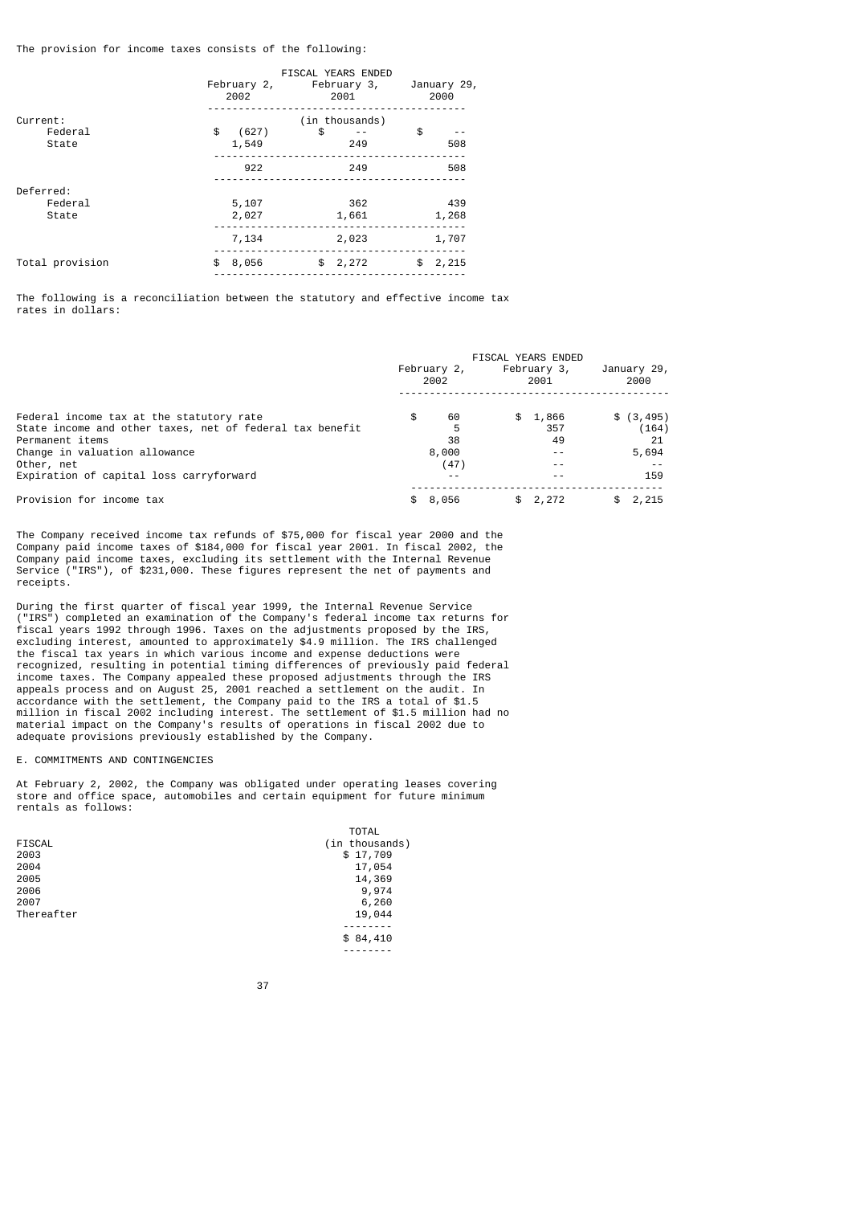The provision for income taxes consists of the following:

|                 | <b>FISCAL YEARS ENDED</b> |                                 |                     |  |  |  |  |
|-----------------|---------------------------|---------------------------------|---------------------|--|--|--|--|
|                 | 2002                      | February 2, February 3,<br>2001 | January 29,<br>2000 |  |  |  |  |
| Current:        |                           | (in thousands)                  |                     |  |  |  |  |
| Federal         | \$<br>(627)               | \$                              | \$                  |  |  |  |  |
| State           | 1,549                     | 249                             | 508                 |  |  |  |  |
|                 | 922                       | 249                             | 508                 |  |  |  |  |
| Deferred:       |                           |                                 |                     |  |  |  |  |
| Federal         | 5,107                     | 362                             | 439                 |  |  |  |  |
| State           | 2,027                     | 1,661                           | 1,268               |  |  |  |  |
|                 | 7,134                     | 2,023                           | 1,707               |  |  |  |  |
| Total provision | \$<br>8,056               | \$2,272                         | \$2,215             |  |  |  |  |
|                 |                           |                                 |                     |  |  |  |  |

The following is a reconciliation between the statutory and effective income tax rates in dollars:

|                                                          | February 2,<br>2002 |    | <b>FISCAL YEARS ENDED</b><br>February 3,<br>2001 |     | January 29,<br>2000 |
|----------------------------------------------------------|---------------------|----|--------------------------------------------------|-----|---------------------|
| Federal income tax at the statutory rate                 | \$<br>60            | S. | 1,866                                            |     | \$ (3, 495)         |
| State income and other taxes, net of federal tax benefit | 5                   |    | 357                                              |     | (164)               |
| Permanent items                                          | 38                  |    | 49                                               |     | 21                  |
| Change in valuation allowance                            | 8,000               |    | $ -$                                             |     | 5,694               |
| Other, net                                               | (47)                |    |                                                  |     |                     |
| Expiration of capital loss carryforward                  | - -                 |    | $ -$                                             |     | 159                 |
| Provision for income tax                                 | \$8,056             |    | \$2,272                                          | \$. | 2,215               |

The Company received income tax refunds of \$75,000 for fiscal year 2000 and the Company paid income taxes of \$184,000 for fiscal year 2001. In fiscal 2002, the Company paid income taxes, excluding its settlement with the Internal Revenue Service ("IRS"), of \$231,000. These figures represent the net of payments and receipts.

During the first quarter of fiscal year 1999, the Internal Revenue Service ("IRS") completed an examination of the Company's federal income tax returns for fiscal years 1992 through 1996. Taxes on the adjustments proposed by the IRS, excluding interest, amounted to approximately \$4.9 million. The IRS challenged the fiscal tax years in which various income and expense deductions were recognized, resulting in potential timing differences of previously paid federal income taxes. The Company appealed these proposed adjustments through the IRS appeals process and on August 25, 2001 reached a settlement on the audit. In accordance with the settlement, the Company paid to the IRS a total of \$1.5 million in fiscal 2002 including interest. The settlement of \$1.5 million had no material impact on the Company's results of operations in fiscal 2002 due to adequate provisions previously established by the Company.

# E. COMMITMENTS AND CONTINGENCIES

At February 2, 2002, the Company was obligated under operating leases covering store and office space, automobiles and certain equipment for future minimum rentals as follows:

|            | <b>TOTAL</b>   |
|------------|----------------|
| FISCAL     | (in thousands) |
| 2003       | \$17,709       |
| 2004       | 17,054         |
| 2005       | 14,369         |
| 2006       | 9,974          |
| 2007       | 6,260          |
| Thereafter | 19,044         |
|            |                |
|            | \$84,410       |

--------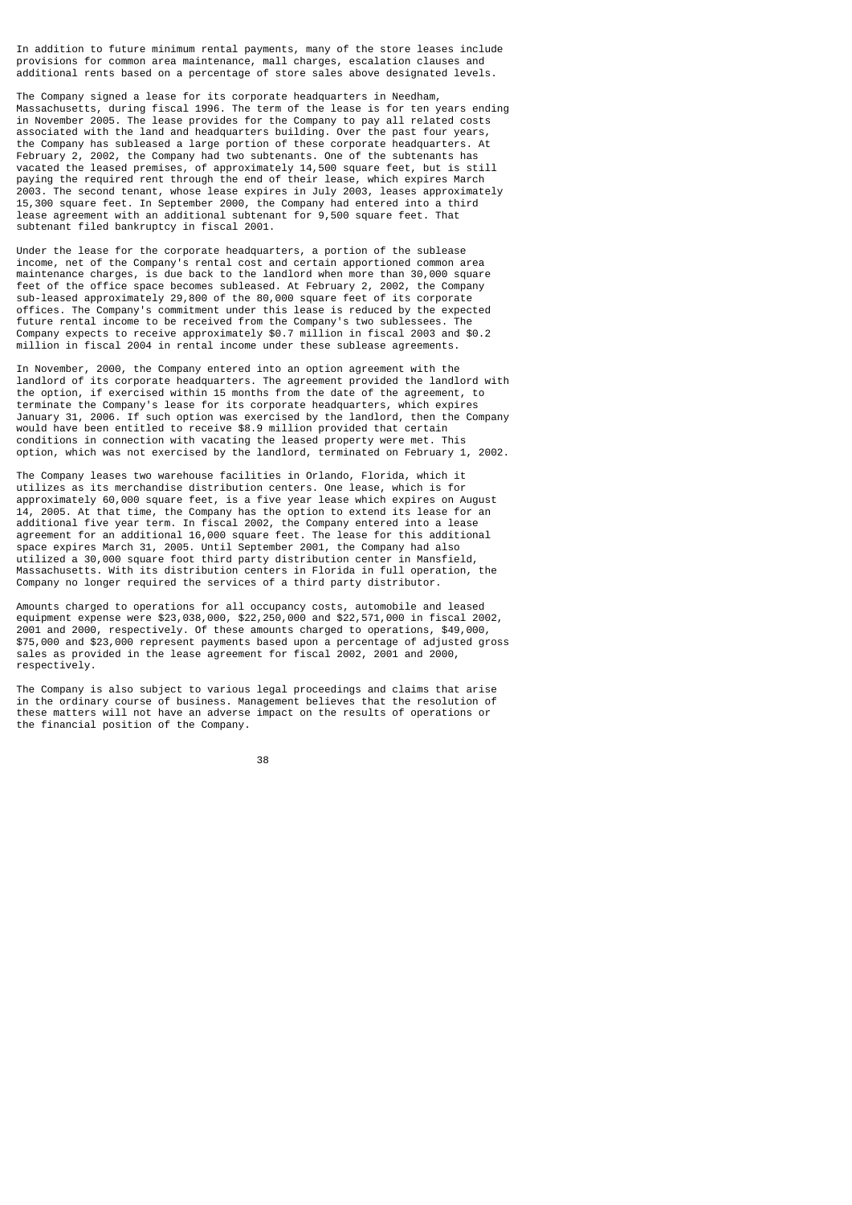In addition to future minimum rental payments, many of the store leases include provisions for common area maintenance, mall charges, escalation clauses and additional rents based on a percentage of store sales above designated levels.

The Company signed a lease for its corporate headquarters in Needham, Massachusetts, during fiscal 1996. The term of the lease is for ten years ending in November 2005. The lease provides for the Company to pay all related costs associated with the land and headquarters building. Over the past four years, the Company has subleased a large portion of these corporate headquarters. At February 2, 2002, the Company had two subtenants. One of the subtenants has vacated the leased premises, of approximately 14,500 square feet, but is still paying the required rent through the end of their lease, which expires March 2003. The second tenant, whose lease expires in July 2003, leases approximately 15,300 square feet. In September 2000, the Company had entered into a third lease agreement with an additional subtenant for 9,500 square feet. That subtenant filed bankruptcy in fiscal 2001.

Under the lease for the corporate headquarters, a portion of the sublease income, net of the Company's rental cost and certain apportioned common area maintenance charges, is due back to the landlord when more than 30,000 square feet of the office space becomes subleased. At February 2, 2002, the Company sub-leased approximately 29,800 of the 80,000 square feet of its corporate offices. The Company's commitment under this lease is reduced by the expected future rental income to be received from the Company's two sublessees. The Company expects to receive approximately \$0.7 million in fiscal 2003 and \$0.2 million in fiscal 2004 in rental income under these sublease agreements.

In November, 2000, the Company entered into an option agreement with the landlord of its corporate headquarters. The agreement provided the landlord with the option, if exercised within 15 months from the date of the agreement, to terminate the Company's lease for its corporate headquarters, which expires January 31, 2006. If such option was exercised by the landlord, then the Company would have been entitled to receive \$8.9 million provided that certain conditions in connection with vacating the leased property were met. This option, which was not exercised by the landlord, terminated on February 1, 2002.

The Company leases two warehouse facilities in Orlando, Florida, which it utilizes as its merchandise distribution centers. One lease, which is for approximately 60,000 square feet, is a five year lease which expires on August 14, 2005. At that time, the Company has the option to extend its lease for an additional five year term. In fiscal 2002, the Company entered into a lease agreement for an additional 16,000 square feet. The lease for this additional space expires March 31, 2005. Until September 2001, the Company had also utilized a 30,000 square foot third party distribution center in Mansfield, Massachusetts. With its distribution centers in Florida in full operation, the Company no longer required the services of a third party distributor.

Amounts charged to operations for all occupancy costs, automobile and leased equipment expense were \$23,038,000, \$22,250,000 and \$22,571,000 in fiscal 2002, 2001 and 2000, respectively. Of these amounts charged to operations, \$49,000, \$75,000 and \$23,000 represent payments based upon a percentage of adjusted gross sales as provided in the lease agreement for fiscal 2002, 2001 and 2000, respectively.

The Company is also subject to various legal proceedings and claims that arise in the ordinary course of business. Management believes that the resolution of these matters will not have an adverse impact on the results of operations or the financial position of the Company.

<u>38 and 200 and 200 and 200 and 200 and 200 and 200 and 200 and 200 and 200 and 200 and 200 and 200 and 200 and 200 and 200 and 200 and 200 and 200 and 200 and 200 and 200 and 200 and 200 and 200 and 200 and 200 and 200 an</u>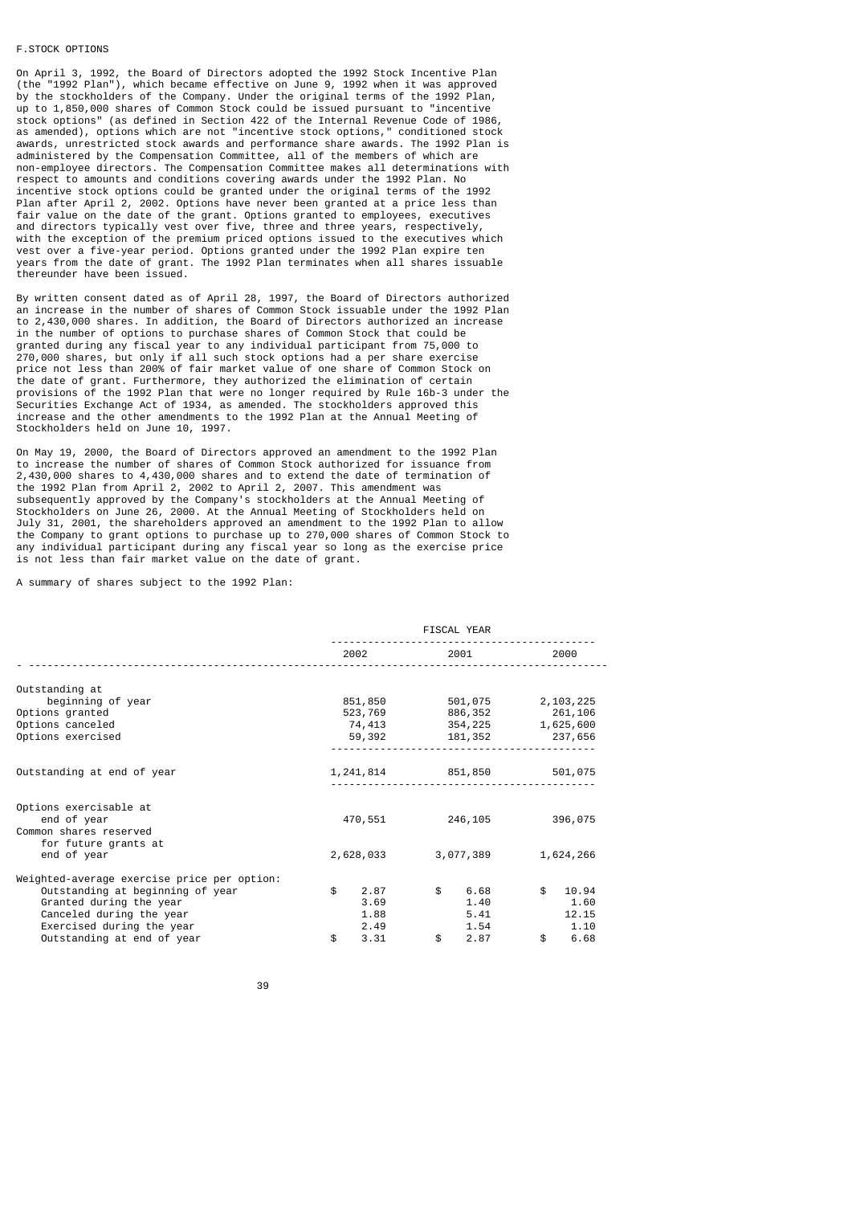#### F.STOCK OPTIONS

On April 3, 1992, the Board of Directors adopted the 1992 Stock Incentive Plan (the "1992 Plan"), which became effective on June 9, 1992 when it was approved by the stockholders of the Company. Under the original terms of the 1992 Plan, up to 1,850,000 shares of Common Stock could be issued pursuant to "incentive stock options" (as defined in Section 422 of the Internal Revenue Code of 1986, as amended), options which are not "incentive stock options," conditioned stock awards, unrestricted stock awards and performance share awards. The 1992 Plan is administered by the Compensation Committee, all of the members of which are non-employee directors. The Compensation Committee makes all determinations with respect to amounts and conditions covering awards under the 1992 Plan. No incentive stock options could be granted under the original terms of the 1992 Plan after April 2, 2002. Options have never been granted at a price less than fair value on the date of the grant. Options granted to employees, executives and directors typically vest over five, three and three years, respectively, with the exception of the premium priced options issued to the executives which vest over a five-year period. Options granted under the 1992 Plan expire ten years from the date of grant. The 1992 Plan terminates when all shares issuable thereunder have been issued.

By written consent dated as of April 28, 1997, the Board of Directors authorized an increase in the number of shares of Common Stock issuable under the 1992 Plan to 2,430,000 shares. In addition, the Board of Directors authorized an increase in the number of options to purchase shares of Common Stock that could be granted during any fiscal year to any individual participant from 75,000 to 270,000 shares, but only if all such stock options had a per share exercise price not less than 200% of fair market value of one share of Common Stock on the date of grant. Furthermore, they authorized the elimination of certain provisions of the 1992 Plan that were no longer required by Rule 16b-3 under the Securities Exchange Act of 1934, as amended. The stockholders approved this increase and the other amendments to the 1992 Plan at the Annual Meeting of Stockholders held on June 10, 1997.

On May 19, 2000, the Board of Directors approved an amendment to the 1992 Plan to increase the number of shares of Common Stock authorized for issuance from 2,430,000 shares to 4,430,000 shares and to extend the date of termination of the 1992 Plan from April 2, 2002 to April 2, 2007. This amendment was subsequently approved by the Company's stockholders at the Annual Meeting of Stockholders on June 26, 2000. At the Annual Meeting of Stockholders held on July 31, 2001, the shareholders approved an amendment to the 1992 Plan to allow the Company to grant options to purchase up to 270,000 shares of Common Stock to any individual participant during any fiscal year so long as the exercise price is not less than fair market value on the date of grant.

A summary of shares subject to the 1992 Plan:

|                                                                                                                      | FISCAL YEAR |                              |              |                               |    |                                |
|----------------------------------------------------------------------------------------------------------------------|-------------|------------------------------|--------------|-------------------------------|----|--------------------------------|
|                                                                                                                      |             | 2002 2003                    |              | 2001 2001                     |    | 2000                           |
| Outstanding at                                                                                                       |             |                              |              |                               |    |                                |
| beginning of year                                                                                                    |             | 851,850                      |              | 501,075                       |    | 2,103,225                      |
| Options granted                                                                                                      |             | 523,769                      |              | 886,352                       |    | 261,106                        |
| Options canceled                                                                                                     |             | 74,413                       |              | 354,225                       |    | 1,625,600                      |
| Options exercised                                                                                                    |             | 59,392                       |              | 181, 352 237, 656             |    |                                |
| Outstanding at end of year                                                                                           |             |                              |              | 1, 241, 814 851, 850 501, 075 |    |                                |
| Options exercisable at                                                                                               |             |                              |              |                               |    |                                |
| end of year                                                                                                          |             | 470,551                      |              | 246,105                       |    | 396,075                        |
| Common shares reserved                                                                                               |             |                              |              |                               |    |                                |
| for future grants at<br>end of year                                                                                  |             | 2,628,033                    |              | 3,077,389                     |    | 1,624,266                      |
| Weighted-average exercise price per option:                                                                          |             |                              |              |                               |    |                                |
| Outstanding at beginning of year<br>Granted during the year<br>Canceled during the year<br>Exercised during the year | \$          | 2.87<br>3.69<br>1.88<br>2.49 | \$           | 6.68<br>1.40<br>5.41<br>1.54  | \$ | 10.94<br>1.60<br>12.15<br>1.10 |
| Outstanding at end of year                                                                                           | \$          | 3.31                         | $\mathbf{s}$ | 2.87                          | \$ | 6.68                           |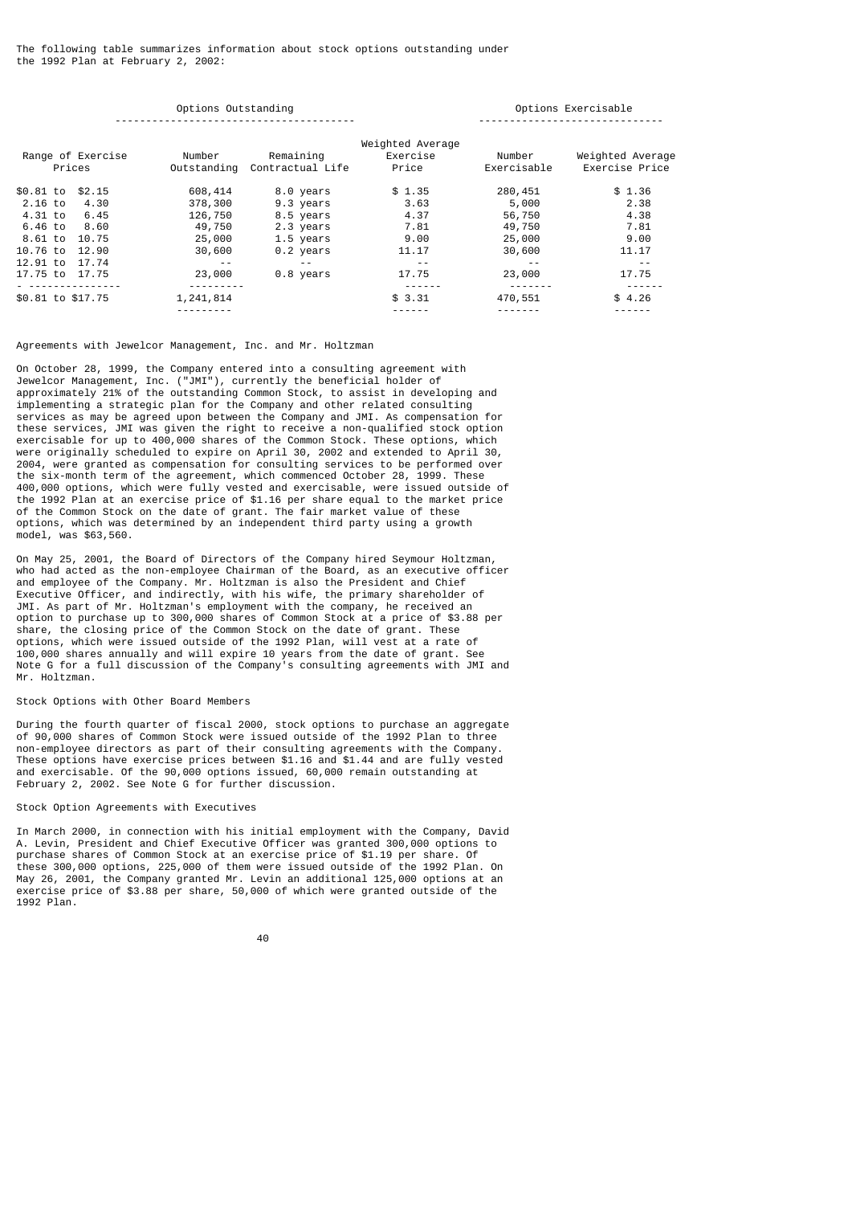The following table summarizes information about stock options outstanding under the 1992 Plan at February 2, 2002:

|                   |                             | Options Outstanding | Options Exercisable                       |                                       |                       |                                    |
|-------------------|-----------------------------|---------------------|-------------------------------------------|---------------------------------------|-----------------------|------------------------------------|
|                   | Range of Exercise<br>Prices | Number              | Remaining<br>Outstanding Contractual Life | Weighted Average<br>Exercise<br>Price | Number<br>Exercisable | Weighted Average<br>Exercise Price |
| \$0.81 to         | \$2.15                      | 608,414             | 8.0 years                                 | \$1.35                                | 280,451               | \$1.36                             |
| 2.16 to           | 4.30                        | 378,300             | 9.3 years                                 | 3.63                                  | 5,000                 | 2.38                               |
| 4.31 to           | 6.45                        | 126,750             | 8.5 years                                 | 4.37                                  | 56,750                | 4.38                               |
| 6.46 to           | 8.60                        | 49,750              | 2.3 years                                 | 7.81                                  | 49,750                | 7.81                               |
| 8.61 to           | 10.75                       | 25,000              | 1.5 years                                 | 9.00                                  | 25,000                | 9.00                               |
| 10.76 to          | 12.90                       | 30,600              | 0.2 years                                 | 11.17                                 | 30,600                | 11.17                              |
| 12.91 to          | 17.74                       | $\sim$ $\sim$       | $\frac{1}{2}$                             | $\frac{1}{2}$                         | $\frac{1}{2}$         |                                    |
| 17.75 to 17.75    |                             | 23,000              | 0.8 years                                 | 17.75                                 | 23,000                | 17.75                              |
|                   | .                           | ---------           |                                           |                                       | .                     | ------                             |
| \$0.81 to \$17.75 |                             | 1, 241, 814         |                                           | \$3.31                                | 470,551               | \$4.26                             |
|                   |                             |                     |                                           |                                       |                       |                                    |

# Agreements with Jewelcor Management, Inc. and Mr. Holtzman

On October 28, 1999, the Company entered into a consulting agreement with Jewelcor Management, Inc. ("JMI"), currently the beneficial holder of approximately 21% of the outstanding Common Stock, to assist in developing and implementing a strategic plan for the Company and other related consulting services as may be agreed upon between the Company and JMI. As compensation for these services, JMI was given the right to receive a non-qualified stock option exercisable for up to 400,000 shares of the Common Stock. These options, which were originally scheduled to expire on April 30, 2002 and extended to April 30, 2004, were granted as compensation for consulting services to be performed over the six-month term of the agreement, which commenced October 28, 1999. These 400,000 options, which were fully vested and exercisable, were issued outside of the 1992 Plan at an exercise price of \$1.16 per share equal to the market price of the Common Stock on the date of grant. The fair market value of these options, which was determined by an independent third party using a growth model, was \$63,560.

On May 25, 2001, the Board of Directors of the Company hired Seymour Holtzman, who had acted as the non-employee Chairman of the Board, as an executive officer and employee of the Company. Mr. Holtzman is also the President and Chief Executive Officer, and indirectly, with his wife, the primary shareholder of JMI. As part of Mr. Holtzman's employment with the company, he received an option to purchase up to 300,000 shares of Common Stock at a price of \$3.88 per share, the closing price of the Common Stock on the date of grant. These options, which were issued outside of the 1992 Plan, will vest at a rate of 100,000 shares annually and will expire 10 years from the date of grant. See Note G for a full discussion of the Company's consulting agreements with JMI and Mr. Holtzman.

#### Stock Options with Other Board Members

During the fourth quarter of fiscal 2000, stock options to purchase an aggregate of 90,000 shares of Common Stock were issued outside of the 1992 Plan to three non-employee directors as part of their consulting agreements with the Company. These options have exercise prices between \$1.16 and \$1.44 and are fully vested and exercisable. Of the 90,000 options issued, 60,000 remain outstanding at February 2, 2002. See Note G for further discussion.

# Stock Option Agreements with Executives

In March 2000, in connection with his initial employment with the Company, David A. Levin, President and Chief Executive Officer was granted 300,000 options to purchase shares of Common Stock at an exercise price of \$1.19 per share. Of these 300,000 options, 225,000 of them were issued outside of the 1992 Plan. On May 26, 2001, the Company granted Mr. Levin an additional 125,000 options at an exercise price of \$3.88 per share, 50,000 of which were granted outside of the 1992 Plan.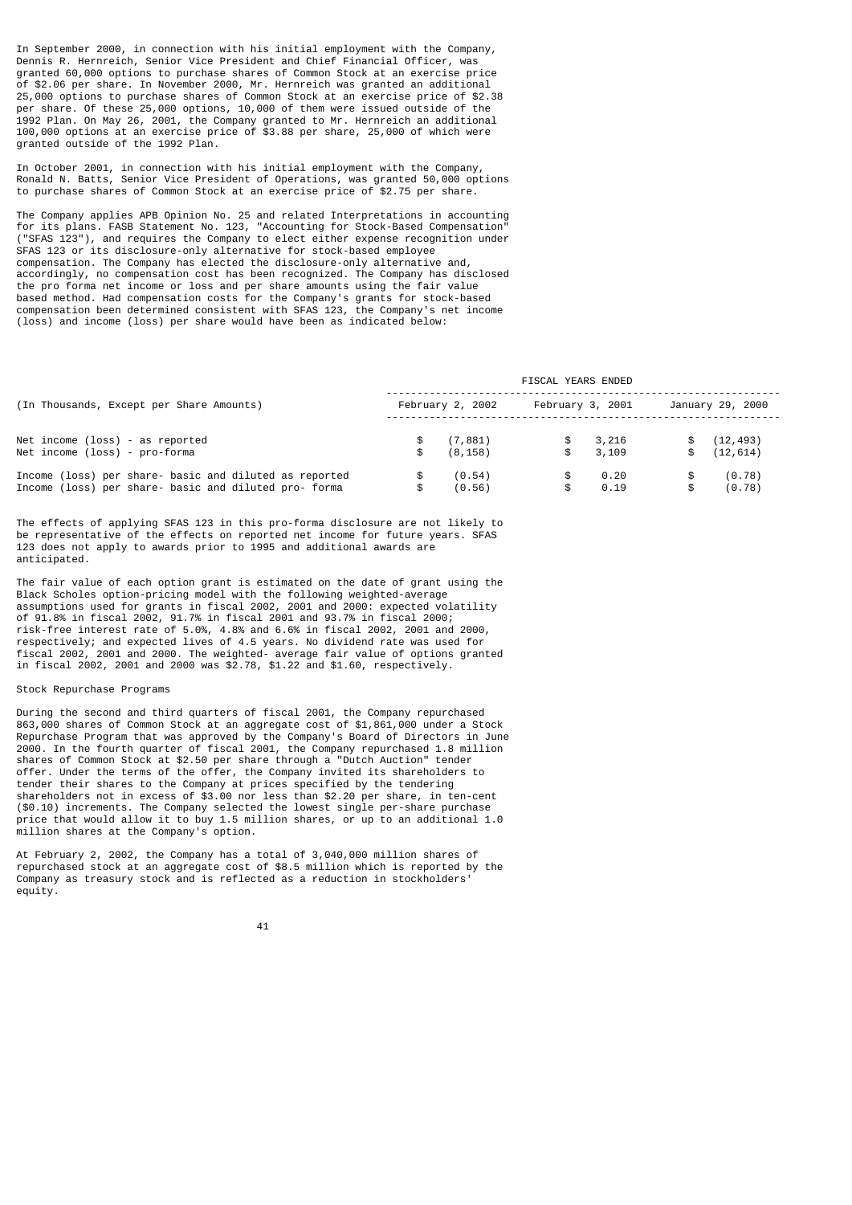In September 2000, in connection with his initial employment with the Company, Dennis R. Hernreich, Senior Vice President and Chief Financial Officer, was granted 60,000 options to purchase shares of Common Stock at an exercise price of \$2.06 per share. In November 2000, Mr. Hernreich was granted an additional 25,000 options to purchase shares of Common Stock at an exercise price of \$2.38 per share. Of these 25,000 options, 10,000 of them were issued outside of the 1992 Plan. On May 26, 2001, the Company granted to Mr. Hernreich an additional 100,000 options at an exercise price of \$3.88 per share, 25,000 of which were granted outside of the 1992 Plan.

In October 2001, in connection with his initial employment with the Company, Ronald N. Batts, Senior Vice President of Operations, was granted 50,000 options to purchase shares of Common Stock at an exercise price of \$2.75 per share.

The Company applies APB Opinion No. 25 and related Interpretations in accounting for its plans. FASB Statement No. 123, "Accounting for Stock-Based Compensation" ("SFAS 123"), and requires the Company to elect either expense recognition under SFAS 123 or its disclosure-only alternative for stock-based employee compensation. The Company has elected the disclosure-only alternative and, accordingly, no compensation cost has been recognized. The Company has disclosed the pro forma net income or loss and per share amounts using the fair value based method. Had compensation costs for the Company's grants for stock-based compensation been determined consistent with SFAS 123, the Company's net income (loss) and income (loss) per share would have been as indicated below:

|                                                                                                                 |                            | FISCAL YEARS ENDED |                  |                           |
|-----------------------------------------------------------------------------------------------------------------|----------------------------|--------------------|------------------|---------------------------|
| (In Thousands, Except per Share Amounts)                                                                        | February 2, 2002           |                    | February 3, 2001 | January 29, 2000          |
| Net income (loss) - as reported<br>Net income (loss) - pro-forma                                                | \$<br>(7, 881)<br>(8, 158) | \$<br>\$           | 3,216<br>3,109   | (12, 493)<br>\$ (12, 614) |
| Income (loss) per share- basic and diluted as reported<br>Income (loss) per share- basic and diluted pro- forma | (0.54)<br>(0.56)           | S.<br>\$           | 0.20<br>0.19     | \$<br>(0.78)<br>(0.78)    |

The effects of applying SFAS 123 in this pro-forma disclosure are not likely to be representative of the effects on reported net income for future years. SFAS 123 does not apply to awards prior to 1995 and additional awards are anticipated.

The fair value of each option grant is estimated on the date of grant using the Black Scholes option-pricing model with the following weighted-average assumptions used for grants in fiscal 2002, 2001 and 2000: expected volatility of 91.8% in fiscal 2002, 91.7% in fiscal 2001 and 93.7% in fiscal 2000; risk-free interest rate of 5.0%, 4.8% and 6.6% in fiscal 2002, 2001 and 2000, respectively; and expected lives of 4.5 years. No dividend rate was used for fiscal 2002, 2001 and 2000. The weighted- average fair value of options granted in fiscal 2002, 2001 and 2000 was \$2.78, \$1.22 and \$1.60, respectively.

### Stock Repurchase Programs

During the second and third quarters of fiscal 2001, the Company repurchased 863,000 shares of Common Stock at an aggregate cost of \$1,861,000 under a Stock Repurchase Program that was approved by the Company's Board of Directors in June 2000. In the fourth quarter of fiscal 2001, the Company repurchased 1.8 million shares of Common Stock at \$2.50 per share through a "Dutch Auction" tender offer. Under the terms of the offer, the Company invited its shareholders to tender their shares to the Company at prices specified by the tendering shareholders not in excess of \$3.00 nor less than \$2.20 per share, in ten-cent (\$0.10) increments. The Company selected the lowest single per-share purchase price that would allow it to buy 1.5 million shares, or up to an additional 1.0 million shares at the Company's option.

At February 2, 2002, the Company has a total of 3,040,000 million shares of repurchased stock at an aggregate cost of \$8.5 million which is reported by the Company as treasury stock and is reflected as a reduction in stockholders' equity.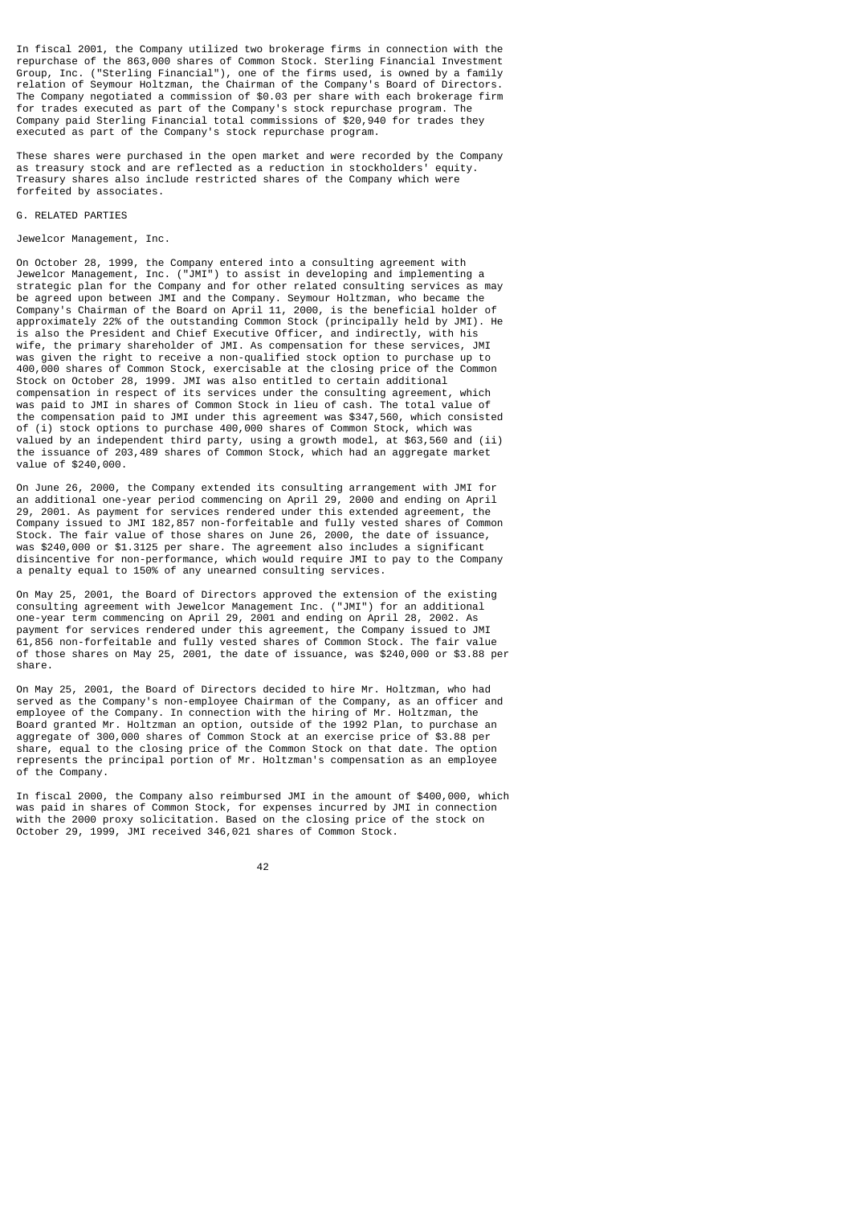In fiscal 2001, the Company utilized two brokerage firms in connection with the repurchase of the 863,000 shares of Common Stock. Sterling Financial Investment Group, Inc. ("Sterling Financial"), one of the firms used, is owned by a family relation of Seymour Holtzman, the Chairman of the Company's Board of Directors. The Company negotiated a commission of \$0.03 per share with each brokerage firm for trades executed as part of the Company's stock repurchase program. The Company paid Sterling Financial total commissions of \$20,940 for trades they executed as part of the Company's stock repurchase program.

These shares were purchased in the open market and were recorded by the Company as treasury stock and are reflected as a reduction in stockholders' equity. Treasury shares also include restricted shares of the Company which were forfeited by associates.

# G. RELATED PARTIES

#### Jewelcor Management, Inc.

On October 28, 1999, the Company entered into a consulting agreement with Jewelcor Management, Inc. ("JMI") to assist in developing and implementing a strategic plan for the Company and for other related consulting services as may be agreed upon between JMI and the Company. Seymour Holtzman, who became the Company's Chairman of the Board on April 11, 2000, is the beneficial holder of approximately 22% of the outstanding Common Stock (principally held by JMI). He is also the President and Chief Executive Officer, and indirectly, with his wife, the primary shareholder of JMI. As compensation for these services, JMI was given the right to receive a non-qualified stock option to purchase up to 400,000 shares of Common Stock, exercisable at the closing price of the Common Stock on October 28, 1999. JMI was also entitled to certain additional compensation in respect of its services under the consulting agreement, which was paid to JMI in shares of Common Stock in lieu of cash. The total value of the compensation paid to JMI under this agreement was \$347,560, which consisted of (i) stock options to purchase 400,000 shares of Common Stock, which was valued by an independent third party, using a growth model, at \$63,560 and (ii) the issuance of 203,489 shares of Common Stock, which had an aggregate market value of \$240,000.

On June 26, 2000, the Company extended its consulting arrangement with JMI for an additional one-year period commencing on April 29, 2000 and ending on April 29, 2001. As payment for services rendered under this extended agreement, the Company issued to JMI 182,857 non-forfeitable and fully vested shares of Common Stock. The fair value of those shares on June 26, 2000, the date of issuance, was \$240,000 or \$1.3125 per share. The agreement also includes a significant disincentive for non-performance, which would require JMI to pay to the Company a penalty equal to 150% of any unearned consulting services.

On May 25, 2001, the Board of Directors approved the extension of the existing consulting agreement with Jewelcor Management Inc. ("JMI") for an additional one-year term commencing on April 29, 2001 and ending on April 28, 2002. As payment for services rendered under this agreement, the Company issued to JMI 61,856 non-forfeitable and fully vested shares of Common Stock. The fair value of those shares on May 25, 2001, the date of issuance, was \$240,000 or \$3.88 per share.

On May 25, 2001, the Board of Directors decided to hire Mr. Holtzman, who had served as the Company's non-employee Chairman of the Company, as an officer and employee of the Company. In connection with the hiring of Mr. Holtzman, the Board granted Mr. Holtzman an option, outside of the 1992 Plan, to purchase an aggregate of 300,000 shares of Common Stock at an exercise price of \$3.88 per share, equal to the closing price of the Common Stock on that date. The option represents the principal portion of Mr. Holtzman's compensation as an employee of the Company.

In fiscal 2000, the Company also reimbursed JMI in the amount of \$400,000, which was paid in shares of Common Stock, for expenses incurred by JMI in connection with the 2000 proxy solicitation. Based on the closing price of the stock on October 29, 1999, JMI received 346,021 shares of Common Stock.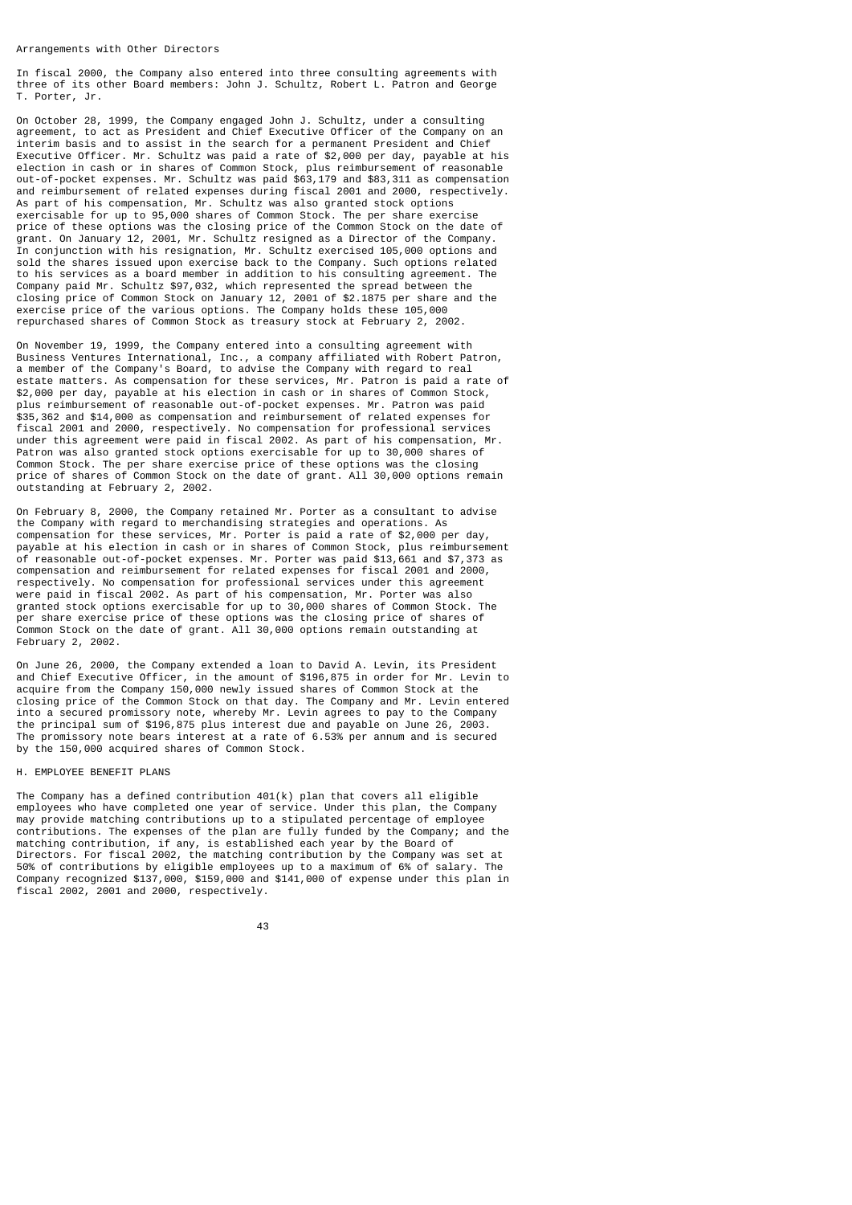#### Arrangements with Other Directors

In fiscal 2000, the Company also entered into three consulting agreements with three of its other Board members: John J. Schultz, Robert L. Patron and George T. Porter, Jr.

On October 28, 1999, the Company engaged John J. Schultz, under a consulting agreement, to act as President and Chief Executive Officer of the Company on an interim basis and to assist in the search for a permanent President and Chief Executive Officer. Mr. Schultz was paid a rate of \$2,000 per day, payable at his election in cash or in shares of Common Stock, plus reimbursement of reasonable out-of-pocket expenses. Mr. Schultz was paid \$63,179 and \$83,311 as compensation and reimbursement of related expenses during fiscal 2001 and 2000, respectively. As part of his compensation, Mr. Schultz was also granted stock options exercisable for up to 95,000 shares of Common Stock. The per share exercise price of these options was the closing price of the Common Stock on the date of grant. On January 12, 2001, Mr. Schultz resigned as a Director of the Company. In conjunction with his resignation, Mr. Schultz exercised 105,000 options and sold the shares issued upon exercise back to the Company. Such options related to his services as a board member in addition to his consulting agreement. The Company paid Mr. Schultz \$97,032, which represented the spread between the closing price of Common Stock on January 12, 2001 of \$2.1875 per share and the exercise price of the various options. The Company holds these 105,000 repurchased shares of Common Stock as treasury stock at February 2, 2002.

On November 19, 1999, the Company entered into a consulting agreement with Business Ventures International, Inc., a company affiliated with Robert Patron, a member of the Company's Board, to advise the Company with regard to real estate matters. As compensation for these services, Mr. Patron is paid a rate of \$2,000 per day, payable at his election in cash or in shares of Common Stock, plus reimbursement of reasonable out-of-pocket expenses. Mr. Patron was paid \$35,362 and \$14,000 as compensation and reimbursement of related expenses for fiscal 2001 and 2000, respectively. No compensation for professional services under this agreement were paid in fiscal 2002. As part of his compensation, Mr. Patron was also granted stock options exercisable for up to 30,000 shares of Common Stock. The per share exercise price of these options was the closing price of shares of Common Stock on the date of grant. All 30,000 options remain outstanding at February 2, 2002.

On February 8, 2000, the Company retained Mr. Porter as a consultant to advise the Company with regard to merchandising strategies and operations. As compensation for these services, Mr. Porter is paid a rate of \$2,000 per day, payable at his election in cash or in shares of Common Stock, plus reimbursement of reasonable out-of-pocket expenses. Mr. Porter was paid \$13,661 and \$7,373 as compensation and reimbursement for related expenses for fiscal 2001 and 2000, respectively. No compensation for professional services under this agreement were paid in fiscal 2002. As part of his compensation, Mr. Porter was also granted stock options exercisable for up to 30,000 shares of Common Stock. The per share exercise price of these options was the closing price of shares of Common Stock on the date of grant. All 30,000 options remain outstanding at February 2, 2002.

On June 26, 2000, the Company extended a loan to David A. Levin, its President and Chief Executive Officer, in the amount of \$196,875 in order for Mr. Levin to acquire from the Company 150,000 newly issued shares of Common Stock at the closing price of the Common Stock on that day. The Company and Mr. Levin entered into a secured promissory note, whereby Mr. Levin agrees to pay to the Company the principal sum of \$196,875 plus interest due and payable on June 26, 2003. The promissory note bears interest at a rate of 6.53% per annum and is secured by the 150,000 acquired shares of Common Stock.

## H. EMPLOYEE BENEFIT PLANS

The Company has a defined contribution  $401(k)$  plan that covers all eligible employees who have completed one year of service. Under this plan, the Company may provide matching contributions up to a stipulated percentage of employee contributions. The expenses of the plan are fully funded by the Company; and the matching contribution, if any, is established each year by the Board of Directors. For fiscal 2002, the matching contribution by the Company was set at 50% of contributions by eligible employees up to a maximum of 6% of salary. The Company recognized \$137,000, \$159,000 and \$141,000 of expense under this plan in fiscal 2002, 2001 and 2000, respectively.

43 and 2012 and 2013 and 2014 and 2014 and 2014 and 2014 and 2014 and 2014 and 2014 and 2014 and 2014 and 201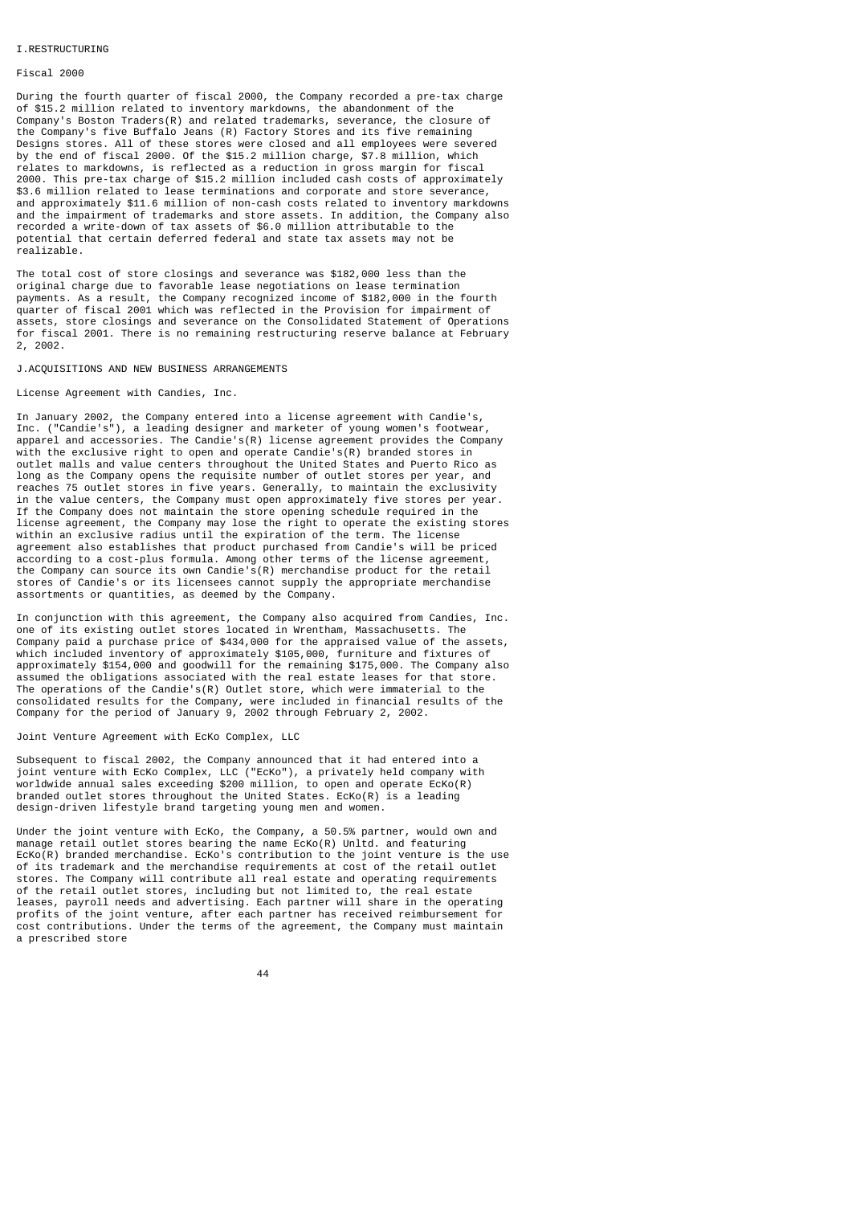#### I.RESTRUCTURING

### Fiscal 2000

During the fourth quarter of fiscal 2000, the Company recorded a pre-tax charge of \$15.2 million related to inventory markdowns, the abandonment of the Company's Boston Traders(R) and related trademarks, severance, the closure of the Company's five Buffalo Jeans (R) Factory Stores and its five remaining Designs stores. All of these stores were closed and all employees were severed by the end of fiscal 2000. Of the \$15.2 million charge, \$7.8 million, which relates to markdowns, is reflected as a reduction in gross margin for fiscal 2000. This pre-tax charge of \$15.2 million included cash costs of approximately \$3.6 million related to lease terminations and corporate and store severance, and approximately \$11.6 million of non-cash costs related to inventory markdowns and the impairment of trademarks and store assets. In addition, the Company also recorded a write-down of tax assets of \$6.0 million attributable to the potential that certain deferred federal and state tax assets may not be realizable.

The total cost of store closings and severance was \$182,000 less than the original charge due to favorable lease negotiations on lease termination payments. As a result, the Company recognized income of \$182,000 in the fourth quarter of fiscal 2001 which was reflected in the Provision for impairment of assets, store closings and severance on the Consolidated Statement of Operations for fiscal 2001. There is no remaining restructuring reserve balance at February 2, 2002.

## J.ACQUISITIONS AND NEW BUSINESS ARRANGEMENTS

#### License Agreement with Candies, Inc.

In January 2002, the Company entered into a license agreement with Candie's, Inc. ("Candie's"), a leading designer and marketer of young women's footwear, apparel and accessories. The Candie's(R) license agreement provides the Company with the exclusive right to open and operate Candie's(R) branded stores in outlet malls and value centers throughout the United States and Puerto Rico as long as the Company opens the requisite number of outlet stores per year, and reaches 75 outlet stores in five years. Generally, to maintain the exclusivity in the value centers, the Company must open approximately five stores per year. If the Company does not maintain the store opening schedule required in the license agreement, the Company may lose the right to operate the existing stores within an exclusive radius until the expiration of the term. The license agreement also establishes that product purchased from Candie's will be priced according to a cost-plus formula. Among other terms of the license agreement, the Company can source its own Candie's(R) merchandise product for the retail stores of Candie's or its licensees cannot supply the appropriate merchandise assortments or quantities, as deemed by the Company.

In conjunction with this agreement, the Company also acquired from Candies, Inc. one of its existing outlet stores located in Wrentham, Massachusetts. The Company paid a purchase price of \$434,000 for the appraised value of the assets, which included inventory of approximately \$105,000, furniture and fixtures of approximately \$154,000 and goodwill for the remaining \$175,000. The Company also assumed the obligations associated with the real estate leases for that store. The operations of the Candie's(R) Outlet store, which were immaterial to the consolidated results for the Company, were included in financial results of the Company for the period of January 9, 2002 through February 2, 2002.

#### Joint Venture Agreement with EcKo Complex, LLC

Subsequent to fiscal 2002, the Company announced that it had entered into a joint venture with EcKo Complex, LLC ("EcKo"), a privately held company with worldwide annual sales exceeding \$200 million, to open and operate EcKo(R) branded outlet stores throughout the United States. EcKo(R) is a leading design-driven lifestyle brand targeting young men and women.

Under the joint venture with EcKo, the Company, a 50.5% partner, would own and manage retail outlet stores bearing the name EcKo(R) Unltd. and featuring  $ECKO(R)$  branded merchandise. EcKo's contribution to the joint venture is the use of its trademark and the merchandise requirements at cost of the retail outlet stores. The Company will contribute all real estate and operating requirements of the retail outlet stores, including but not limited to, the real estate leases, payroll needs and advertising. Each partner will share in the operating profits of the joint venture, after each partner has received reimbursement for cost contributions. Under the terms of the agreement, the Company must maintain a prescribed store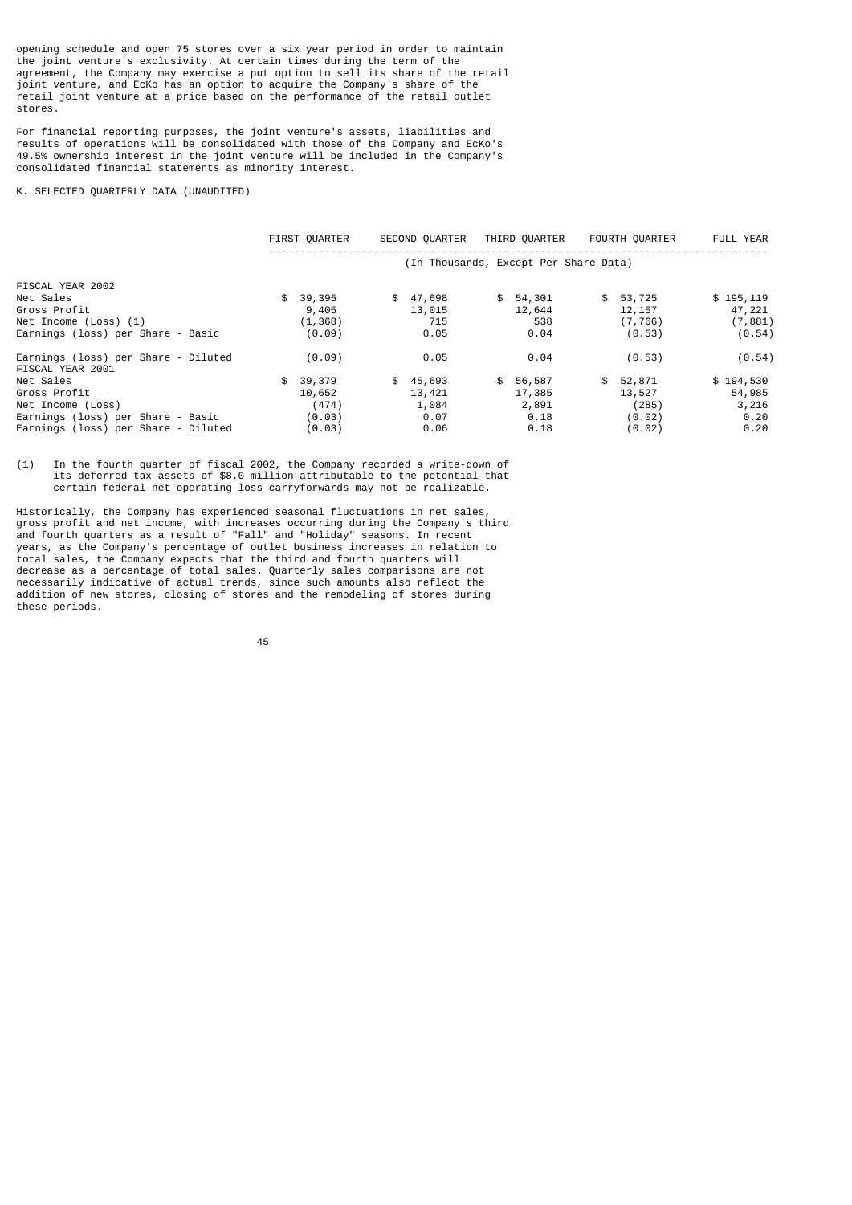opening schedule and open 75 stores over a six year period in order to maintain the joint venture's exclusivity. At certain times during the term of the agreement, the Company may exercise a put option to sell its share of the retail joint venture, and EcKo has an option to acquire the Company's share of the retail joint venture at a price based on the performance of the retail outlet stores.

For financial reporting purposes, the joint venture's assets, liabilities and results of operations will be consolidated with those of the Company and EcKo's 49.5% ownership interest in the joint venture will be included in the Company's consolidated financial statements as minority interest.

K. SELECTED QUARTERLY DATA (UNAUDITED)

|                                                         | FIRST OUARTER | SECOND OUARTER                        | THIRD OUARTER | FOURTH QUARTER | FULL YEAR  |
|---------------------------------------------------------|---------------|---------------------------------------|---------------|----------------|------------|
|                                                         |               | (In Thousands, Except Per Share Data) |               |                |            |
| FISCAL YEAR 2002                                        |               |                                       |               |                |            |
| Net Sales                                               | \$39,395      | \$<br>47,698                          | \$54,301      | \$53,725       | \$195, 119 |
| Gross Profit                                            | 9,405         | 13,015                                | 12,644        | 12, 157        | 47,221     |
| Net Income (Loss) (1)                                   | (1, 368)      | 715                                   | 538           | (7, 766)       | (7, 881)   |
| Earnings (loss) per Share - Basic                       | (0.09)        | 0.05                                  | 0.04          | (0.53)         | (0.54)     |
| Earnings (loss) per Share - Diluted<br>FISCAL YEAR 2001 | (0.09)        | 0.05                                  | 0.04          | (0.53)         | (0.54)     |
| Net Sales                                               | \$<br>39,379  | \$<br>45,693                          | \$<br>56,587  | \$<br>52,871   | \$194,530  |
| Gross Profit                                            | 10,652        | 13,421                                | 17,385        | 13,527         | 54,985     |
| Net Income (Loss)                                       | (474)         | 1,084                                 | 2,891         | (285)          | 3,216      |
| Earnings (loss) per Share - Basic                       | (0.03)        | 0.07                                  | 0.18          | (0.02)         | 0.20       |
| Earnings (loss) per Share - Diluted                     | (0.03)        | 0.06                                  | 0.18          | (0.02)         | 0.20       |

(1) In the fourth quarter of fiscal 2002, the Company recorded a write-down of its deferred tax assets of \$8.0 million attributable to the potential that certain federal net operating loss carryforwards may not be realizable.

Historically, the Company has experienced seasonal fluctuations in net sales, gross profit and net income, with increases occurring during the Company's third and fourth quarters as a result of "Fall" and "Holiday" seasons. In recent years, as the Company's percentage of outlet business increases in relation to total sales, the Company expects that the third and fourth quarters will decrease as a percentage of total sales. Quarterly sales comparisons are not necessarily indicative of actual trends, since such amounts also reflect the addition of new stores, closing of stores and the remodeling of stores during these periods.

<u>45 and 2012 and 2013</u>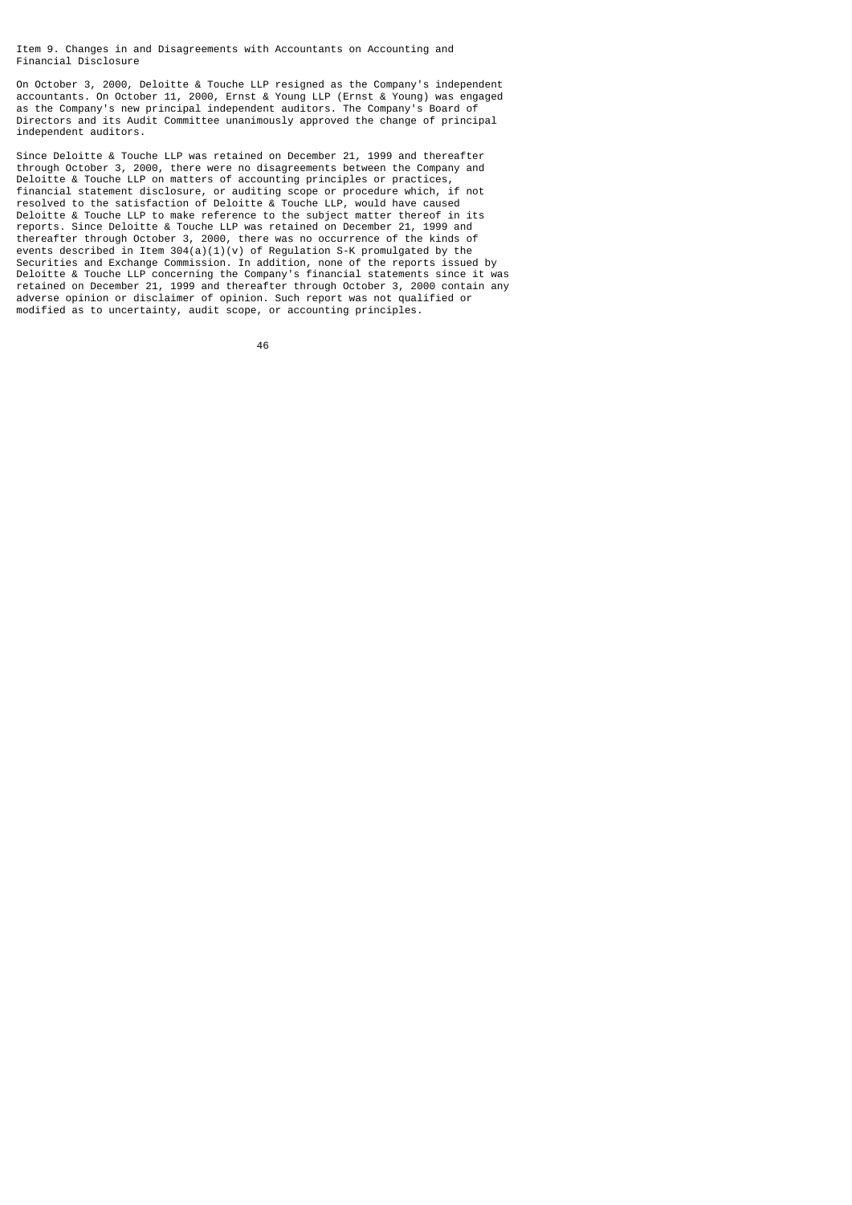Item 9. Changes in and Disagreements with Accountants on Accounting and Financial Disclosure

On October 3, 2000, Deloitte & Touche LLP resigned as the Company's independent accountants. On October 11, 2000, Ernst & Young LLP (Ernst & Young) was engaged as the Company's new principal independent auditors. The Company's Board of Directors and its Audit Committee unanimously approved the change of principal independent auditors.

Since Deloitte & Touche LLP was retained on December 21, 1999 and thereafter through October 3, 2000, there were no disagreements between the Company and Deloitte & Touche LLP on matters of accounting principles or practices, financial statement disclosure, or auditing scope or procedure which, if not resolved to the satisfaction of Deloitte & Touche LLP, would have caused Deloitte & Touche LLP to make reference to the subject matter thereof in its reports. Since Deloitte & Touche LLP was retained on December 21, 1999 and thereafter through October 3, 2000, there was no occurrence of the kinds of events described in Item 304(a)(1)(v) of Regulation S-K promulgated by the Securities and Exchange Commission. In addition, none of the reports issued by Deloitte & Touche LLP concerning the Company's financial statements since it was retained on December 21, 1999 and thereafter through October 3, 2000 contain any adverse opinion or disclaimer of opinion. Such report was not qualified or modified as to uncertainty, audit scope, or accounting principles.

<u>46 and 2012</u>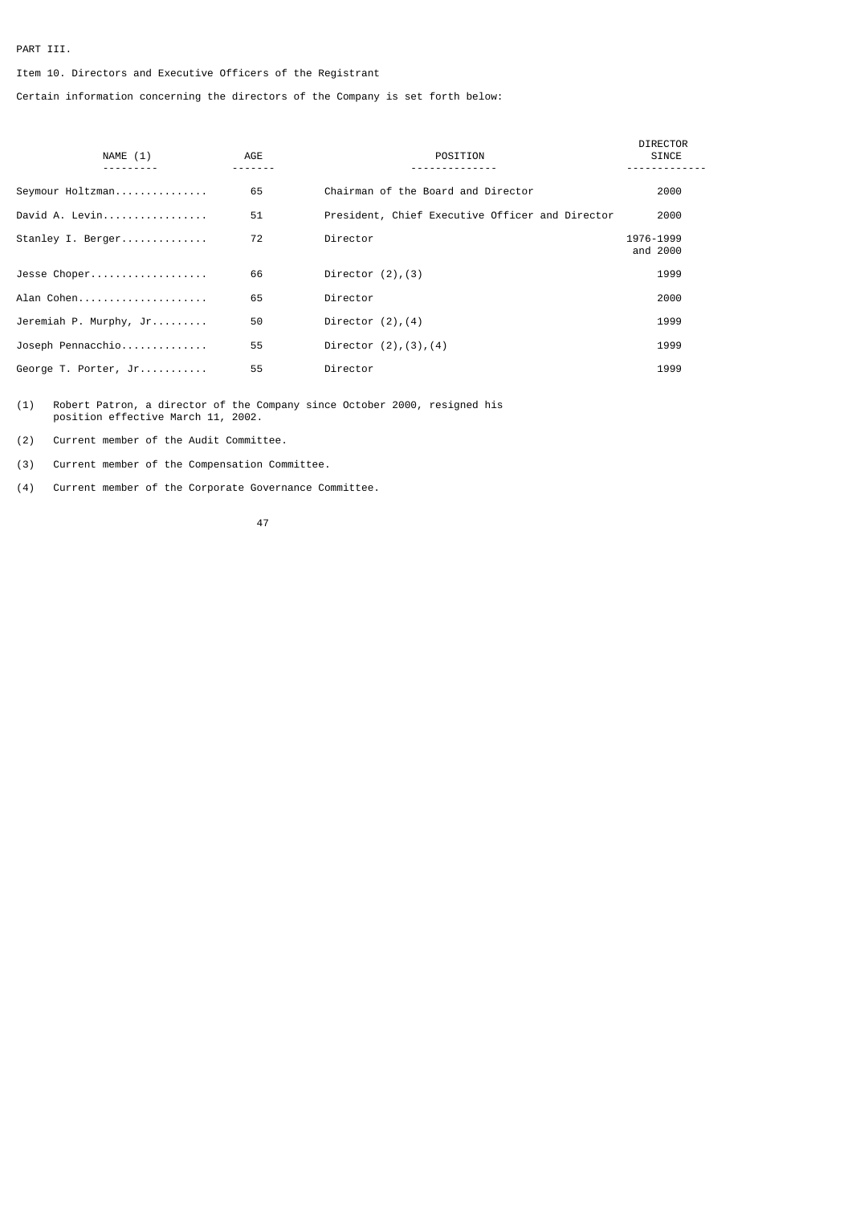# PART III.

# Item 10. Directors and Executive Officers of the Registrant

Certain information concerning the directors of the Company is set forth below:

| NAME (1)               | AGE | POSITION                                        | <b>DIRECTOR</b><br>SINCE |
|------------------------|-----|-------------------------------------------------|--------------------------|
|                        |     |                                                 |                          |
| Seymour Holtzman       | 65  | Chairman of the Board and Director              | 2000                     |
| David A. Levin         | 51  | President, Chief Executive Officer and Director | 2000                     |
| Stanley I. Berger      | 72  | Director                                        | 1976-1999<br>and 2000    |
| Jesse Choper           | 66  | Director $(2)$ , $(3)$                          | 1999                     |
| Alan Cohen             | 65  | Director                                        | 2000                     |
| Jeremiah P. Murphy, Jr | 50  | Director $(2)$ , $(4)$                          | 1999                     |
| Joseph Pennacchio      | 55  | Director $(2)$ , $(3)$ , $(4)$                  | 1999                     |
| George T. Porter, Jr   | 55  | Director                                        | 1999                     |

(1) Robert Patron, a director of the Company since October 2000, resigned his position effective March 11, 2002.

(2) Current member of the Audit Committee.

(3) Current member of the Compensation Committee.

(4) Current member of the Corporate Governance Committee.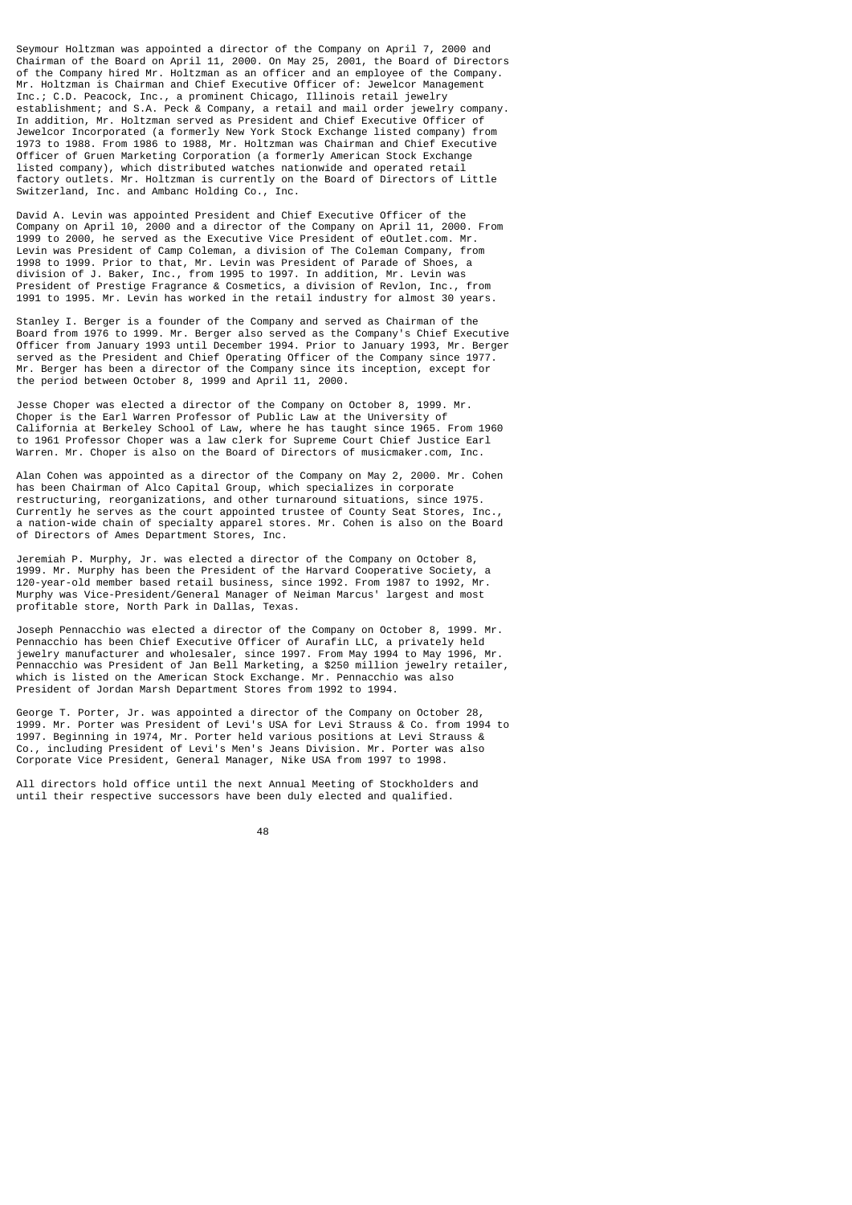Seymour Holtzman was appointed a director of the Company on April 7, 2000 and Chairman of the Board on April 11, 2000. On May 25, 2001, the Board of Directors of the Company hired Mr. Holtzman as an officer and an employee of the Company. Mr. Holtzman is Chairman and Chief Executive Officer of: Jewelcor Management Inc.; C.D. Peacock, Inc., a prominent Chicago, Illinois retail jewelry establishment; and S.A. Peck & Company, a retail and mail order jewelry company. In addition, Mr. Holtzman served as President and Chief Executive Officer of Jewelcor Incorporated (a formerly New York Stock Exchange listed company) from 1973 to 1988. From 1986 to 1988, Mr. Holtzman was Chairman and Chief Executive Officer of Gruen Marketing Corporation (a formerly American Stock Exchange listed company), which distributed watches nationwide and operated retail factory outlets. Mr. Holtzman is currently on the Board of Directors of Little Switzerland, Inc. and Ambanc Holding Co., Inc.

David A. Levin was appointed President and Chief Executive Officer of the Company on April 10, 2000 and a director of the Company on April 11, 2000. From 1999 to 2000, he served as the Executive Vice President of eOutlet.com. Mr. Levin was President of Camp Coleman, a division of The Coleman Company, from 1998 to 1999. Prior to that, Mr. Levin was President of Parade of Shoes, a division of J. Baker, Inc., from 1995 to 1997. In addition, Mr. Levin was President of Prestige Fragrance & Cosmetics, a division of Revlon, Inc., from 1991 to 1995. Mr. Levin has worked in the retail industry for almost 30 years.

Stanley I. Berger is a founder of the Company and served as Chairman of the Board from 1976 to 1999. Mr. Berger also served as the Company's Chief Executive Officer from January 1993 until December 1994. Prior to January 1993, Mr. Berger served as the President and Chief Operating Officer of the Company since 1977. Mr. Berger has been a director of the Company since its inception, except for the period between October 8, 1999 and April 11, 2000.

Jesse Choper was elected a director of the Company on October 8, 1999. Mr. Choper is the Earl Warren Professor of Public Law at the University of California at Berkeley School of Law, where he has taught since 1965. From 1960 to 1961 Professor Choper was a law clerk for Supreme Court Chief Justice Earl Warren. Mr. Choper is also on the Board of Directors of musicmaker.com, Inc.

Alan Cohen was appointed as a director of the Company on May 2, 2000. Mr. Cohen has been Chairman of Alco Capital Group, which specializes in corporate restructuring, reorganizations, and other turnaround situations, since 1975. Currently he serves as the court appointed trustee of County Seat Stores, Inc., a nation-wide chain of specialty apparel stores. Mr. Cohen is also on the Board of Directors of Ames Department Stores, Inc.

Jeremiah P. Murphy, Jr. was elected a director of the Company on October 8, 1999. Mr. Murphy has been the President of the Harvard Cooperative Society, 120-year-old member based retail business, since 1992. From 1987 to 1992, Mr. Murphy was Vice-President/General Manager of Neiman Marcus' largest and most profitable store, North Park in Dallas, Texas.

Joseph Pennacchio was elected a director of the Company on October 8, 1999. Mr. Pennacchio has been Chief Executive Officer of Aurafin LLC, a privately held jewelry manufacturer and wholesaler, since 1997. From May 1994 to May 1996, Mr. Pennacchio was President of Jan Bell Marketing, a \$250 million jewelry retailer, which is listed on the American Stock Exchange. Mr. Pennacchio was also President of Jordan Marsh Department Stores from 1992 to 1994.

George T. Porter, Jr. was appointed a director of the Company on October 28, 1999. Mr. Porter was President of Levi's USA for Levi Strauss & Co. from 1994 to 1997. Beginning in 1974, Mr. Porter held various positions at Levi Strauss & Co., including President of Levi's Men's Jeans Division. Mr. Porter was also Corporate Vice President, General Manager, Nike USA from 1997 to 1998.

All directors hold office until the next Annual Meeting of Stockholders and until their respective successors have been duly elected and qualified.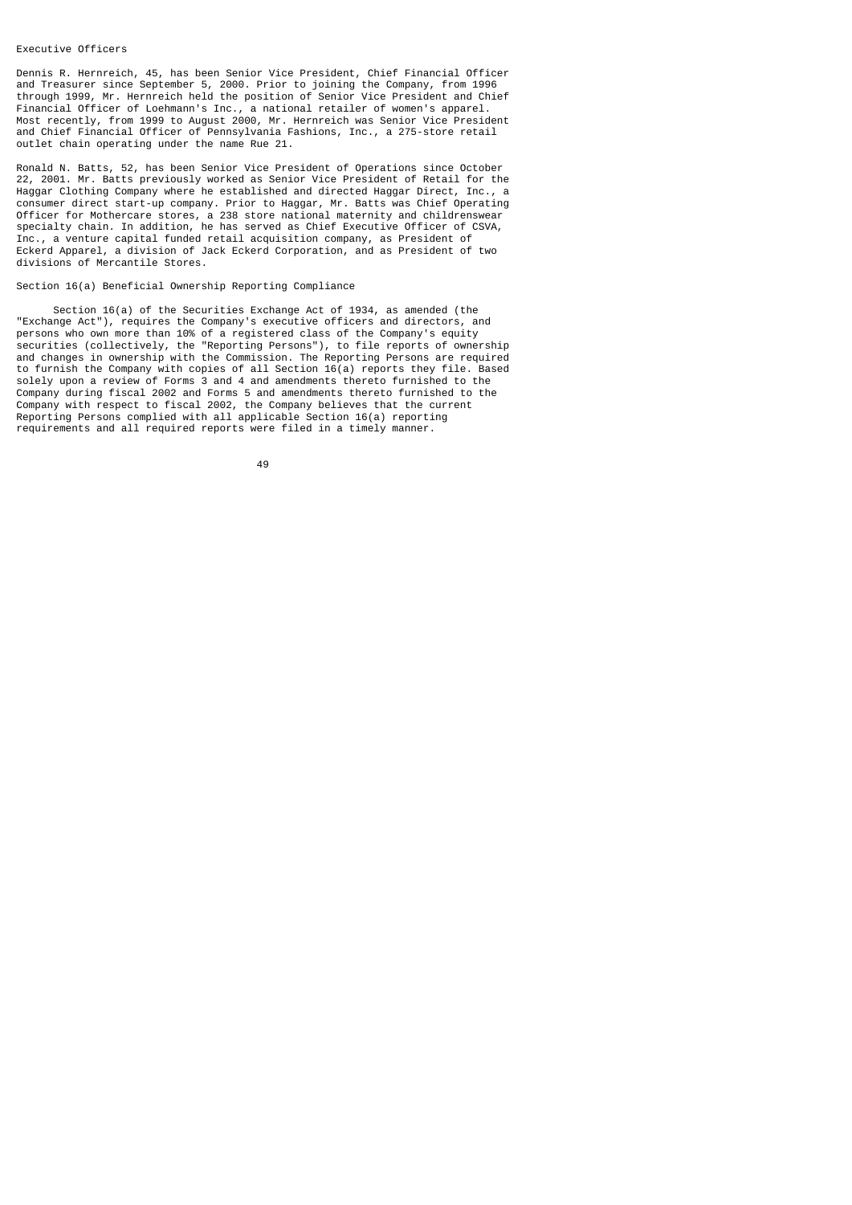#### Executive Officers

Dennis R. Hernreich, 45, has been Senior Vice President, Chief Financial Officer and Treasurer since September 5, 2000. Prior to joining the Company, from 1996 through 1999, Mr. Hernreich held the position of Senior Vice President and Chief Financial Officer of Loehmann's Inc., a national retailer of women's apparel. Most recently, from 1999 to August 2000, Mr. Hernreich was Senior Vice President and Chief Financial Officer of Pennsylvania Fashions, Inc., a 275-store retail outlet chain operating under the name Rue 21.

Ronald N. Batts, 52, has been Senior Vice President of Operations since October 22, 2001. Mr. Batts previously worked as Senior Vice President of Retail for the Haggar Clothing Company where he established and directed Haggar Direct, Inc., a consumer direct start-up company. Prior to Haggar, Mr. Batts was Chief Operating Officer for Mothercare stores, a 238 store national maternity and childrenswear specialty chain. In addition, he has served as Chief Executive Officer of CSVA, Inc., a venture capital funded retail acquisition company, as President of Eckerd Apparel, a division of Jack Eckerd Corporation, and as President of two divisions of Mercantile Stores.

# Section 16(a) Beneficial Ownership Reporting Compliance

 Section 16(a) of the Securities Exchange Act of 1934, as amended (the "Exchange Act"), requires the Company's executive officers and directors, and persons who own more than 10% of a registered class of the Company's equity securities (collectively, the "Reporting Persons"), to file reports of ownership and changes in ownership with the Commission. The Reporting Persons are required to furnish the Company with copies of all Section 16(a) reports they file. Based solely upon a review of Forms 3 and 4 and amendments thereto furnished to the Company during fiscal 2002 and Forms 5 and amendments thereto furnished to the Company with respect to fiscal 2002, the Company believes that the current Reporting Persons complied with all applicable Section 16(a) reporting requirements and all required reports were filed in a timely manner.

49 and 2012 and 2014 and 2014 and 2014 and 2014 and 2014 and 2014 and 2014 and 2014 and 2014 and 2014 and 201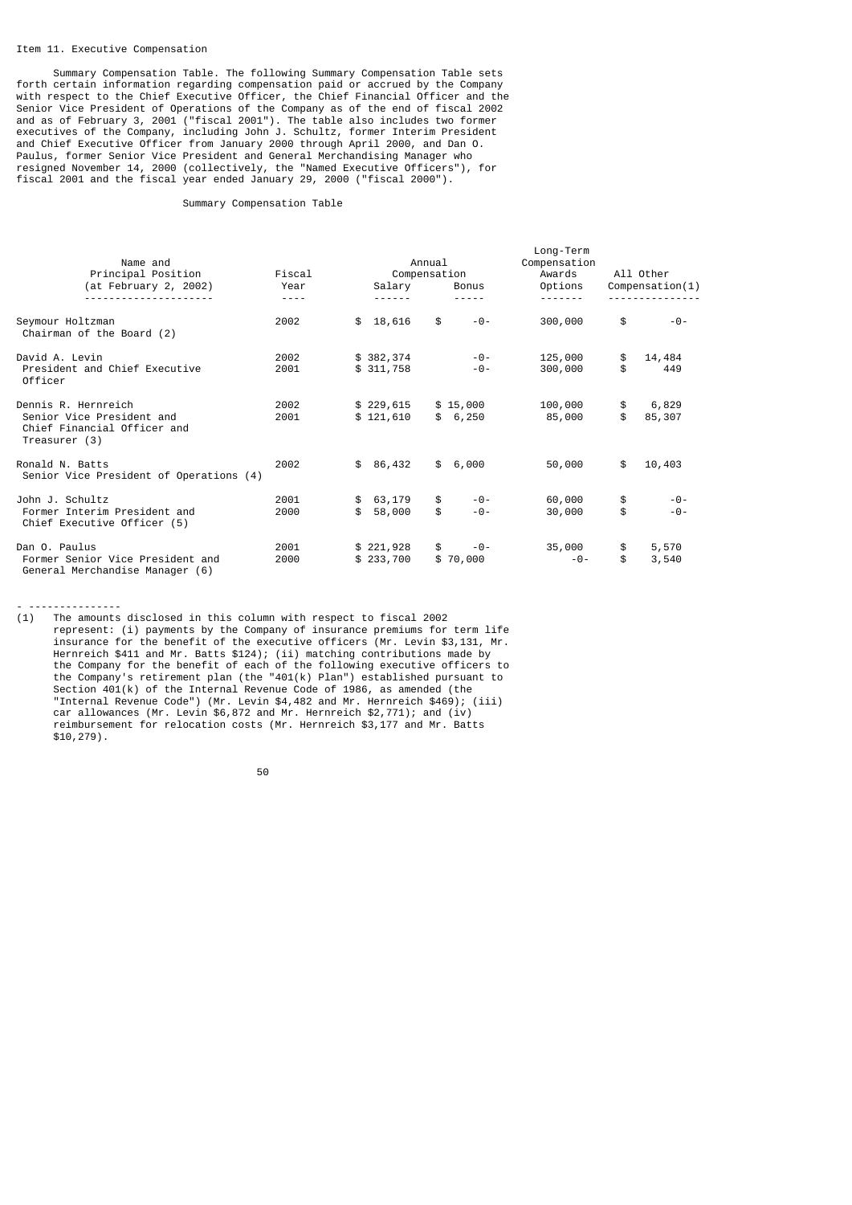#### Item 11. Executive Compensation

- ---------------

 Summary Compensation Table. The following Summary Compensation Table sets forth certain information regarding compensation paid or accrued by the Company with respect to the Chief Executive Officer, the Chief Financial Officer and the Senior Vice President of Operations of the Company as of the end of fiscal 2002 and as of February 3, 2001 ("fiscal 2001"). The table also includes two former executives of the Company, including John J. Schultz, former Interim President and Chief Executive Officer from January 2000 through April 2000, and Dan O. Paulus, former Senior Vice President and General Merchandising Manager who resigned November 14, 2000 (collectively, the "Named Executive Officers"), for fiscal 2001 and the fiscal year ended January 29, 2000 ("fiscal 2000").

#### Summary Compensation Table

| Name and<br>Principal Position                                                                   | Fiscal                |                          | Annual<br>Compensation |                       | Long-Term<br>Compensation<br>Awards |          | All Other       |
|--------------------------------------------------------------------------------------------------|-----------------------|--------------------------|------------------------|-----------------------|-------------------------------------|----------|-----------------|
| (at February 2, 2002)                                                                            | Year<br>$\frac{1}{2}$ | Salary<br>.              |                        | Bonus<br>-----        | Options<br><u>.</u>                 |          | Comparison(1)   |
| Seymour Holtzman<br>Chairman of the Board (2)                                                    | 2002                  | \$18,616                 | \$                     | $-0-$                 | 300,000                             | \$       | $-0-$           |
| David A. Levin<br>President and Chief Executive<br>Officer                                       | 2002<br>2001          | \$382,374<br>\$311,758   |                        | $-0-$<br>$-0-$        | 125,000<br>300,000                  | \$<br>\$ | 14,484<br>449   |
| Dennis R. Hernreich<br>Senior Vice President and<br>Chief Financial Officer and<br>Treasurer (3) | 2002<br>2001          | \$229,615<br>\$121,610   |                        | \$15,000<br>\$6,250   | 100,000<br>85,000                   | \$<br>\$ | 6,829<br>85,307 |
| Ronald N. Batts<br>Senior Vice President of Operations (4)                                       | 2002                  | \$86,432                 |                        | \$6,000               | 50,000                              | \$       | 10,403          |
| John J. Schultz<br>Former Interim President and<br>Chief Executive Officer (5)                   | 2001<br>2000          | \$<br>\$63,179<br>58,000 | \$<br>\$               | -0-<br>$-0-$          | 60,000<br>30,000                    | \$<br>\$ | -0-<br>$-0-$    |
| Dan O. Paulus<br>Former Senior Vice President and<br>General Merchandise Manager (6)             | 2001<br>2000          | \$221,928<br>\$233,700   |                        | \$<br>-0-<br>\$70,000 | 35,000<br>$-0-$                     | \$<br>\$ | 5,570<br>3,540  |

(1) The amounts disclosed in this column with respect to fiscal 2002 represent: (i) payments by the Company of insurance premiums for term life insurance for the benefit of the executive officers (Mr. Levin \$3,131, Mr. Hernreich \$411 and Mr. Batts \$124); (ii) matching contributions made by the Company for the benefit of each of the following executive officers to the Company's retirement plan (the "401(k) Plan") established pursuant to Section 401(k) of the Internal Revenue Code of 1986, as amended (the "Internal Revenue Code") (Mr. Levin \$4,482 and Mr. Hernreich \$469); (iii) car allowances (Mr. Levin \$6,872 and Mr. Hernreich \$2,771); and (iv) reimbursement for relocation costs (Mr. Hernreich \$3,177 and Mr. Batts \$10,279).

50 and 2012 and 2013 and 2014 and 2014 and 2014 and 2014 and 2014 and 2014 and 2014 and 2014 and 2014 and 2014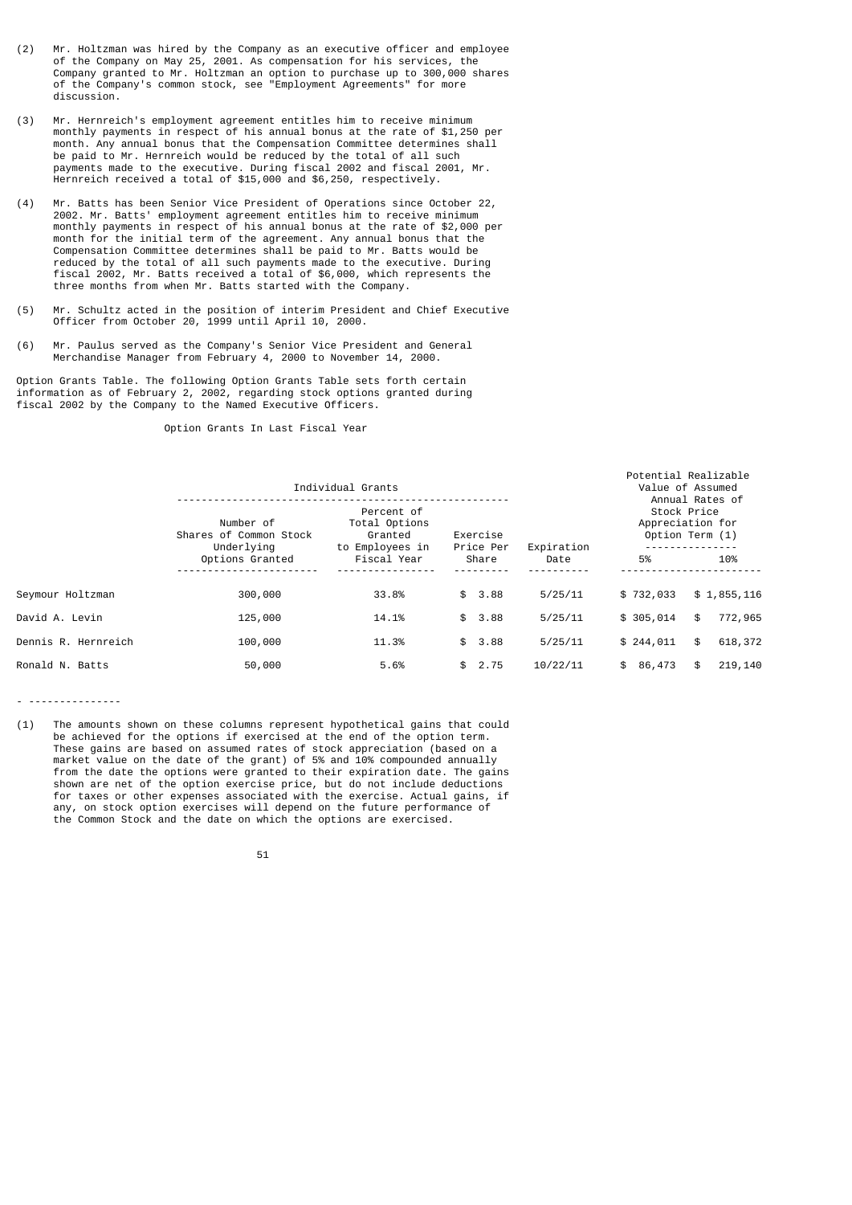- (2) Mr. Holtzman was hired by the Company as an executive officer and employee of the Company on May 25, 2001. As compensation for his services, the Company granted to Mr. Holtzman an option to purchase up to 300,000 shares of the Company's common stock, see "Employment Agreements" for more discussion.
- (3) Mr. Hernreich's employment agreement entitles him to receive minimum monthly payments in respect of his annual bonus at the rate of \$1,250 per month. Any annual bonus that the Compensation Committee determines shall be paid to Mr. Hernreich would be reduced by the total of all such payments made to the executive. During fiscal 2002 and fiscal 2001, Mr. Hernreich received a total of \$15,000 and \$6,250, respectively.
- (4) Mr. Batts has been Senior Vice President of Operations since October 22, 2002. Mr. Batts' employment agreement entitles him to receive minimum monthly payments in respect of his annual bonus at the rate of \$2,000 per month for the initial term of the agreement. Any annual bonus that the Compensation Committee determines shall be paid to Mr. Batts would be reduced by the total of all such payments made to the executive. During fiscal 2002, Mr. Batts received a total of \$6,000, which represents the three months from when Mr. Batts started with the Company.
- (5) Mr. Schultz acted in the position of interim President and Chief Executive Officer from October 20, 1999 until April 10, 2000.
- (6) Mr. Paulus served as the Company's Senior Vice President and General Merchandise Manager from February 4, 2000 to November 14, 2000.

Option Grants Table. The following Option Grants Table sets forth certain information as of February 2, 2002, regarding stock options granted during fiscal 2002 by the Company to the Named Executive Officers.

Option Grants In Last Fiscal Year

|                     |                                                                                                                                         | Individual Grants |            |            |           | Potential Realizable<br>Value of Assumed                              |
|---------------------|-----------------------------------------------------------------------------------------------------------------------------------------|-------------------|------------|------------|-----------|-----------------------------------------------------------------------|
|                     | Percent of<br>Number of<br>Total Options<br>Shares of Common Stock<br>Granted<br>Exercise<br>Underlying<br>to Employees in<br>Price Per |                   |            | Expiration |           | Annual Rates of<br>Stock Price<br>Appreciation for<br>Option Term (1) |
|                     | Options Granted                                                                                                                         | Fiscal Year       | Share      | Date       | 5%        | 10%                                                                   |
| Seymour Holtzman    | 300,000                                                                                                                                 | 33.8%             | \$3.88     | 5/25/11    | \$732,033 | \$1,855,116                                                           |
| David A. Levin      | 125,000                                                                                                                                 | 14.1%             | \$3.88     | 5/25/11    | \$305,014 | 772,965<br>\$                                                         |
| Dennis R. Hernreich | 100,000                                                                                                                                 | 11.3%             | \$<br>3.88 | 5/25/11    | \$244,011 | \$<br>618,372                                                         |
| Ronald N. Batts     | 50,000                                                                                                                                  | 5.6%              | 2.75<br>\$ | 10/22/11   | \$86,473  | 219,140<br>\$                                                         |

- ---------------

(1) The amounts shown on these columns represent hypothetical gains that could be achieved for the options if exercised at the end of the option term. These gains are based on assumed rates of stock appreciation (based on a market value on the date of the grant) of 5% and 10% compounded annually from the date the options were granted to their expiration date. The gains shown are net of the option exercise price, but do not include deductions for taxes or other expenses associated with the exercise. Actual gains, if any, on stock option exercises will depend on the future performance of the Common Stock and the date on which the options are exercised.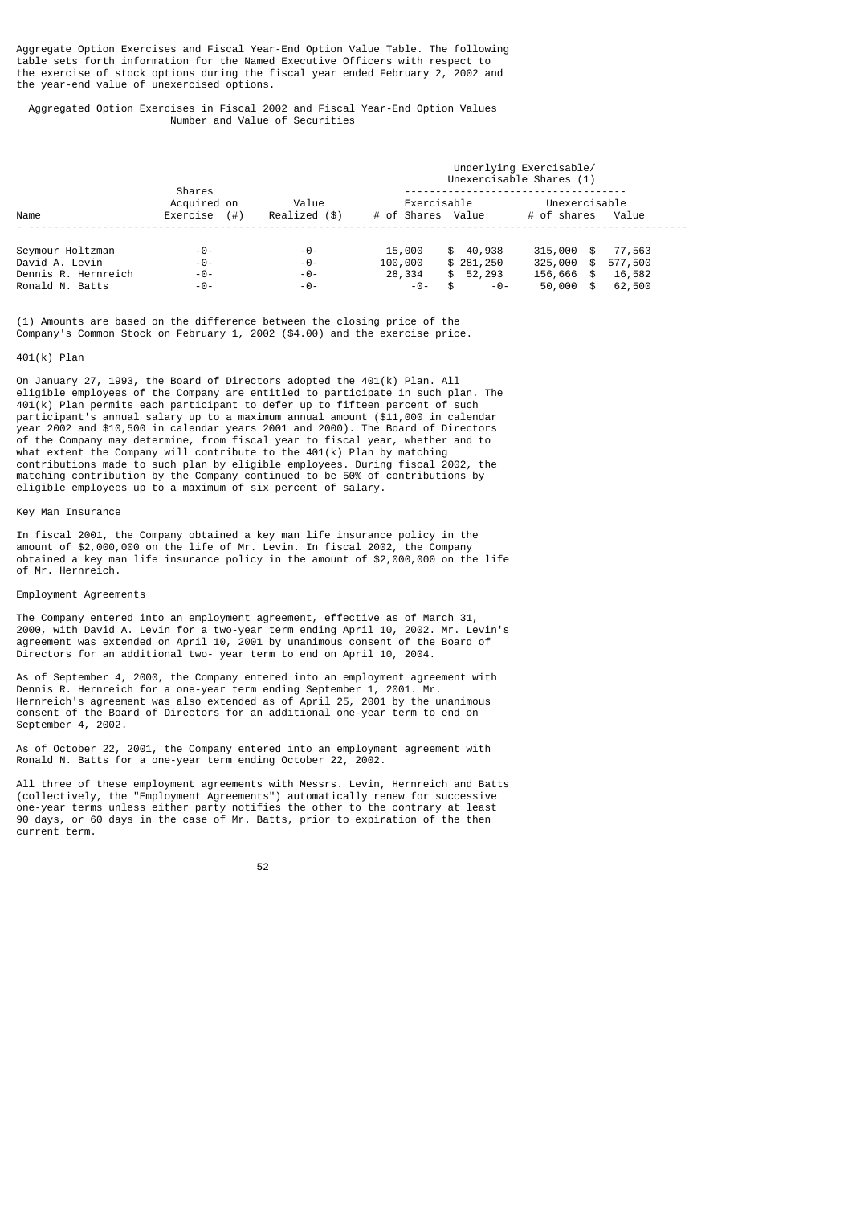Aggregate Option Exercises and Fiscal Year-End Option Value Table. The following table sets forth information for the Named Executive Officers with respect to the exercise of stock options during the fiscal year ended February 2, 2002 and the year-end value of unexercised options.

 Aggregated Option Exercises in Fiscal 2002 and Fiscal Year-End Option Values Number and Value of Securities

|                     |                                         |                        | Underlying Exercisable/<br>Unexercisable Shares (1) |             |                                    |        |  |  |  |
|---------------------|-----------------------------------------|------------------------|-----------------------------------------------------|-------------|------------------------------------|--------|--|--|--|
| Name                | Shares<br>Acquired on<br>Exercise $(#)$ | Value<br>Realized (\$) | Exercisable<br># of Shares Value                    |             | Unexercisable<br># of shares Value |        |  |  |  |
|                     |                                         |                        |                                                     |             |                                    |        |  |  |  |
| Seymour Holtzman    | $-0-$                                   | -0-                    | 15,000                                              | \$40,938    | 315,000 \$                         | 77,563 |  |  |  |
| David A. Levin      | $-0-$                                   | $-0-$                  | 100,000                                             | \$281,250   | 325,000 \$ 577,500                 |        |  |  |  |
| Dennis R. Hernreich | $-0-$                                   | $-0-$                  | 28,334                                              | \$52,293    | 156,666 \$                         | 16,582 |  |  |  |
| Ronald N. Batts     | $-0-$                                   | $-0-$                  | $-0-$                                               | \$<br>$-0-$ | 50,000 \$                          | 62,500 |  |  |  |

(1) Amounts are based on the difference between the closing price of the Company's Common Stock on February 1, 2002 (\$4.00) and the exercise price.

### 401(k) Plan

On January 27, 1993, the Board of Directors adopted the 401(k) Plan. All eligible employees of the Company are entitled to participate in such plan. The 401(k) Plan permits each participant to defer up to fifteen percent of such participant's annual salary up to a maximum annual amount (\$11,000 in calendar year 2002 and \$10,500 in calendar years 2001 and 2000). The Board of Directors of the Company may determine, from fiscal year to fiscal year, whether and to what extent the Company will contribute to the 401(k) Plan by matching contributions made to such plan by eligible employees. During fiscal 2002, the matching contribution by the Company continued to be 50% of contributions by eligible employees up to a maximum of six percent of salary.

## Key Man Insurance

In fiscal 2001, the Company obtained a key man life insurance policy in the amount of \$2,000,000 on the life of Mr. Levin. In fiscal 2002, the Company obtained a key man life insurance policy in the amount of \$2,000,000 on the life of Mr. Hernreich.

# Employment Agreements

The Company entered into an employment agreement, effective as of March 31, 2000, with David A. Levin for a two-year term ending April 10, 2002. Mr. Levin's agreement was extended on April 10, 2001 by unanimous consent of the Board of Directors for an additional two- year term to end on April 10, 2004.

As of September 4, 2000, the Company entered into an employment agreement with Dennis R. Hernreich for a one-year term ending September 1, 2001. Mr. Hernreich's agreement was also extended as of April 25, 2001 by the unanimous consent of the Board of Directors for an additional one-year term to end on September 4, 2002.

As of October 22, 2001, the Company entered into an employment agreement with Ronald N. Batts for a one-year term ending October 22, 2002.

All three of these employment agreements with Messrs. Levin, Hernreich and Batts (collectively, the "Employment Agreements") automatically renew for successive one-year terms unless either party notifies the other to the contrary at least 90 days, or 60 days in the case of Mr. Batts, prior to expiration of the then current term.

#### 52 and 2012 and 2012 and 2012 and 2012 and 2012 and 2012 and 2012 and 2012 and 2012 and 2012 and 201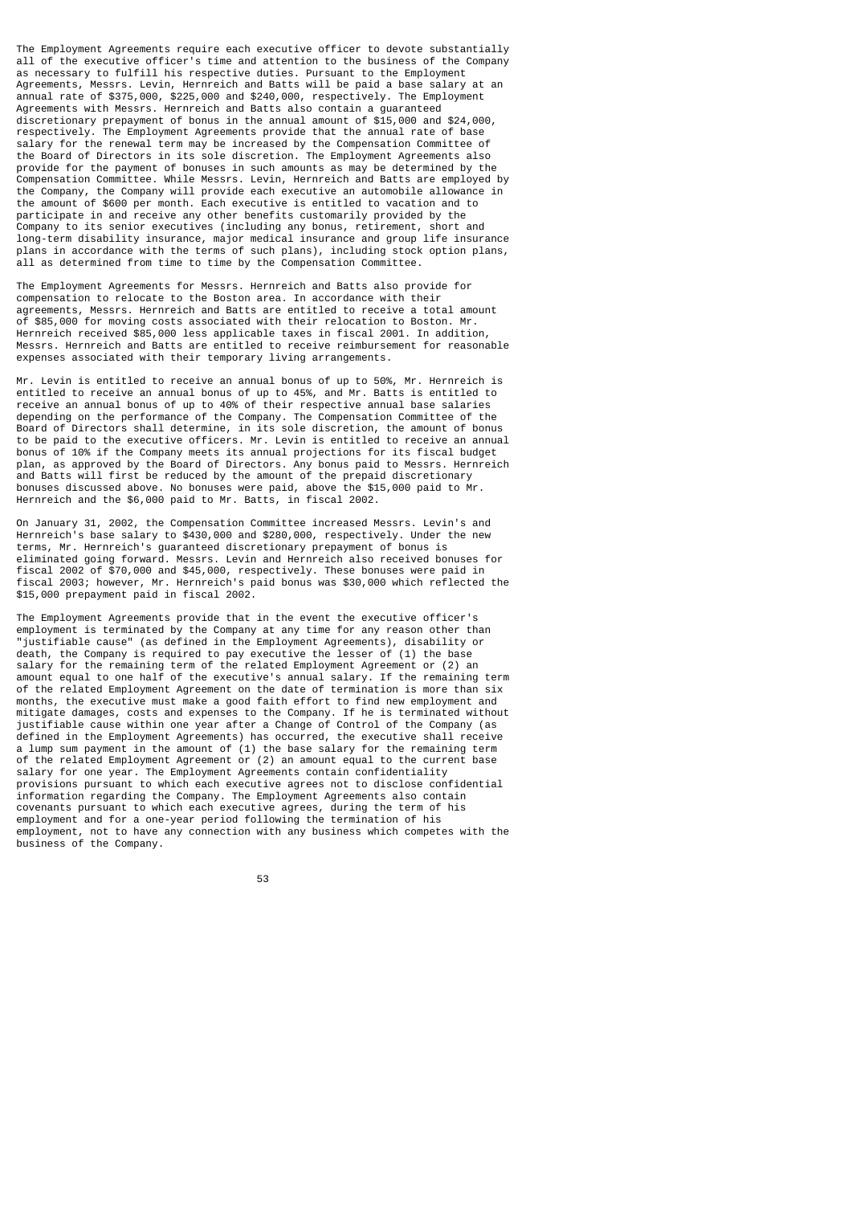The Employment Agreements require each executive officer to devote substantially all of the executive officer's time and attention to the business of the Company as necessary to fulfill his respective duties. Pursuant to the Employment Agreements, Messrs. Levin, Hernreich and Batts will be paid a base salary at an annual rate of \$375,000, \$225,000 and \$240,000, respectively. The Employment Agreements with Messrs. Hernreich and Batts also contain a guaranteed discretionary prepayment of bonus in the annual amount of \$15,000 and \$24,000, respectively. The Employment Agreements provide that the annual rate of base salary for the renewal term may be increased by the Compensation Committee of the Board of Directors in its sole discretion. The Employment Agreements also provide for the payment of bonuses in such amounts as may be determined by the Compensation Committee. While Messrs. Levin, Hernreich and Batts are employed by the Company, the Company will provide each executive an automobile allowance in the amount of \$600 per month. Each executive is entitled to vacation and to participate in and receive any other benefits customarily provided by the Company to its senior executives (including any bonus, retirement, short and long-term disability insurance, major medical insurance and group life insurance plans in accordance with the terms of such plans), including stock option plans, all as determined from time to time by the Compensation Committee.

The Employment Agreements for Messrs. Hernreich and Batts also provide for compensation to relocate to the Boston area. In accordance with their agreements, Messrs. Hernreich and Batts are entitled to receive a total amount of \$85,000 for moving costs associated with their relocation to Boston. Mr. Hernreich received \$85,000 less applicable taxes in fiscal 2001. In addition, Messrs. Hernreich and Batts are entitled to receive reimbursement for reasonable expenses associated with their temporary living arrangements.

Mr. Levin is entitled to receive an annual bonus of up to 50%, Mr. Hernreich is entitled to receive an annual bonus of up to 45%, and Mr. Batts is entitled to receive an annual bonus of up to 40% of their respective annual base salaries depending on the performance of the Company. The Compensation Committee of the Board of Directors shall determine, in its sole discretion, the amount of bonus to be paid to the executive officers. Mr. Levin is entitled to receive an annual bonus of 10% if the Company meets its annual projections for its fiscal budget plan, as approved by the Board of Directors. Any bonus paid to Messrs. Hernreich and Batts will first be reduced by the amount of the prepaid discretionary bonuses discussed above. No bonuses were paid, above the \$15,000 paid to Mr. Hernreich and the \$6,000 paid to Mr. Batts, in fiscal 2002.

On January 31, 2002, the Compensation Committee increased Messrs. Levin's and Hernreich's base salary to \$430,000 and \$280,000, respectively. Under the new terms, Mr. Hernreich's guaranteed discretionary prepayment of bonus is eliminated going forward. Messrs. Levin and Hernreich also received bonuses for fiscal 2002 of \$70,000 and \$45,000, respectively. These bonuses were paid in fiscal 2003; however, Mr. Hernreich's paid bonus was \$30,000 which reflected the \$15,000 prepayment paid in fiscal 2002.

The Employment Agreements provide that in the event the executive officer's employment is terminated by the Company at any time for any reason other than "justifiable cause" (as defined in the Employment Agreements), disability or death, the Company is required to pay executive the lesser of (1) the base salary for the remaining term of the related Employment Agreement or (2) an amount equal to one half of the executive's annual salary. If the remaining term of the related Employment Agreement on the date of termination is more than six months, the executive must make a good faith effort to find new employment and mitigate damages, costs and expenses to the Company. If he is terminated without justifiable cause within one year after a Change of Control of the Company (as defined in the Employment Agreements) has occurred, the executive shall receive a lump sum payment in the amount of (1) the base salary for the remaining term of the related Employment Agreement or (2) an amount equal to the current base salary for one year. The Employment Agreements contain confidentiality provisions pursuant to which each executive agrees not to disclose confidential information regarding the Company. The Employment Agreements also contain covenants pursuant to which each executive agrees, during the term of his employment and for a one-year period following the termination of his employment, not to have any connection with any business which competes with the business of the Company.

53 and 2012 and 2013 and 2013 and 2014 and 2014 and 2014 and 2014 and 2014 and 2014 and 2014 and 2014 and 2014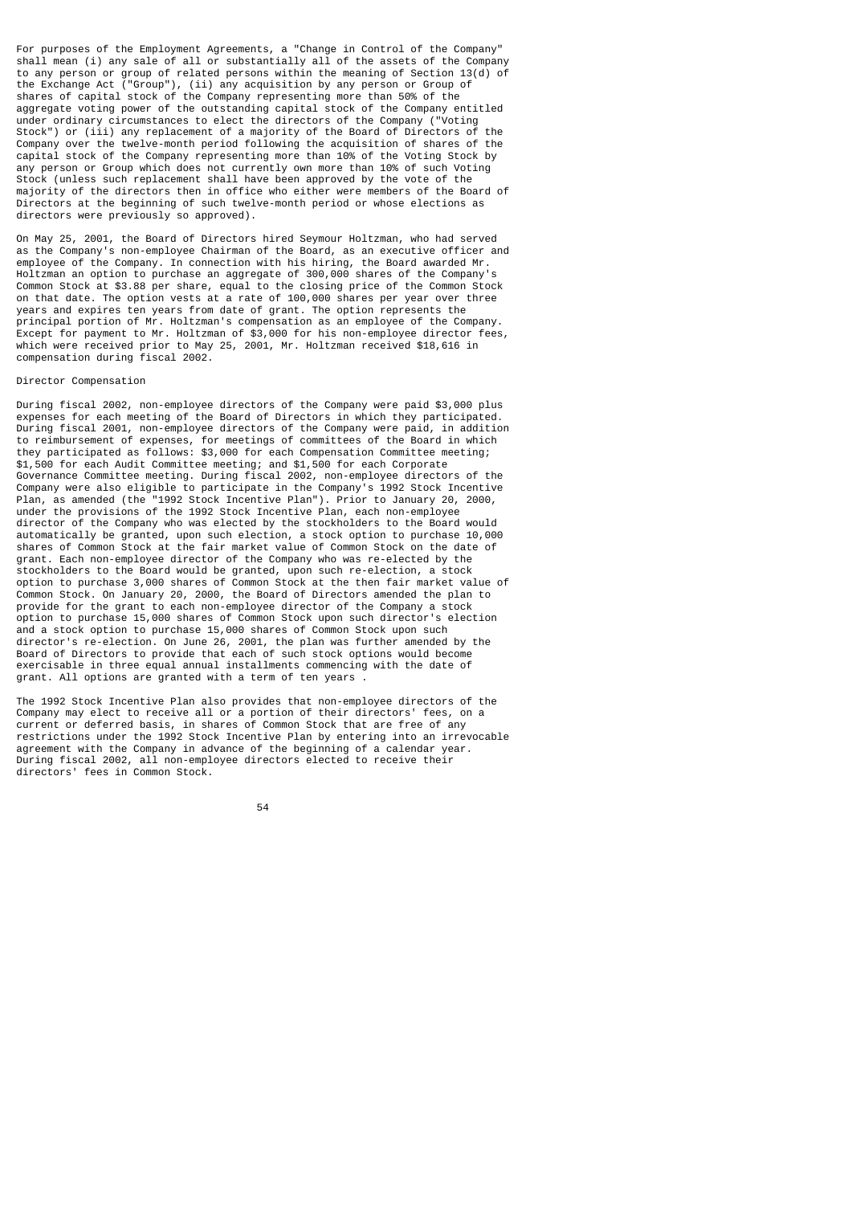For purposes of the Employment Agreements, a "Change in Control of the Company" shall mean (i) any sale of all or substantially all of the assets of the Company to any person or group of related persons within the meaning of Section 13(d) of the Exchange Act ("Group"), (ii) any acquisition by any person or Group of shares of capital stock of the Company representing more than 50% of the aggregate voting power of the outstanding capital stock of the Company entitled under ordinary circumstances to elect the directors of the Company ("Voting Stock") or (iii) any replacement of a majority of the Board of Directors of the Company over the twelve-month period following the acquisition of shares of the capital stock of the Company representing more than 10% of the Voting Stock by any person or Group which does not currently own more than 10% of such Voting Stock (unless such replacement shall have been approved by the vote of the majority of the directors then in office who either were members of the Board of Directors at the beginning of such twelve-month period or whose elections as directors were previously so approved).

On May 25, 2001, the Board of Directors hired Seymour Holtzman, who had served as the Company's non-employee Chairman of the Board, as an executive officer and employee of the Company. In connection with his hiring, the Board awarded Mr. Holtzman an option to purchase an aggregate of 300,000 shares of the Company's Common Stock at \$3.88 per share, equal to the closing price of the Common Stock on that date. The option vests at a rate of 100,000 shares per year over three years and expires ten years from date of grant. The option represents the principal portion of Mr. Holtzman's compensation as an employee of the Company. Except for payment to Mr. Holtzman of \$3,000 for his non-employee director fees, which were received prior to May 25, 2001, Mr. Holtzman received \$18,616 in compensation during fiscal 2002.

#### Director Compensation

During fiscal 2002, non-employee directors of the Company were paid \$3,000 plus expenses for each meeting of the Board of Directors in which they participated. During fiscal 2001, non-employee directors of the Company were paid, in addition to reimbursement of expenses, for meetings of committees of the Board in which they participated as follows: \$3,000 for each Compensation Committee meeting; \$1,500 for each Audit Committee meeting; and \$1,500 for each Corporate Governance Committee meeting. During fiscal 2002, non-employee directors of the Company were also eligible to participate in the Company's 1992 Stock Incentive Plan, as amended (the "1992 Stock Incentive Plan"). Prior to January 20, 2000, under the provisions of the 1992 Stock Incentive Plan, each non-employee director of the Company who was elected by the stockholders to the Board would automatically be granted, upon such election, a stock option to purchase 10,000 shares of Common Stock at the fair market value of Common Stock on the date of grant. Each non-employee director of the Company who was re-elected by the stockholders to the Board would be granted, upon such re-election, a stock option to purchase 3,000 shares of Common Stock at the then fair market value of Common Stock. On January 20, 2000, the Board of Directors amended the plan to provide for the grant to each non-employee director of the Company a stock option to purchase 15,000 shares of Common Stock upon such director's election and a stock option to purchase 15,000 shares of Common Stock upon such director's re-election. On June 26, 2001, the plan was further amended by the Board of Directors to provide that each of such stock options would become exercisable in three equal annual installments commencing with the date of grant. All options are granted with a term of ten years .

The 1992 Stock Incentive Plan also provides that non-employee directors of the Company may elect to receive all or a portion of their directors' fees, on a current or deferred basis, in shares of Common Stock that are free of any restrictions under the 1992 Stock Incentive Plan by entering into an irrevocable agreement with the Company in advance of the beginning of a calendar year. During fiscal 2002, all non-employee directors elected to receive their directors' fees in Common Stock.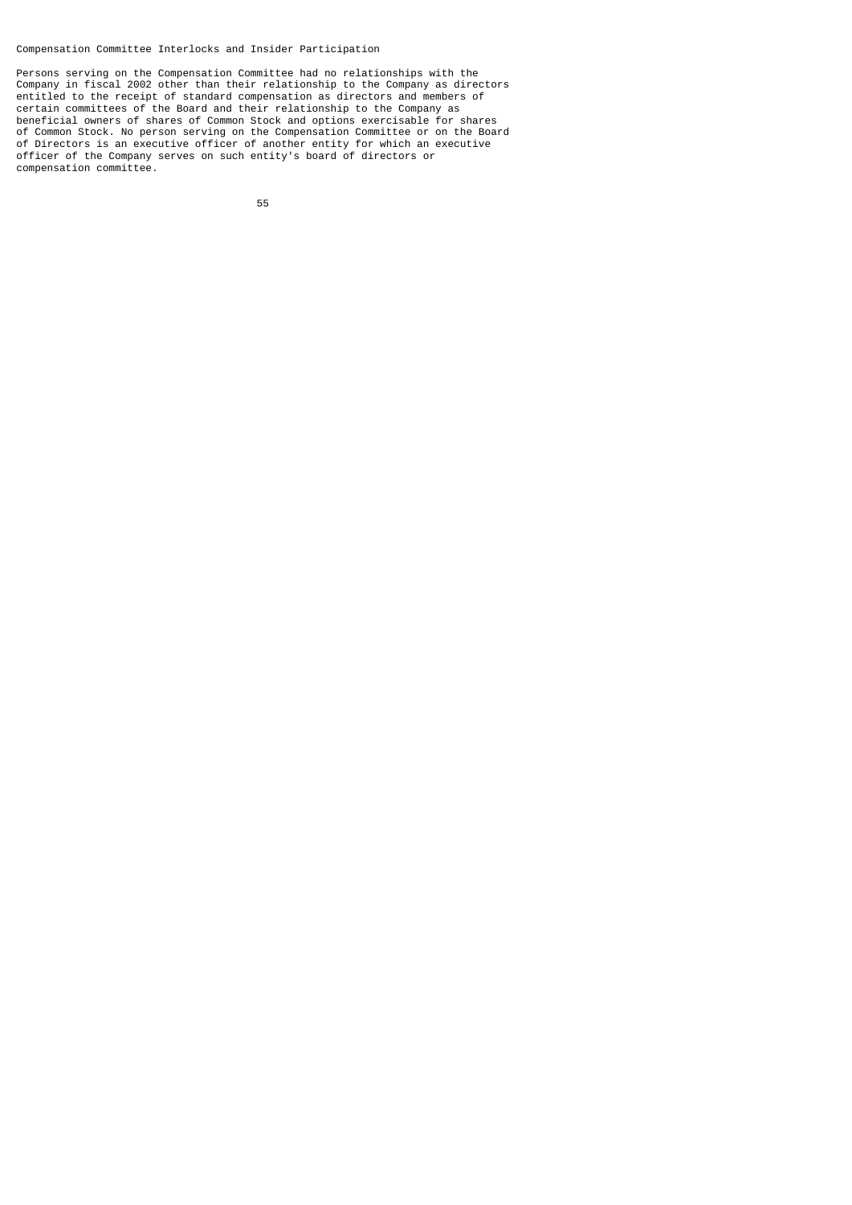Compensation Committee Interlocks and Insider Participation

Persons serving on the Compensation Committee had no relationships with the Company in fiscal 2002 other than their relationship to the Company as directors entitled to the receipt of standard compensation as directors and members of certain committees of the Board and their relationship to the Company as beneficial owners of shares of Common Stock and options exercisable for shares of Common Stock. No person serving on the Compensation Committee or on the Board of Directors is an executive officer of another entity for which an executive officer of the Company serves on such entity's board of directors or compensation committee.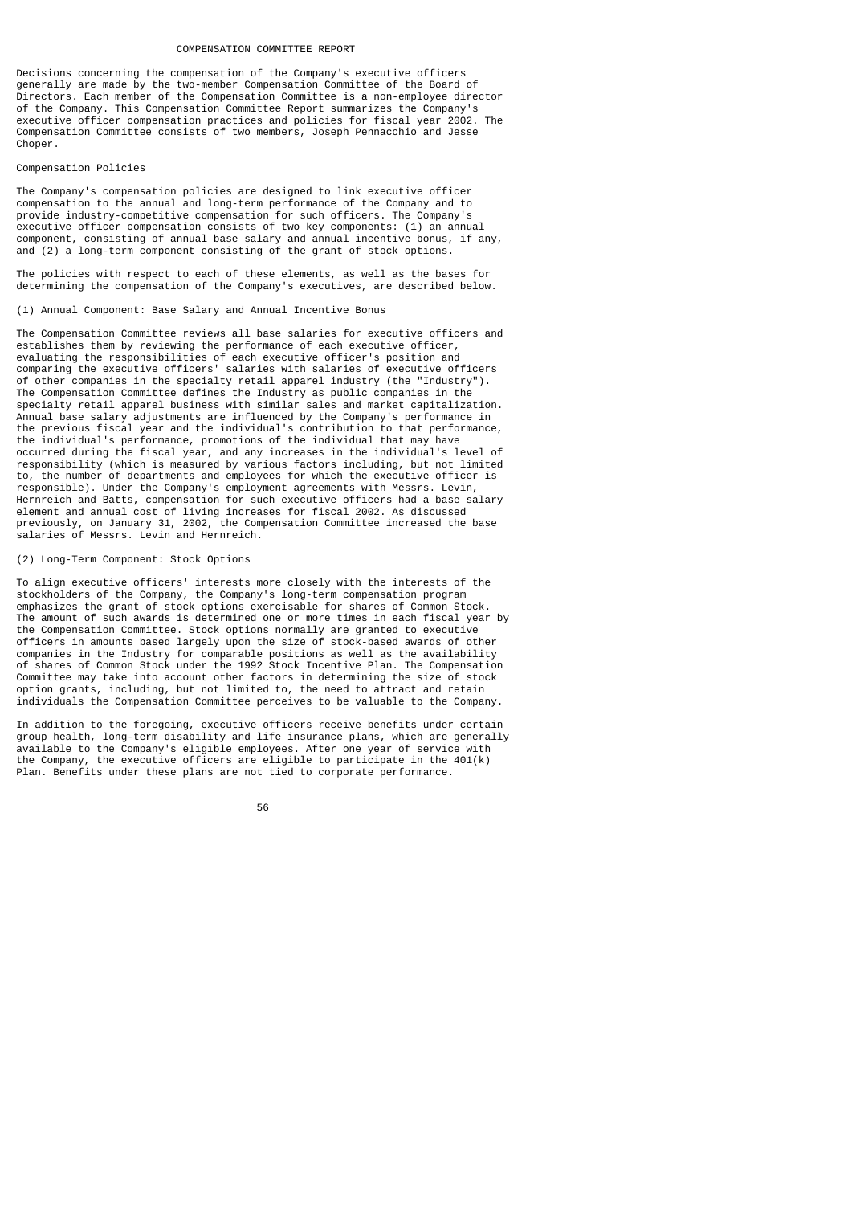#### COMPENSATION COMMITTEE REPORT

Decisions concerning the compensation of the Company's executive officers generally are made by the two-member Compensation Committee of the Board of Directors. Each member of the Compensation Committee is a non-employee director of the Company. This Compensation Committee Report summarizes the Company's executive officer compensation practices and policies for fiscal year 2002. The Compensation Committee consists of two members, Joseph Pennacchio and Jesse Choper.

## Compensation Policies

The Company's compensation policies are designed to link executive officer compensation to the annual and long-term performance of the Company and to provide industry-competitive compensation for such officers. The Company's executive officer compensation consists of two key components: (1) an annual component, consisting of annual base salary and annual incentive bonus, if any, and (2) a long-term component consisting of the grant of stock options.

The policies with respect to each of these elements, as well as the bases for determining the compensation of the Company's executives, are described below.

## (1) Annual Component: Base Salary and Annual Incentive Bonus

The Compensation Committee reviews all base salaries for executive officers and establishes them by reviewing the performance of each executive officer, evaluating the responsibilities of each executive officer's position and comparing the executive officers' salaries with salaries of executive officers of other companies in the specialty retail apparel industry (the "Industry"). The Compensation Committee defines the Industry as public companies in the specialty retail apparel business with similar sales and market capitalization. Annual base salary adjustments are influenced by the Company's performance in the previous fiscal year and the individual's contribution to that performance, the individual's performance, promotions of the individual that may have occurred during the fiscal year, and any increases in the individual's level of responsibility (which is measured by various factors including, but not limited to, the number of departments and employees for which the executive officer is responsible). Under the Company's employment agreements with Messrs. Levin, Hernreich and Batts, compensation for such executive officers had a base salary element and annual cost of living increases for fiscal 2002. As discussed previously, on January 31, 2002, the Compensation Committee increased the base salaries of Messrs. Levin and Hernreich.

### (2) Long-Term Component: Stock Options

To align executive officers' interests more closely with the interests of the stockholders of the Company, the Company's long-term compensation program emphasizes the grant of stock options exercisable for shares of Common Stock. The amount of such awards is determined one or more times in each fiscal year by the Compensation Committee. Stock options normally are granted to executive officers in amounts based largely upon the size of stock-based awards of other companies in the Industry for comparable positions as well as the availability of shares of Common Stock under the 1992 Stock Incentive Plan. The Compensation Committee may take into account other factors in determining the size of stock option grants, including, but not limited to, the need to attract and retain individuals the Compensation Committee perceives to be valuable to the Company.

In addition to the foregoing, executive officers receive benefits under certain group health, long-term disability and life insurance plans, which are generally available to the Company's eligible employees. After one year of service with the Company, the executive officers are eligible to participate in the 401(k) Plan. Benefits under these plans are not tied to corporate performance.

56 and 2012 and 2013 and 2014 and 2014 and 2014 and 2014 and 2014 and 2014 and 2014 and 2014 and 2014 and 2014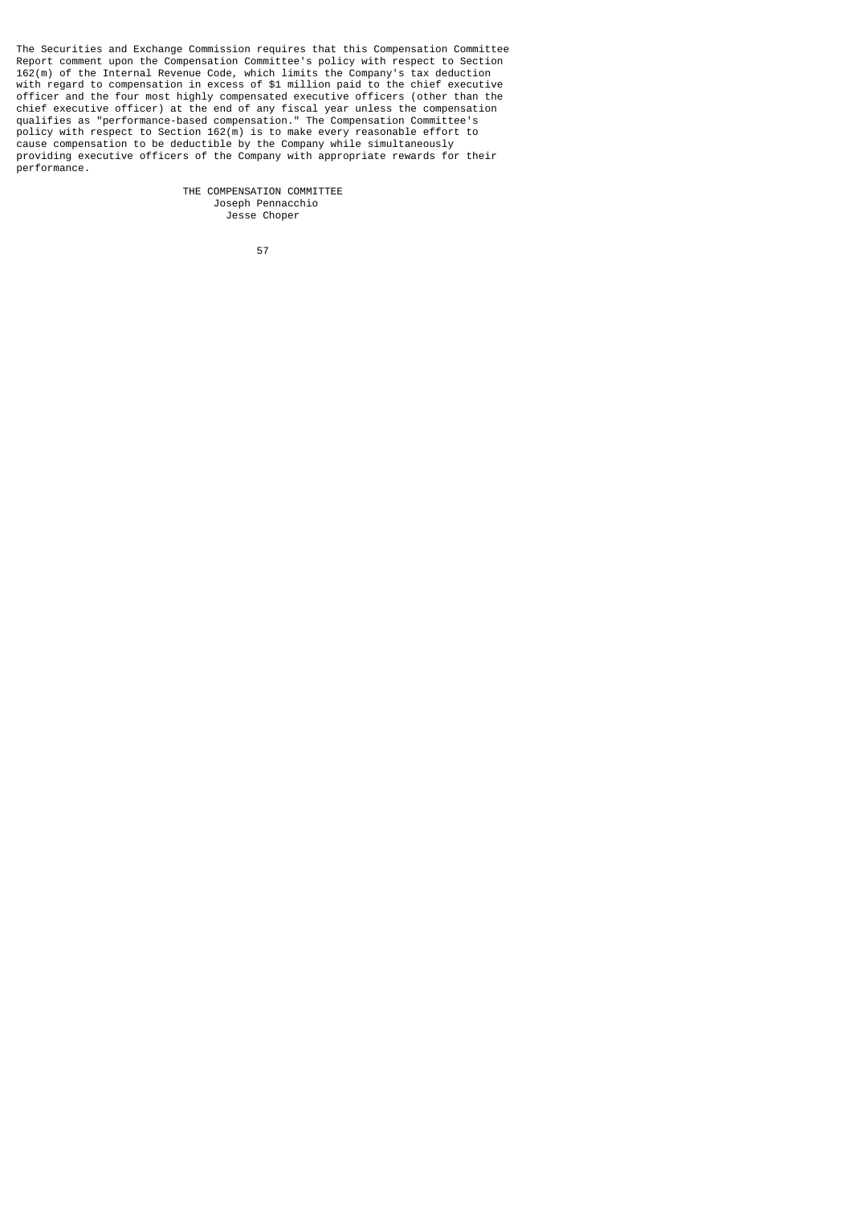The Securities and Exchange Commission requires that this Compensation Committee Report comment upon the Compensation Committee's policy with respect to Section 162(m) of the Internal Revenue Code, which limits the Company's tax deduction with regard to compensation in excess of \$1 million paid to the chief executive officer and the four most highly compensated executive officers (other than the chief executive officer) at the end of any fiscal year unless the compensation qualifies as "performance-based compensation." The Compensation Committee's policy with respect to Section 162(m) is to make every reasonable effort to cause compensation to be deductible by the Company while simultaneously providing executive officers of the Company with appropriate rewards for their performance.

> THE COMPENSATION COMMITTEE Joseph Pennacchio Jesse Choper

57 (1992) 1994 (1994) 1995 (1996) 1996 (1997) 1997 (1998) 1997 (1998) 1997 (1998) 1997 (1998) 1997 (1998) 199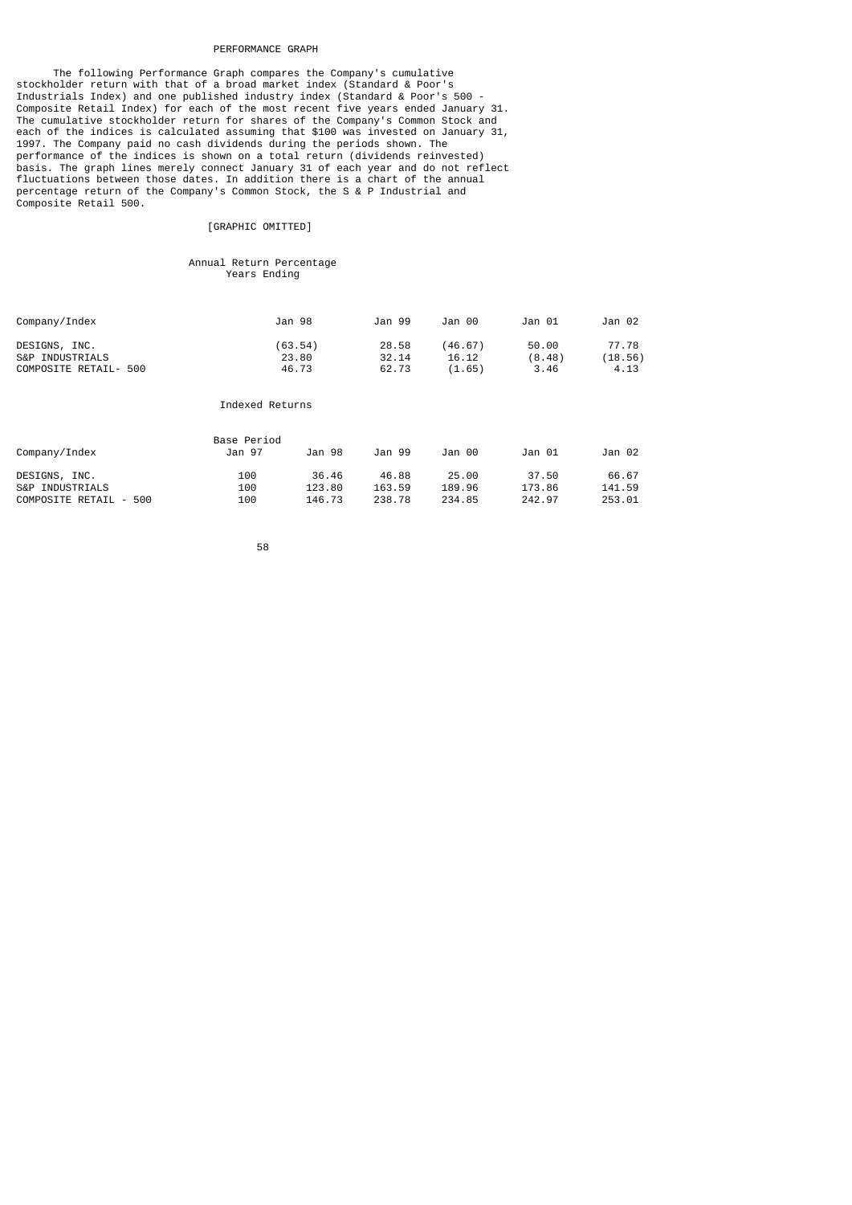#### PERFORMANCE GRAPH

 The following Performance Graph compares the Company's cumulative stockholder return with that of a broad market index (Standard & Poor's Industrials Index) and one published industry index (Standard & Poor's 500 - Composite Retail Index) for each of the most recent five years ended January 31. The cumulative stockholder return for shares of the Company's Common Stock and each of the indices is calculated assuming that \$100 was invested on January 31, 1997. The Company paid no cash dividends during the periods shown. The performance of the indices is shown on a total return (dividends reinvested) basis. The graph lines merely connect January 31 of each year and do not reflect fluctuations between those dates. In addition there is a chart of the annual percentage return of the Company's Common Stock, the S & P Industrial and Composite Retail 500.

# [GRAPHIC OMITTED]

## Annual Return Percentage Years Ending

| Company/Index                    | Jan 98           | Jan 99         | Jan 00           | Jan 01          | Jan 02           |
|----------------------------------|------------------|----------------|------------------|-----------------|------------------|
| DESIGNS, INC.<br>S&P INDUSTRIALS | (63.54)<br>23.80 | 28.58<br>32.14 | (46.67)<br>16.12 | 50.00<br>(8.48) | 77.78<br>(18.56) |
| COMPOSITE RETAIL- 500            | 46.73            | 62.73          | (1.65)           | 3.46            | 4.13             |

# Indexed Returns

|                        | Base Period |        |        |        |        |        |
|------------------------|-------------|--------|--------|--------|--------|--------|
| Company/Index          | Jan 97      | Jan 98 | Jan 99 | Jan 00 | Jan 01 | Jan 02 |
| DESIGNS, INC.          | 100         | 36.46  | 46.88  | 25.00  | 37.50  | 66.67  |
| S&P INDUSTRIALS        | 100         | 123.80 | 163.59 | 189.96 | 173.86 | 141.59 |
| COMPOSITE RETAIL - 500 | 100         | 146.73 | 238.78 | 234.85 | 242.97 | 253.01 |

58 - 1990 - 1990 - 1990 - 1990 - 1990 - 1990 - 1990 - 1990 - 1990 - 1990 - 1990 - 1990 - 1990 - 1990 - 1990 -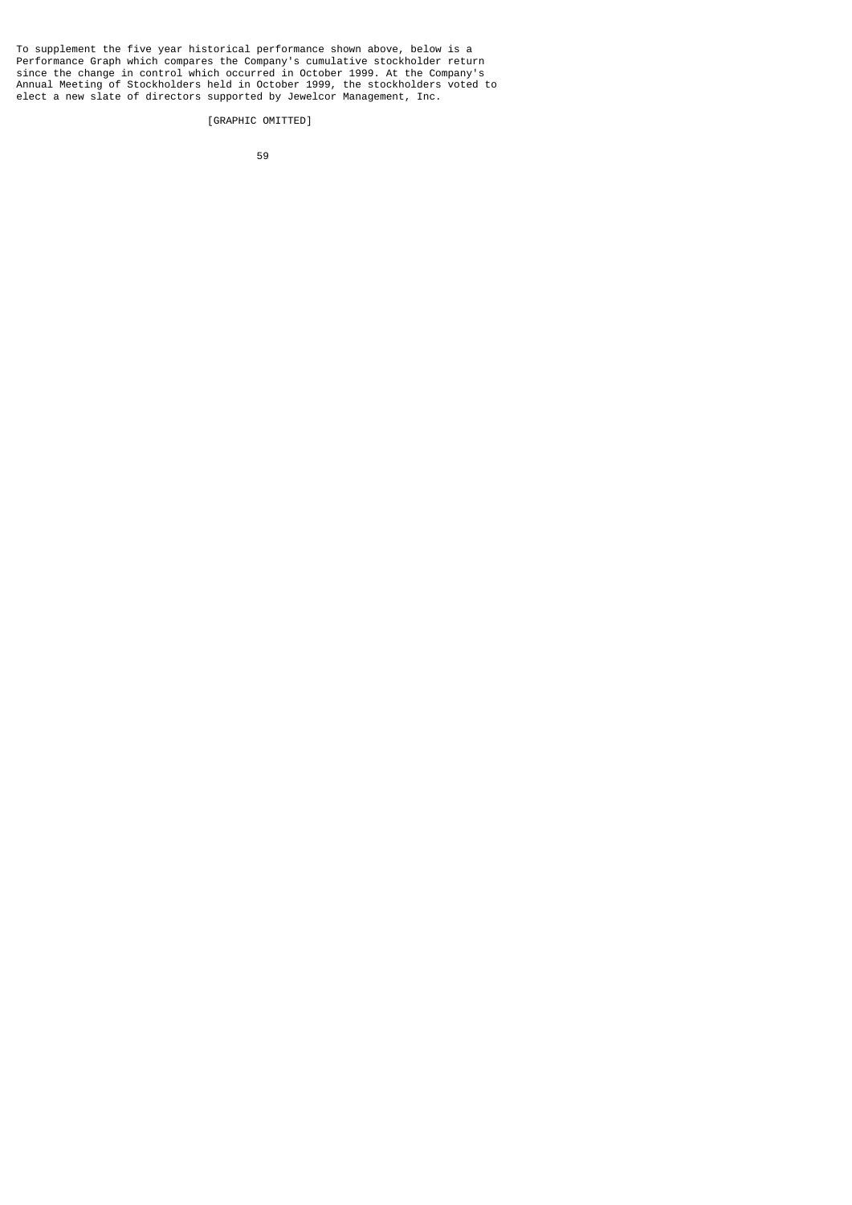To supplement the five year historical performance shown above, below is a Performance Graph which compares the Company's cumulative stockholder return since the change in control which occurred in October 1999. At the Company's Annual Meeting of Stockholders held in October 1999, the stockholders voted to elect a new slate of directors supported by Jewelcor Management, Inc.

[GRAPHIC OMITTED]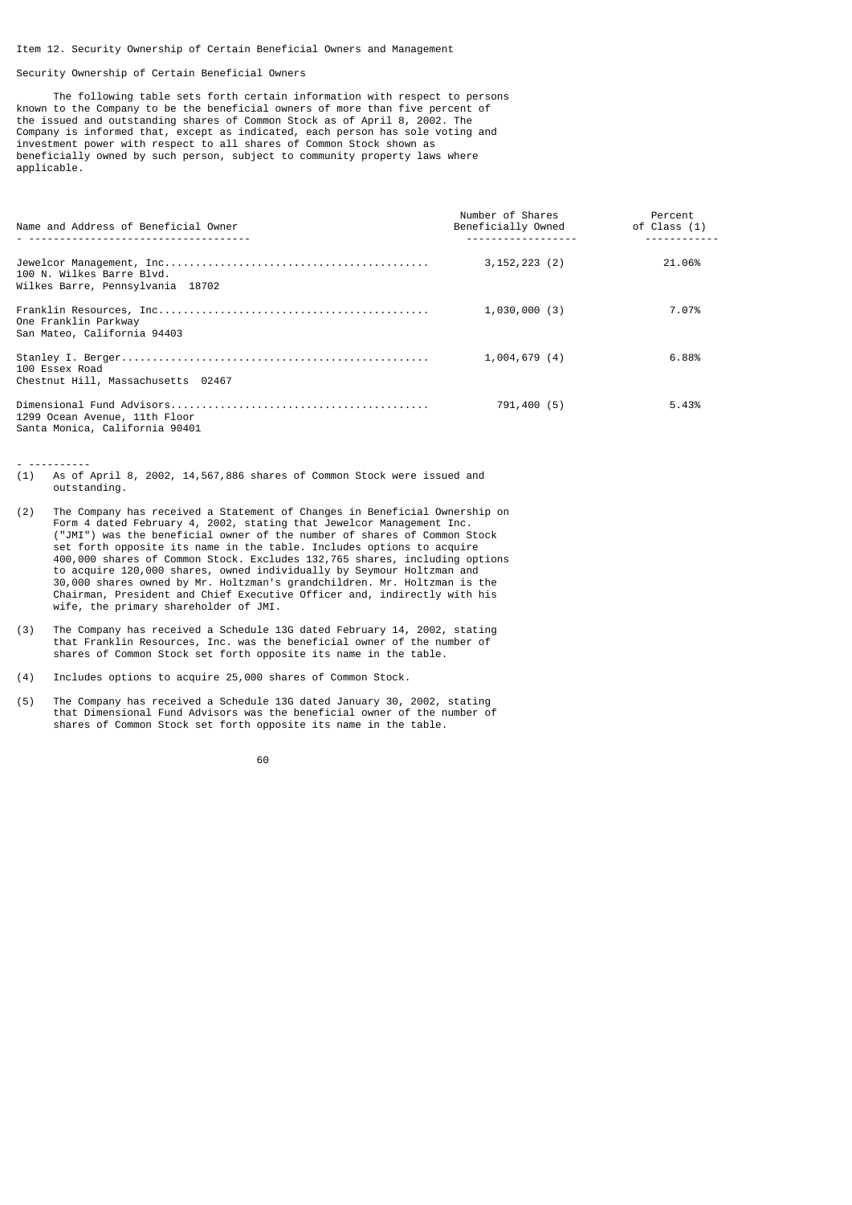### Item 12. Security Ownership of Certain Beneficial Owners and Management

### Security Ownership of Certain Beneficial Owners

- ----------

 The following table sets forth certain information with respect to persons known to the Company to be the beneficial owners of more than five percent of the issued and outstanding shares of Common Stock as of April 8, 2002. The Company is informed that, except as indicated, each person has sole voting and investment power with respect to all shares of Common Stock shown as beneficially owned by such person, subject to community property laws where applicable.

| Name and Address of Beneficial Owner                            | Number of Shares<br>Beneficially Owned | Percent<br>of Class (1) |
|-----------------------------------------------------------------|----------------------------------------|-------------------------|
| 100 N. Wilkes Barre Blvd.<br>Wilkes Barre, Pennsylvania 18702   | $3, 152, 223$ (2)                      | 21,06%                  |
| One Franklin Parkway<br>San Mateo, California 94403             | 1,030,000(3)                           | 7.07%                   |
| 100 Essex Road<br>Chestnut Hill, Massachusetts 02467            | 1,004,679(4)                           | 6.88%                   |
| 1299 Ocean Avenue, 11th Floor<br>Santa Monica, California 90401 | 791,400 (5)                            | 5.43%                   |

(1) As of April 8, 2002, 14,567,886 shares of Common Stock were issued and outstanding.

- (2) The Company has received a Statement of Changes in Beneficial Ownership on Form 4 dated February 4, 2002, stating that Jewelcor Management Inc. ("JMI") was the beneficial owner of the number of shares of Common Stock set forth opposite its name in the table. Includes options to acquire 400,000 shares of Common Stock. Excludes 132,765 shares, including options to acquire 120,000 shares, owned individually by Seymour Holtzman and 30,000 shares owned by Mr. Holtzman's grandchildren. Mr. Holtzman is the Chairman, President and Chief Executive Officer and, indirectly with his wife, the primary shareholder of JMI.
- (3) The Company has received a Schedule 13G dated February 14, 2002, stating that Franklin Resources, Inc. was the beneficial owner of the number of shares of Common Stock set forth opposite its name in the table.

(5) The Company has received a Schedule 13G dated January 30, 2002, stating that Dimensional Fund Advisors was the beneficial owner of the number of shares of Common Stock set forth opposite its name in the table.

de 1990 de 1990 de 1990 de 1990 de 1990 de 1990 de 1990 de 1990 de 1990 de 1990 de 1990 de 1990 de 1990 de 19<br>1900 de 1990 de 1990 de 1990 de 1990 de 1990 de 1990 de 1990 de 1990 de 1990 de 1990 de 1990 de 1990 de 1990

<sup>(4)</sup> Includes options to acquire 25,000 shares of Common Stock.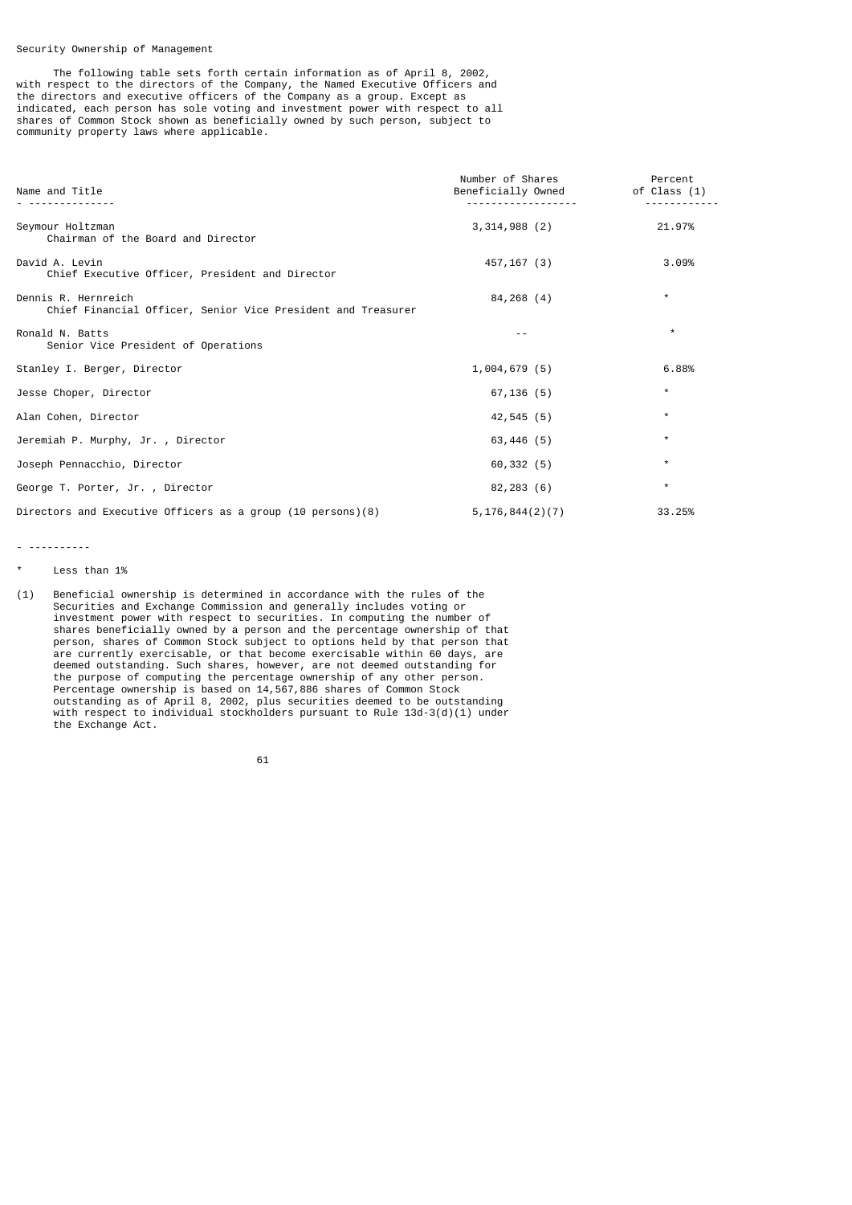## Security Ownership of Management

 The following table sets forth certain information as of April 8, 2002, with respect to the directors of the Company, the Named Executive Officers and the directors and executive officers of the Company as a group. Except as indicated, each person has sole voting and investment power with respect to all shares of Common Stock shown as beneficially owned by such person, subject to community property laws where applicable.

| Name and Title                                                                      | Number of Shares<br>Beneficially Owned | Percent<br>of Class (1) |
|-------------------------------------------------------------------------------------|----------------------------------------|-------------------------|
| Seymour Holtzman<br>Chairman of the Board and Director                              | 3,314,988(2)                           | 21.97%                  |
| David A. Levin<br>Chief Executive Officer, President and Director                   | 457,167 (3)                            | 3.09%                   |
| Dennis R. Hernreich<br>Chief Financial Officer, Senior Vice President and Treasurer | 84,268 (4)                             | $\star$                 |
| Ronald N. Batts<br>Senior Vice President of Operations                              |                                        | $\star$                 |
| Stanley I. Berger, Director                                                         | 1,004,679(5)                           | 6.88%                   |
| Jesse Choper, Director                                                              | 67,136 (5)                             | $\star$                 |
| Alan Cohen, Director                                                                | 42,545 (5)                             | $\star$                 |
| Jeremiah P. Murphy, Jr., Director                                                   | 63,446 (5)                             | $^\star$                |
| Joseph Pennacchio, Director                                                         | 60,332(5)                              | $\star$                 |
| George T. Porter, Jr., Director                                                     | 82,283 (6)                             | $\star$                 |
| Directors and Executive Officers as a group (10 persons)(8)                         | 5, 176, 844(2)(7)                      | 33.25%                  |

- ----------

(1) Beneficial ownership is determined in accordance with the rules of the Securities and Exchange Commission and generally includes voting or investment power with respect to securities. In computing the number of shares beneficially owned by a person and the percentage ownership of that person, shares of Common Stock subject to options held by that person that are currently exercisable, or that become exercisable within 60 days, are deemed outstanding. Such shares, however, are not deemed outstanding for the purpose of computing the percentage ownership of any other person. Percentage ownership is based on 14,567,886 shares of Common Stock outstanding as of April 8, 2002, plus securities deemed to be outstanding with respect to individual stockholders pursuant to Rule 13d-3(d)(1) under the Exchange Act.

 $\sim$  61

Less than 1%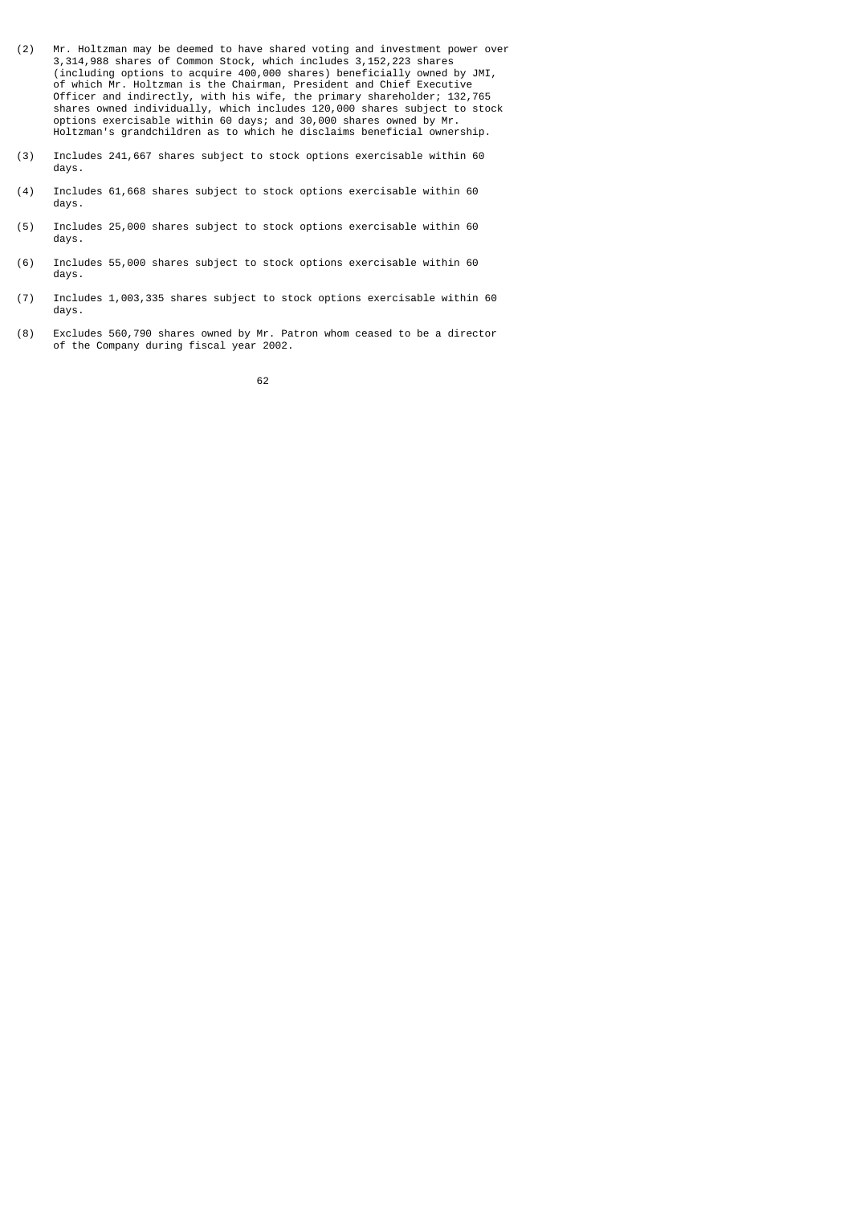- (2) Mr. Holtzman may be deemed to have shared voting and investment power over 3,314,988 shares of Common Stock, which includes 3,152,223 shares (including options to acquire 400,000 shares) beneficially owned by JMI, of which Mr. Holtzman is the Chairman, President and Chief Executive Officer and indirectly, with his wife, the primary shareholder; 132,765 shares owned individually, which includes 120,000 shares subject to stock options exercisable within 60 days; and 30,000 shares owned by Mr. Holtzman's grandchildren as to which he disclaims beneficial ownership.
- (3) Includes 241,667 shares subject to stock options exercisable within 60 days.
- (4) Includes 61,668 shares subject to stock options exercisable within 60 days.
- (5) Includes 25,000 shares subject to stock options exercisable within 60 days.
- (6) Includes 55,000 shares subject to stock options exercisable within 60 days.
- (7) Includes 1,003,335 shares subject to stock options exercisable within 60 days.
- (8) Excludes 560,790 shares owned by Mr. Patron whom ceased to be a director of the Company during fiscal year 2002.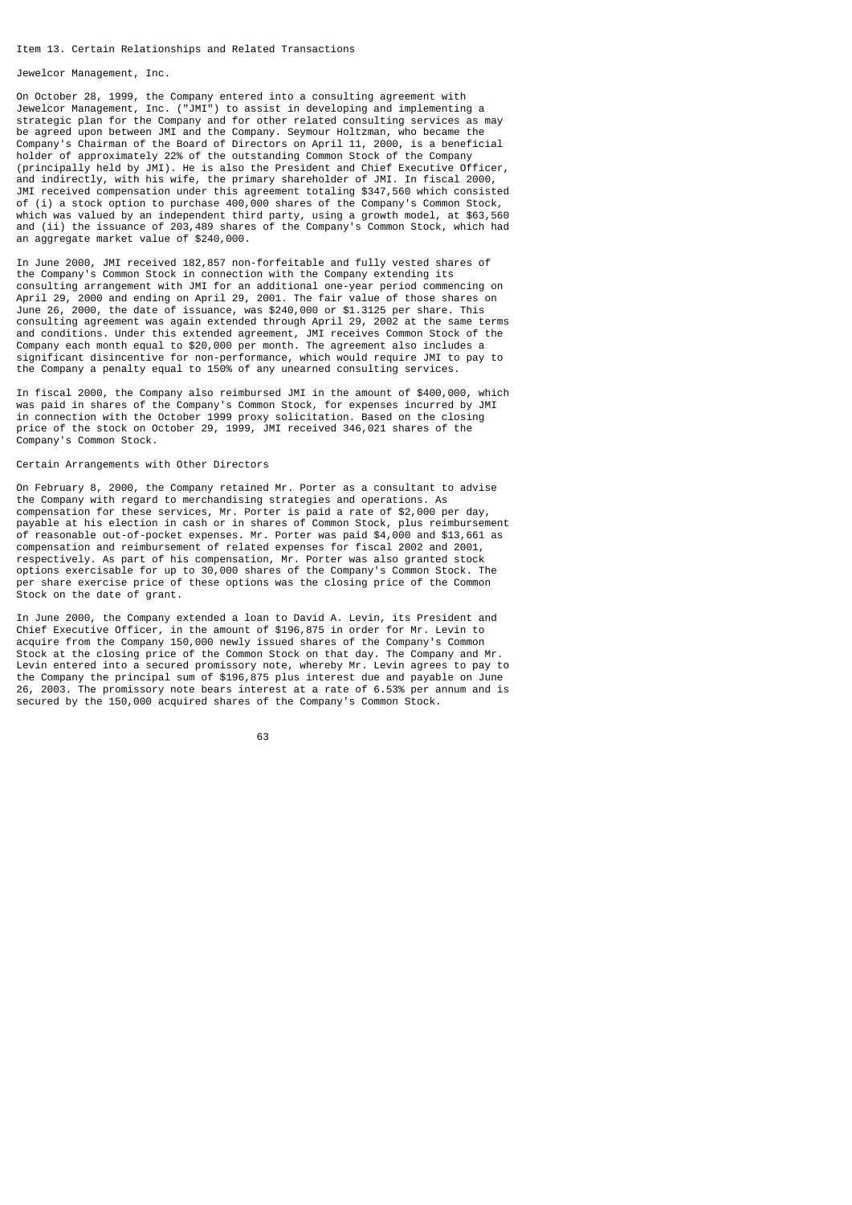#### Item 13. Certain Relationships and Related Transactions

Jewelcor Management, Inc.

On October 28, 1999, the Company entered into a consulting agreement with Jewelcor Management, Inc. ("JMI") to assist in developing and implementing a strategic plan for the Company and for other related consulting services as may be agreed upon between JMI and the Company. Seymour Holtzman, who became the Company's Chairman of the Board of Directors on April 11, 2000, is a beneficial holder of approximately 22% of the outstanding Common Stock of the Company (principally held by JMI). He is also the President and Chief Executive Officer, and indirectly, with his wife, the primary shareholder of JMI. In fiscal 2000, JMI received compensation under this agreement totaling \$347,560 which consisted of (i) a stock option to purchase 400,000 shares of the Company's Common Stock, which was valued by an independent third party, using a growth model, at \$63,560 and (ii) the issuance of 203,489 shares of the Company's Common Stock, which had an aggregate market value of \$240,000.

In June 2000, JMI received 182,857 non-forfeitable and fully vested shares of the Company's Common Stock in connection with the Company extending its consulting arrangement with JMI for an additional one-year period commencing on April 29, 2000 and ending on April 29, 2001. The fair value of those shares on June 26, 2000, the date of issuance, was \$240,000 or \$1.3125 per share. This consulting agreement was again extended through April 29, 2002 at the same terms and conditions. Under this extended agreement, JMI receives Common Stock of the Company each month equal to \$20,000 per month. The agreement also includes a significant disincentive for non-performance, which would require JMI to pay to the Company a penalty equal to 150% of any unearned consulting services.

In fiscal 2000, the Company also reimbursed JMI in the amount of \$400,000, which was paid in shares of the Company's Common Stock, for expenses incurred by JMI in connection with the October 1999 proxy solicitation. Based on the closing price of the stock on October 29, 1999, JMI received 346,021 shares of the Company's Common Stock.

#### Certain Arrangements with Other Directors

On February 8, 2000, the Company retained Mr. Porter as a consultant to advise the Company with regard to merchandising strategies and operations. As compensation for these services, Mr. Porter is paid a rate of \$2,000 per day, payable at his election in cash or in shares of Common Stock, plus reimbursement of reasonable out-of-pocket expenses. Mr. Porter was paid \$4,000 and \$13,661 as compensation and reimbursement of related expenses for fiscal 2002 and 2001, respectively. As part of his compensation, Mr. Porter was also granted stock options exercisable for up to 30,000 shares of the Company's Common Stock. The per share exercise price of these options was the closing price of the Common Stock on the date of grant.

In June 2000, the Company extended a loan to David A. Levin, its President and Chief Executive Officer, in the amount of \$196,875 in order for Mr. Levin to acquire from the Company 150,000 newly issued shares of the Company's Common Stock at the closing price of the Common Stock on that day. The Company and Mr. Levin entered into a secured promissory note, whereby Mr. Levin agrees to pay to the Company the principal sum of \$196,875 plus interest due and payable on June 26, 2003. The promissory note bears interest at a rate of 6.53% per annum and is secured by the 150,000 acquired shares of the Company's Common Stock.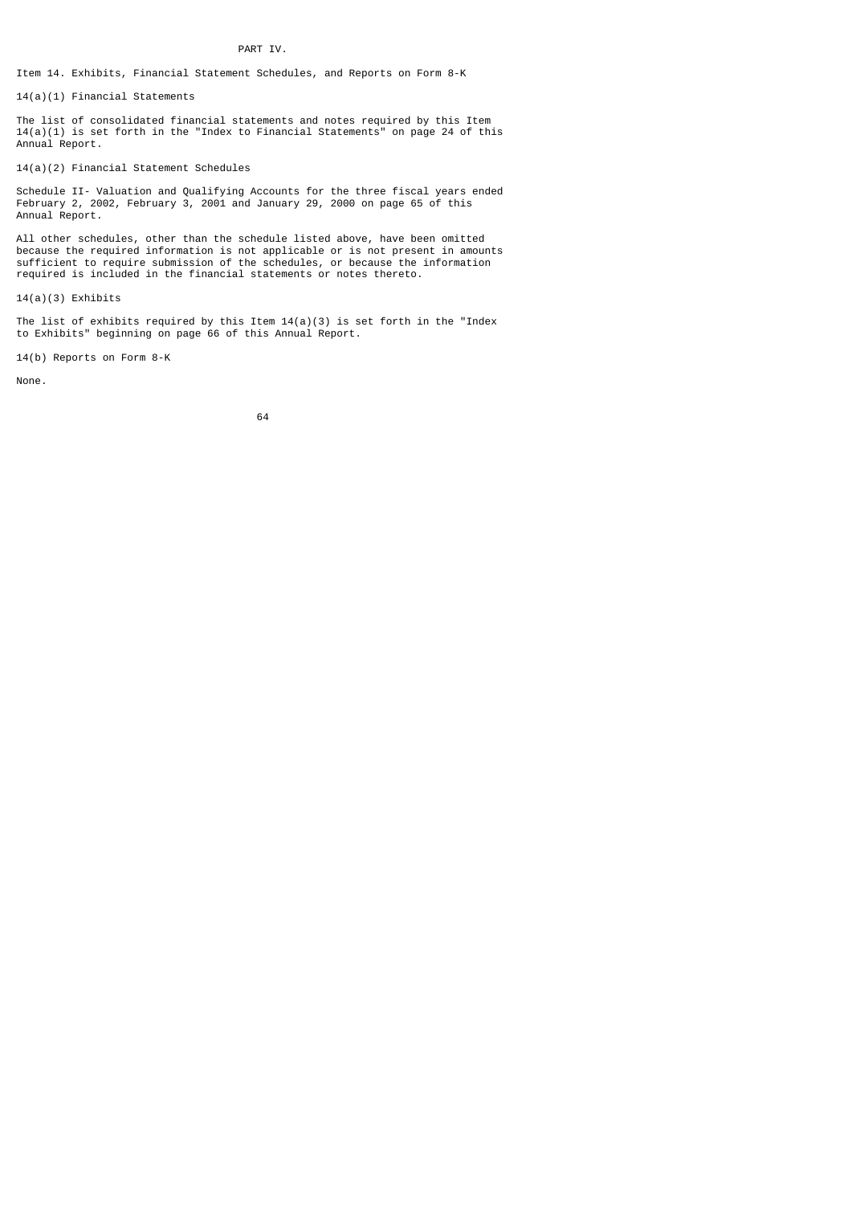PART IV.

Item 14. Exhibits, Financial Statement Schedules, and Reports on Form 8-K

14(a)(1) Financial Statements

The list of consolidated financial statements and notes required by this Item 14(a)(1) is set forth in the "Index to Financial Statements" on page 24 of this Annual Report.

14(a)(2) Financial Statement Schedules

Schedule II- Valuation and Qualifying Accounts for the three fiscal years ended February 2, 2002, February 3, 2001 and January 29, 2000 on page 65 of this Annual Report.

All other schedules, other than the schedule listed above, have been omitted because the required information is not applicable or is not present in amounts sufficient to require submission of the schedules, or because the information required is included in the financial statements or notes thereto.

14(a)(3) Exhibits

The list of exhibits required by this Item  $14(a)(3)$  is set forth in the "Index to Exhibits" beginning on page 66 of this Annual Report.

14(b) Reports on Form 8-K

None.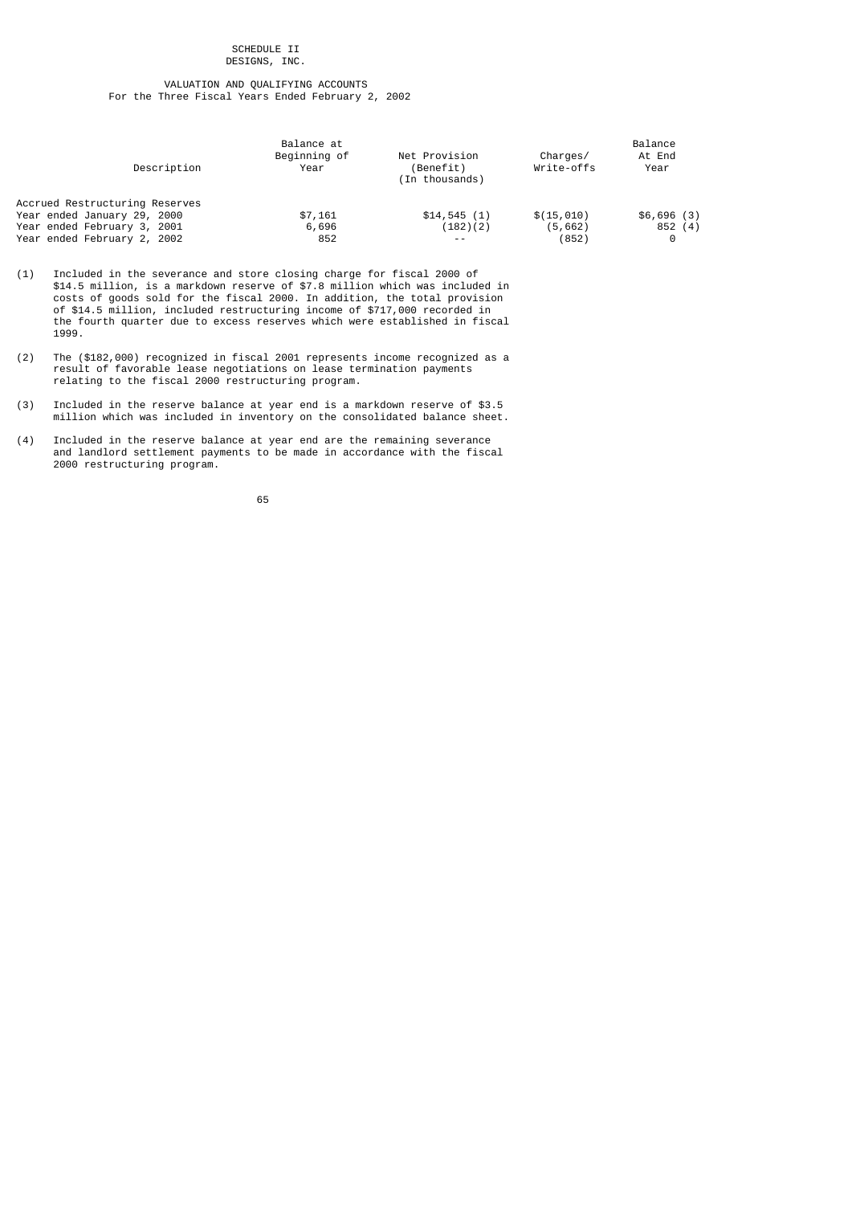#### SCHEDULE II DESIGNS, INC.

# VALUATION AND QUALIFYING ACCOUNTS For the Three Fiscal Years Ended February 2, 2002

| Description                    | Balance at<br>Beginning of<br>Year | Net Provision<br>(Benefit)<br>(In thousands) | Charges/<br>Write-offs | Balance<br>At End<br>Year |
|--------------------------------|------------------------------------|----------------------------------------------|------------------------|---------------------------|
| Accrued Restructuring Reserves |                                    |                                              |                        |                           |
| Year ended January 29, 2000    | \$7,161                            | \$14,545(1)                                  | \$(15, 010)            | \$6,696(3)                |
| Year ended February 3, 2001    | 6,696                              | (182)(2)                                     | (5,662)                | 852(4)                    |
| Year ended February 2, 2002    | 852                                | $ -$                                         | (852)                  | 0                         |

- (1) Included in the severance and store closing charge for fiscal 2000 of \$14.5 million, is a markdown reserve of \$7.8 million which was included in costs of goods sold for the fiscal 2000. In addition, the total provision of \$14.5 million, included restructuring income of \$717,000 recorded in the fourth quarter due to excess reserves which were established in fiscal 1999.
- (2) The (\$182,000) recognized in fiscal 2001 represents income recognized as a result of favorable lease negotiations on lease termination payments relating to the fiscal 2000 restructuring program.
- (3) Included in the reserve balance at year end is a markdown reserve of \$3.5 million which was included in inventory on the consolidated balance sheet.
- (4) Included in the reserve balance at year end are the remaining severance and landlord settlement payments to be made in accordance with the fiscal 2000 restructuring program.

 $\sim$  65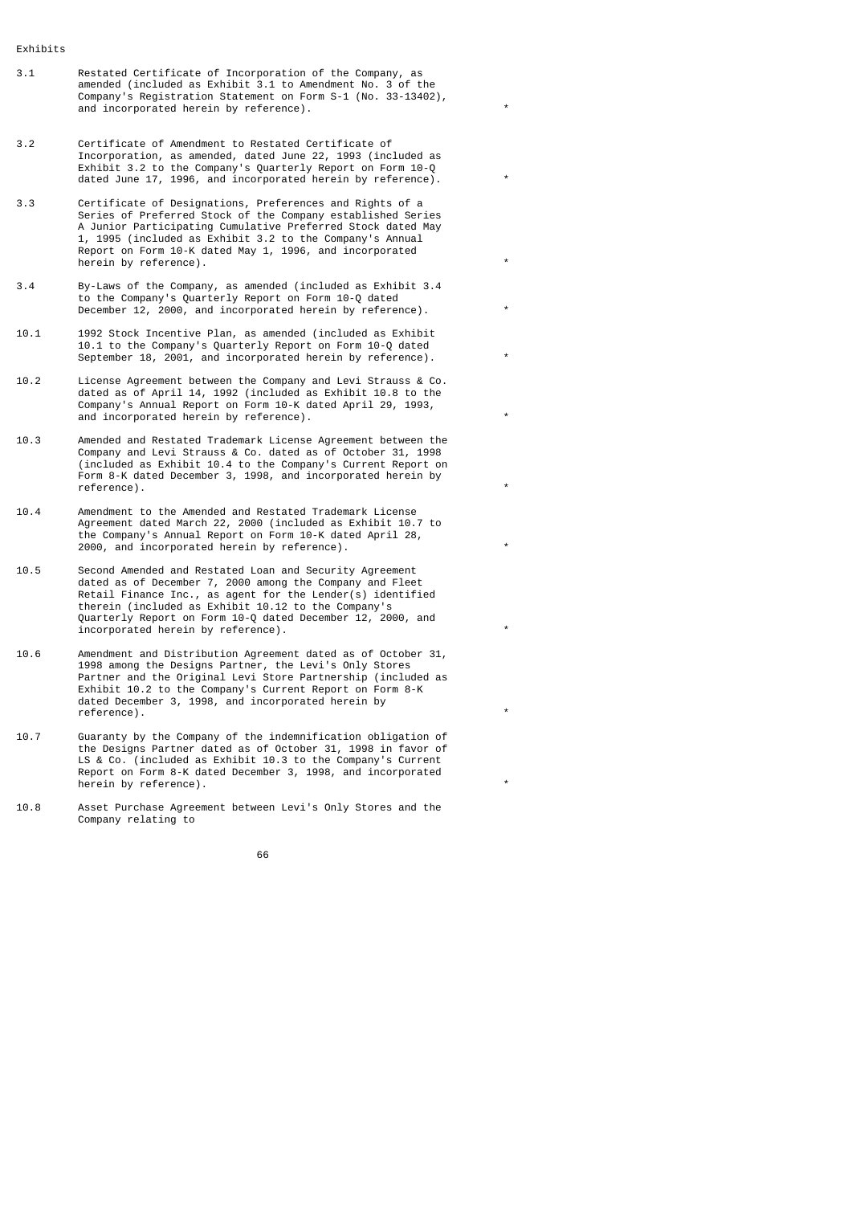- Exhibits
- 3.1 Restated Certificate of Incorporation of the Company, as amended (included as Exhibit 3.1 to Amendment No. 3 of the Company's Registration Statement on Form S-1 (No. 33-13402), and incorporated herein by reference).
- 3.2 Certificate of Amendment to Restated Certificate of Incorporation, as amended, dated June 22, 1993 (included as Exhibit 3.2 to the Company's Quarterly Report on Form 10-Q dated June 17, 1996, and incorporated herein by reference).
- 3.3 Certificate of Designations, Preferences and Rights of a Series of Preferred Stock of the Company established Series A Junior Participating Cumulative Preferred Stock dated May 1, 1995 (included as Exhibit 3.2 to the Company's Annual Report on Form 10-K dated May 1, 1996, and incorporated herein by reference).
- 3.4 By-Laws of the Company, as amended (included as Exhibit 3.4 to the Company's Quarterly Report on Form 10-Q dated December 12, 2000, and incorporated herein by reference).
- 10.1 1992 Stock Incentive Plan, as amended (included as Exhibit 10.1 to the Company's Quarterly Report on Form 10-Q dated September 18, 2001, and incorporated herein by reference).
- 10.2 License Agreement between the Company and Levi Strauss & Co. dated as of April 14, 1992 (included as Exhibit 10.8 to the Company's Annual Report on Form 10-K dated April 29, 1993, and incorporated herein by reference).
- 10.3 Amended and Restated Trademark License Agreement between the Company and Levi Strauss & Co. dated as of October 31, 1998 (included as Exhibit 10.4 to the Company's Current Report on Form 8-K dated December 3, 1998, and incorporated herein by reference). \*
- 10.4 Amendment to the Amended and Restated Trademark License Agreement dated March 22, 2000 (included as Exhibit 10.7 to the Company's Annual Report on Form 10-K dated April 28,  $2000$ , and incorporated herein by reference).
- 10.5 Second Amended and Restated Loan and Security Agreement dated as of December 7, 2000 among the Company and Fleet Retail Finance Inc., as agent for the Lender(s) identified therein (included as Exhibit 10.12 to the Company's Quarterly Report on Form 10-Q dated December 12, 2000, and incorporated herein by reference).
- 10.6 Amendment and Distribution Agreement dated as of October 31, 1998 among the Designs Partner, the Levi's Only Stores Partner and the Original Levi Store Partnership (included as Exhibit 10.2 to the Company's Current Report on Form 8-K dated December 3, 1998, and incorporated herein by reference).
- 10.7 Guaranty by the Company of the indemnification obligation of the Designs Partner dated as of October 31, 1998 in favor of LS & Co. (included as Exhibit 10.3 to the Company's Current Report on Form 8-K dated December 3, 1998, and incorporated herein by reference).
- 10.8 Asset Purchase Agreement between Levi's Only Stores and the Company relating to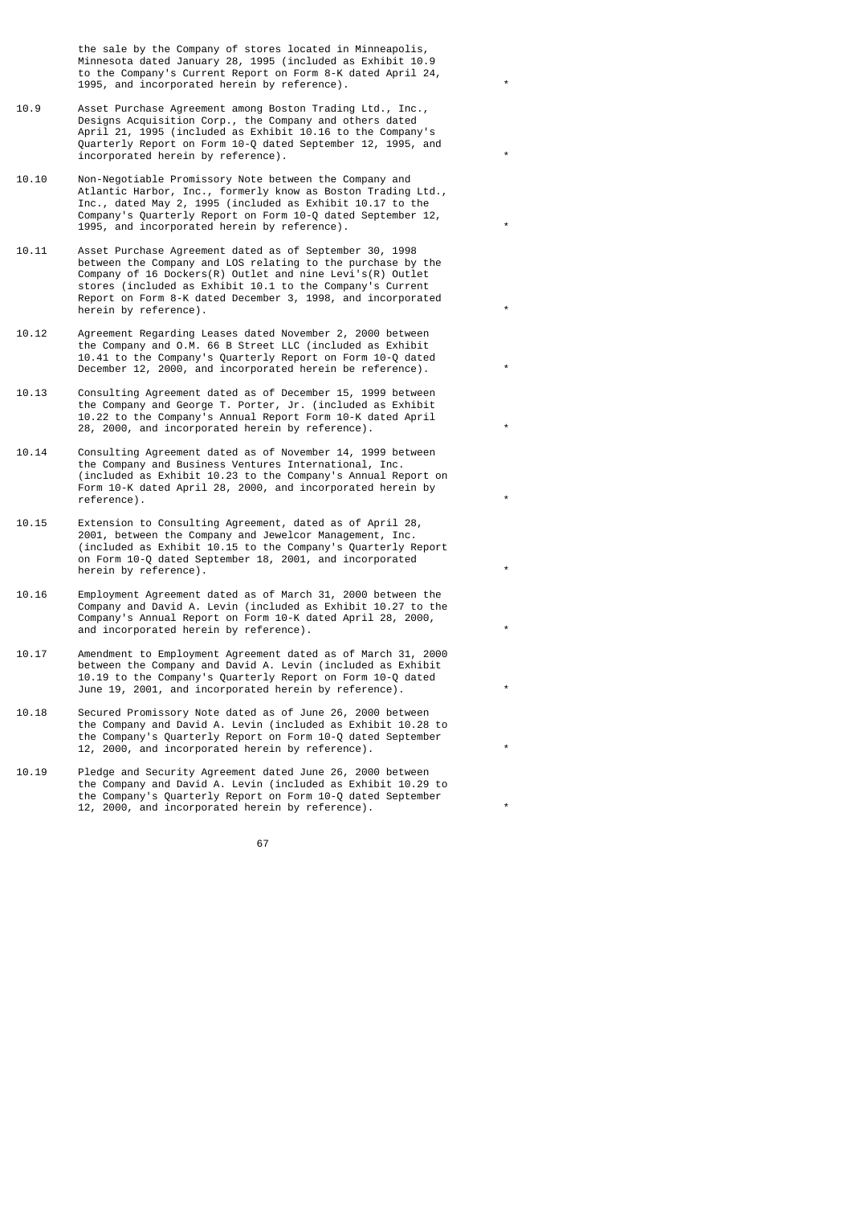the sale by the Company of stores located in Minneapolis, Minnesota dated January 28, 1995 (included as Exhibit 10.9 to the Company's Current Report on Form 8-K dated April 24, 1995, and incorporated herein by reference).

- 10.9 Asset Purchase Agreement among Boston Trading Ltd., Inc., Designs Acquisition Corp., the Company and others dated April 21, 1995 (included as Exhibit 10.16 to the Company's Quarterly Report on Form 10-Q dated September 12, 1995, and incorporated herein by reference). \*
- 10.10 Non-Negotiable Promissory Note between the Company and Atlantic Harbor, Inc., formerly know as Boston Trading Ltd., Inc., dated May 2, 1995 (included as Exhibit 10.17 to the Company's Quarterly Report on Form 10-Q dated September 12, 1995, and incorporated herein by reference). \*
- 10.11 Asset Purchase Agreement dated as of September 30, 1998 between the Company and LOS relating to the purchase by the Company of 16 Dockers(R) Outlet and nine Levi's(R) Outlet stores (included as Exhibit 10.1 to the Company's Current Report on Form 8-K dated December 3, 1998, and incorporated herein by reference).
- 10.12 Agreement Regarding Leases dated November 2, 2000 between the Company and O.M. 66 B Street LLC (included as Exhibit 10.41 to the Company's Quarterly Report on Form 10-Q dated December 12, 2000, and incorporated herein be reference).
- 10.13 Consulting Agreement dated as of December 15, 1999 between the Company and George T. Porter, Jr. (included as Exhibit 10.22 to the Company's Annual Report Form 10-K dated April 28, 2000, and incorporated herein by reference). \*
- 10.14 Consulting Agreement dated as of November 14, 1999 between the Company and Business Ventures International, Inc. (included as Exhibit 10.23 to the Company's Annual Report on Form 10-K dated April 28, 2000, and incorporated herein by reference).  $\qquad \qquad \qquad$
- 10.15 Extension to Consulting Agreement, dated as of April 28, 2001, between the Company and Jewelcor Management, Inc. (included as Exhibit 10.15 to the Company's Quarterly Report on Form 10-Q dated September 18, 2001, and incorporated herein by  $r$ eference).
- 10.16 Employment Agreement dated as of March 31, 2000 between the Company and David A. Levin (included as Exhibit 10.27 to the Company's Annual Report on Form 10-K dated April 28, 2000, and incorporated herein by reference).
- 10.17 Amendment to Employment Agreement dated as of March 31, 2000 between the Company and David A. Levin (included as Exhibit 10.19 to the Company's Quarterly Report on Form 10-Q dated June 19, 2001, and incorporated herein by reference).
- 10.18 Secured Promissory Note dated as of June 26, 2000 between the Company and David A. Levin (included as Exhibit 10.28 to the Company's Quarterly Report on Form 10-Q dated September 12, 2000, and incorporated herein by reference).
- 10.19 Pledge and Security Agreement dated June 26, 2000 between the Company and David A. Levin (included as Exhibit 10.29 to the Company's Quarterly Report on Form 10-Q dated September 12, 2000, and incorporated herein by reference).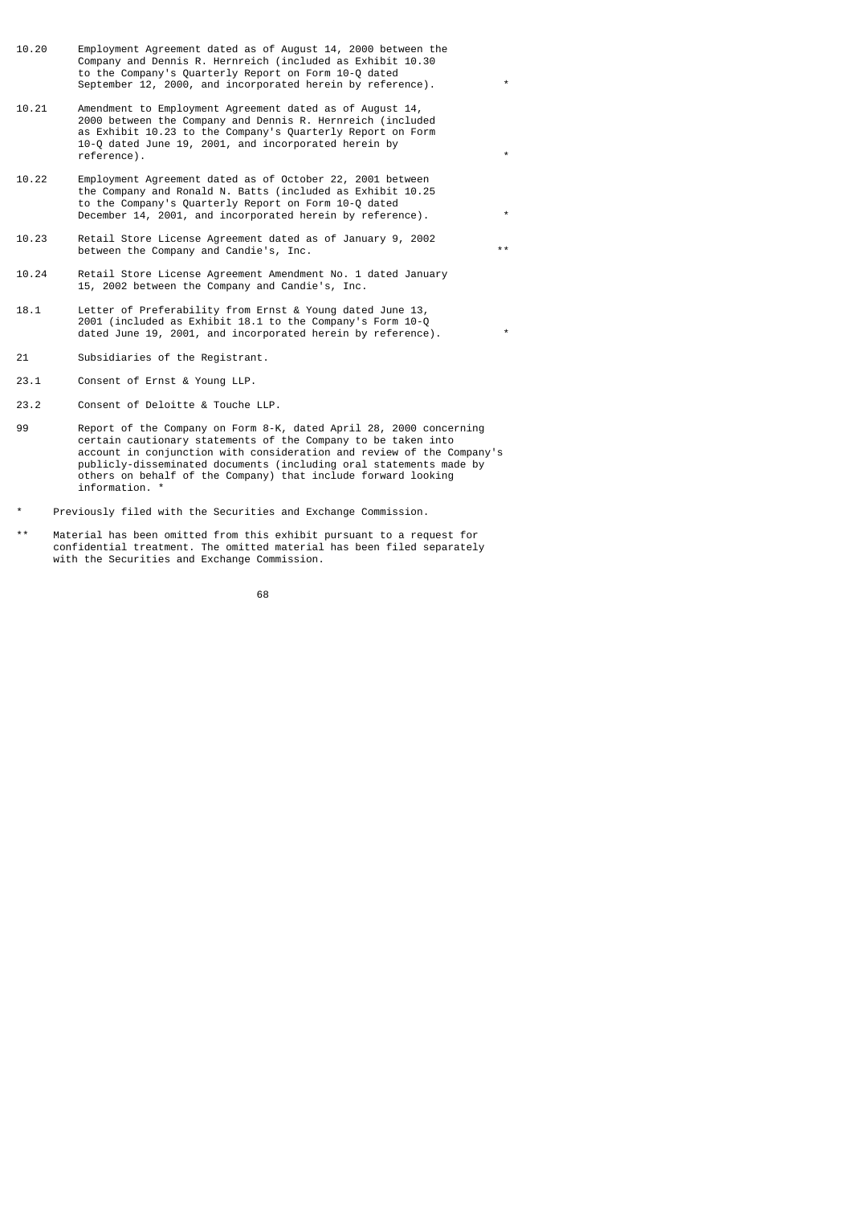- 10.20 Employment Agreement dated as of August 14, 2000 between the Company and Dennis R. Hernreich (included as Exhibit 10.30 to the Company's Quarterly Report on Form 10-Q dated September 12, 2000, and incorporated herein by reference).
- 10.21 Amendment to Employment Agreement dated as of August 14, 2000 between the Company and Dennis R. Hernreich (included as Exhibit 10.23 to the Company's Quarterly Report on Form 10-Q dated June 19, 2001, and incorporated herein by reference). \*
- 10.22 Employment Agreement dated as of October 22, 2001 between the Company and Ronald N. Batts (included as Exhibit 10.25 to the Company's Quarterly Report on Form 10-Q dated December 14, 2001, and incorporated herein by reference).
- 10.23 Retail Store License Agreement dated as of January 9, 2002 between the Company and Candie's, Inc. \*\*
- 10.24 Retail Store License Agreement Amendment No. 1 dated January 15, 2002 between the Company and Candie's, Inc.
- 18.1 Letter of Preferability from Ernst & Young dated June 13, 2001 (included as Exhibit 18.1 to the Company's Form 10-Q dated June 19, 2001, and incorporated herein by reference).
- 21 Subsidiaries of the Registrant.
- 23.1 Consent of Ernst & Young LLP.
- 23.2 Consent of Deloitte & Touche LLP.
- 99 Report of the Company on Form 8-K, dated April 28, 2000 concerning certain cautionary statements of the Company to be taken into account in conjunction with consideration and review of the Company's publicly-disseminated documents (including oral statements made by others on behalf of the Company) that include forward looking information. \*
- Previously filed with the Securities and Exchange Commission.
- \*\* Material has been omitted from this exhibit pursuant to a request for confidential treatment. The omitted material has been filed separately with the Securities and Exchange Commission.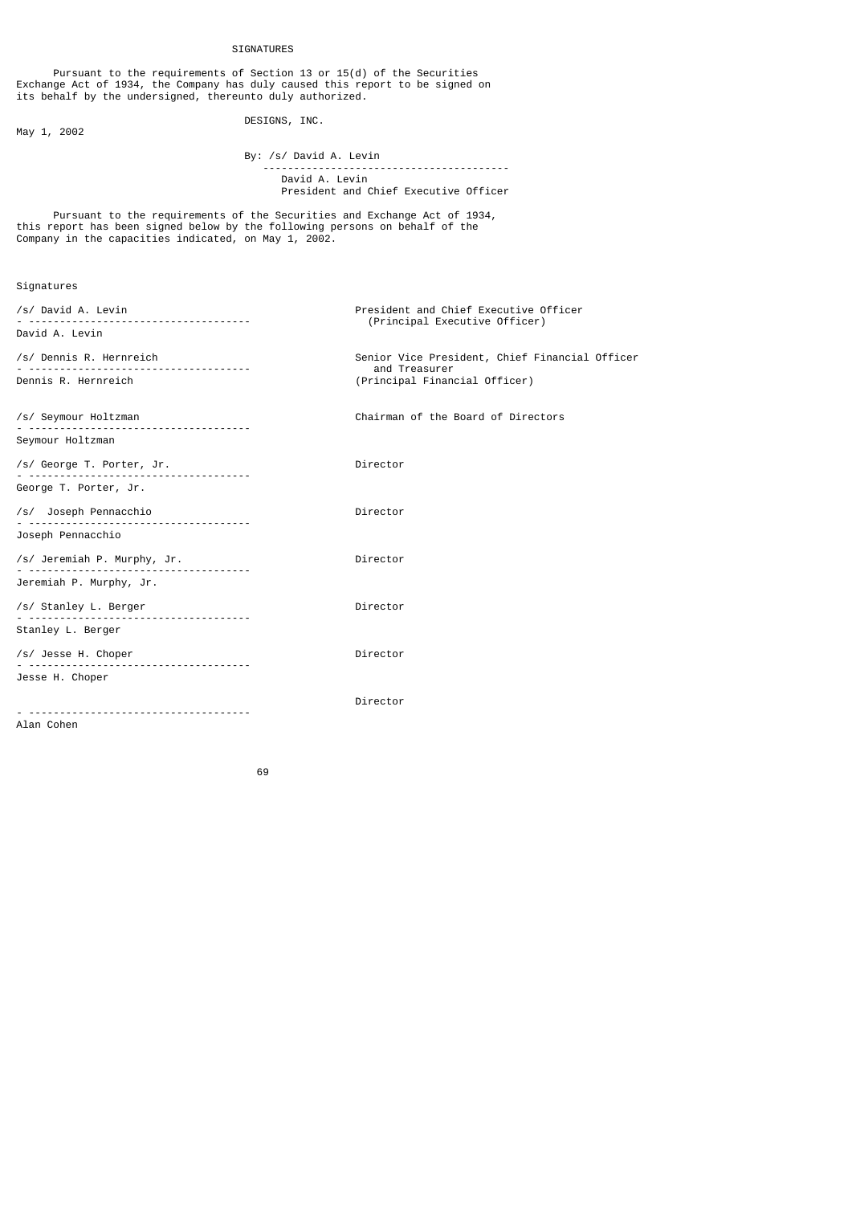# SIGNATURES

 Pursuant to the requirements of Section 13 or 15(d) of the Securities Exchange Act of 1934, the Company has duly caused this report to be signed on its behalf by the undersigned, thereunto duly authorized.

May 1, 2002

DESIGNS, INC.

 By: /s/ David A. Levin ----------------------------------------

 David A. Levin President and Chief Executive Officer

 Pursuant to the requirements of the Securities and Exchange Act of 1934, this report has been signed below by the following persons on behalf of the Company in the capacities indicated, on May 1, 2002.

Signatures

| /s/ David A. Levin          | President and Chief Executive Officer<br>(Principal Executive Officer) |  |
|-----------------------------|------------------------------------------------------------------------|--|
| David A. Levin              |                                                                        |  |
| /s/ Dennis R. Hernreich     | Senior Vice President, Chief Financial Officer                         |  |
| Dennis R. Hernreich         | and Treasurer<br>(Principal Financial Officer)                         |  |
|                             |                                                                        |  |
| /s/ Seymour Holtzman        | Chairman of the Board of Directors                                     |  |
| Seymour Holtzman            |                                                                        |  |
| /s/ George T. Porter, Jr.   | Director                                                               |  |
| George T. Porter, Jr.       |                                                                        |  |
| /s/ Joseph Pennacchio<br>.  | Director                                                               |  |
| Joseph Pennacchio           |                                                                        |  |
| /s/ Jeremiah P. Murphy, Jr. | Director                                                               |  |
| Jeremiah P. Murphy, Jr.     |                                                                        |  |
| /s/ Stanley L. Berger       | Director                                                               |  |
| Stanley L. Berger           |                                                                        |  |
| /s/ Jesse H. Choper         | Director                                                               |  |
| Jesse H. Choper             |                                                                        |  |
|                             | Director                                                               |  |
| Alan Cohen                  |                                                                        |  |
|                             |                                                                        |  |

de de la construcción de la construcción de la construcción de la construcción de la construcción de la constr<br>1990 - La construcción de la construcción de la construcción de la construcción de la construcción de la const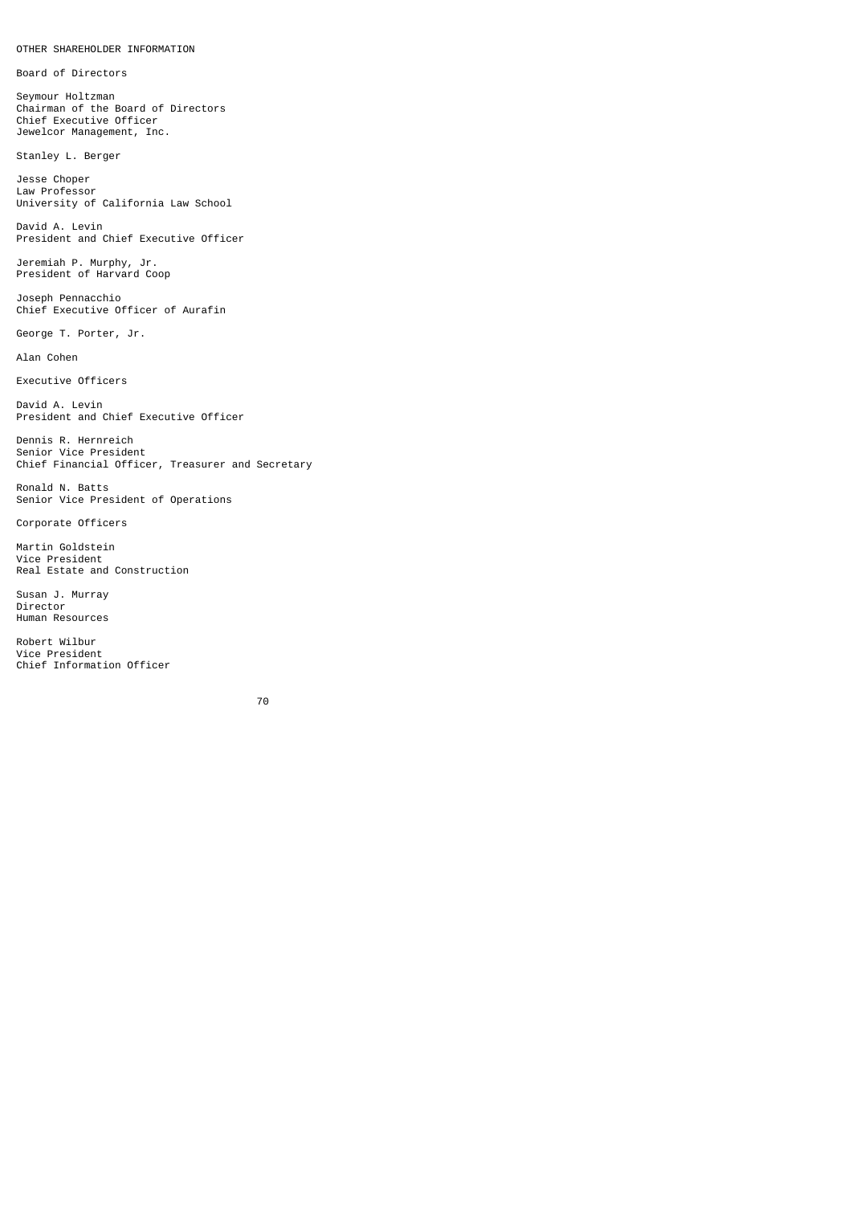Board of Directors

Seymour Holtzman Chairman of the Board of Directors Chief Executive Officer Jewelcor Management, Inc.

Stanley L. Berger

Jesse Choper Law Professor University of California Law School

David A. Levin President and Chief Executive Officer

Jeremiah P. Murphy, Jr. President of Harvard Coop

Joseph Pennacchio Chief Executive Officer of Aurafin

George T. Porter, Jr.

Alan Cohen

Executive Officers

David A. Levin President and Chief Executive Officer

Dennis R. Hernreich Senior Vice President Chief Financial Officer, Treasurer and Secretary

Ronald N. Batts Senior Vice President of Operations

Corporate Officers

Martin Goldstein Vice President Real Estate and Construction

Susan J. Murray Director Human Resources

Robert Wilbur Vice President Chief Information Officer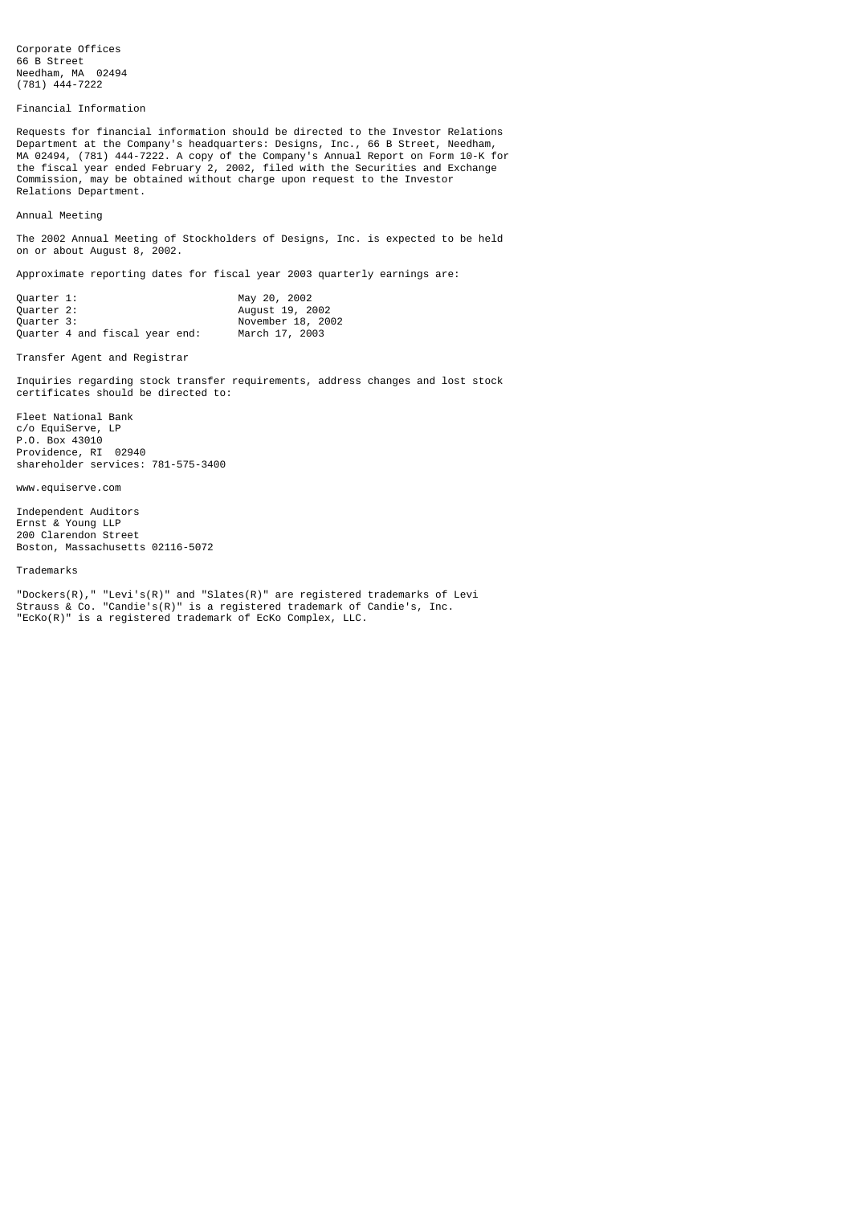Corporate Offices 66 B Street Needham, MA 02494 (781) 444-7222

Financial Information

Requests for financial information should be directed to the Investor Relations Department at the Company's headquarters: Designs, Inc., 66 B Street, Needham, MA 02494, (781) 444-7222. A copy of the Company's Annual Report on Form 10-K for the fiscal year ended February 2, 2002, filed with the Securities and Exchange Commission, may be obtained without charge upon request to the Investor Relations Department.

Annual Meeting

The 2002 Annual Meeting of Stockholders of Designs, Inc. is expected to be held on or about August 8, 2002.

Approximate reporting dates for fiscal year 2003 quarterly earnings are:

| Ouarter 1: |                                | May 20, 2002      |
|------------|--------------------------------|-------------------|
| Ouarter 2: |                                | August 19, 2002   |
| Ouarter 3: |                                | November 18, 2002 |
|            | Ouarter 4 and fiscal year end: | March 17, 2003    |

Transfer Agent and Registrar

Inquiries regarding stock transfer requirements, address changes and lost stock certificates should be directed to:

Fleet National Bank c/o EquiServe, LP P.O. Box 43010 Providence, RI 02940 shareholder services: 781-575-3400

www.equiserve.com

Independent Auditors Ernst & Young LLP 200 Clarendon Street Boston, Massachusetts 02116-5072

Trademarks

"Dockers(R)," "Levi's(R)" and "Slates(R)" are registered trademarks of Levi Strauss & Co. "Candie's(R)" is a registered trademark of Candie's, Inc. "EcKo(R)" is a registered trademark of EcKo Complex, LLC.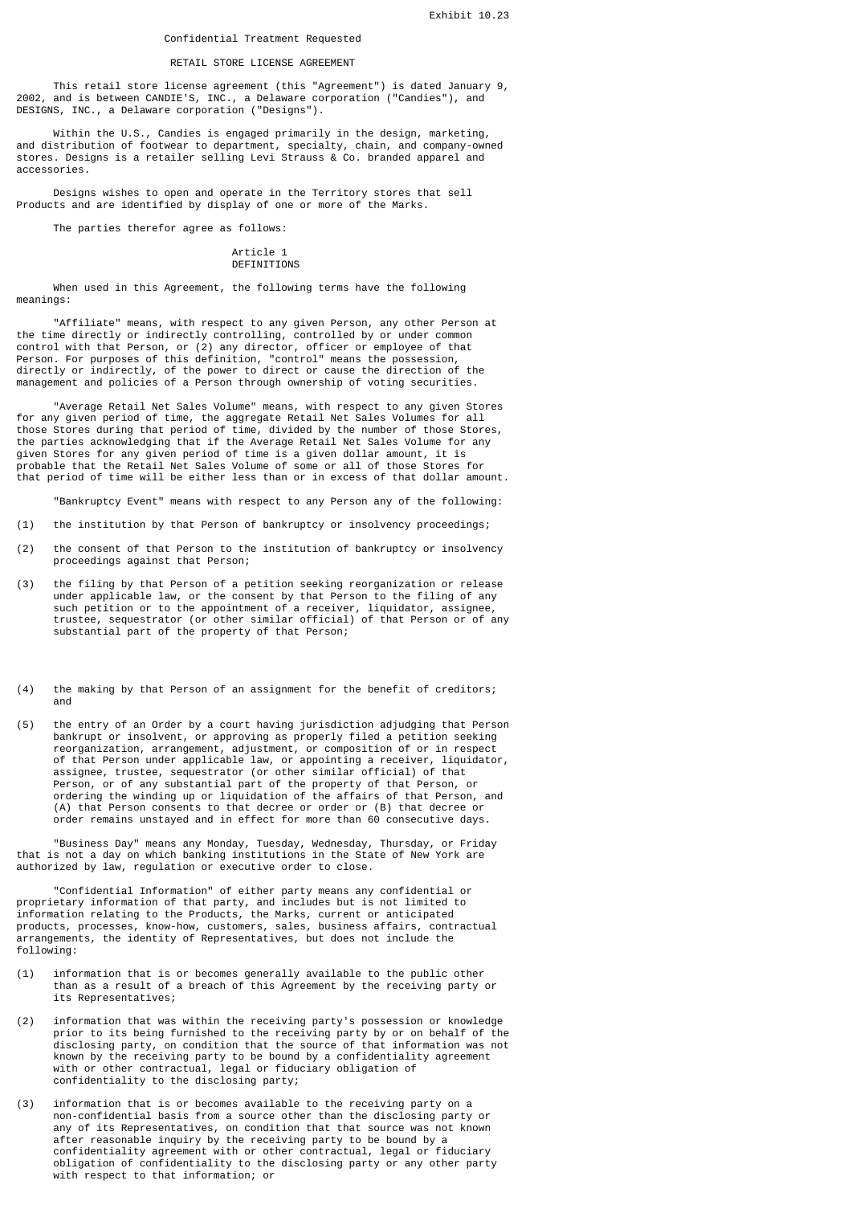## Confidential Treatment Requested

#### RETAIL STORE LICENSE AGREEMENT

 This retail store license agreement (this "Agreement") is dated January 9, 2002, and is between CANDIE'S, INC., a Delaware corporation ("Candies"), and DESIGNS, INC., a Delaware corporation ("Designs").

 Within the U.S., Candies is engaged primarily in the design, marketing, and distribution of footwear to department, specialty, chain, and company-owned stores. Designs is a retailer selling Levi Strauss & Co. branded apparel and accessories.

 Designs wishes to open and operate in the Territory stores that sell Products and are identified by display of one or more of the Marks.

The parties therefor agree as follows:

#### Article 1 **DEFINITIONS**

 When used in this Agreement, the following terms have the following meanings:

 "Affiliate" means, with respect to any given Person, any other Person at the time directly or indirectly controlling, controlled by or under common control with that Person, or (2) any director, officer or employee of that Person. For purposes of this definition, "control" means the possession, directly or indirectly, of the power to direct or cause the direction of the management and policies of a Person through ownership of voting securities.

 "Average Retail Net Sales Volume" means, with respect to any given Stores for any given period of time, the aggregate Retail Net Sales Volumes for all those Stores during that period of time, divided by the number of those Stores, the parties acknowledging that if the Average Retail Net Sales Volume for any given Stores for any given period of time is a given dollar amount, it is probable that the Retail Net Sales Volume of some or all of those Stores for that period of time will be either less than or in excess of that dollar amount.

"Bankruptcy Event" means with respect to any Person any of the following:

- (1) the institution by that Person of bankruptcy or insolvency proceedings;
- (2) the consent of that Person to the institution of bankruptcy or insolvency proceedings against that Person;
- (3) the filing by that Person of a petition seeking reorganization or release under applicable law, or the consent by that Person to the filing of any such petition or to the appointment of a receiver, liquidator, assignee, trustee, sequestrator (or other similar official) of that Person or of any substantial part of the property of that Person;
- (4) the making by that Person of an assignment for the benefit of creditors; and
- (5) the entry of an Order by a court having jurisdiction adjudging that Person bankrupt or insolvent, or approving as properly filed a petition seeking reorganization, arrangement, adjustment, or composition of or in respect of that Person under applicable law, or appointing a receiver, liquidator, assignee, trustee, sequestrator (or other similar official) of that Person, or of any substantial part of the property of that Person, or ordering the winding up or liquidation of the affairs of that Person, and (A) that Person consents to that decree or order or (B) that decree or order remains unstayed and in effect for more than 60 consecutive days.

 "Business Day" means any Monday, Tuesday, Wednesday, Thursday, or Friday that is not a day on which banking institutions in the State of New York are authorized by law, regulation or executive order to close.

 "Confidential Information" of either party means any confidential or proprietary information of that party, and includes but is not limited to information relating to the Products, the Marks, current or anticipated products, processes, know-how, customers, sales, business affairs, contractual arrangements, the identity of Representatives, but does not include the following:

- (1) information that is or becomes generally available to the public other than as a result of a breach of this Agreement by the receiving party or its Representatives;
- (2) information that was within the receiving party's possession or knowledge prior to its being furnished to the receiving party by or on behalf of the disclosing party, on condition that the source of that information was not known by the receiving party to be bound by a confidentiality agreement with or other contractual, legal or fiduciary obligation of confidentiality to the disclosing party;
- (3) information that is or becomes available to the receiving party on a non-confidential basis from a source other than the disclosing party or any of its Representatives, on condition that that source was not known after reasonable inquiry by the receiving party to be bound by a confidentiality agreement with or other contractual, legal or fiduciary obligation of confidentiality to the disclosing party or any other party with respect to that information; or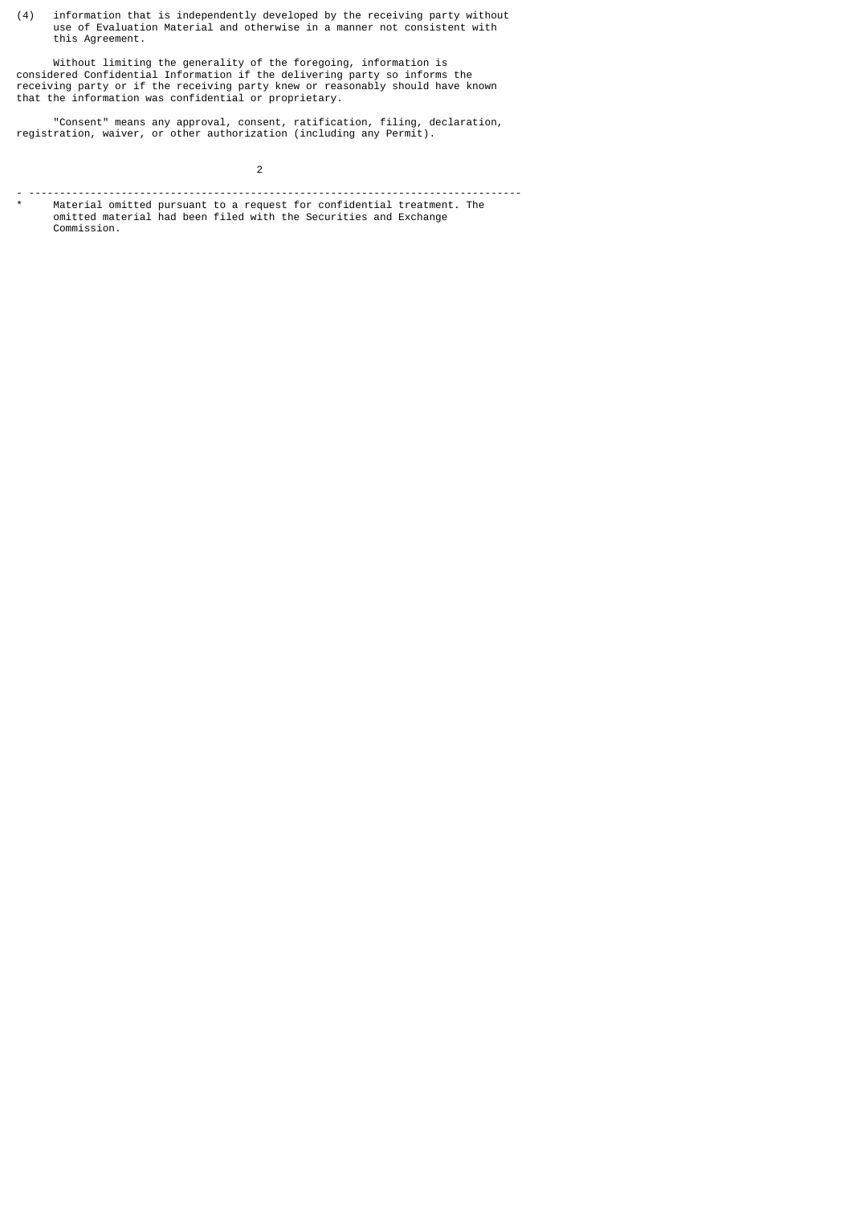(4) information that is independently developed by the receiving party without use of Evaluation Material and otherwise in a manner not consistent with this Agreement.

 Without limiting the generality of the foregoing, information is considered Confidential Information if the delivering party so informs the receiving party or if the receiving party knew or reasonably should have known that the information was confidential or proprietary.

 "Consent" means any approval, consent, ratification, filing, declaration, registration, waiver, or other authorization (including any Permit).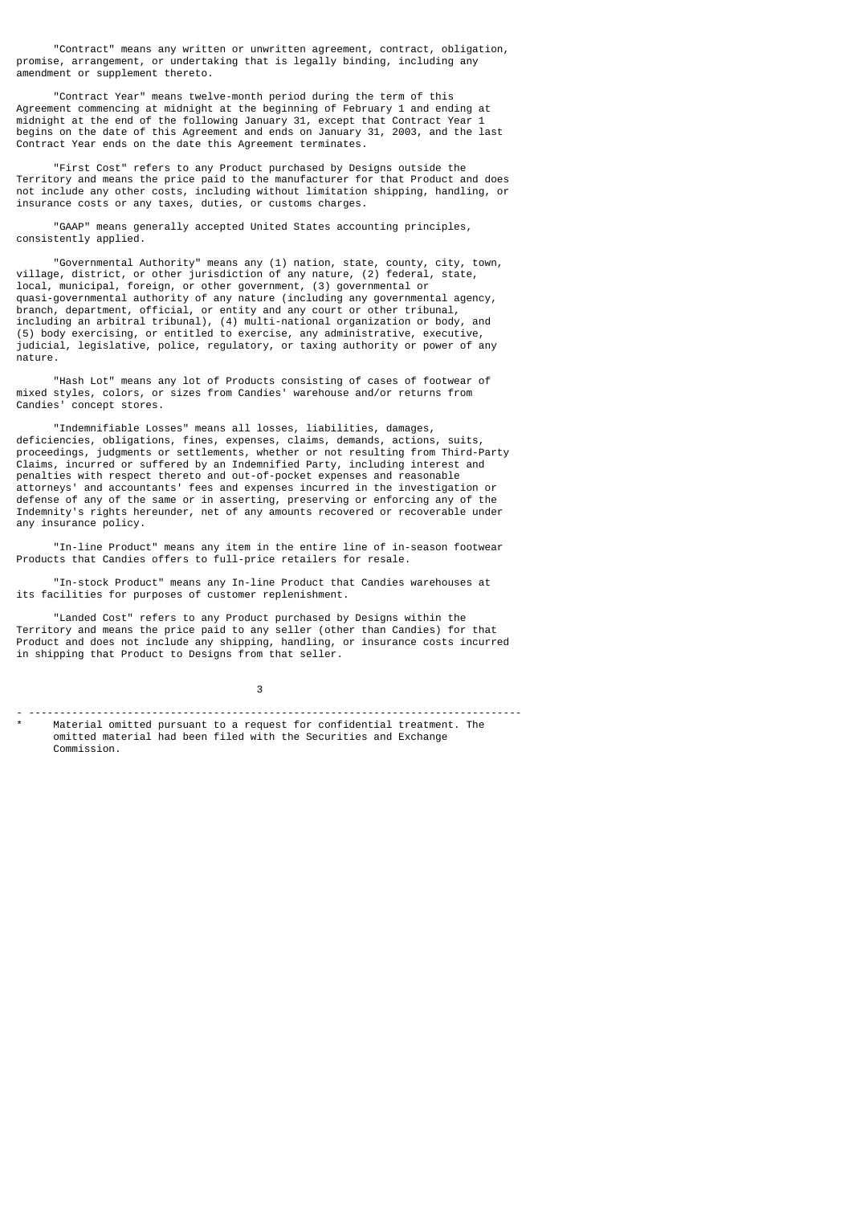"Contract" means any written or unwritten agreement, contract, obligation, promise, arrangement, or undertaking that is legally binding, including any amendment or supplement thereto.

 "Contract Year" means twelve-month period during the term of this Agreement commencing at midnight at the beginning of February 1 and ending at midnight at the end of the following January 31, except that Contract Year begins on the date of this Agreement and ends on January 31, 2003, and the last Contract Year ends on the date this Agreement terminates.

 "First Cost" refers to any Product purchased by Designs outside the Territory and means the price paid to the manufacturer for that Product and does not include any other costs, including without limitation shipping, handling, or insurance costs or any taxes, duties, or customs charges.

 "GAAP" means generally accepted United States accounting principles, consistently applied.

 "Governmental Authority" means any (1) nation, state, county, city, town, village, district, or other jurisdiction of any nature, (2) federal, state, local, municipal, foreign, or other government, (3) governmental or quasi-governmental authority of any nature (including any governmental agency, branch, department, official, or entity and any court or other tribunal, including an arbitral tribunal), (4) multi-national organization or body, and (5) body exercising, or entitled to exercise, any administrative, executive, judicial, legislative, police, regulatory, or taxing authority or power of any nature.

 "Hash Lot" means any lot of Products consisting of cases of footwear of mixed styles, colors, or sizes from Candies' warehouse and/or returns from Candies' concept stores.

 "Indemnifiable Losses" means all losses, liabilities, damages, deficiencies, obligations, fines, expenses, claims, demands, actions, suits, proceedings, judgments or settlements, whether or not resulting from Third-Party Claims, incurred or suffered by an Indemnified Party, including interest and penalties with respect thereto and out-of-pocket expenses and reasonable attorneys' and accountants' fees and expenses incurred in the investigation or defense of any of the same or in asserting, preserving or enforcing any of the Indemnity's rights hereunder, net of any amounts recovered or recoverable under any insurance policy.

 "In-line Product" means any item in the entire line of in-season footwear Products that Candies offers to full-price retailers for resale.

 "In-stock Product" means any In-line Product that Candies warehouses at its facilities for purposes of customer replenishment.

 "Landed Cost" refers to any Product purchased by Designs within the Territory and means the price paid to any seller (other than Candies) for that Product and does not include any shipping, handling, or insurance costs incurred in shipping that Product to Designs from that seller.

 $\sim$  3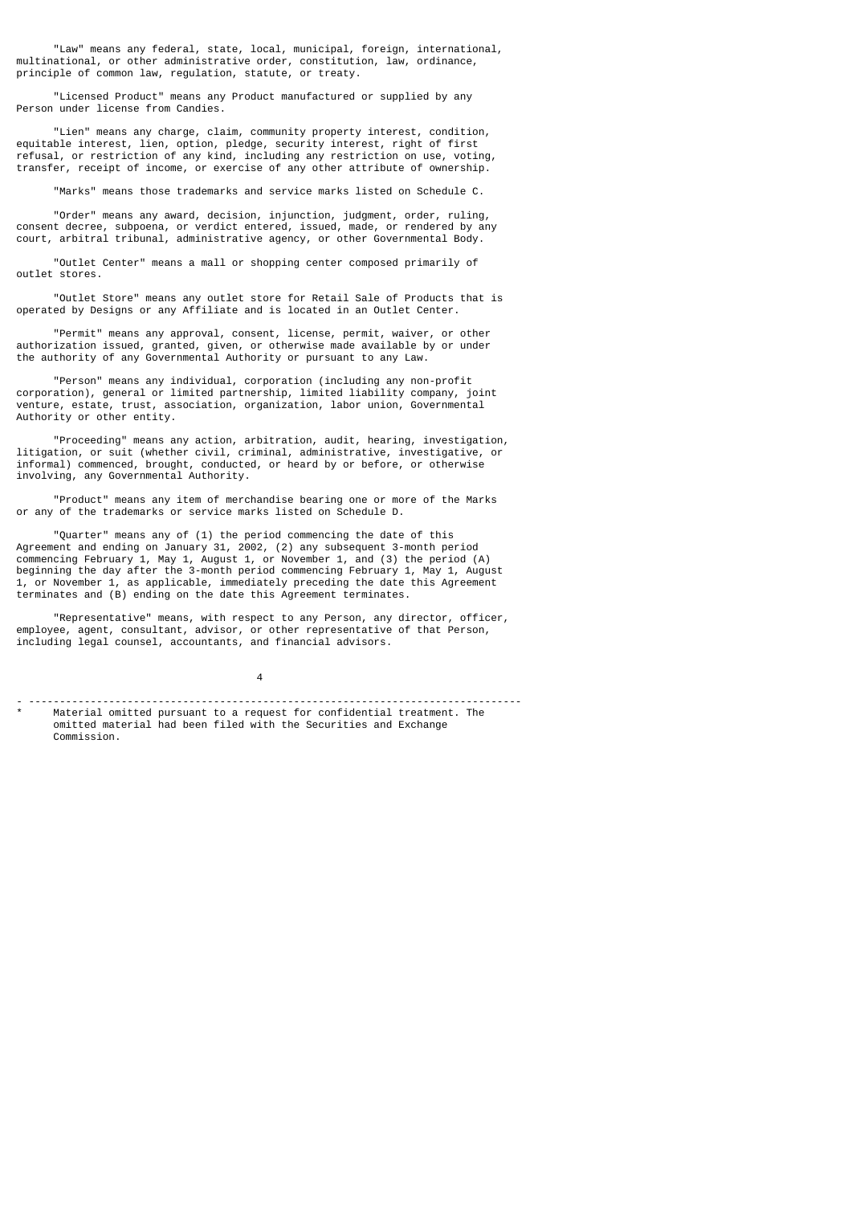"Law" means any federal, state, local, municipal, foreign, international, multinational, or other administrative order, constitution, law, ordinance, principle of common law, regulation, statute, or treaty.

 "Licensed Product" means any Product manufactured or supplied by any Person under license from Candies.

 "Lien" means any charge, claim, community property interest, condition, equitable interest, lien, option, pledge, security interest, right of first refusal, or restriction of any kind, including any restriction on use, voting, transfer, receipt of income, or exercise of any other attribute of ownership.

"Marks" means those trademarks and service marks listed on Schedule C.

 "Order" means any award, decision, injunction, judgment, order, ruling, consent decree, subpoena, or verdict entered, issued, made, or rendered by any court, arbitral tribunal, administrative agency, or other Governmental Body.

 "Outlet Center" means a mall or shopping center composed primarily of outlet stores.

 "Outlet Store" means any outlet store for Retail Sale of Products that is operated by Designs or any Affiliate and is located in an Outlet Center.

 "Permit" means any approval, consent, license, permit, waiver, or other authorization issued, granted, given, or otherwise made available by or under the authority of any Governmental Authority or pursuant to any Law.

 "Person" means any individual, corporation (including any non-profit corporation), general or limited partnership, limited liability company, joint venture, estate, trust, association, organization, labor union, Governmental Authority or other entity.

 "Proceeding" means any action, arbitration, audit, hearing, investigation, litigation, or suit (whether civil, criminal, administrative, investigative, or informal) commenced, brought, conducted, or heard by or before, or otherwise involving, any Governmental Authority.

 "Product" means any item of merchandise bearing one or more of the Marks or any of the trademarks or service marks listed on Schedule D.

 "Quarter" means any of (1) the period commencing the date of this Agreement and ending on January 31, 2002, (2) any subsequent 3-month period commencing February 1, May 1, August 1, or November 1, and (3) the period (A) beginning the day after the 3-month period commencing February 1, May 1, August 1, or November 1, as applicable, immediately preceding the date this Agreement terminates and (B) ending on the date this Agreement terminates.

 "Representative" means, with respect to any Person, any director, officer, employee, agent, consultant, advisor, or other representative of that Person, including legal counsel, accountants, and financial advisors.

4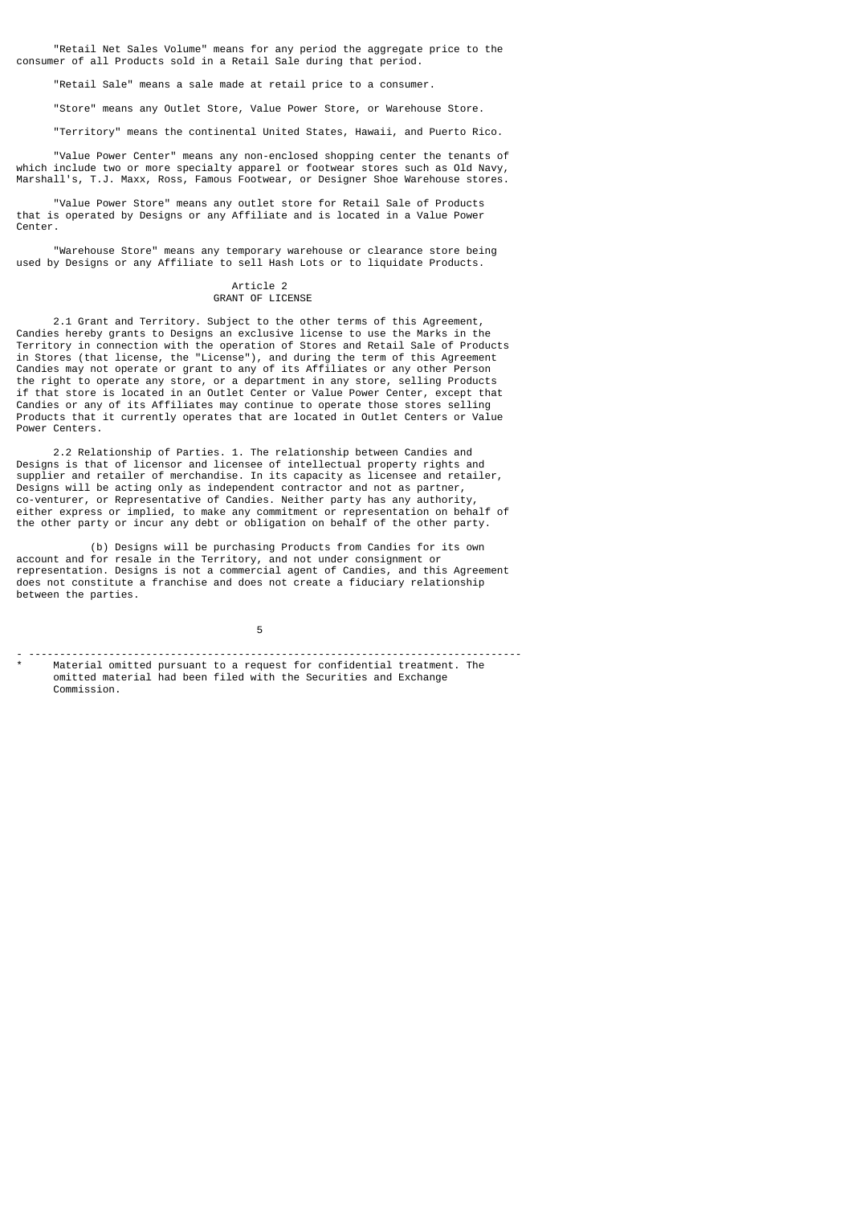"Retail Net Sales Volume" means for any period the aggregate price to the consumer of all Products sold in a Retail Sale during that period.

"Retail Sale" means a sale made at retail price to a consumer.

"Store" means any Outlet Store, Value Power Store, or Warehouse Store.

"Territory" means the continental United States, Hawaii, and Puerto Rico.

 "Value Power Center" means any non-enclosed shopping center the tenants of which include two or more specialty apparel or footwear stores such as Old Navy, Marshall's, T.J. Maxx, Ross, Famous Footwear, or Designer Shoe Warehouse stores.

 "Value Power Store" means any outlet store for Retail Sale of Products that is operated by Designs or any Affiliate and is located in a Value Power Center.

 "Warehouse Store" means any temporary warehouse or clearance store being used by Designs or any Affiliate to sell Hash Lots or to liquidate Products.

#### Article 2 GRANT OF LICENSE

 2.1 Grant and Territory. Subject to the other terms of this Agreement, Candies hereby grants to Designs an exclusive license to use the Marks in the Territory in connection with the operation of Stores and Retail Sale of Products in Stores (that license, the "License"), and during the term of this Agreement Candies may not operate or grant to any of its Affiliates or any other Person the right to operate any store, or a department in any store, selling Products if that store is located in an Outlet Center or Value Power Center, except that Candies or any of its Affiliates may continue to operate those stores selling Products that it currently operates that are located in Outlet Centers or Value Power Centers.

 2.2 Relationship of Parties. 1. The relationship between Candies and Designs is that of licensor and licensee of intellectual property rights and supplier and retailer of merchandise. In its capacity as licensee and retailer, Designs will be acting only as independent contractor and not as partner, co-venturer, or Representative of Candies. Neither party has any authority, either express or implied, to make any commitment or representation on behalf of the other party or incur any debt or obligation on behalf of the other party.

 (b) Designs will be purchasing Products from Candies for its own account and for resale in the Territory, and not under consignment or representation. Designs is not a commercial agent of Candies, and this Agreement does not constitute a franchise and does not create a fiduciary relationship between the parties.

 $\sim$  5  $\sim$  5  $\sim$  5  $\sim$  5  $\sim$  5  $\sim$  5  $\sim$  5  $\sim$  5  $\sim$  5  $\sim$  5  $\sim$  5  $\sim$  5  $\sim$  5  $\sim$  5  $\sim$  5  $\sim$  5  $\sim$  5  $\sim$  5  $\sim$  5  $\sim$  5  $\sim$  5  $\sim$  5  $\sim$  5  $\sim$  5  $\sim$  5  $\sim$  5  $\sim$  5  $\sim$  5  $\sim$  5  $\sim$  5  $\sim$  5  $\sim$ - --------------------------------------------------------------------------------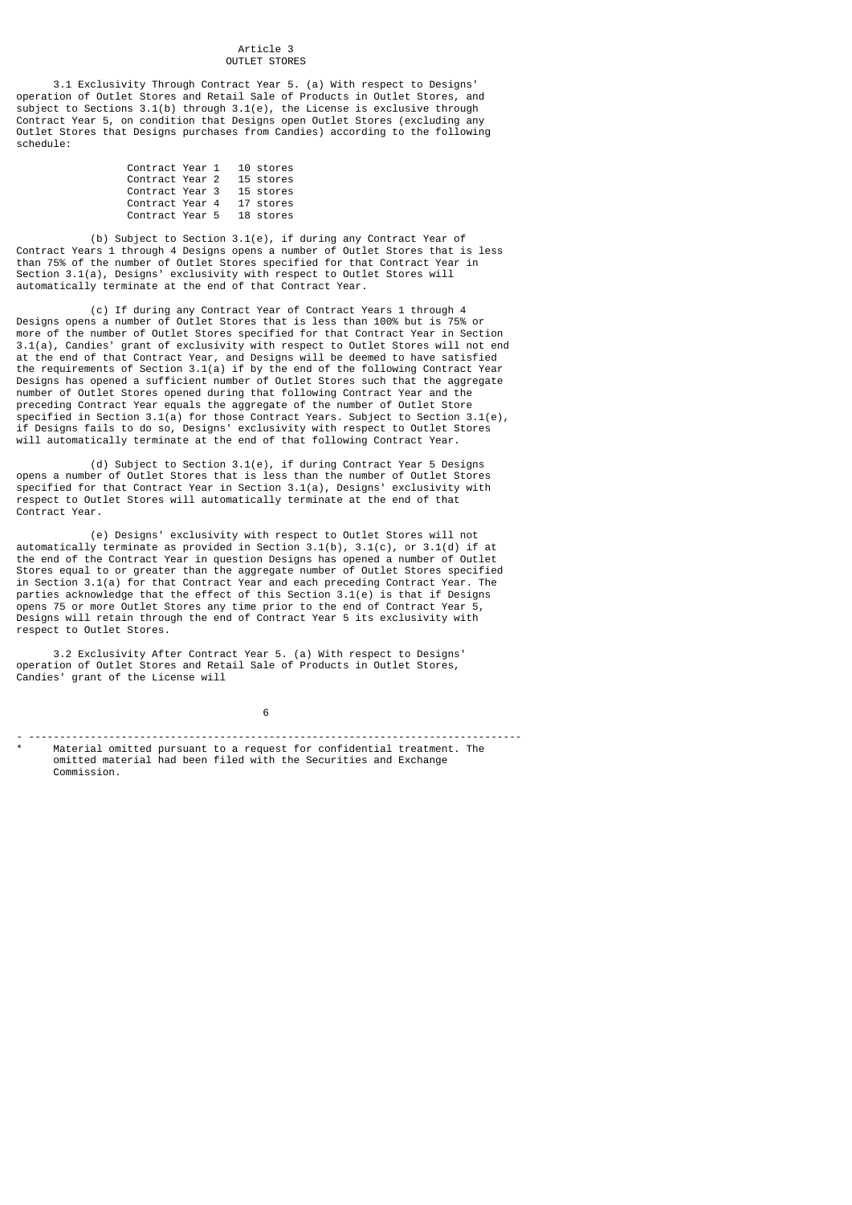#### Article 3 OUTLET STORES

 3.1 Exclusivity Through Contract Year 5. (a) With respect to Designs' operation of Outlet Stores and Retail Sale of Products in Outlet Stores, and subject to Sections  $3.1(b)$  through  $3.1(e)$ , the License is exclusive through Contract Year 5, on condition that Designs open Outlet Stores (excluding any Outlet Stores that Designs purchases from Candies) according to the following schedule:

| Contract Year 1 |  | 10 stores |
|-----------------|--|-----------|
| Contract Year 2 |  | 15 stores |
| Contract Year 3 |  | 15 stores |
| Contract Year 4 |  | 17 stores |
| Contract Year 5 |  | 18 stores |

 (b) Subject to Section 3.1(e), if during any Contract Year of Contract Years 1 through 4 Designs opens a number of Outlet Stores that is less than 75% of the number of Outlet Stores specified for that Contract Year in Section 3.1(a), Designs' exclusivity with respect to Outlet Stores will automatically terminate at the end of that Contract Year.

 (c) If during any Contract Year of Contract Years 1 through 4 Designs opens a number of Outlet Stores that is less than 100% but is 75% or more of the number of Outlet Stores specified for that Contract Year in Section 3.1(a), Candies' grant of exclusivity with respect to Outlet Stores will not end at the end of that Contract Year, and Designs will be deemed to have satisfied the requirements of Section  $3.1(a)$  if by the end of the following Contract Year Designs has opened a sufficient number of Outlet Stores such that the aggregate number of Outlet Stores opened during that following Contract Year and the preceding Contract Year equals the aggregate of the number of Outlet Store specified in Section 3.1(a) for those Contract Years. Subject to Section 3.1(e), if Designs fails to do so, Designs' exclusivity with respect to Outlet Stores will automatically terminate at the end of that following Contract Year.

 (d) Subject to Section 3.1(e), if during Contract Year 5 Designs opens a number of Outlet Stores that is less than the number of Outlet Stores specified for that Contract Year in Section 3.1(a), Designs' exclusivity with respect to Outlet Stores will automatically terminate at the end of that Contract Year.

 (e) Designs' exclusivity with respect to Outlet Stores will not automatically terminate as provided in Section 3.1(b), 3.1(c), or 3.1(d) if at the end of the Contract Year in question Designs has opened a number of Outlet Stores equal to or greater than the aggregate number of Outlet Stores specified in Section 3.1(a) for that Contract Year and each preceding Contract Year. The parties acknowledge that the effect of this Section 3.1(e) is that if Designs opens 75 or more Outlet Stores any time prior to the end of Contract Year 5, Designs will retain through the end of Contract Year 5 its exclusivity with respect to Outlet Stores.

 3.2 Exclusivity After Contract Year 5. (a) With respect to Designs' operation of Outlet Stores and Retail Sale of Products in Outlet Stores, Candies' grant of the License will

 $\sim$  6 - --------------------------------------------------------------------------------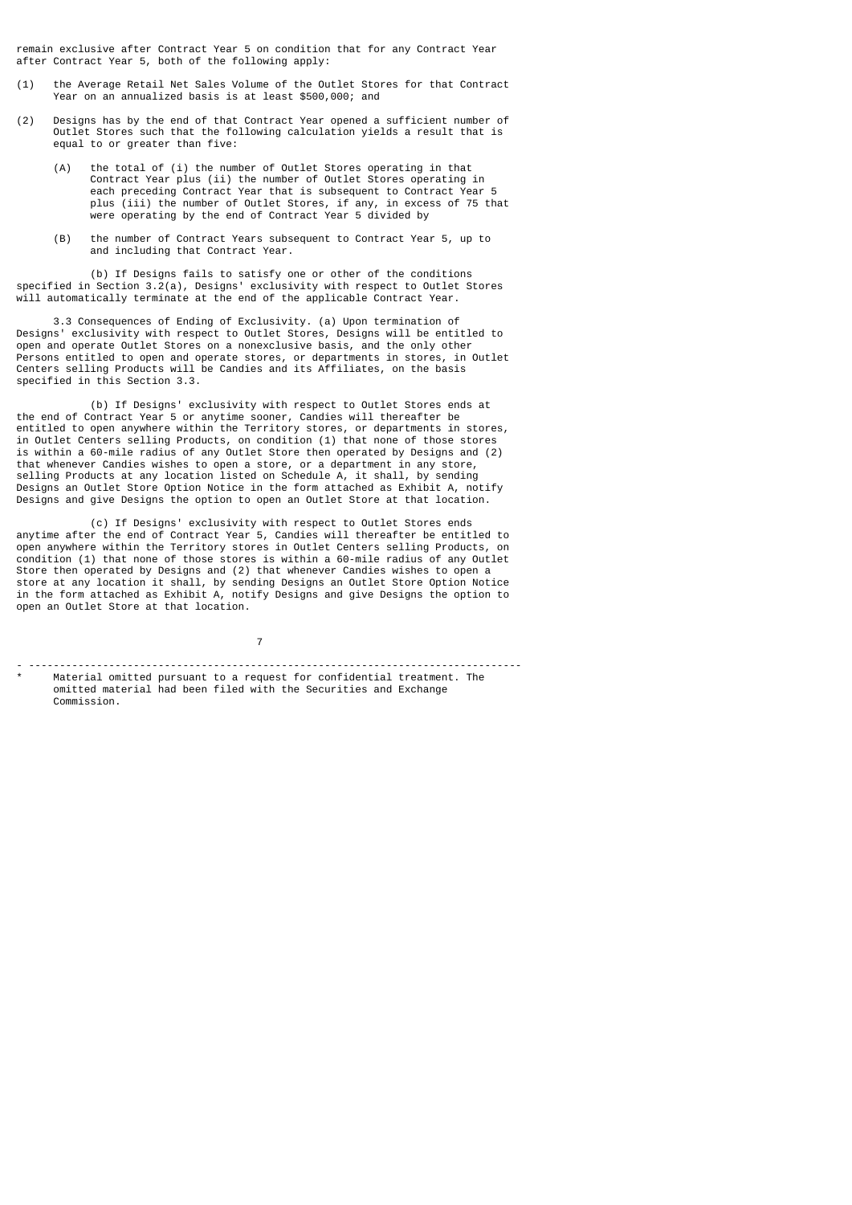remain exclusive after Contract Year 5 on condition that for any Contract Year after Contract Year 5, both of the following apply:

- (1) the Average Retail Net Sales Volume of the Outlet Stores for that Contract Year on an annualized basis is at least \$500,000; and
- (2) Designs has by the end of that Contract Year opened a sufficient number of Outlet Stores such that the following calculation yields a result that is equal to or greater than five:
	- (A) the total of (i) the number of Outlet Stores operating in that Contract Year plus (ii) the number of Outlet Stores operating in each preceding Contract Year that is subsequent to Contract Year 5 plus (iii) the number of Outlet Stores, if any, in excess of 75 that were operating by the end of Contract Year 5 divided by
	- (B) the number of Contract Years subsequent to Contract Year 5, up to and including that Contract Year.

(b) If Designs fails to satisfy one or other of the conditions specified in Section 3.2(a), Designs' exclusivity with respect to Outlet Stores will automatically terminate at the end of the applicable Contract Year.

 3.3 Consequences of Ending of Exclusivity. (a) Upon termination of Designs' exclusivity with respect to Outlet Stores, Designs will be entitled to open and operate Outlet Stores on a nonexclusive basis, and the only other Persons entitled to open and operate stores, or departments in stores, in Outlet Centers selling Products will be Candies and its Affiliates, on the basis specified in this Section 3.3.

 (b) If Designs' exclusivity with respect to Outlet Stores ends at the end of Contract Year 5 or anytime sooner, Candies will thereafter be entitled to open anywhere within the Territory stores, or departments in stores, in Outlet Centers selling Products, on condition (1) that none of those stores is within a 60-mile radius of any Outlet Store then operated by Designs and (2) that whenever Candies wishes to open a store, or a department in any store, selling Products at any location listed on Schedule A, it shall, by sending Designs an Outlet Store Option Notice in the form attached as Exhibit A, notify Designs and give Designs the option to open an Outlet Store at that location.

 (c) If Designs' exclusivity with respect to Outlet Stores ends anytime after the end of Contract Year 5, Candies will thereafter be entitled to open anywhere within the Territory stores in Outlet Centers selling Products, on condition (1) that none of those stores is within a 60-mile radius of any Outlet Store then operated by Designs and (2) that whenever Candies wishes to open a store at any location it shall, by sending Designs an Outlet Store Option Notice in the form attached as Exhibit A, notify Designs and give Designs the option to open an Outlet Store at that location.

7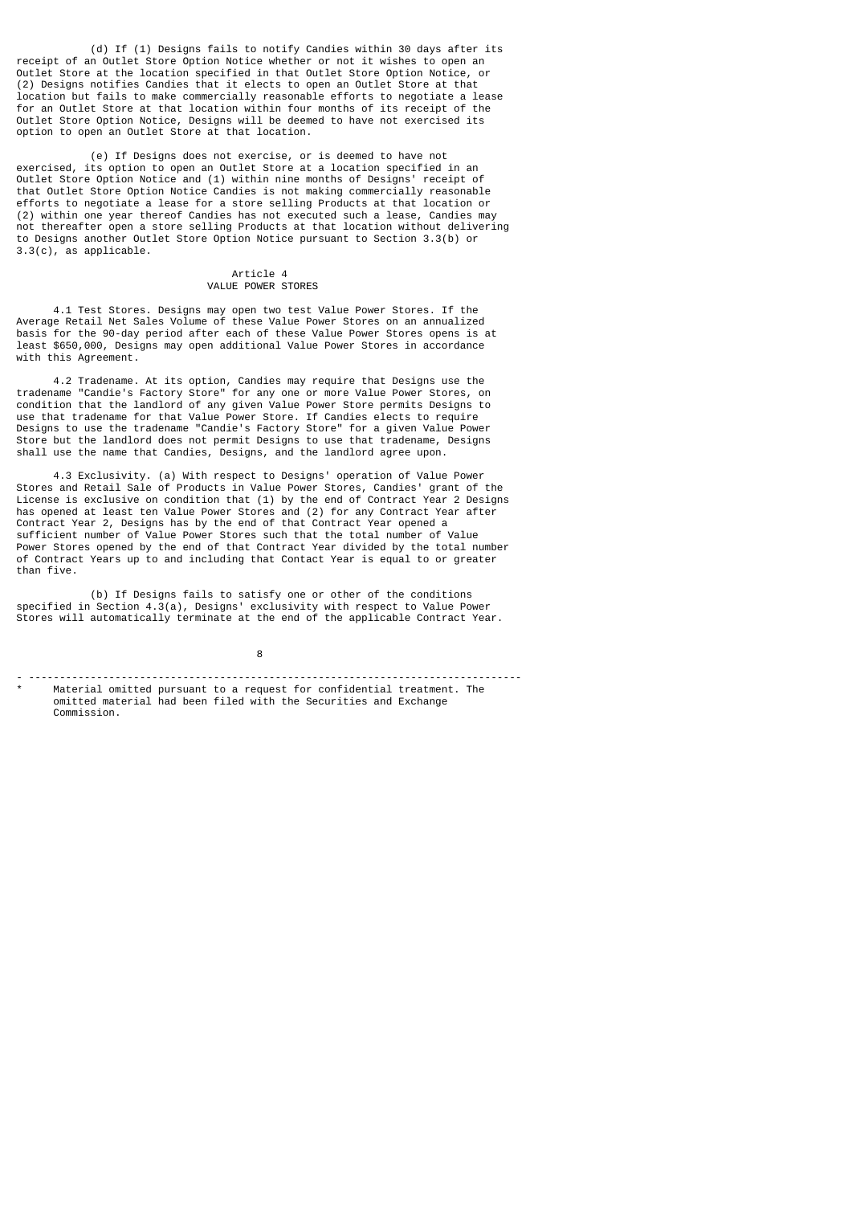(d) If (1) Designs fails to notify Candies within 30 days after its receipt of an Outlet Store Option Notice whether or not it wishes to open an Outlet Store at the location specified in that Outlet Store Option Notice, or (2) Designs notifies Candies that it elects to open an Outlet Store at that location but fails to make commercially reasonable efforts to negotiate a lease for an Outlet Store at that location within four months of its receipt of the Outlet Store Option Notice, Designs will be deemed to have not exercised its option to open an Outlet Store at that location.

 (e) If Designs does not exercise, or is deemed to have not exercised, its option to open an Outlet Store at a location specified in an Outlet Store Option Notice and (1) within nine months of Designs' receipt of that Outlet Store Option Notice Candies is not making commercially reasonable efforts to negotiate a lease for a store selling Products at that location or (2) within one year thereof Candies has not executed such a lease, Candies may not thereafter open a store selling Products at that location without delivering to Designs another Outlet Store Option Notice pursuant to Section 3.3(b) or 3.3(c), as applicable.

## Article 4 VALUE POWER STORES

 4.1 Test Stores. Designs may open two test Value Power Stores. If the Average Retail Net Sales Volume of these Value Power Stores on an annualized basis for the 90-day period after each of these Value Power Stores opens is at least \$650,000, Designs may open additional Value Power Stores in accordance with this Agreement.

 4.2 Tradename. At its option, Candies may require that Designs use the tradename "Candie's Factory Store" for any one or more Value Power Stores, on condition that the landlord of any given Value Power Store permits Designs to use that tradename for that Value Power Store. If Candies elects to require Designs to use the tradename "Candie's Factory Store" for a given Value Power Store but the landlord does not permit Designs to use that tradename, Designs shall use the name that Candies, Designs, and the landlord agree upon.

 4.3 Exclusivity. (a) With respect to Designs' operation of Value Power Stores and Retail Sale of Products in Value Power Stores, Candies' grant of the License is exclusive on condition that (1) by the end of Contract Year 2 Designs has opened at least ten Value Power Stores and (2) for any Contract Year after Contract Year 2, Designs has by the end of that Contract Year opened a sufficient number of Value Power Stores such that the total number of Value Power Stores opened by the end of that Contract Year divided by the total number of Contract Years up to and including that Contact Year is equal to or greater than five.

 (b) If Designs fails to satisfy one or other of the conditions specified in Section 4.3(a), Designs' exclusivity with respect to Value Power Stores will automatically terminate at the end of the applicable Contract Year.

en andere de la provincia de la provincia de la provincia de la provincia de la provincia de la provincia del

<sup>- --------------------------------------------------------------------------------</sup> Material omitted pursuant to a request for confidential treatment. The omitted material had been filed with the Securities and Exchange Commission.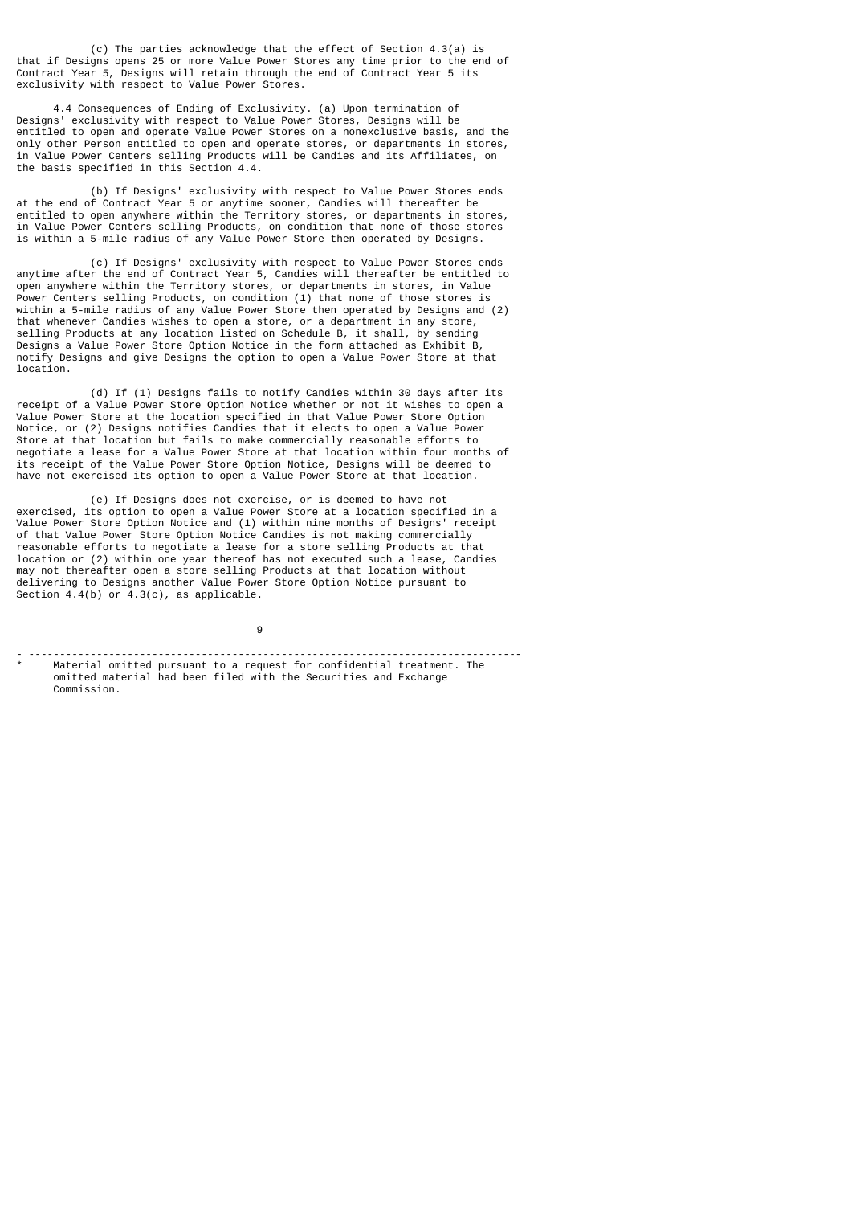(c) The parties acknowledge that the effect of Section 4.3(a) is that if Designs opens 25 or more Value Power Stores any time prior to the end of Contract Year 5, Designs will retain through the end of Contract Year 5 its exclusivity with respect to Value Power Stores.

 4.4 Consequences of Ending of Exclusivity. (a) Upon termination of Designs' exclusivity with respect to Value Power Stores, Designs will be entitled to open and operate Value Power Stores on a nonexclusive basis, and the only other Person entitled to open and operate stores, or departments in stores, in Value Power Centers selling Products will be Candies and its Affiliates, on the basis specified in this Section 4.4.

 (b) If Designs' exclusivity with respect to Value Power Stores ends at the end of Contract Year 5 or anytime sooner, Candies will thereafter be entitled to open anywhere within the Territory stores, or departments in stores, in Value Power Centers selling Products, on condition that none of those stores is within a 5-mile radius of any Value Power Store then operated by Designs.

 (c) If Designs' exclusivity with respect to Value Power Stores ends anytime after the end of Contract Year 5, Candies will thereafter be entitled to open anywhere within the Territory stores, or departments in stores, in Value Power Centers selling Products, on condition (1) that none of those stores is within a 5-mile radius of any Value Power Store then operated by Designs and (2) that whenever Candies wishes to open a store, or a department in any store, selling Products at any location listed on Schedule B, it shall, by sending Designs a Value Power Store Option Notice in the form attached as Exhibit B, notify Designs and give Designs the option to open a Value Power Store at that location.

 (d) If (1) Designs fails to notify Candies within 30 days after its receipt of a Value Power Store Option Notice whether or not it wishes to open a Value Power Store at the location specified in that Value Power Store Option Notice, or (2) Designs notifies Candies that it elects to open a Value Power Store at that location but fails to make commercially reasonable efforts to negotiate a lease for a Value Power Store at that location within four months of its receipt of the Value Power Store Option Notice, Designs will be deemed to have not exercised its option to open a Value Power Store at that location.

 (e) If Designs does not exercise, or is deemed to have not exercised, its option to open a Value Power Store at a location specified in a Value Power Store Option Notice and (1) within nine months of Designs' receipt of that Value Power Store Option Notice Candies is not making commercially reasonable efforts to negotiate a lease for a store selling Products at that location or (2) within one year thereof has not executed such a lease, Candies may not thereafter open a store selling Products at that location without delivering to Designs another Value Power Store Option Notice pursuant to Section  $4.4(b)$  or  $4.3(c)$ , as applicable.

9

- --------------------------------------------------------------------------------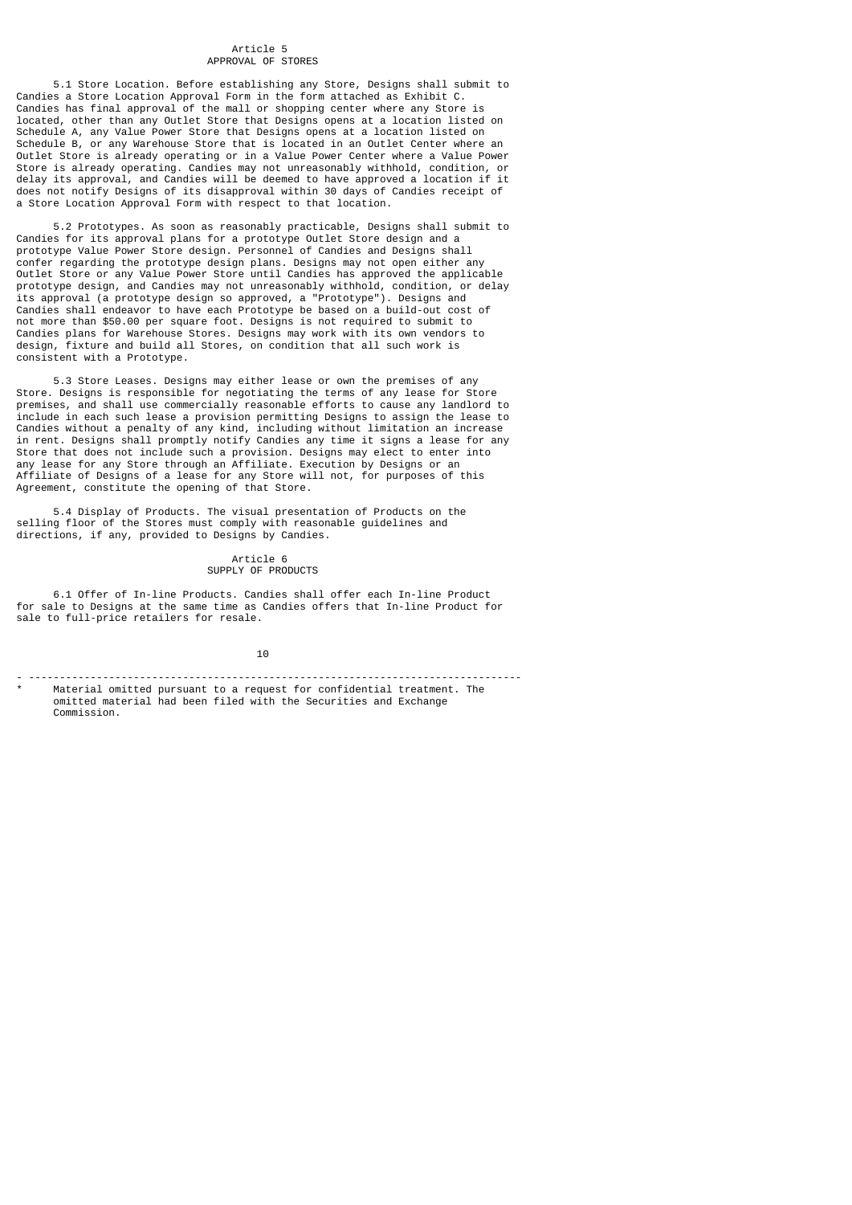### Article 5 APPROVAL OF STORES

 5.1 Store Location. Before establishing any Store, Designs shall submit to Candies a Store Location Approval Form in the form attached as Exhibit C. Candies has final approval of the mall or shopping center where any Store is located, other than any Outlet Store that Designs opens at a location listed on Schedule A, any Value Power Store that Designs opens at a location listed on Schedule B, or any Warehouse Store that is located in an Outlet Center where an Outlet Store is already operating or in a Value Power Center where a Value Power Store is already operating. Candies may not unreasonably withhold, condition, or delay its approval, and Candies will be deemed to have approved a location if it does not notify Designs of its disapproval within 30 days of Candies receipt of a Store Location Approval Form with respect to that location.

 5.2 Prototypes. As soon as reasonably practicable, Designs shall submit to Candies for its approval plans for a prototype Outlet Store design and a prototype Value Power Store design. Personnel of Candies and Designs shall confer regarding the prototype design plans. Designs may not open either any Outlet Store or any Value Power Store until Candies has approved the applicable prototype design, and Candies may not unreasonably withhold, condition, or delay its approval (a prototype design so approved, a "Prototype"). Designs and Candies shall endeavor to have each Prototype be based on a build-out cost of not more than \$50.00 per square foot. Designs is not required to submit to Candies plans for Warehouse Stores. Designs may work with its own vendors to design, fixture and build all Stores, on condition that all such work is consistent with a Prototype.

 5.3 Store Leases. Designs may either lease or own the premises of any Store. Designs is responsible for negotiating the terms of any lease for Store premises, and shall use commercially reasonable efforts to cause any landlord to include in each such lease a provision permitting Designs to assign the lease to Candies without a penalty of any kind, including without limitation an increase in rent. Designs shall promptly notify Candies any time it signs a lease for any Store that does not include such a provision. Designs may elect to enter into any lease for any Store through an Affiliate. Execution by Designs or an Affiliate of Designs of a lease for any Store will not, for purposes of this Agreement, constitute the opening of that Store.

 5.4 Display of Products. The visual presentation of Products on the selling floor of the Stores must comply with reasonable guidelines and directions, if any, provided to Designs by Candies.

## Article 6 SUPPLY OF PRODUCTS

 6.1 Offer of In-line Products. Candies shall offer each In-line Product for sale to Designs at the same time as Candies offers that In-line Product for sale to full-price retailers for resale.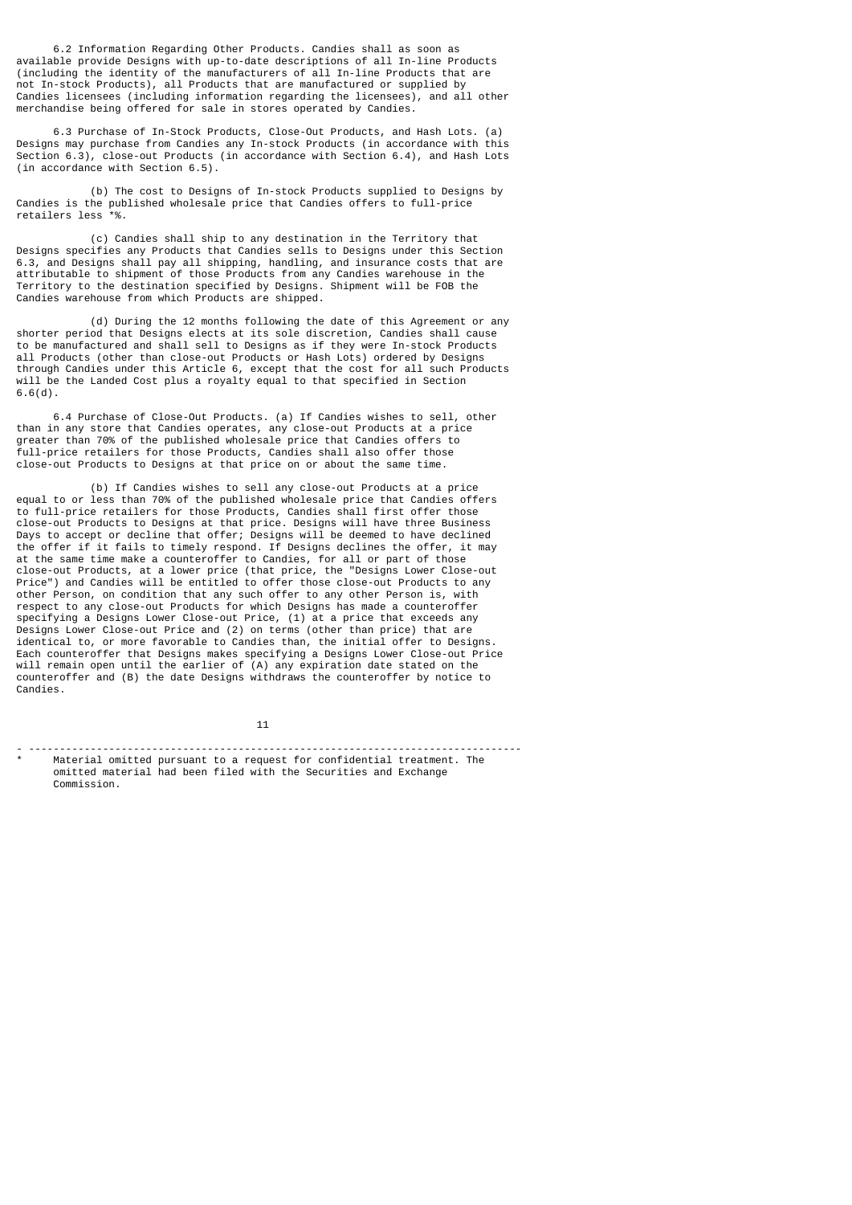6.2 Information Regarding Other Products. Candies shall as soon as available provide Designs with up-to-date descriptions of all In-line Products (including the identity of the manufacturers of all In-line Products that are not In-stock Products), all Products that are manufactured or supplied by Candies licensees (including information regarding the licensees), and all other merchandise being offered for sale in stores operated by Candies.

 6.3 Purchase of In-Stock Products, Close-Out Products, and Hash Lots. (a) Designs may purchase from Candies any In-stock Products (in accordance with this Section 6.3), close-out Products (in accordance with Section 6.4), and Hash Lots (in accordance with Section 6.5).

 (b) The cost to Designs of In-stock Products supplied to Designs by Candies is the published wholesale price that Candies offers to full-price retailers less \*%.

 (c) Candies shall ship to any destination in the Territory that Designs specifies any Products that Candies sells to Designs under this Section 6.3, and Designs shall pay all shipping, handling, and insurance costs that are attributable to shipment of those Products from any Candies warehouse in the Territory to the destination specified by Designs. Shipment will be FOB the Candies warehouse from which Products are shipped.

 (d) During the 12 months following the date of this Agreement or any shorter period that Designs elects at its sole discretion, Candies shall cause to be manufactured and shall sell to Designs as if they were In-stock Products all Products (other than close-out Products or Hash Lots) ordered by Designs through Candies under this Article 6, except that the cost for all such Products will be the Landed Cost plus a royalty equal to that specified in Section 6.6(d).

 6.4 Purchase of Close-Out Products. (a) If Candies wishes to sell, other than in any store that Candies operates, any close-out Products at a price greater than 70% of the published wholesale price that Candies offers to full-price retailers for those Products, Candies shall also offer those close-out Products to Designs at that price on or about the same time.

 (b) If Candies wishes to sell any close-out Products at a price equal to or less than 70% of the published wholesale price that Candies offers to full-price retailers for those Products, Candies shall first offer those close-out Products to Designs at that price. Designs will have three Business Days to accept or decline that offer; Designs will be deemed to have declined the offer if it fails to timely respond. If Designs declines the offer, it may at the same time make a counteroffer to Candies, for all or part of those close-out Products, at a lower price (that price, the "Designs Lower Close-out Price") and Candies will be entitled to offer those close-out Products to any other Person, on condition that any such offer to any other Person is, with respect to any close-out Products for which Designs has made a counteroffer specifying a Designs Lower Close-out Price, (1) at a price that exceeds any Designs Lower Close-out Price and (2) on terms (other than price) that are identical to, or more favorable to Candies than, the initial offer to Designs. Each counteroffer that Designs makes specifying a Designs Lower Close-out Price will remain open until the earlier of (A) any expiration date stated on the counteroffer and (B) the date Designs withdraws the counteroffer by notice to Candies.

 $11$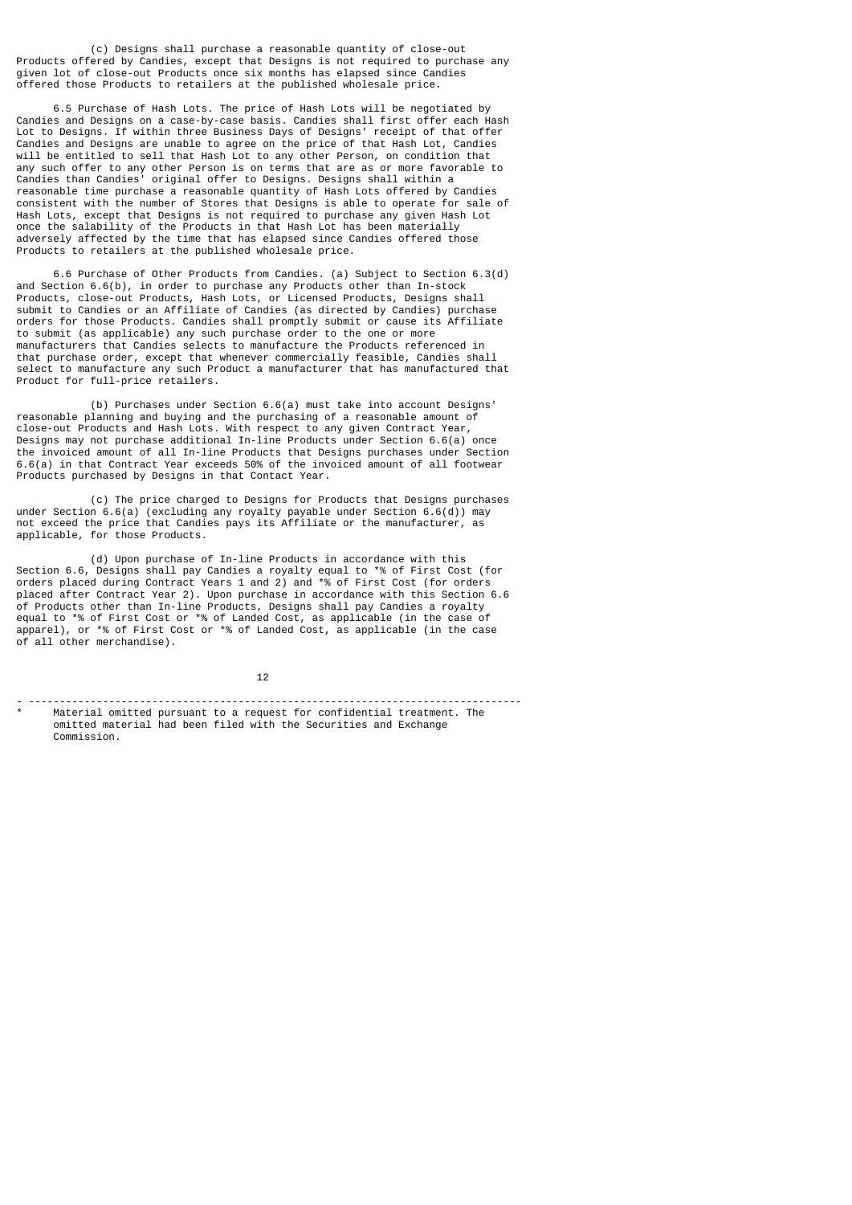(c) Designs shall purchase a reasonable quantity of close-out Products offered by Candies, except that Designs is not required to purchase any given lot of close-out Products once six months has elapsed since Candies offered those Products to retailers at the published wholesale price.

 6.5 Purchase of Hash Lots. The price of Hash Lots will be negotiated by Candies and Designs on a case-by-case basis. Candies shall first offer each Hash Lot to Designs. If within three Business Days of Designs' receipt of that offer Candies and Designs are unable to agree on the price of that Hash Lot, Candies will be entitled to sell that Hash Lot to any other Person, on condition that any such offer to any other Person is on terms that are as or more favorable to Candies than Candies' original offer to Designs. Designs shall within a reasonable time purchase a reasonable quantity of Hash Lots offered by Candies consistent with the number of Stores that Designs is able to operate for sale of Hash Lots, except that Designs is not required to purchase any given Hash Lot once the salability of the Products in that Hash Lot has been materially adversely affected by the time that has elapsed since Candies offered those Products to retailers at the published wholesale price.

 6.6 Purchase of Other Products from Candies. (a) Subject to Section 6.3(d) and Section 6.6(b), in order to purchase any Products other than In-stock Products, close-out Products, Hash Lots, or Licensed Products, Designs shall submit to Candies or an Affiliate of Candies (as directed by Candies) purchase orders for those Products. Candies shall promptly submit or cause its Affiliate to submit (as applicable) any such purchase order to the one or more manufacturers that Candies selects to manufacture the Products referenced in that purchase order, except that whenever commercially feasible, Candies shall select to manufacture any such Product a manufacturer that has manufactured that Product for full-price retailers.

 (b) Purchases under Section 6.6(a) must take into account Designs' reasonable planning and buying and the purchasing of a reasonable amount of close-out Products and Hash Lots. With respect to any given Contract Year, Designs may not purchase additional In-line Products under Section 6.6(a) once the invoiced amount of all In-line Products that Designs purchases under Section 6.6(a) in that Contract Year exceeds 50% of the invoiced amount of all footwear Products purchased by Designs in that Contact Year.

 (c) The price charged to Designs for Products that Designs purchases under Section 6.6(a) (excluding any royalty payable under Section 6.6(d)) may not exceed the price that Candies pays its Affiliate or the manufacturer, as applicable, for those Products.

 (d) Upon purchase of In-line Products in accordance with this Section 6.6, Designs shall pay Candies a royalty equal to \*% of First Cost (for orders placed during Contract Years 1 and 2) and \*% of First Cost (for orders placed after Contract Year 2). Upon purchase in accordance with this Section 6.6 of Products other than In-line Products, Designs shall pay Candies a royalty equal to \*% of First Cost or \*% of Landed Cost, as applicable (in the case of apparel), or \*% of First Cost or \*% of Landed Cost, as applicable (in the case of all other merchandise).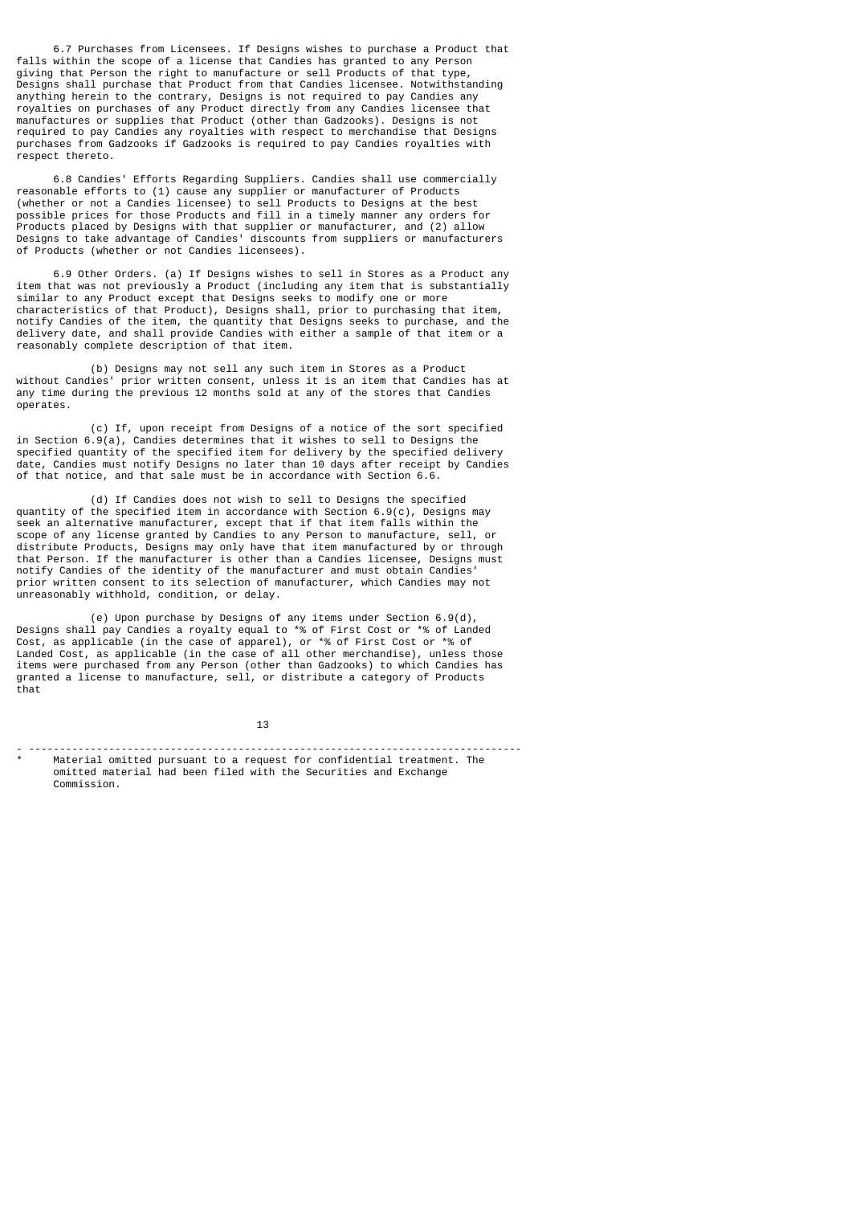6.7 Purchases from Licensees. If Designs wishes to purchase a Product that falls within the scope of a license that Candies has granted to any Person giving that Person the right to manufacture or sell Products of that type, Designs shall purchase that Product from that Candies licensee. Notwithstanding anything herein to the contrary, Designs is not required to pay Candies any royalties on purchases of any Product directly from any Candies licensee that manufactures or supplies that Product (other than Gadzooks). Designs is not required to pay Candies any royalties with respect to merchandise that Designs purchases from Gadzooks if Gadzooks is required to pay Candies royalties with respect thereto.

 6.8 Candies' Efforts Regarding Suppliers. Candies shall use commercially reasonable efforts to (1) cause any supplier or manufacturer of Products (whether or not a Candies licensee) to sell Products to Designs at the best possible prices for those Products and fill in a timely manner any orders for Products placed by Designs with that supplier or manufacturer, and (2) allow Designs to take advantage of Candies' discounts from suppliers or manufacturers of Products (whether or not Candies licensees).

 6.9 Other Orders. (a) If Designs wishes to sell in Stores as a Product any item that was not previously a Product (including any item that is substantially similar to any Product except that Designs seeks to modify one or more characteristics of that Product), Designs shall, prior to purchasing that item, notify Candies of the item, the quantity that Designs seeks to purchase, and the delivery date, and shall provide Candies with either a sample of that item or a reasonably complete description of that item.

 (b) Designs may not sell any such item in Stores as a Product without Candies' prior written consent, unless it is an item that Candies has at any time during the previous 12 months sold at any of the stores that Candies operates.

 (c) If, upon receipt from Designs of a notice of the sort specified in Section 6.9(a), Candies determines that it wishes to sell to Designs the specified quantity of the specified item for delivery by the specified delivery date, Candies must notify Designs no later than 10 days after receipt by Candies of that notice, and that sale must be in accordance with Section 6.6.

 (d) If Candies does not wish to sell to Designs the specified quantity of the specified item in accordance with Section 6.9(c), Designs may seek an alternative manufacturer, except that if that item falls within the scope of any license granted by Candies to any Person to manufacture, sell, or distribute Products, Designs may only have that item manufactured by or through that Person. If the manufacturer is other than a Candies licensee, Designs must notify Candies of the identity of the manufacturer and must obtain Candies' prior written consent to its selection of manufacturer, which Candies may not unreasonably withhold, condition, or delay.

 (e) Upon purchase by Designs of any items under Section 6.9(d), Designs shall pay Candies a royalty equal to \*% of First Cost or \*% of Landed Cost, as applicable (in the case of apparel), or \*% of First Cost or \*% of Landed Cost, as applicable (in the case of all other merchandise), unless those items were purchased from any Person (other than Gadzooks) to which Candies has granted a license to manufacture, sell, or distribute a category of Products that

 $13$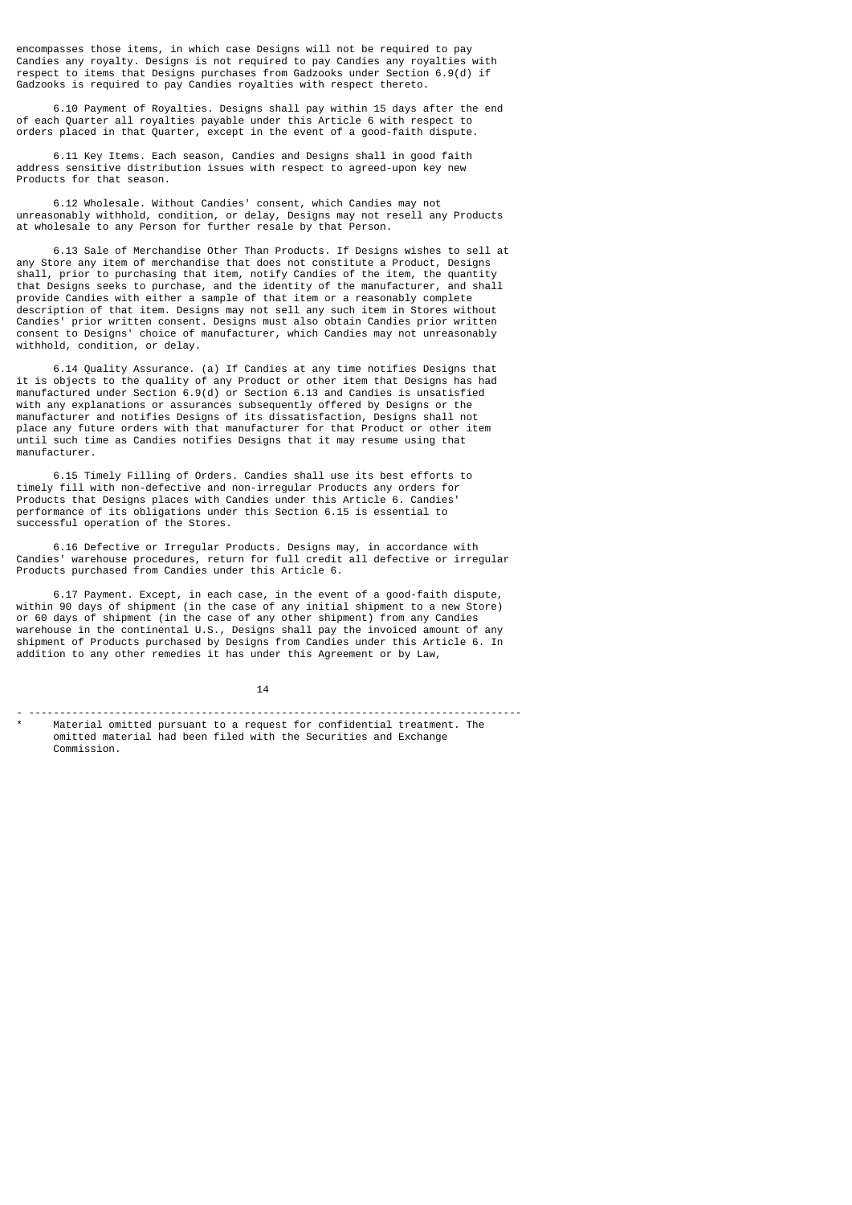encompasses those items, in which case Designs will not be required to pay Candies any royalty. Designs is not required to pay Candies any royalties with respect to items that Designs purchases from Gadzooks under Section 6.9(d) if Gadzooks is required to pay Candies royalties with respect thereto.

 6.10 Payment of Royalties. Designs shall pay within 15 days after the end of each Quarter all royalties payable under this Article 6 with respect to orders placed in that Quarter, except in the event of a good-faith dispute.

 6.11 Key Items. Each season, Candies and Designs shall in good faith address sensitive distribution issues with respect to agreed-upon key new Products for that season.

 6.12 Wholesale. Without Candies' consent, which Candies may not unreasonably withhold, condition, or delay, Designs may not resell any Products at wholesale to any Person for further resale by that Person.

 6.13 Sale of Merchandise Other Than Products. If Designs wishes to sell at any Store any item of merchandise that does not constitute a Product, Designs shall, prior to purchasing that item, notify Candies of the item, the quantity that Designs seeks to purchase, and the identity of the manufacturer, and shall provide Candies with either a sample of that item or a reasonably complete description of that item. Designs may not sell any such item in Stores without Candies' prior written consent. Designs must also obtain Candies prior written consent to Designs' choice of manufacturer, which Candies may not unreasonably withhold, condition, or delay.

 6.14 Quality Assurance. (a) If Candies at any time notifies Designs that it is objects to the quality of any Product or other item that Designs has had manufactured under Section  $6.9(d)$  or Section 6.13 and Candies is unsatisfied with any explanations or assurances subsequently offered by Designs or the manufacturer and notifies Designs of its dissatisfaction, Designs shall not place any future orders with that manufacturer for that Product or other item until such time as Candies notifies Designs that it may resume using that manufacturer.

 6.15 Timely Filling of Orders. Candies shall use its best efforts to timely fill with non-defective and non-irregular Products any orders for Products that Designs places with Candies under this Article 6. Candies' performance of its obligations under this Section 6.15 is essential to successful operation of the Stores.

 6.16 Defective or Irregular Products. Designs may, in accordance with Candies' warehouse procedures, return for full credit all defective or irregular Products purchased from Candies under this Article 6.

 6.17 Payment. Except, in each case, in the event of a good-faith dispute, within 90 days of shipment (in the case of any initial shipment to a new Store) or 60 days of shipment (in the case of any other shipment) from any Candies warehouse in the continental U.S., Designs shall pay the invoiced amount of any shipment of Products purchased by Designs from Candies under this Article 6. In addition to any other remedies it has under this Agreement or by Law,

 $14$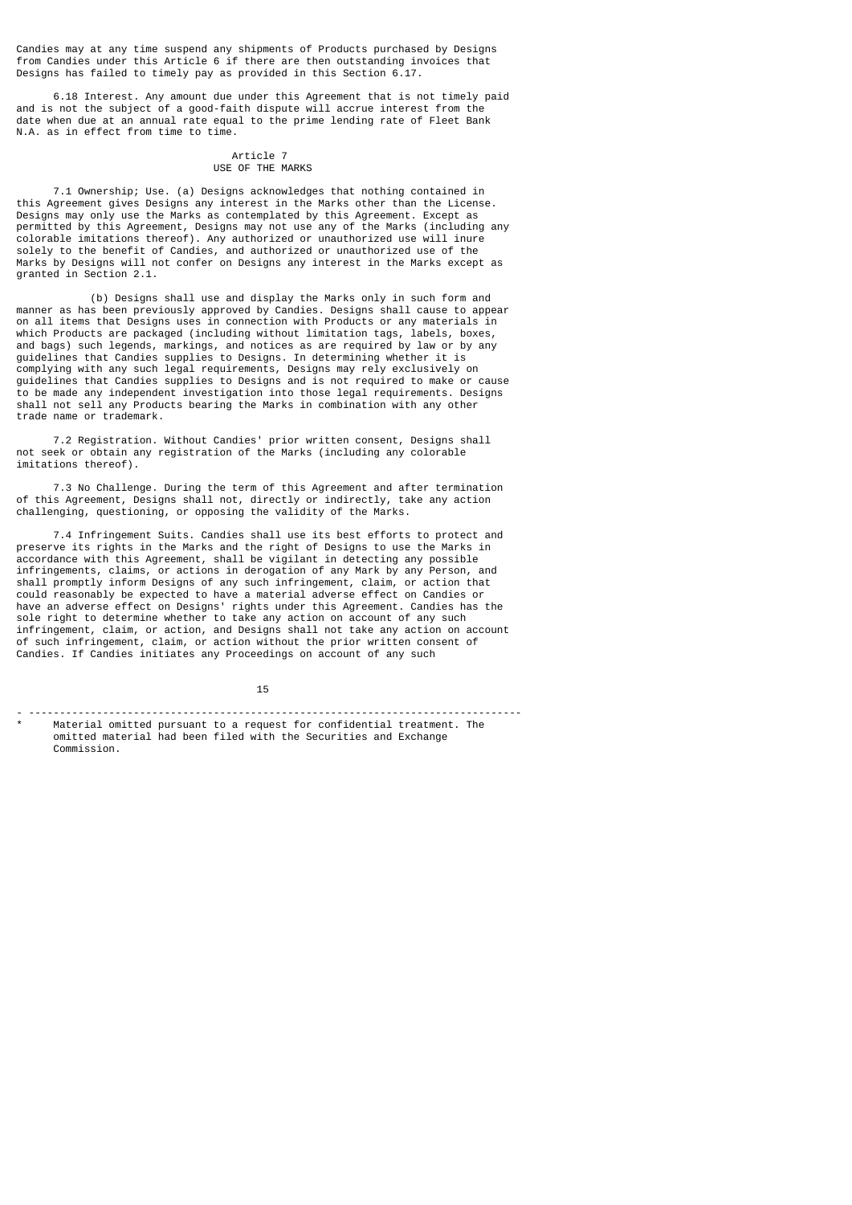Candies may at any time suspend any shipments of Products purchased by Designs from Candies under this Article 6 if there are then outstanding invoices that Designs has failed to timely pay as provided in this Section 6.17.

 6.18 Interest. Any amount due under this Agreement that is not timely paid and is not the subject of a good-faith dispute will accrue interest from the date when due at an annual rate equal to the prime lending rate of Fleet Bank N.A. as in effect from time to time.

#### Article 7 USE OF THE MARKS

 7.1 Ownership; Use. (a) Designs acknowledges that nothing contained in this Agreement gives Designs any interest in the Marks other than the License. Designs may only use the Marks as contemplated by this Agreement. Except as permitted by this Agreement, Designs may not use any of the Marks (including any colorable imitations thereof). Any authorized or unauthorized use will inure solely to the benefit of Candies, and authorized or unauthorized use of the Marks by Designs will not confer on Designs any interest in the Marks except as granted in Section 2.1.

 (b) Designs shall use and display the Marks only in such form and manner as has been previously approved by Candies. Designs shall cause to appear on all items that Designs uses in connection with Products or any materials in which Products are packaged (including without limitation tags, labels, boxes, and bags) such legends, markings, and notices as are required by law or by any guidelines that Candies supplies to Designs. In determining whether it is complying with any such legal requirements, Designs may rely exclusively on guidelines that Candies supplies to Designs and is not required to make or cause to be made any independent investigation into those legal requirements. Designs shall not sell any Products bearing the Marks in combination with any other trade name or trademark.

 7.2 Registration. Without Candies' prior written consent, Designs shall not seek or obtain any registration of the Marks (including any colorable imitations thereof).

 7.3 No Challenge. During the term of this Agreement and after termination of this Agreement, Designs shall not, directly or indirectly, take any action challenging, questioning, or opposing the validity of the Marks.

 7.4 Infringement Suits. Candies shall use its best efforts to protect and preserve its rights in the Marks and the right of Designs to use the Marks in accordance with this Agreement, shall be vigilant in detecting any possible infringements, claims, or actions in derogation of any Mark by any Person, and shall promptly inform Designs of any such infringement, claim, or action that could reasonably be expected to have a material adverse effect on Candies or have an adverse effect on Designs' rights under this Agreement. Candies has the sole right to determine whether to take any action on account of any such infringement, claim, or action, and Designs shall not take any action on account of such infringement, claim, or action without the prior written consent of Candies. If Candies initiates any Proceedings on account of any such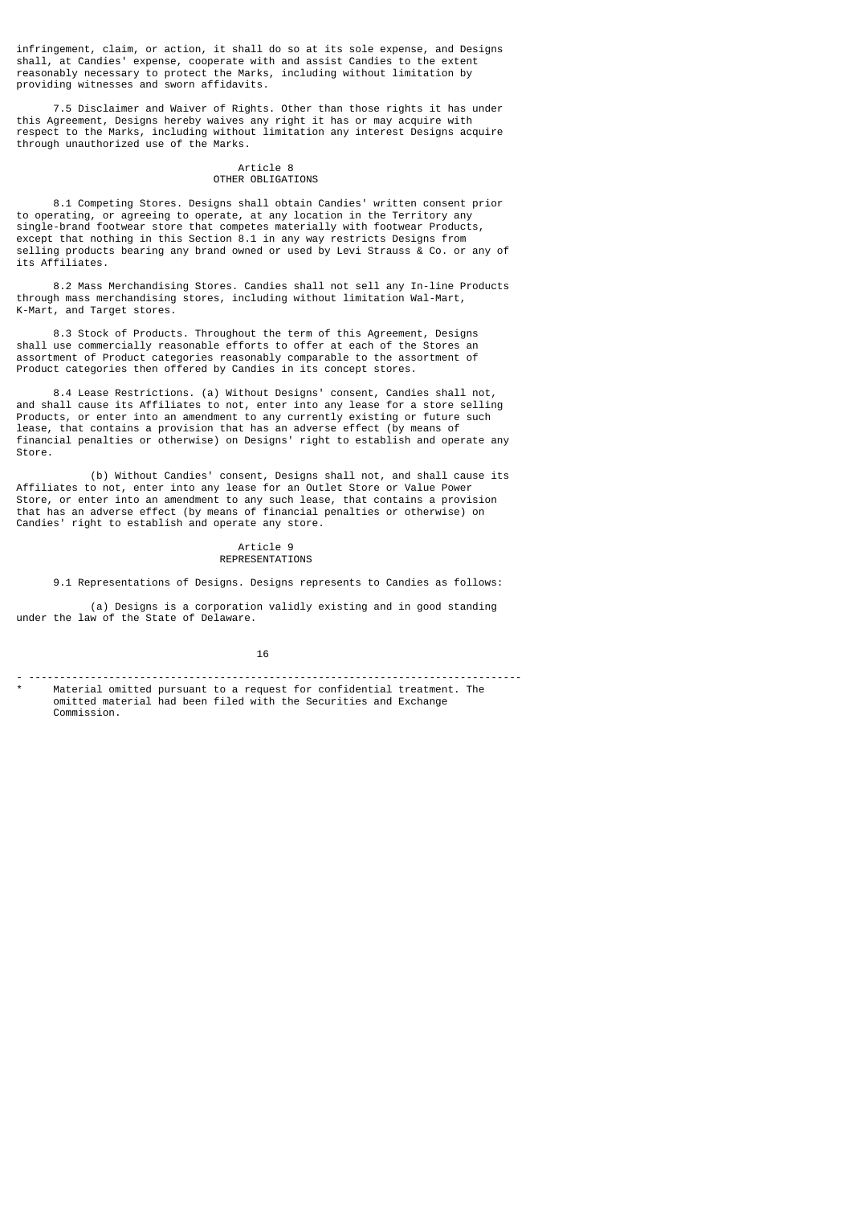infringement, claim, or action, it shall do so at its sole expense, and Designs shall, at Candies' expense, cooperate with and assist Candies to the extent reasonably necessary to protect the Marks, including without limitation by providing witnesses and sworn affidavits.

 7.5 Disclaimer and Waiver of Rights. Other than those rights it has under this Agreement, Designs hereby waives any right it has or may acquire with respect to the Marks, including without limitation any interest Designs acquire through unauthorized use of the Marks.

## Article 8 OTHER OBLIGATIONS

 8.1 Competing Stores. Designs shall obtain Candies' written consent prior to operating, or agreeing to operate, at any location in the Territory any single-brand footwear store that competes materially with footwear Products, except that nothing in this Section 8.1 in any way restricts Designs from selling products bearing any brand owned or used by Levi Strauss & Co. or any of its Affiliates.

 8.2 Mass Merchandising Stores. Candies shall not sell any In-line Products through mass merchandising stores, including without limitation Wal-Mart, K-Mart, and Target stores.

 8.3 Stock of Products. Throughout the term of this Agreement, Designs shall use commercially reasonable efforts to offer at each of the Stores an assortment of Product categories reasonably comparable to the assortment of Product categories then offered by Candies in its concept stores.

 8.4 Lease Restrictions. (a) Without Designs' consent, Candies shall not, and shall cause its Affiliates to not, enter into any lease for a store selling Products, or enter into an amendment to any currently existing or future such lease, that contains a provision that has an adverse effect (by means of financial penalties or otherwise) on Designs' right to establish and operate any Store.

 (b) Without Candies' consent, Designs shall not, and shall cause its Affiliates to not, enter into any lease for an Outlet Store or Value Power Store, or enter into an amendment to any such lease, that contains a provision that has an adverse effect (by means of financial penalties or otherwise) on Candies' right to establish and operate any store.

## Article 9 REPRESENTATIONS

9.1 Representations of Designs. Designs represents to Candies as follows:

 (a) Designs is a corporation validly existing and in good standing under the law of the State of Delaware.

16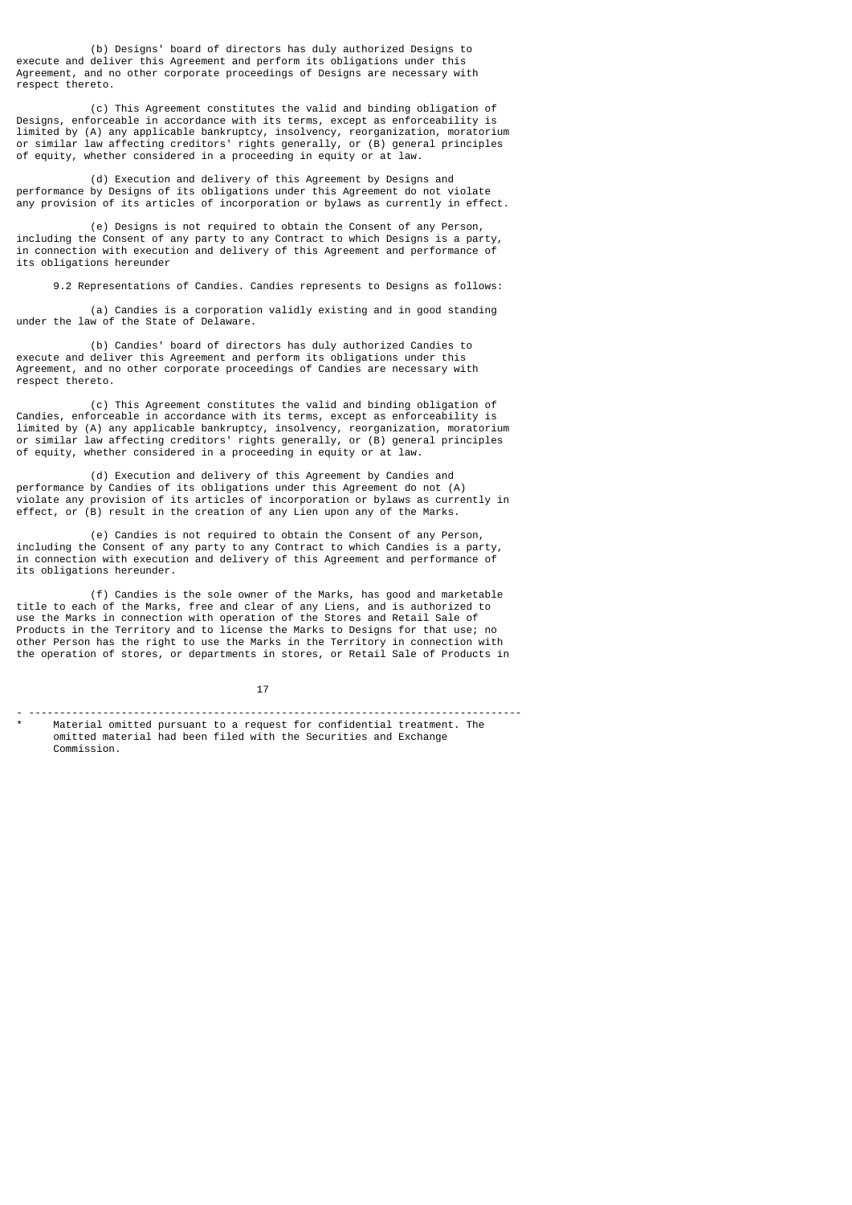(b) Designs' board of directors has duly authorized Designs to execute and deliver this Agreement and perform its obligations under this Agreement, and no other corporate proceedings of Designs are necessary with respect thereto.

 (c) This Agreement constitutes the valid and binding obligation of Designs, enforceable in accordance with its terms, except as enforceability is limited by (A) any applicable bankruptcy, insolvency, reorganization, moratorium or similar law affecting creditors' rights generally, or (B) general principles of equity, whether considered in a proceeding in equity or at law.

 (d) Execution and delivery of this Agreement by Designs and performance by Designs of its obligations under this Agreement do not violate any provision of its articles of incorporation or bylaws as currently in effect.

 (e) Designs is not required to obtain the Consent of any Person, including the Consent of any party to any Contract to which Designs is a party, in connection with execution and delivery of this Agreement and performance of its obligations hereunder

9.2 Representations of Candies. Candies represents to Designs as follows:

 (a) Candies is a corporation validly existing and in good standing under the law of the State of Delaware.

 (b) Candies' board of directors has duly authorized Candies to execute and deliver this Agreement and perform its obligations under this Agreement, and no other corporate proceedings of Candies are necessary with respect thereto.

 (c) This Agreement constitutes the valid and binding obligation of Candies, enforceable in accordance with its terms, except as enforceability is limited by (A) any applicable bankruptcy, insolvency, reorganization, moratorium or similar law affecting creditors' rights generally, or (B) general principles of equity, whether considered in a proceeding in equity or at law.

 (d) Execution and delivery of this Agreement by Candies and performance by Candies of its obligations under this Agreement do not (A) violate any provision of its articles of incorporation or bylaws as currently in effect, or (B) result in the creation of any Lien upon any of the Marks.

 (e) Candies is not required to obtain the Consent of any Person, including the Consent of any party to any Contract to which Candies is a party, in connection with execution and delivery of this Agreement and performance of its obligations hereunder.

 (f) Candies is the sole owner of the Marks, has good and marketable title to each of the Marks, free and clear of any Liens, and is authorized to use the Marks in connection with operation of the Stores and Retail Sale of Products in the Territory and to license the Marks to Designs for that use; no other Person has the right to use the Marks in the Territory in connection with the operation of stores, or departments in stores, or Retail Sale of Products in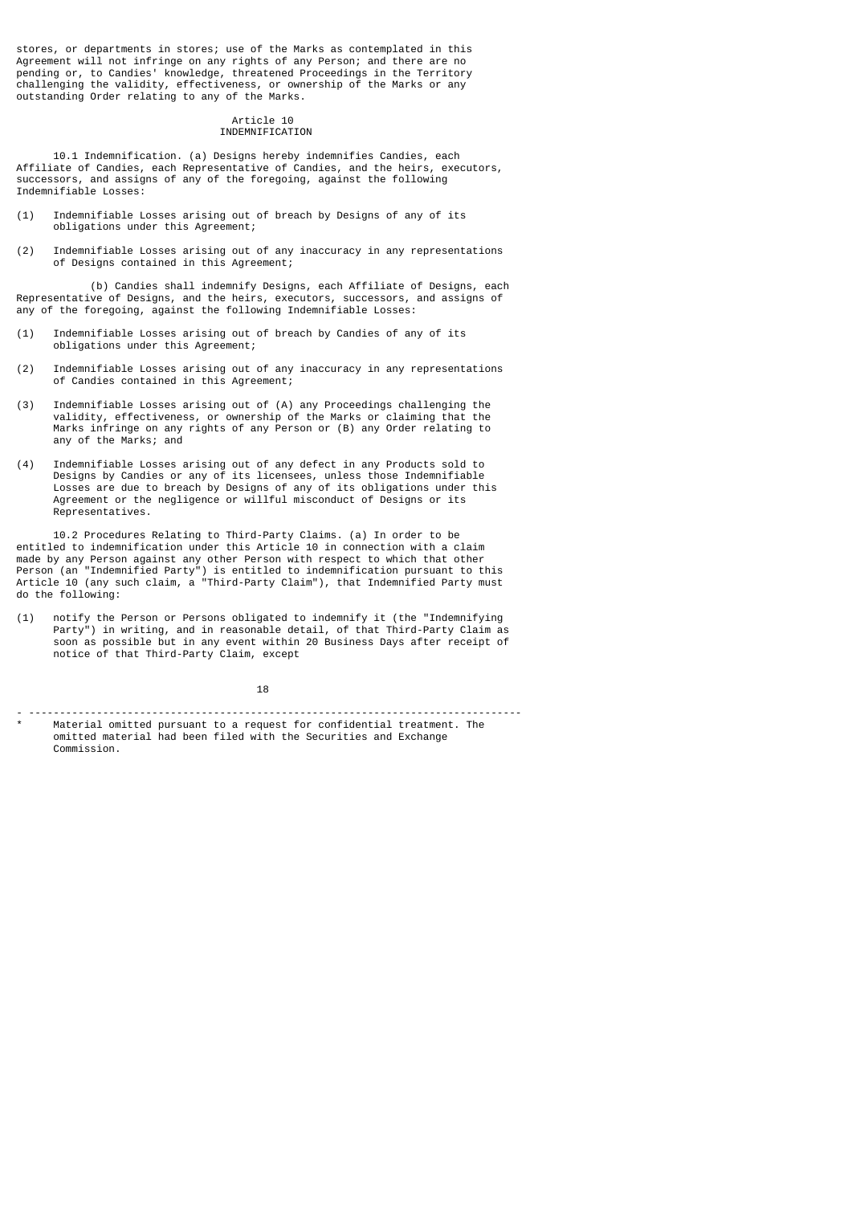stores, or departments in stores; use of the Marks as contemplated in this Agreement will not infringe on any rights of any Person; and there are no pending or, to Candies' knowledge, threatened Proceedings in the Territory challenging the validity, effectiveness, or ownership of the Marks or any outstanding Order relating to any of the Marks.

#### Article 10 INDEMNIFICATION

 10.1 Indemnification. (a) Designs hereby indemnifies Candies, each Affiliate of Candies, each Representative of Candies, and the heirs, executors, successors, and assigns of any of the foregoing, against the following Indemnifiable Losses:

- (1) Indemnifiable Losses arising out of breach by Designs of any of its obligations under this Agreement;
- (2) Indemnifiable Losses arising out of any inaccuracy in any representations of Designs contained in this Agreement;

 (b) Candies shall indemnify Designs, each Affiliate of Designs, each Representative of Designs, and the heirs, executors, successors, and assigns of any of the foregoing, against the following Indemnifiable Losses:

- (1) Indemnifiable Losses arising out of breach by Candies of any of its obligations under this Agreement;
- (2) Indemnifiable Losses arising out of any inaccuracy in any representations of Candies contained in this Agreement;
- (3) Indemnifiable Losses arising out of (A) any Proceedings challenging the validity, effectiveness, or ownership of the Marks or claiming that the Marks infringe on any rights of any Person or (B) any Order relating to any of the Marks; and
- (4) Indemnifiable Losses arising out of any defect in any Products sold to Designs by Candies or any of its licensees, unless those Indemnifiable Losses are due to breach by Designs of any of its obligations under this Agreement or the negligence or willful misconduct of Designs or its Representatives.

 10.2 Procedures Relating to Third-Party Claims. (a) In order to be entitled to indemnification under this Article 10 in connection with a claim made by any Person against any other Person with respect to which that other Person (an "Indemnified Party") is entitled to indemnification pursuant to this Article 10 (any such claim, a "Third-Party Claim"), that Indemnified Party must do the following:

(1) notify the Person or Persons obligated to indemnify it (the "Indemnifying Party") in writing, and in reasonable detail, of that Third-Party Claim as soon as possible but in any event within 20 Business Days after receipt of notice of that Third-Party Claim, except

 $18$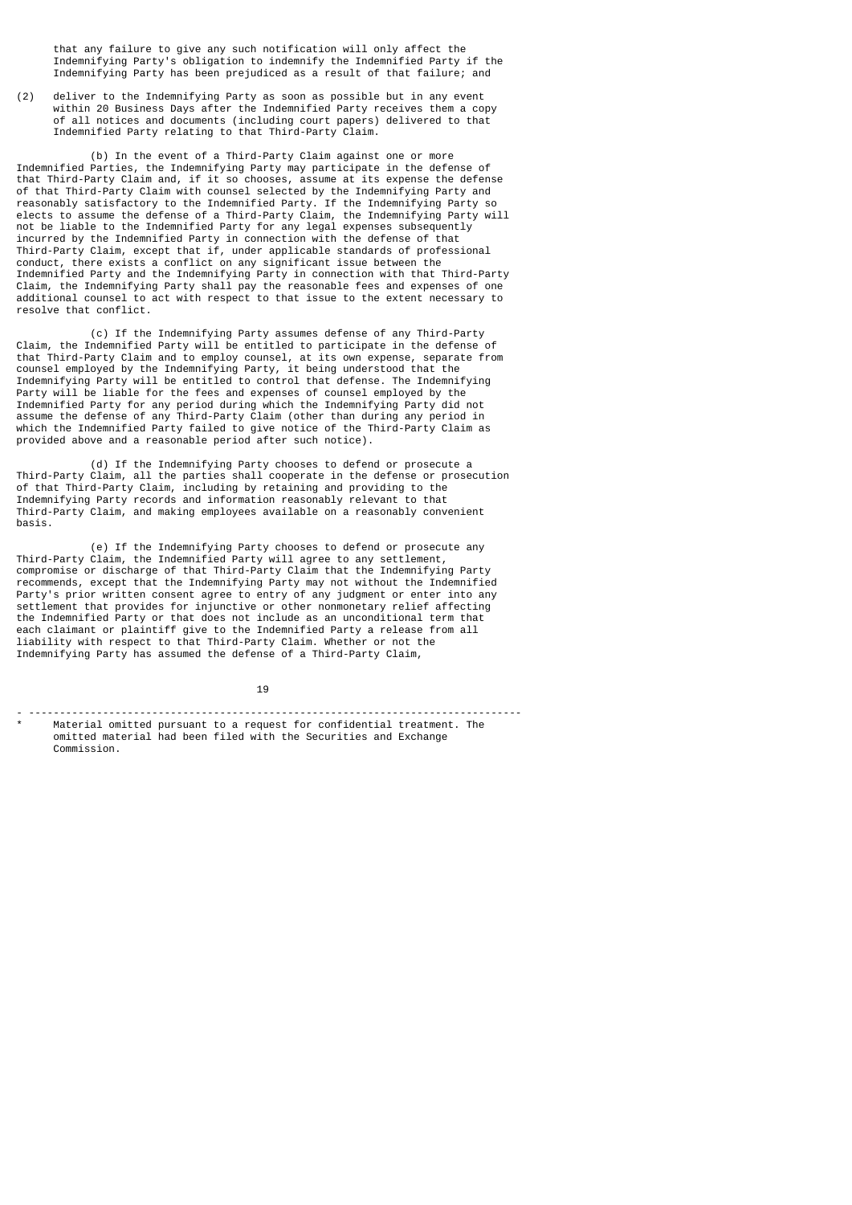that any failure to give any such notification will only affect the Indemnifying Party's obligation to indemnify the Indemnified Party if the Indemnifying Party has been prejudiced as a result of that failure; and

(2) deliver to the Indemnifying Party as soon as possible but in any event within 20 Business Days after the Indemnified Party receives them a copy of all notices and documents (including court papers) delivered to that Indemnified Party relating to that Third-Party Claim.

 (b) In the event of a Third-Party Claim against one or more Indemnified Parties, the Indemnifying Party may participate in the defense of that Third-Party Claim and, if it so chooses, assume at its expense the defense of that Third-Party Claim with counsel selected by the Indemnifying Party and reasonably satisfactory to the Indemnified Party. If the Indemnifying Party so elects to assume the defense of a Third-Party Claim, the Indemnifying Party will not be liable to the Indemnified Party for any legal expenses subsequently incurred by the Indemnified Party in connection with the defense of that Third-Party Claim, except that if, under applicable standards of professional conduct, there exists a conflict on any significant issue between the Indemnified Party and the Indemnifying Party in connection with that Third-Party Claim, the Indemnifying Party shall pay the reasonable fees and expenses of one additional counsel to act with respect to that issue to the extent necessary to resolve that conflict.

 (c) If the Indemnifying Party assumes defense of any Third-Party  $Claim, the Indemnified Party will be entitled to participate in the defense$ that Third-Party Claim and to employ counsel, at its own expense, separate from counsel employed by the Indemnifying Party, it being understood that the Indemnifying Party will be entitled to control that defense. The Indemnifying Party will be liable for the fees and expenses of counsel employed by the Indemnified Party for any period during which the Indemnifying Party did not assume the defense of any Third-Party Claim (other than during any period in which the Indemnified Party failed to give notice of the Third-Party Claim as provided above and a reasonable period after such notice).

 (d) If the Indemnifying Party chooses to defend or prosecute a Third-Party Claim, all the parties shall cooperate in the defense or prosecution of that Third-Party Claim, including by retaining and providing to the Indemnifying Party records and information reasonably relevant to that Third-Party Claim, and making employees available on a reasonably convenient basis.

 (e) If the Indemnifying Party chooses to defend or prosecute any Third-Party Claim, the Indemnified Party will agree to any settlement, compromise or discharge of that Third-Party Claim that the Indemnifying Party recommends, except that the Indemnifying Party may not without the Indemnified Party's prior written consent agree to entry of any judgment or enter into any settlement that provides for injunctive or other nonmonetary relief affecting the Indemnified Party or that does not include as an unconditional term that each claimant or plaintiff give to the Indemnified Party a release from all liability with respect to that Third-Party Claim. Whether or not the Indemnifying Party has assumed the defense of a Third-Party Claim,

 $19$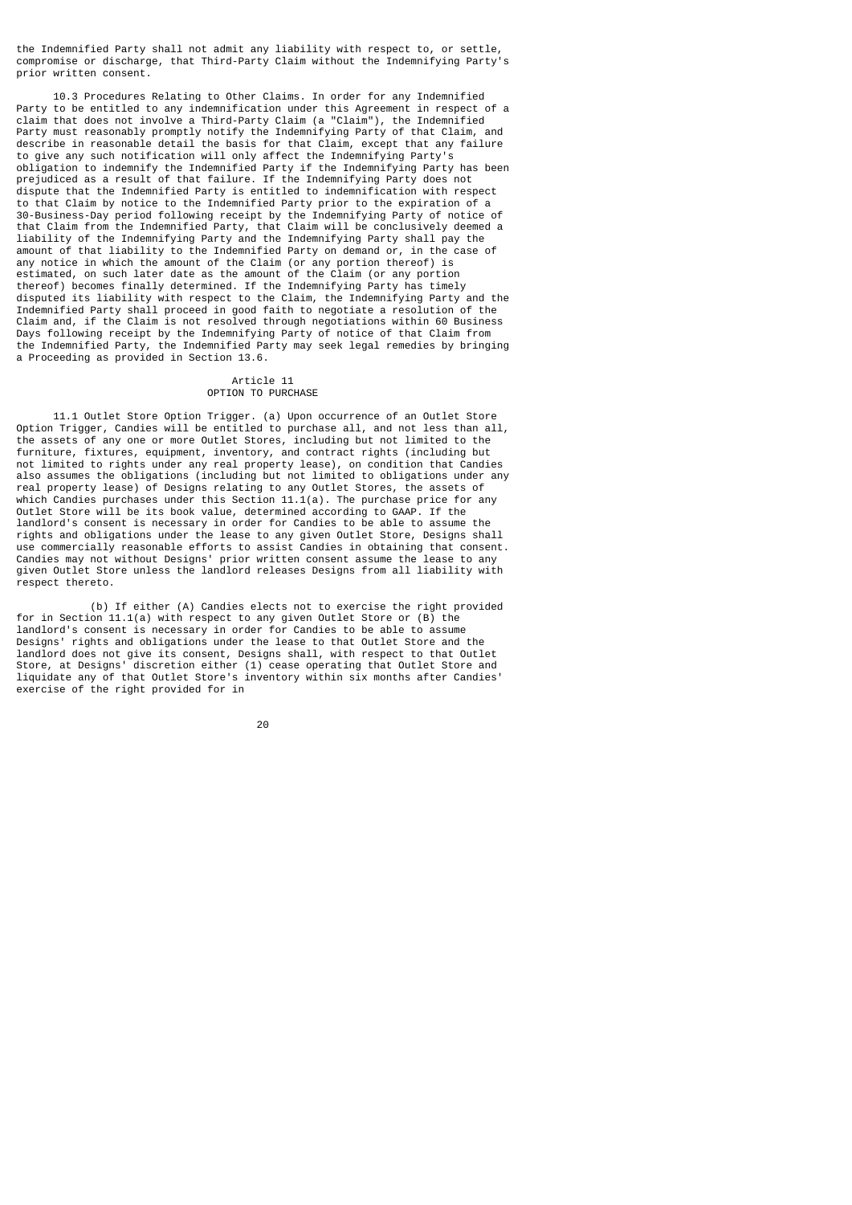the Indemnified Party shall not admit any liability with respect to, or settle, compromise or discharge, that Third-Party Claim without the Indemnifying Party's prior written consent.

 10.3 Procedures Relating to Other Claims. In order for any Indemnified Party to be entitled to any indemnification under this Agreement in respect of a claim that does not involve a Third-Party Claim (a "Claim"), the Indemnified Party must reasonably promptly notify the Indemnifying Party of that Claim, and describe in reasonable detail the basis for that Claim, except that any failure to give any such notification will only affect the Indemnifying Party's obligation to indemnify the Indemnified Party if the Indemnifying Party has been prejudiced as a result of that failure. If the Indemnifying Party does not dispute that the Indemnified Party is entitled to indemnification with respect to that Claim by notice to the Indemnified Party prior to the expiration of a 30-Business-Day period following receipt by the Indemnifying Party of notice of that Claim from the Indemnified Party, that Claim will be conclusively deemed a liability of the Indemnifying Party and the Indemnifying Party shall pay the amount of that liability to the Indemnified Party on demand or, in the case of any notice in which the amount of the Claim (or any portion thereof) is estimated, on such later date as the amount of the Claim (or any portion estimated, on such later date as the amount of the Claim (or any portion thereof) becomes finally determined. If the Indemnifying Party has timely disputed its liability with respect to the Claim, the Indemnifying Party and the Indemnified Party shall proceed in good faith to negotiate a resolution of the Claim and, if the Claim is not resolved through negotiations within 60 Business Days following receipt by the Indemnifying Party of notice of that Claim from the Indemnified Party, the Indemnified Party may seek legal remedies by bringing a Proceeding as provided in Section 13.6.

#### Article 11 OPTION TO PURCHASE

 11.1 Outlet Store Option Trigger. (a) Upon occurrence of an Outlet Store Option Trigger, Candies will be entitled to purchase all, and not less than all, the assets of any one or more Outlet Stores, including but not limited to the furniture, fixtures, equipment, inventory, and contract rights (including but not limited to rights under any real property lease), on condition that Candies also assumes the obligations (including but not limited to obligations under any real property lease) of Designs relating to any Outlet Stores, the assets of which Candies purchases under this Section 11.1(a). The purchase price for any Outlet Store will be its book value, determined according to GAAP. If the landlord's consent is necessary in order for Candies to be able to assume the rights and obligations under the lease to any given Outlet Store, Designs shall use commercially reasonable efforts to assist Candies in obtaining that consent. Candies may not without Designs' prior written consent assume the lease to any given Outlet Store unless the landlord releases Designs from all liability with respect thereto.

 (b) If either (A) Candies elects not to exercise the right provided for in Section 11.1(a) with respect to any given Outlet Store or (B) the landlord's consent is necessary in order for Candies to be able to assume Designs' rights and obligations under the lease to that Outlet Store and the landlord does not give its consent, Designs shall, with respect to that Outlet Store, at Designs' discretion either (1) cease operating that Outlet Store and liquidate any of that Outlet Store's inventory within six months after Candies' exercise of the right provided for in

е процесси производите на 1992 година в 1992 година в 1993 година в 1993 година в 1993 година в 1993 година в<br>2004 година в 1993 година в 1994 година в 1994 година в 1994 година в 1994 година в 1994 година в 1994 година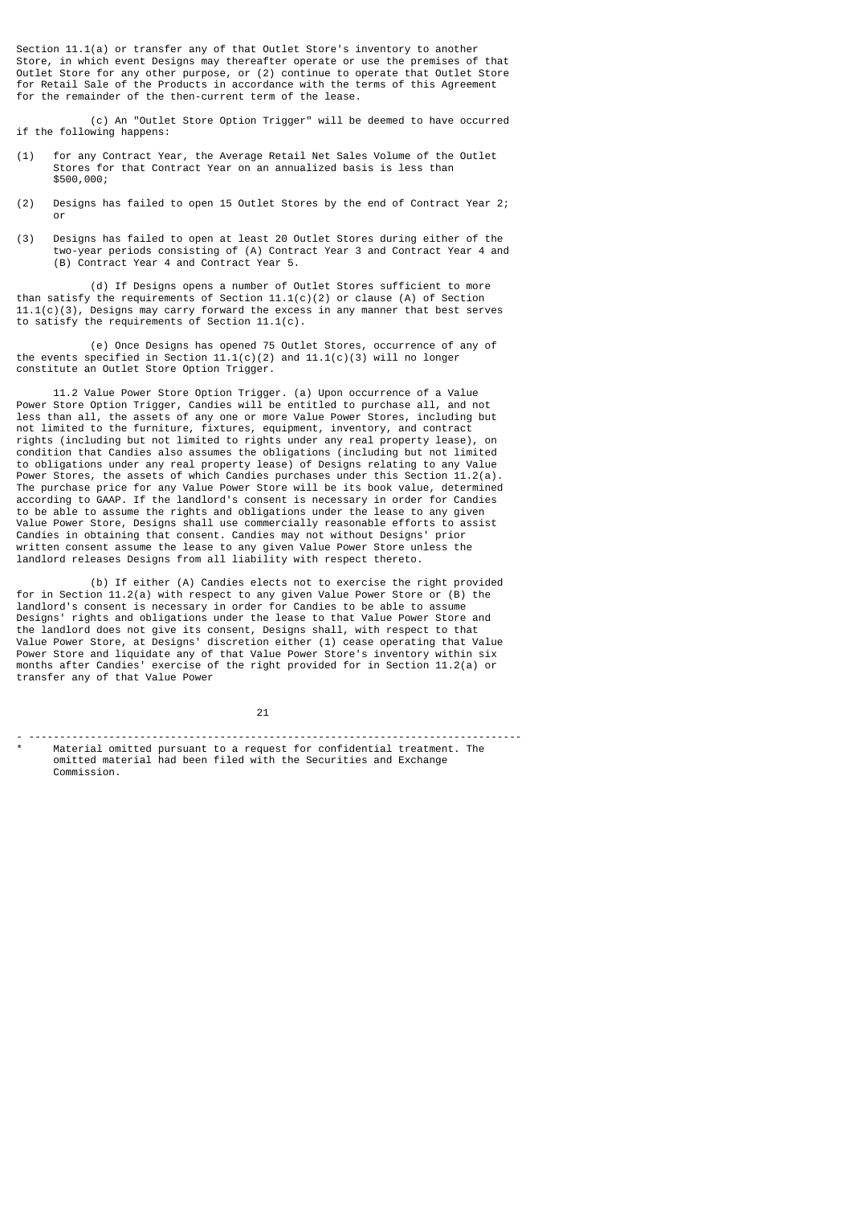Section 11.1(a) or transfer any of that Outlet Store's inventory to another Store, in which event Designs may thereafter operate or use the premises of that Outlet Store for any other purpose, or (2) continue to operate that Outlet Store for Retail Sale of the Products in accordance with the terms of this Agreement for the remainder of the then-current term of the lease.

 (c) An "Outlet Store Option Trigger" will be deemed to have occurred if the following happens:

- (1) for any Contract Year, the Average Retail Net Sales Volume of the Outlet Stores for that Contract Year on an annualized basis is less than \$500,000;
- (2) Designs has failed to open 15 Outlet Stores by the end of Contract Year 2; or
- (3) Designs has failed to open at least 20 Outlet Stores during either of the two-year periods consisting of (A) Contract Year 3 and Contract Year 4 and (B) Contract Year 4 and Contract Year 5.

 (d) If Designs opens a number of Outlet Stores sufficient to more than satisfy the requirements of Section 11.1(c)(2) or clause (A) of Section 11.1(c)(3), Designs may carry forward the excess in any manner that best serves to satisfy the requirements of Section 11.1(c).

 (e) Once Designs has opened 75 Outlet Stores, occurrence of any of the events specified in Section 11.1(c)(2) and 11.1(c)(3) will no longer constitute an Outlet Store Option Trigger.

 11.2 Value Power Store Option Trigger. (a) Upon occurrence of a Value Power Store Option Trigger, Candies will be entitled to purchase all, and not less than all, the assets of any one or more Value Power Stores, including but not limited to the furniture, fixtures, equipment, inventory, and contract rights (including but not limited to rights under any real property lease), on condition that Candies also assumes the obligations (including but not limited to obligations under any real property lease) of Designs relating to any Value Power Stores, the assets of which Candies purchases under this Section 11.2(a). The purchase price for any Value Power Store will be its book value, determined according to GAAP. If the landlord's consent is necessary in order for Candies to be able to assume the rights and obligations under the lease to any given Value Power Store, Designs shall use commercially reasonable efforts to assist Candies in obtaining that consent. Candies may not without Designs' prior written consent assume the lease to any given Value Power Store unless the landlord releases Designs from all liability with respect thereto.

 (b) If either (A) Candies elects not to exercise the right provided for in Section 11.2(a) with respect to any given Value Power Store or (B) the landlord's consent is necessary in order for Candies to be able to assume Designs' rights and obligations under the lease to that Value Power Store and the landlord does not give its consent, Designs shall, with respect to that Value Power Store, at Designs' discretion either (1) cease operating that Value Power Store and liquidate any of that Value Power Store's inventory within six months after Candies' exercise of the right provided for in Section 11.2(a) or transfer any of that Value Power

21

Material omitted pursuant to a request for confidential treatment. The omitted material had been filed with the Securities and Exchange Commission.

- --------------------------------------------------------------------------------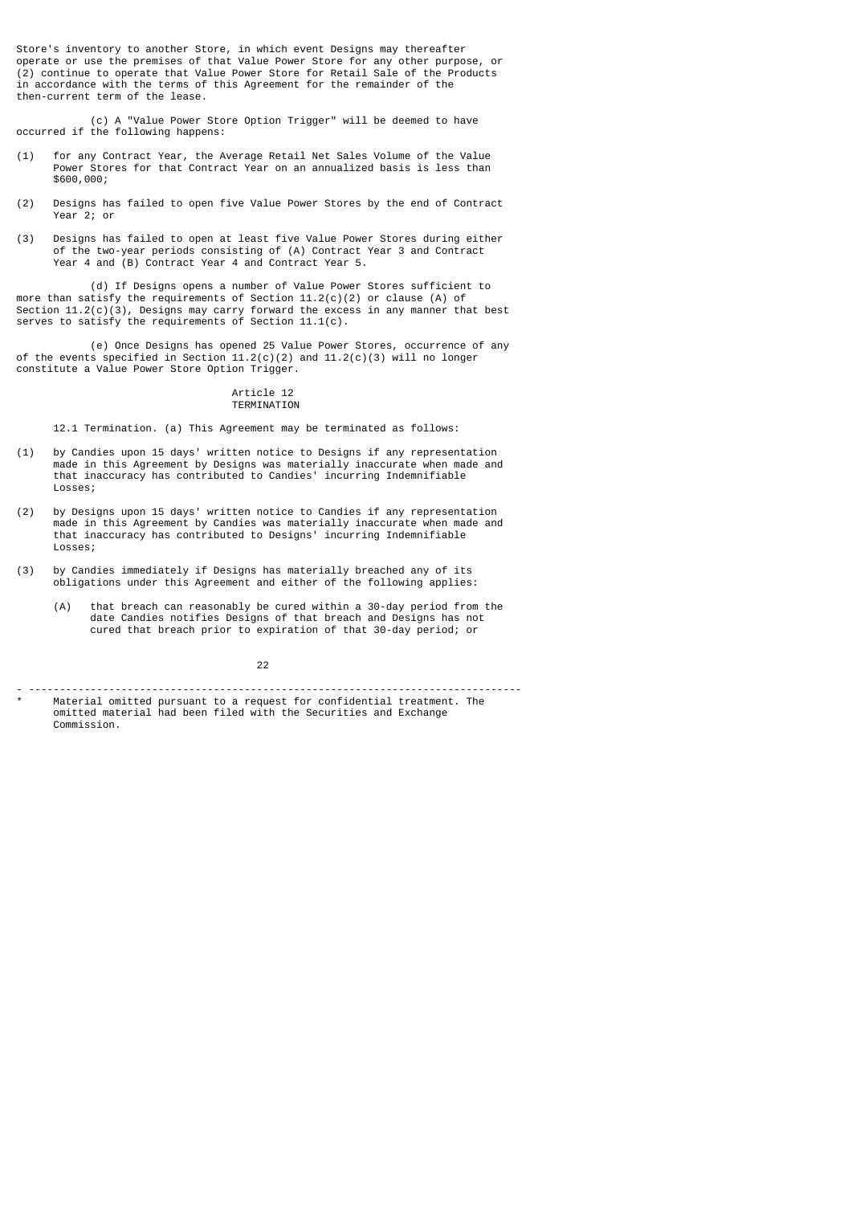Store's inventory to another Store, in which event Designs may thereafter operate or use the premises of that Value Power Store for any other purpose, or (2) continue to operate that Value Power Store for Retail Sale of the Products in accordance with the terms of this Agreement for the remainder of the then-current term of the lease.

 (c) A "Value Power Store Option Trigger" will be deemed to have occurred if the following happens:

- (1) for any Contract Year, the Average Retail Net Sales Volume of the Value Power Stores for that Contract Year on an annualized basis is less than \$600,000;
- (2) Designs has failed to open five Value Power Stores by the end of Contract Year 2; or
- (3) Designs has failed to open at least five Value Power Stores during either of the two-year periods consisting of (A) Contract Year 3 and Contract Year 4 and (B) Contract Year 4 and Contract Year 5.

 (d) If Designs opens a number of Value Power Stores sufficient to more than satisfy the requirements of Section 11.2(c)(2) or clause (A) of Section 11.2(c)(3), Designs may carry forward the excess in any manner that best serves to satisfy the requirements of Section 11.1(c).

 (e) Once Designs has opened 25 Value Power Stores, occurrence of any of the events specified in Section  $11.2(c)(2)$  and  $11.2(c)(3)$  will no longer constitute a Value Power Store Option Trigger.

## Article 12

## TERMINATION

12.1 Termination. (a) This Agreement may be terminated as follows:

- (1) by Candies upon 15 days' written notice to Designs if any representation made in this Agreement by Designs was materially inaccurate when made and that inaccuracy has contributed to Candies' incurring Indemnifiable Losses;
- (2) by Designs upon 15 days' written notice to Candies if any representation made in this Agreement by Candies was materially inaccurate when made and that inaccuracy has contributed to Designs' incurring Indemnifiable Losses;
- (3) by Candies immediately if Designs has materially breached any of its obligations under this Agreement and either of the following applies:
	- (A) that breach can reasonably be cured within a 30-day period from the date Candies notifies Designs of that breach and Designs has not cured that breach prior to expiration of that 30-day period; or

22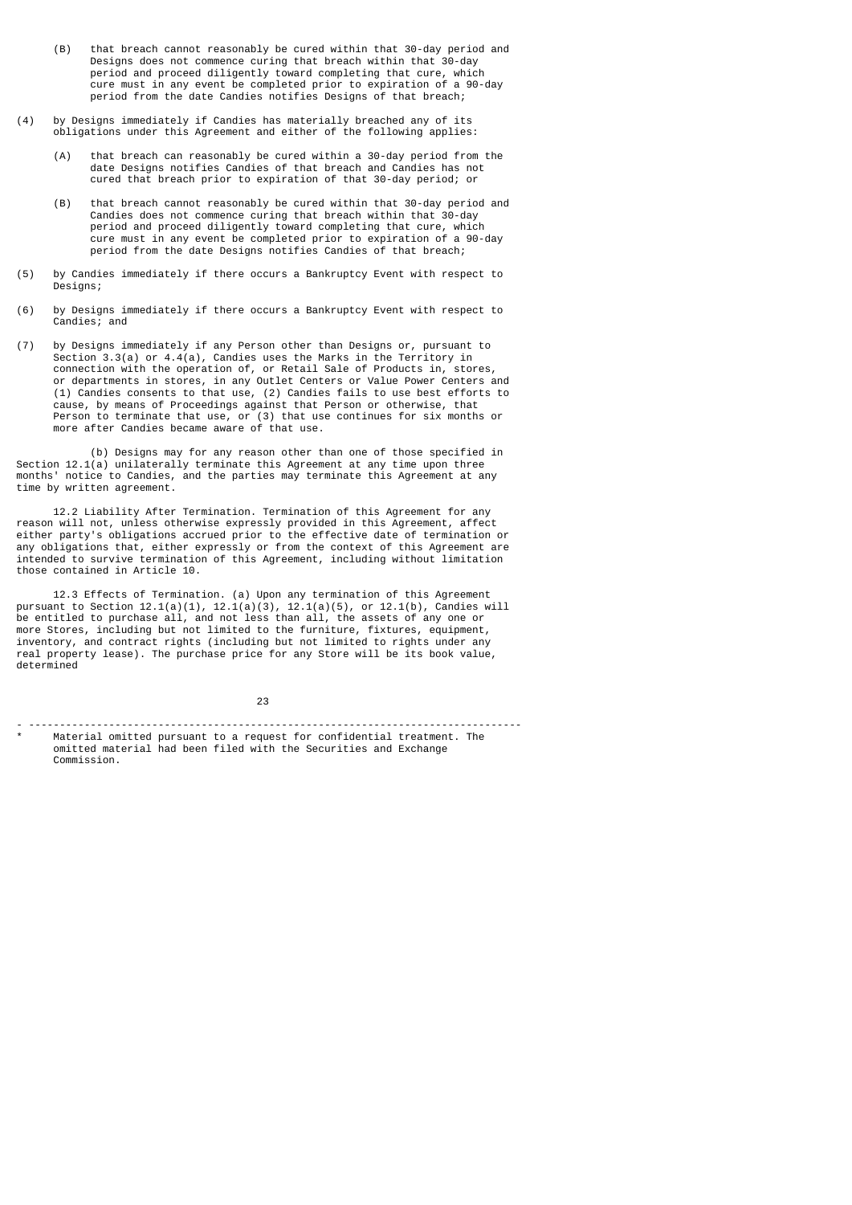- (B) that breach cannot reasonably be cured within that 30-day period and Designs does not commence curing that breach within that 30-day period and proceed diligently toward completing that cure, which cure must in any event be completed prior to expiration of a 90-day period from the date Candies notifies Designs of that breach;
- (4) by Designs immediately if Candies has materially breached any of its obligations under this Agreement and either of the following applies:
	- (A) that breach can reasonably be cured within a 30-day period from the date Designs notifies Candies of that breach and Candies has not cured that breach prior to expiration of that 30-day period; or
	- (B) that breach cannot reasonably be cured within that 30-day period and Candies does not commence curing that breach within that 30-day period and proceed diligently toward completing that cure, which cure must in any event be completed prior to expiration of a 90-day period from the date Designs notifies Candies of that breach;
- (5) by Candies immediately if there occurs a Bankruptcy Event with respect to Designs;
- (6) by Designs immediately if there occurs a Bankruptcy Event with respect to Candies; and
- (7) by Designs immediately if any Person other than Designs or, pursuant to Section 3.3(a) or 4.4(a), Candies uses the Marks in the Territory in connection with the operation of, or Retail Sale of Products in, stores, or departments in stores, in any Outlet Centers or Value Power Centers and (1) Candies consents to that use, (2) Candies fails to use best efforts to cause, by means of Proceedings against that Person or otherwise, that Person to terminate that use, or (3) that use continues for six months or more after Candies became aware of that use.

 (b) Designs may for any reason other than one of those specified in Section 12.1(a) unilaterally terminate this Agreement at any time upon three months' notice to Candies, and the parties may terminate this Agreement at any time by written agreement.

 12.2 Liability After Termination. Termination of this Agreement for any reason will not, unless otherwise expressly provided in this Agreement, affect either party's obligations accrued prior to the effective date of termination or any obligations that, either expressly or from the context of this Agreement are intended to survive termination of this Agreement, including without limitation those contained in Article 10.

 12.3 Effects of Termination. (a) Upon any termination of this Agreement pursuant to Section  $12.1(a)(1)$ ,  $12.1(a)(3)$ ,  $12.1(a)(5)$ , or  $12.1(b)$ , Candies will be entitled to purchase all, and not less than all, the assets of any one or more Stores, including but not limited to the furniture, fixtures, equipment, inventory, and contract rights (including but not limited to rights under any real property lease). The purchase price for any Store will be its book value, determined

е в село в село во село во 1923 година во 23 денешни политика во 23 денешни политика и 23 денешни политика и 23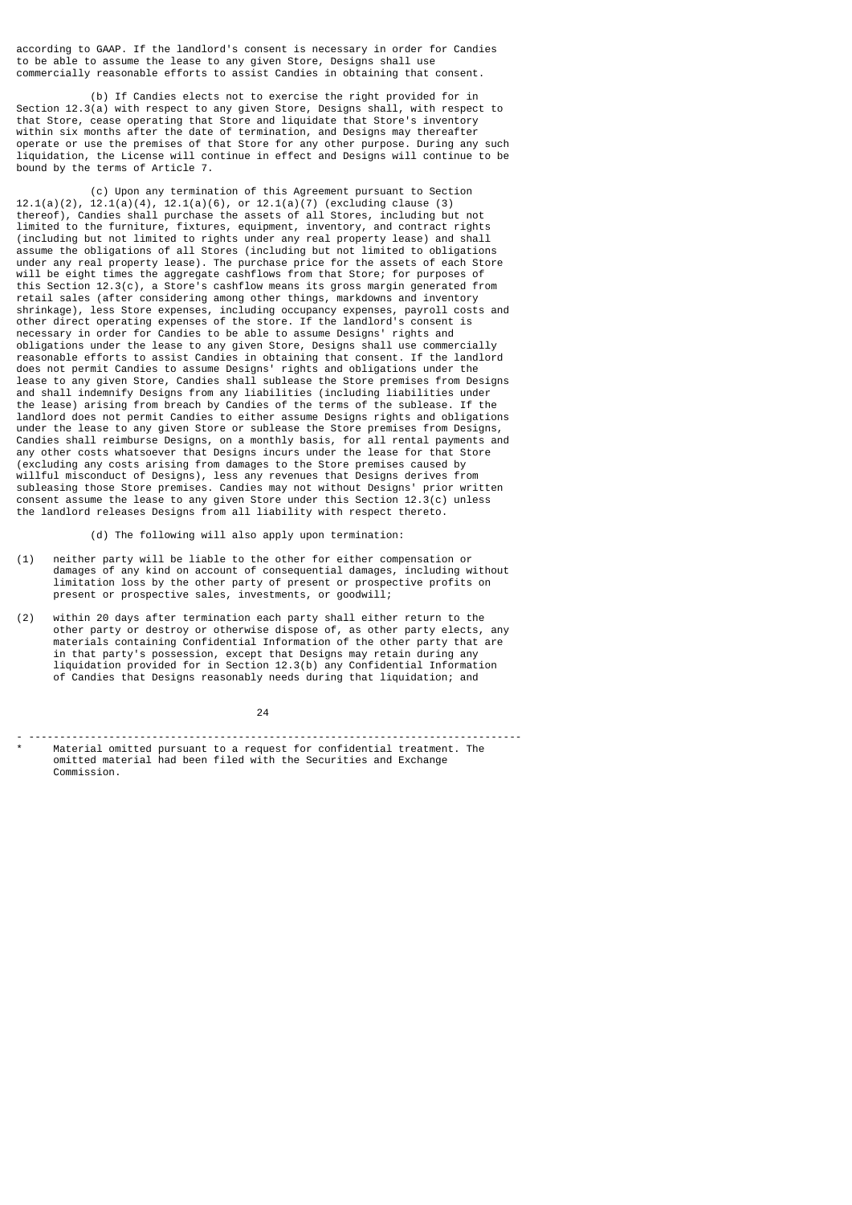according to GAAP. If the landlord's consent is necessary in order for Candies to be able to assume the lease to any given Store, Designs shall use commercially reasonable efforts to assist Candies in obtaining that consent.

 (b) If Candies elects not to exercise the right provided for in Section 12.3(a) with respect to any given Store, Designs shall, with respect to that Store, cease operating that Store and liquidate that Store's inventory within six months after the date of termination, and Designs may thereafter operate or use the premises of that Store for any other purpose. During any such liquidation, the License will continue in effect and Designs will continue to be bound by the terms of Article 7.

 (c) Upon any termination of this Agreement pursuant to Section 12.1(a)(2), 12.1(a)(4), 12.1(a)(6), or 12.1(a)(7) (excluding clause (3) thereof), Candies shall purchase the assets of all Stores, including but not limited to the furniture, fixtures, equipment, inventory, and contract rights (including but not limited to rights under any real property lease) and shall assume the obligations of all Stores (including but not limited to obligations under any real property lease). The purchase price for the assets of each Store will be eight times the aggregate cashflows from that Store; for purposes of this Section 12.3(c), a Store's cashflow means its gross margin generated from retail sales (after considering among other things, markdowns and inventory shrinkage), less Store expenses, including occupancy expenses, payroll costs and other direct operating expenses of the store. If the landlord's consent is necessary in order for Candies to be able to assume Designs' rights and obligations under the lease to any given Store, Designs shall use commercially reasonable efforts to assist Candies in obtaining that consent. If the landlord does not permit Candies to assume Designs' rights and obligations under the lease to any given Store, Candies shall sublease the Store premises from Designs and shall indemnify Designs from any liabilities (including liabilities under the lease) arising from breach by Candies of the terms of the sublease. If the landlord does not permit Candies to either assume Designs rights and obligations under the lease to any given Store or sublease the Store premises from Designs, Candies shall reimburse Designs, on a monthly basis, for all rental payments and any other costs whatsoever that Designs incurs under the lease for that Store (excluding any costs arising from damages to the Store premises caused by willful misconduct of Designs), less any revenues that Designs derives from subleasing those Store premises. Candies may not without Designs' prior written consent assume the lease to any given Store under this Section 12.3(c) unless the landlord releases Designs from all liability with respect thereto.

(d) The following will also apply upon termination:

- (1) neither party will be liable to the other for either compensation or damages of any kind on account of consequential damages, including without limitation loss by the other party of present or prospective profits on present or prospective sales, investments, or goodwill;
- (2) within 20 days after termination each party shall either return to the other party or destroy or otherwise dispose of, as other party elects, any materials containing Confidential Information of the other party that are in that party's possession, except that Designs may retain during any liquidation provided for in Section 12.3(b) any Confidential Information of Candies that Designs reasonably needs during that liquidation; and

<u>24</u>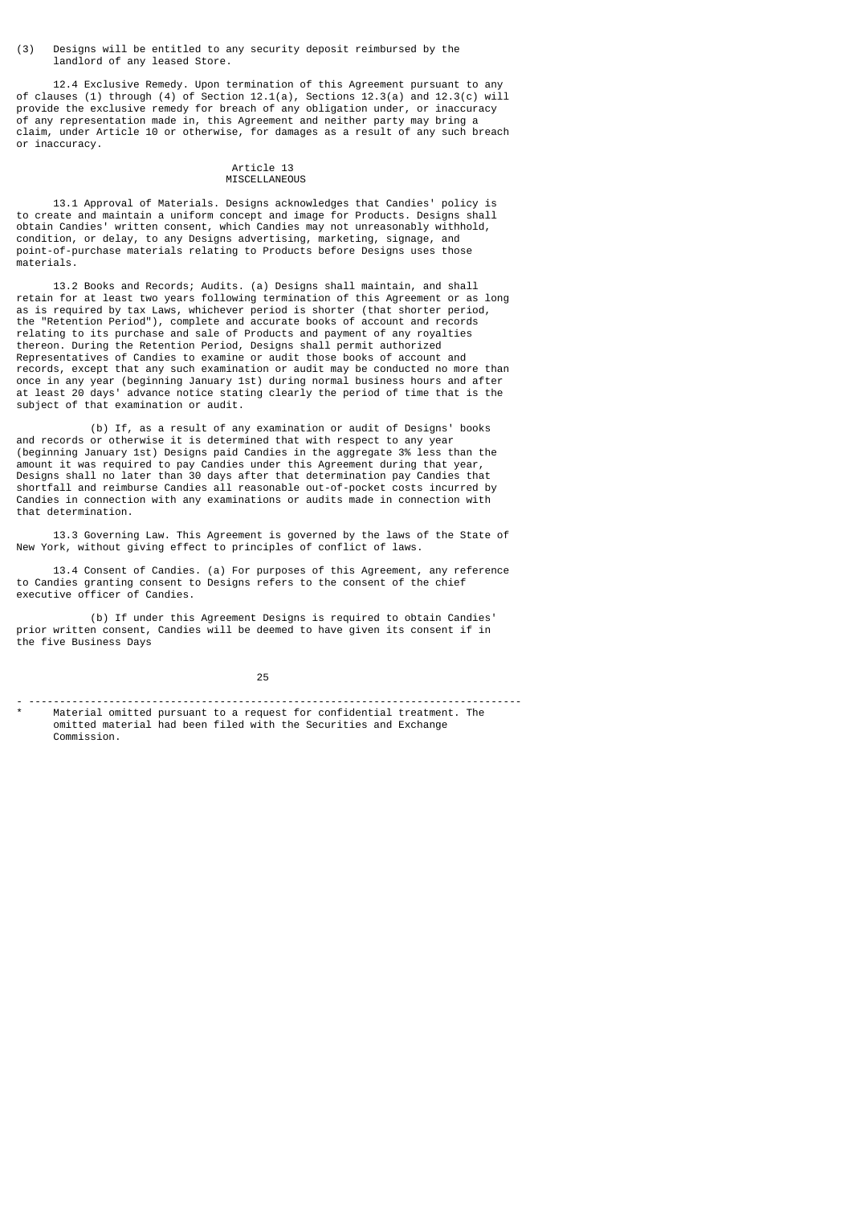(3) Designs will be entitled to any security deposit reimbursed by the landlord of any leased Store.

 12.4 Exclusive Remedy. Upon termination of this Agreement pursuant to any of clauses (1) through (4) of Section 12.1(a), Sections 12.3(a) and 12.3(c) will provide the exclusive remedy for breach of any obligation under, or inaccuracy of any representation made in, this Agreement and neither party may bring a claim, under Article 10 or otherwise, for damages as a result of any such breach or inaccuracy.

#### Article 13 MISCELLANEOUS

 13.1 Approval of Materials. Designs acknowledges that Candies' policy is to create and maintain a uniform concept and image for Products. Designs shall obtain Candies' written consent, which Candies may not unreasonably withhold, condition, or delay, to any Designs advertising, marketing, signage, and point-of-purchase materials relating to Products before Designs uses those materials.

 13.2 Books and Records; Audits. (a) Designs shall maintain, and shall retain for at least two years following termination of this Agreement or as long as is required by tax Laws, whichever period is shorter (that shorter period, the "Retention Period"), complete and accurate books of account and records relating to its purchase and sale of Products and payment of any royalties thereon. During the Retention Period, Designs shall permit authorized Representatives of Candies to examine or audit those books of account and records, except that any such examination or audit may be conducted no more than once in any year (beginning January 1st) during normal business hours and after at least 20 days' advance notice stating clearly the period of time that is the subject of that examination or audit.

 (b) If, as a result of any examination or audit of Designs' books and records or otherwise it is determined that with respect to any year (beginning January 1st) Designs paid Candies in the aggregate 3% less than the amount it was required to pay Candies under this Agreement during that year, Designs shall no later than 30 days after that determination pay Candies that shortfall and reimburse Candies all reasonable out-of-pocket costs incurred by Candies in connection with any examinations or audits made in connection with that determination.

 13.3 Governing Law. This Agreement is governed by the laws of the State of New York, without giving effect to principles of conflict of laws.

 13.4 Consent of Candies. (a) For purposes of this Agreement, any reference to Candies granting consent to Designs refers to the consent of the chief executive officer of Candies.

 (b) If under this Agreement Designs is required to obtain Candies' prior written consent, Candies will be deemed to have given its consent if in the five Business Days

- --------------------------------------------------------------------------------

<sup>&</sup>lt;u>25 and 25 and 26 and 26 and 26 and 26 and 26 and 26 and 26 and 26 and 26 and 26 and 26 and 26 and 26 and 26 and 26 and 26 and 26 and 26 and 26 and 26 and 27 and 27 and 27 and 27 and 27 and 27 and 27 and 27 and 27 and 27 a</u>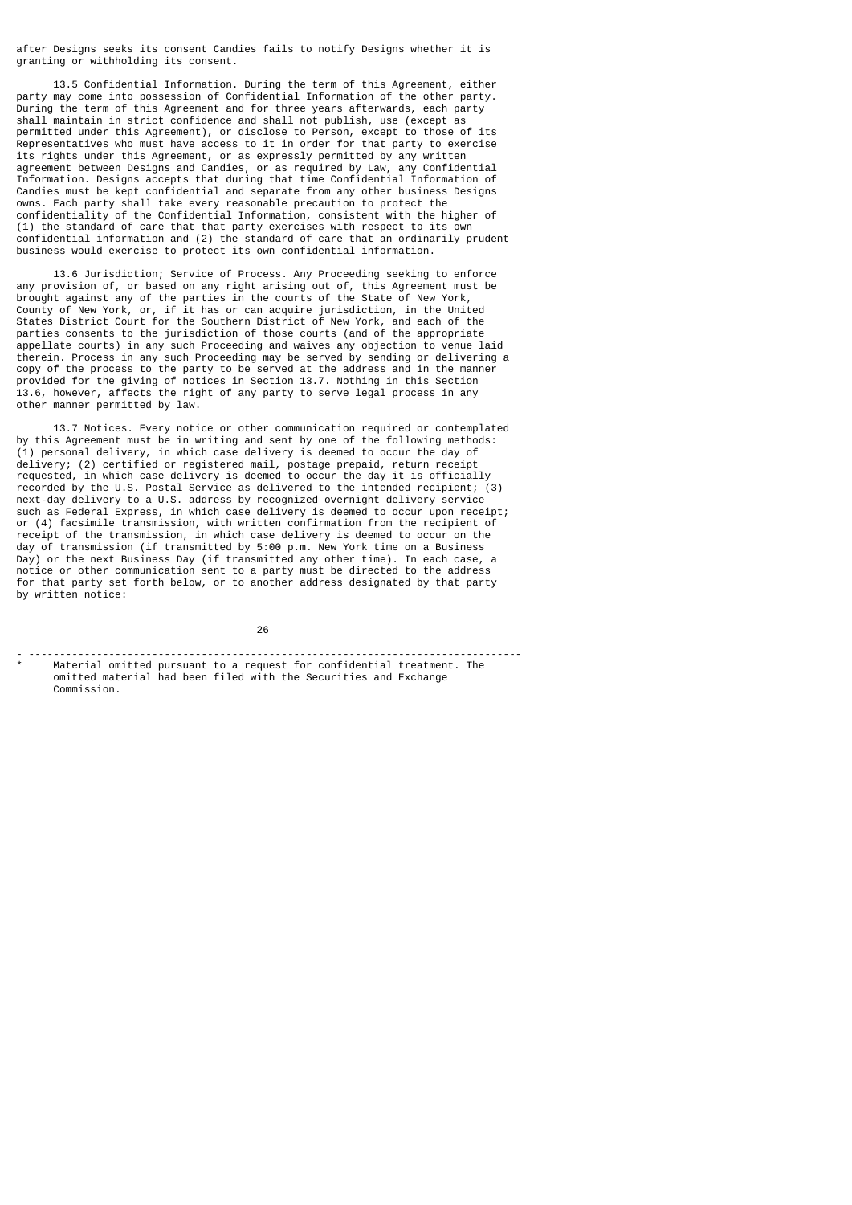after Designs seeks its consent Candies fails to notify Designs whether it is granting or withholding its consent.

 13.5 Confidential Information. During the term of this Agreement, either party may come into possession of Confidential Information of the other party. During the term of this Agreement and for three years afterwards, each party shall maintain in strict confidence and shall not publish, use (except as permitted under this Agreement), or disclose to Person, except to those of its Representatives who must have access to it in order for that party to exercise its rights under this Agreement, or as expressly permitted by any written agreement between Designs and Candies, or as required by Law, any Confidential Information. Designs accepts that during that time Confidential Information of Candies must be kept confidential and separate from any other business Designs owns. Each party shall take every reasonable precaution to protect the confidentiality of the Confidential Information, consistent with the higher of (1) the standard of care that that party exercises with respect to its own confidential information and (2) the standard of care that an ordinarily prudent business would exercise to protect its own confidential information.

 13.6 Jurisdiction; Service of Process. Any Proceeding seeking to enforce any provision of, or based on any right arising out of, this Agreement must be brought against any of the parties in the courts of the State of New York, County of New York, or, if it has or can acquire jurisdiction, in the United States District Court for the Southern District of New York, and each of the parties consents to the jurisdiction of those courts (and of the appropriate appellate courts) in any such Proceeding and waives any objection to venue laid therein. Process in any such Proceeding may be served by sending or delivering a copy of the process to the party to be served at the address and in the manner provided for the giving of notices in Section 13.7. Nothing in this Section 13.6, however, affects the right of any party to serve legal process in any other manner permitted by law.

 13.7 Notices. Every notice or other communication required or contemplated by this Agreement must be in writing and sent by one of the following methods: (1) personal delivery, in which case delivery is deemed to occur the day of delivery; (2) certified or registered mail, postage prepaid, return receipt requested, in which case delivery is deemed to occur the day it is officially recorded by the U.S. Postal Service as delivered to the intended recipient; (3) next-day delivery to a U.S. address by recognized overnight delivery service such as Federal Express, in which case delivery is deemed to occur upon receipt; or (4) facsimile transmission, with written confirmation from the recipient of receipt of the transmission, in which case delivery is deemed to occur on the day of transmission (if transmitted by 5:00 p.m. New York time on a Business Day) or the next Business Day (if transmitted any other time). In each case, a notice or other communication sent to a party must be directed to the address for that party set forth below, or to another address designated by that party by written notice:

 $26$ - --------------------------------------------------------------------------------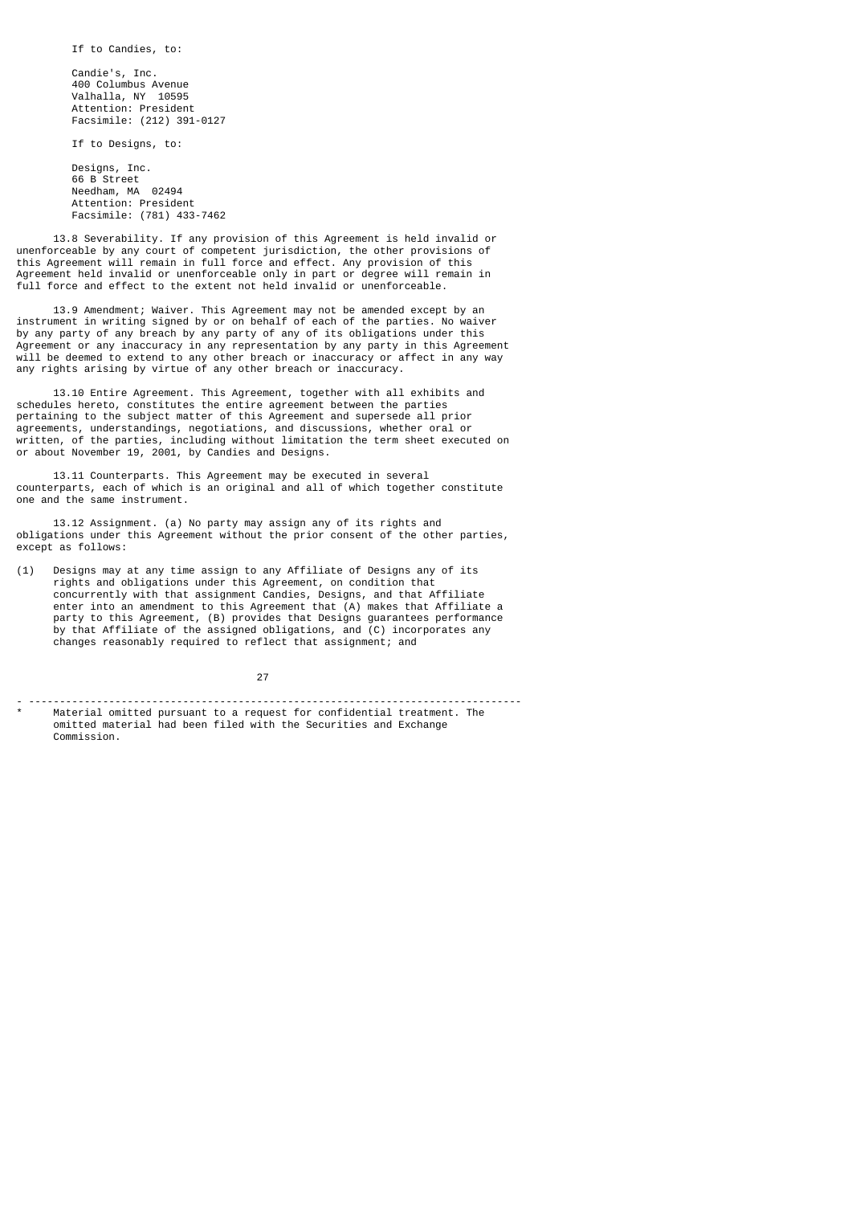If to Candies, to:

 Candie's, Inc. 400 Columbus Avenue Valhalla, NY 10595 Attention: President Facsimile: (212) 391-0127

If to Designs, to:

 Designs, Inc. 66 B Street Needham, MA 02494 Attention: President Facsimile: (781) 433-7462

 13.8 Severability. If any provision of this Agreement is held invalid or unenforceable by any court of competent jurisdiction, the other provisions of this Agreement will remain in full force and effect. Any provision of this Agreement held invalid or unenforceable only in part or degree will remain in full force and effect to the extent not held invalid or unenforceable.

 13.9 Amendment; Waiver. This Agreement may not be amended except by an instrument in writing signed by or on behalf of each of the parties. No waiver by any party of any breach by any party of any of its obligations under this Agreement or any inaccuracy in any representation by any party in this Agreement will be deemed to extend to any other breach or inaccuracy or affect in any way any rights arising by virtue of any other breach or inaccuracy.

 13.10 Entire Agreement. This Agreement, together with all exhibits and schedules hereto, constitutes the entire agreement between the parties pertaining to the subject matter of this Agreement and supersede all prior agreements, understandings, negotiations, and discussions, whether oral or written, of the parties, including without limitation the term sheet executed on or about November 19, 2001, by Candies and Designs.

 13.11 Counterparts. This Agreement may be executed in several counterparts, each of which is an original and all of which together constitute one and the same instrument.

 13.12 Assignment. (a) No party may assign any of its rights and obligations under this Agreement without the prior consent of the other parties, except as follows:

(1) Designs may at any time assign to any Affiliate of Designs any of its rights and obligations under this Agreement, on condition that concurrently with that assignment Candies, Designs, and that Affiliate enter into an amendment to this Agreement that (A) makes that Affiliate a party to this Agreement, (B) provides that Designs guarantees performance by that Affiliate of the assigned obligations, and (C) incorporates any changes reasonably required to reflect that assignment; and

27

- --------------------------------------------------------------------------------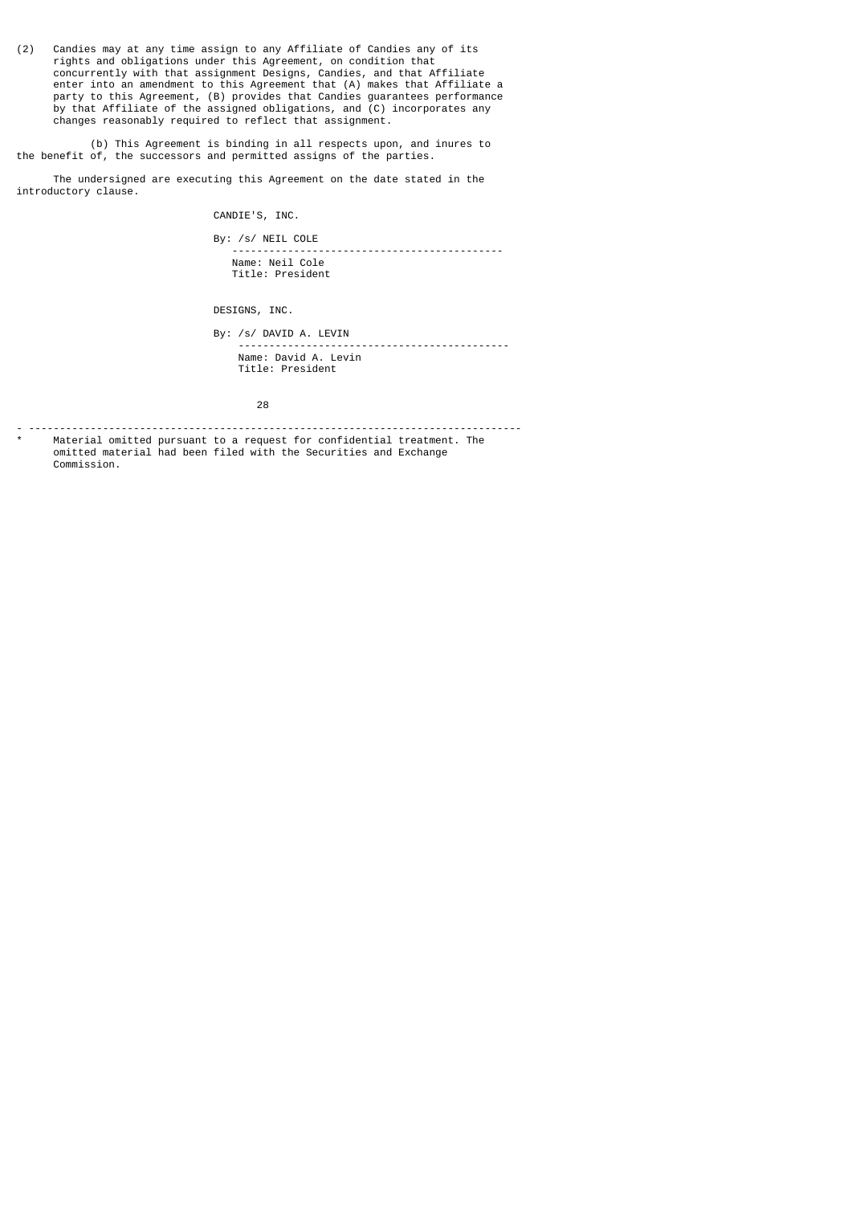(2) Candies may at any time assign to any Affiliate of Candies any of its rights and obligations under this Agreement, on condition that concurrently with that assignment Designs, Candies, and that Affiliate enter into an amendment to this Agreement that (A) makes that Affiliate a party to this Agreement, (B) provides that Candies guarantees performance by that Affiliate of the assigned obligations, and (C) incorporates any changes reasonably required to reflect that assignment.

 (b) This Agreement is binding in all respects upon, and inures to the benefit of, the successors and permitted assigns of the parties.

 The undersigned are executing this Agreement on the date stated in the introductory clause.

CANDIE'S, INC.

 By: /s/ NEIL COLE -------------------------------------------- Name: Neil Cole Title: President

DESIGNS, INC.

 By: /s/ DAVID A. LEVIN -------------------------------------------- Name: David A. Levin Title: President

е в село в село во село во 1928 година во 1928 година во 1928 година, кои 1928 година од 28 кои 1930 година од<br>Во 1920 година од 1920 година од 1920 година од 1920 година од 1920 година од 1920 година од 1930 година од 19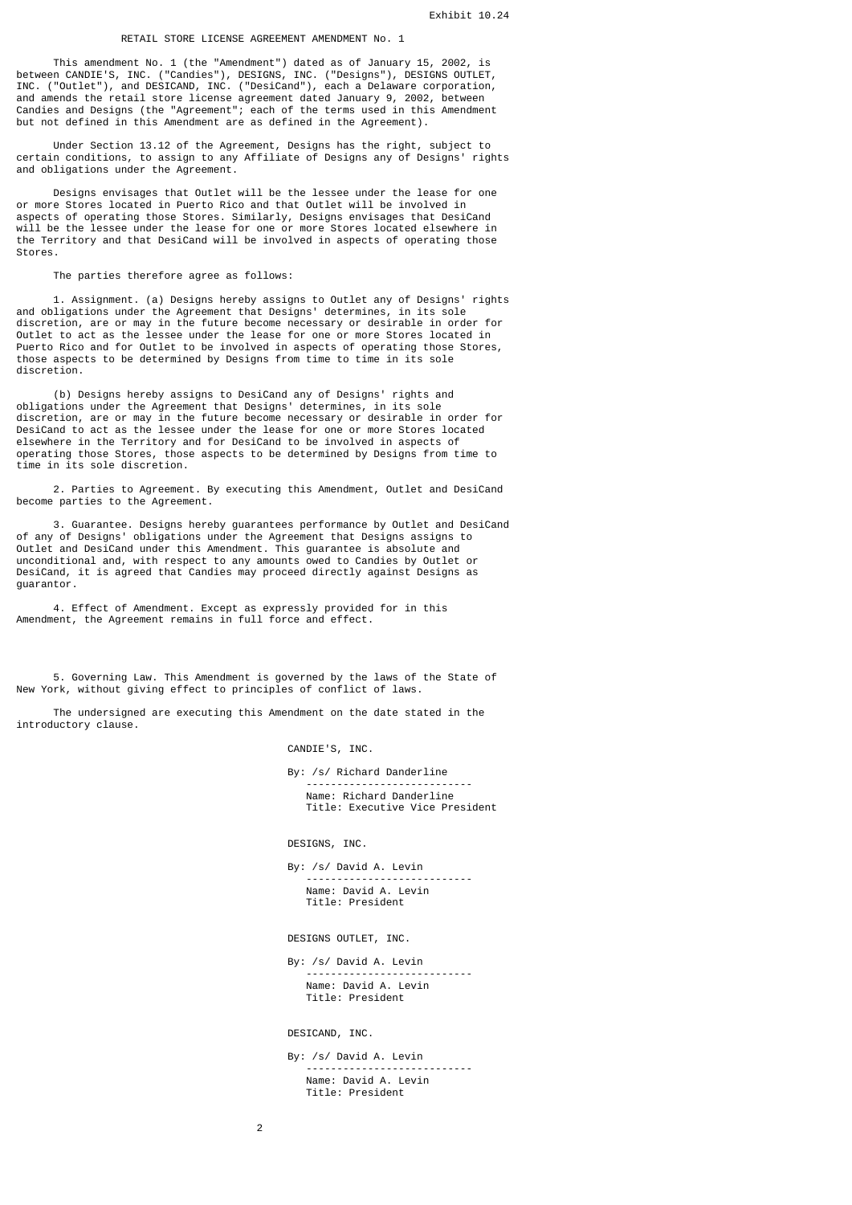## RETAIL STORE LICENSE AGREEMENT AMENDMENT No. 1

 This amendment No. 1 (the "Amendment") dated as of January 15, 2002, is between CANDIE'S, INC. ("Candies"), DESIGNS, INC. ("Designs"), DESIGNS OUTLET, INC. ("Outlet"), and DESICAND, INC. ("DesiCand"), each a Delaware corporation, and amends the retail store license agreement dated January 9, 2002, between Candies and Designs (the "Agreement"; each of the terms used in this Amendment but not defined in this Amendment are as defined in the Agreement).

 Under Section 13.12 of the Agreement, Designs has the right, subject to certain conditions, to assign to any Affiliate of Designs any of Designs' rights and obligations under the Agreement.

 Designs envisages that Outlet will be the lessee under the lease for one or more Stores located in Puerto Rico and that Outlet will be involved in aspects of operating those Stores. Similarly, Designs envisages that DesiCand will be the lessee under the lease for one or more Stores located elsewhere in the Territory and that DesiCand will be involved in aspects of operating those Stores.

The parties therefore agree as follows:

 1. Assignment. (a) Designs hereby assigns to Outlet any of Designs' rights and obligations under the Agreement that Designs' determines, in its sole discretion, are or may in the future become necessary or desirable in order for Outlet to act as the lessee under the lease for one or more Stores located in Puerto Rico and for Outlet to be involved in aspects of operating those Stores, those aspects to be determined by Designs from time to time in its sole discretion.

 (b) Designs hereby assigns to DesiCand any of Designs' rights and obligations under the Agreement that Designs' determines, in its sole discretion, are or may in the future become necessary or desirable in order for DesiCand to act as the lessee under the lease for one or more Stores located elsewhere in the Territory and for DesiCand to be involved in aspects of operating those Stores, those aspects to be determined by Designs from time to time in its sole discretion.

 2. Parties to Agreement. By executing this Amendment, Outlet and DesiCand become parties to the Agreement.

 3. Guarantee. Designs hereby guarantees performance by Outlet and DesiCand of any of Designs' obligations under the Agreement that Designs assigns to Outlet and DesiCand under this Amendment. This guarantee is absolute and unconditional and, with respect to any amounts owed to Candies by Outlet or DesiCand, it is agreed that Candies may proceed directly against Designs as guarantor.

 4. Effect of Amendment. Except as expressly provided for in this Amendment, the Agreement remains in full force and effect.

 5. Governing Law. This Amendment is governed by the laws of the State of New York, without giving effect to principles of conflict of laws.

 The undersigned are executing this Amendment on the date stated in the introductory clause.

CANDIE'S, INC.

By: /s/ Richard Danderline

 --------------------------- Name: Richard Danderline Title: Executive Vice President

DESIGNS, INC.

 By: /s/ David A. Levin ---------------------------

 Name: David A. Levin Title: President

DESIGNS OUTLET, INC.

 By: /s/ David A. Levin --------------------------- Name: David A. Levin Title: President

DESICAND, INC.

 By: /s/ David A. Levin --------------------------- Name: David A. Levin Title: President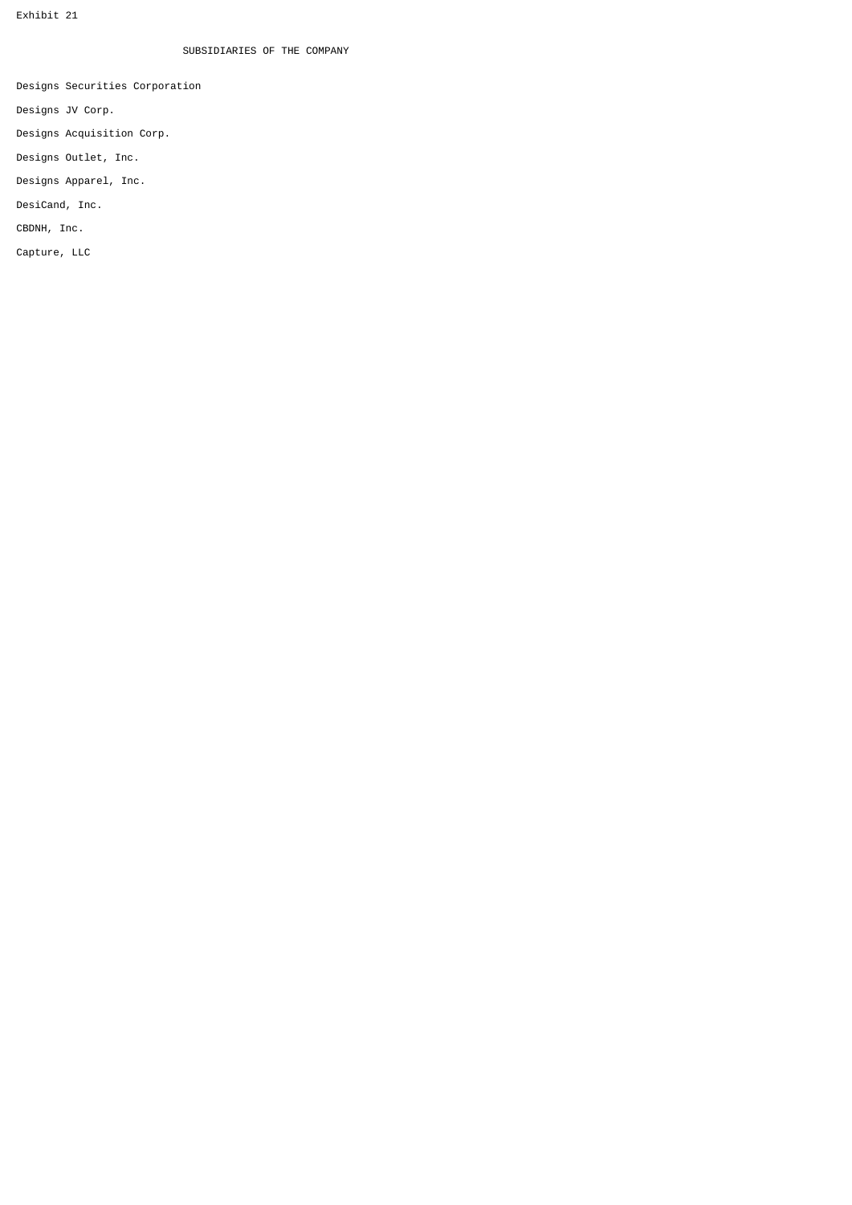# SUBSIDIARIES OF THE COMPANY

Designs Securities Corporation

Designs JV Corp.

Designs Acquisition Corp.

Designs Outlet, Inc.

Designs Apparel, Inc.

DesiCand, Inc.

CBDNH, Inc.

Capture, LLC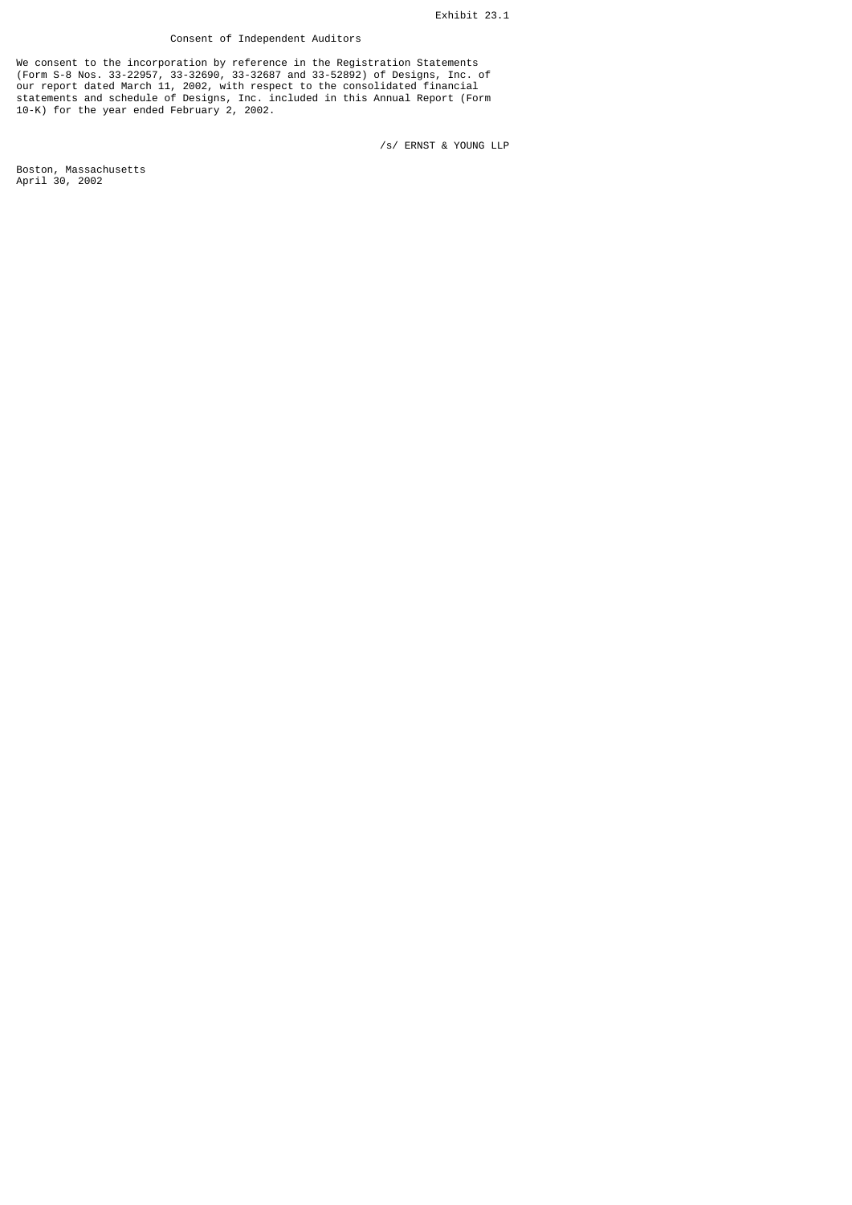## Consent of Independent Auditors

We consent to the incorporation by reference in the Registration Statements (Form S-8 Nos. 33-22957, 33-32690, 33-32687 and 33-52892) of Designs, Inc. of our report dated March 11, 2002, with respect to the consolidated financial statements and schedule of Designs, Inc. included in this Annual Report (Form 10-K) for the year ended February 2, 2002.

/s/ ERNST & YOUNG LLP

Boston, Massachusetts April 30, 2002